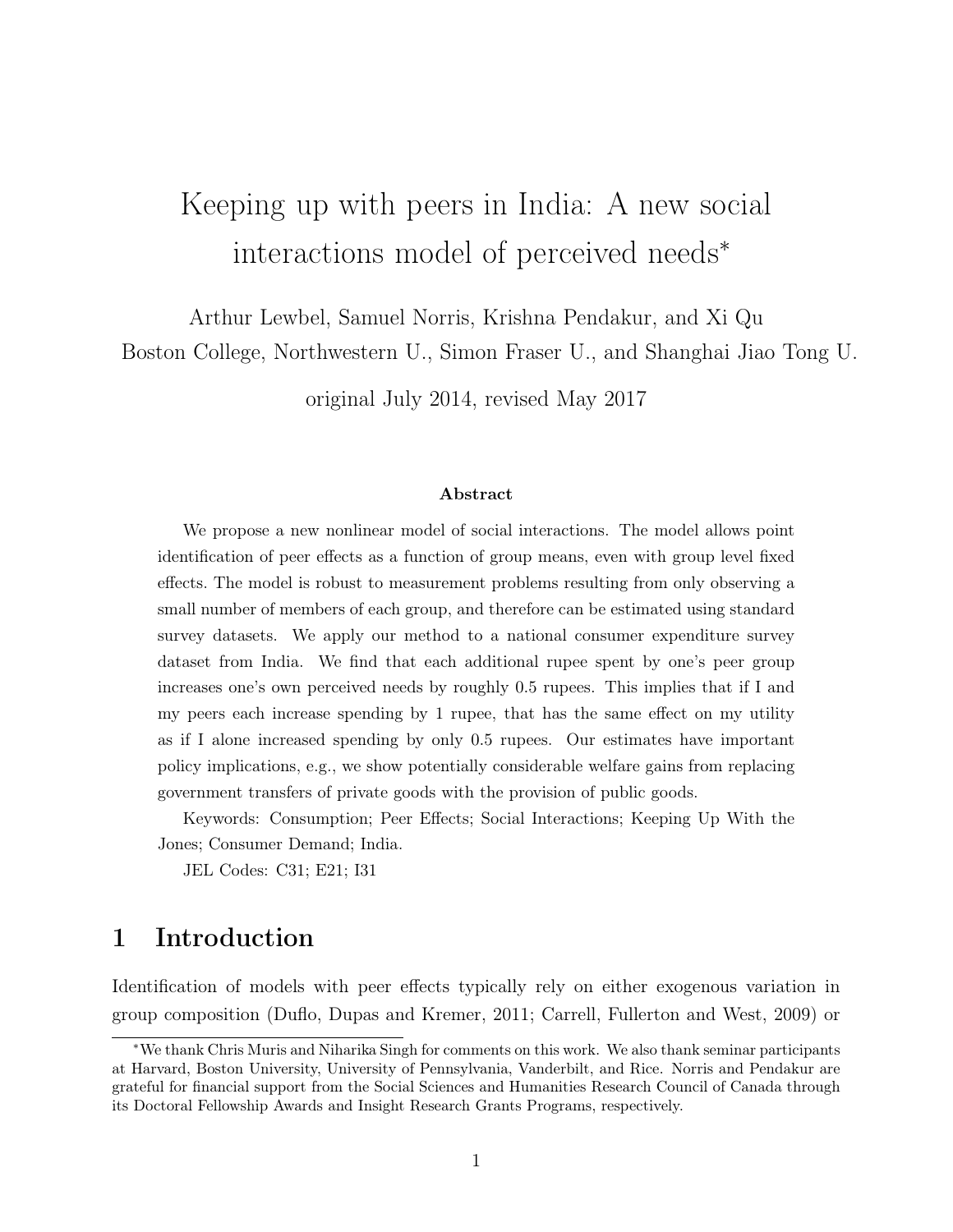# Keeping up with peers in India: A new social interactions model of perceived needs<sup>∗</sup>

Arthur Lewbel, Samuel Norris, Krishna Pendakur, and Xi Qu

Boston College, Northwestern U., Simon Fraser U., and Shanghai Jiao Tong U.

original July 2014, revised May 2017

#### Abstract

We propose a new nonlinear model of social interactions. The model allows point identification of peer effects as a function of group means, even with group level fixed effects. The model is robust to measurement problems resulting from only observing a small number of members of each group, and therefore can be estimated using standard survey datasets. We apply our method to a national consumer expenditure survey dataset from India. We find that each additional rupee spent by one's peer group increases one's own perceived needs by roughly 0.5 rupees. This implies that if I and my peers each increase spending by 1 rupee, that has the same effect on my utility as if I alone increased spending by only 0.5 rupees. Our estimates have important policy implications, e.g., we show potentially considerable welfare gains from replacing government transfers of private goods with the provision of public goods.

Keywords: Consumption; Peer Effects; Social Interactions; Keeping Up With the Jones; Consumer Demand; India.

JEL Codes: C31; E21; I31

## 1 Introduction

Identification of models with peer effects typically rely on either exogenous variation in group composition (Duflo, Dupas and Kremer, 2011; Carrell, Fullerton and West, 2009) or

<sup>∗</sup>We thank Chris Muris and Niharika Singh for comments on this work. We also thank seminar participants at Harvard, Boston University, University of Pennsylvania, Vanderbilt, and Rice. Norris and Pendakur are grateful for financial support from the Social Sciences and Humanities Research Council of Canada through its Doctoral Fellowship Awards and Insight Research Grants Programs, respectively.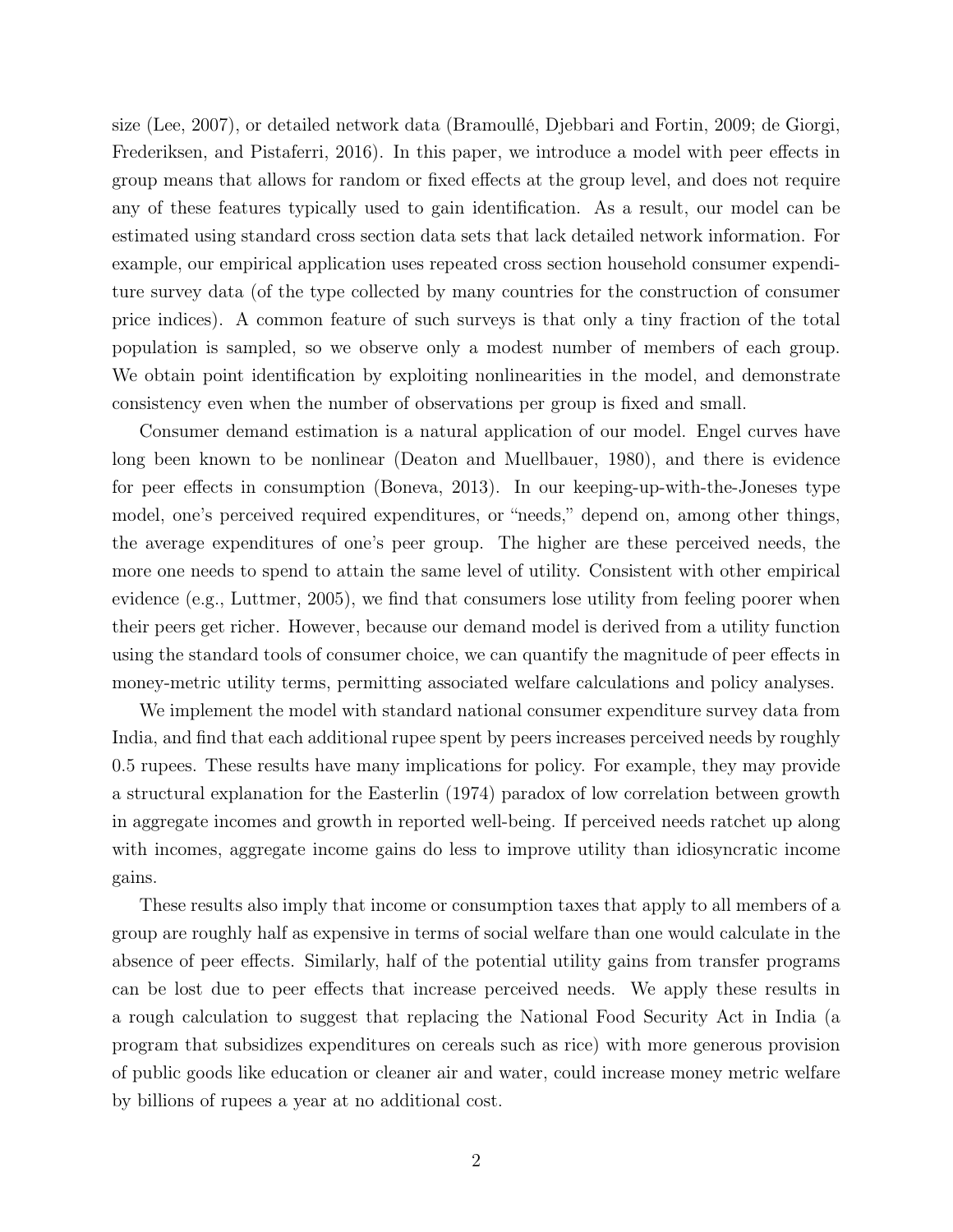size (Lee, 2007), or detailed network data (Bramoullé, Djebbari and Fortin, 2009; de Giorgi, Frederiksen, and Pistaferri, 2016). In this paper, we introduce a model with peer effects in group means that allows for random or fixed effects at the group level, and does not require any of these features typically used to gain identification. As a result, our model can be estimated using standard cross section data sets that lack detailed network information. For example, our empirical application uses repeated cross section household consumer expenditure survey data (of the type collected by many countries for the construction of consumer price indices). A common feature of such surveys is that only a tiny fraction of the total population is sampled, so we observe only a modest number of members of each group. We obtain point identification by exploiting nonlinearities in the model, and demonstrate consistency even when the number of observations per group is fixed and small.

Consumer demand estimation is a natural application of our model. Engel curves have long been known to be nonlinear (Deaton and Muellbauer, 1980), and there is evidence for peer effects in consumption (Boneva, 2013). In our keeping-up-with-the-Joneses type model, one's perceived required expenditures, or "needs," depend on, among other things, the average expenditures of one's peer group. The higher are these perceived needs, the more one needs to spend to attain the same level of utility. Consistent with other empirical evidence (e.g., Luttmer, 2005), we find that consumers lose utility from feeling poorer when their peers get richer. However, because our demand model is derived from a utility function using the standard tools of consumer choice, we can quantify the magnitude of peer effects in money-metric utility terms, permitting associated welfare calculations and policy analyses.

We implement the model with standard national consumer expenditure survey data from India, and find that each additional rupee spent by peers increases perceived needs by roughly 0.5 rupees. These results have many implications for policy. For example, they may provide a structural explanation for the Easterlin (1974) paradox of low correlation between growth in aggregate incomes and growth in reported well-being. If perceived needs ratchet up along with incomes, aggregate income gains do less to improve utility than idiosyncratic income gains.

These results also imply that income or consumption taxes that apply to all members of a group are roughly half as expensive in terms of social welfare than one would calculate in the absence of peer effects. Similarly, half of the potential utility gains from transfer programs can be lost due to peer effects that increase perceived needs. We apply these results in a rough calculation to suggest that replacing the National Food Security Act in India (a program that subsidizes expenditures on cereals such as rice) with more generous provision of public goods like education or cleaner air and water, could increase money metric welfare by billions of rupees a year at no additional cost.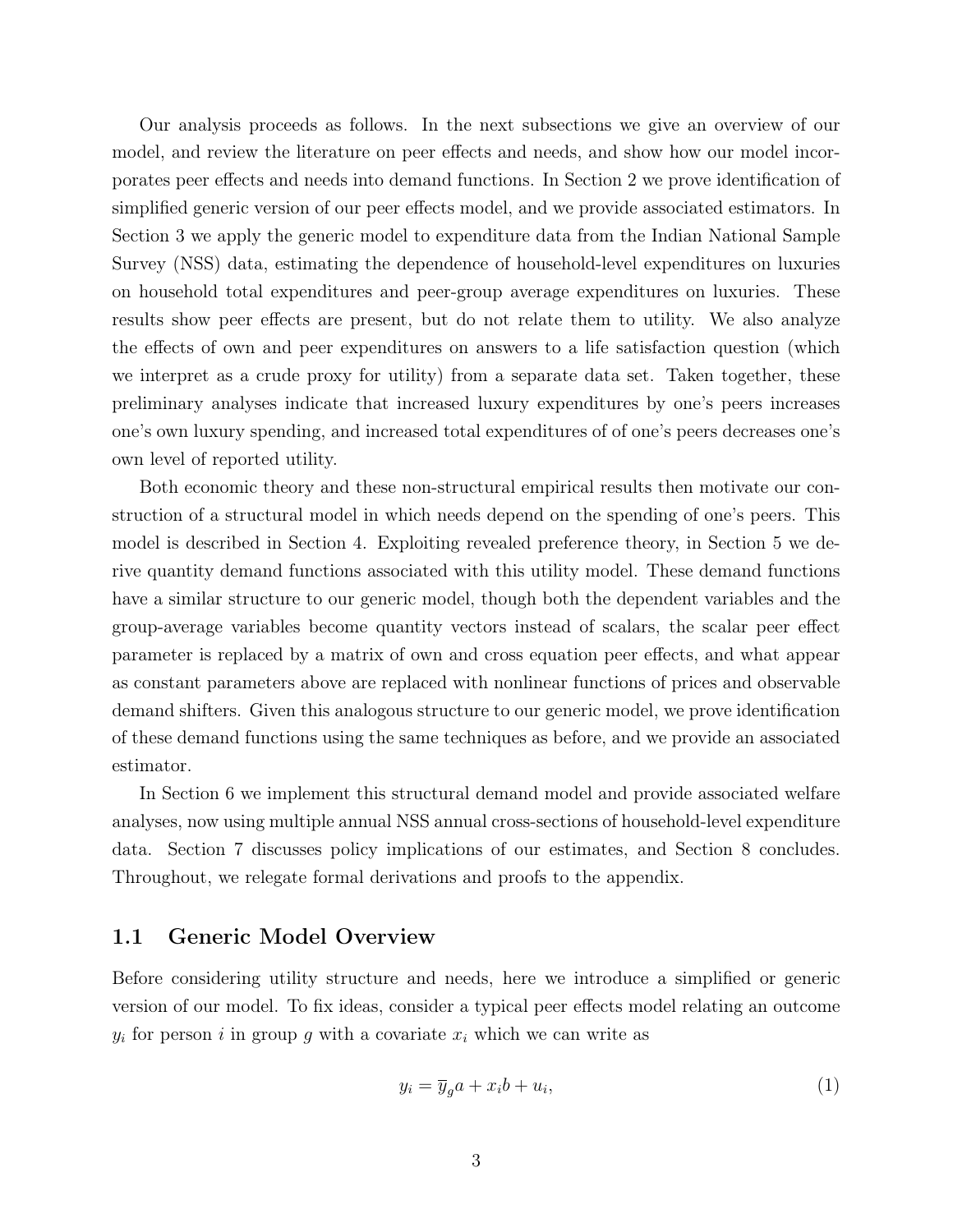Our analysis proceeds as follows. In the next subsections we give an overview of our model, and review the literature on peer effects and needs, and show how our model incorporates peer effects and needs into demand functions. In Section 2 we prove identification of simplified generic version of our peer effects model, and we provide associated estimators. In Section 3 we apply the generic model to expenditure data from the Indian National Sample Survey (NSS) data, estimating the dependence of household-level expenditures on luxuries on household total expenditures and peer-group average expenditures on luxuries. These results show peer effects are present, but do not relate them to utility. We also analyze the effects of own and peer expenditures on answers to a life satisfaction question (which we interpret as a crude proxy for utility) from a separate data set. Taken together, these preliminary analyses indicate that increased luxury expenditures by one's peers increases one's own luxury spending, and increased total expenditures of of one's peers decreases one's own level of reported utility.

Both economic theory and these non-structural empirical results then motivate our construction of a structural model in which needs depend on the spending of one's peers. This model is described in Section 4. Exploiting revealed preference theory, in Section 5 we derive quantity demand functions associated with this utility model. These demand functions have a similar structure to our generic model, though both the dependent variables and the group-average variables become quantity vectors instead of scalars, the scalar peer effect parameter is replaced by a matrix of own and cross equation peer effects, and what appear as constant parameters above are replaced with nonlinear functions of prices and observable demand shifters. Given this analogous structure to our generic model, we prove identification of these demand functions using the same techniques as before, and we provide an associated estimator.

In Section 6 we implement this structural demand model and provide associated welfare analyses, now using multiple annual NSS annual cross-sections of household-level expenditure data. Section 7 discusses policy implications of our estimates, and Section 8 concludes. Throughout, we relegate formal derivations and proofs to the appendix.

#### 1.1 Generic Model Overview

Before considering utility structure and needs, here we introduce a simplified or generic version of our model. To fix ideas, consider a typical peer effects model relating an outcome  $y_i$  for person i in group g with a covariate  $x_i$  which we can write as

$$
y_i = \overline{y}_g a + x_i b + u_i,\tag{1}
$$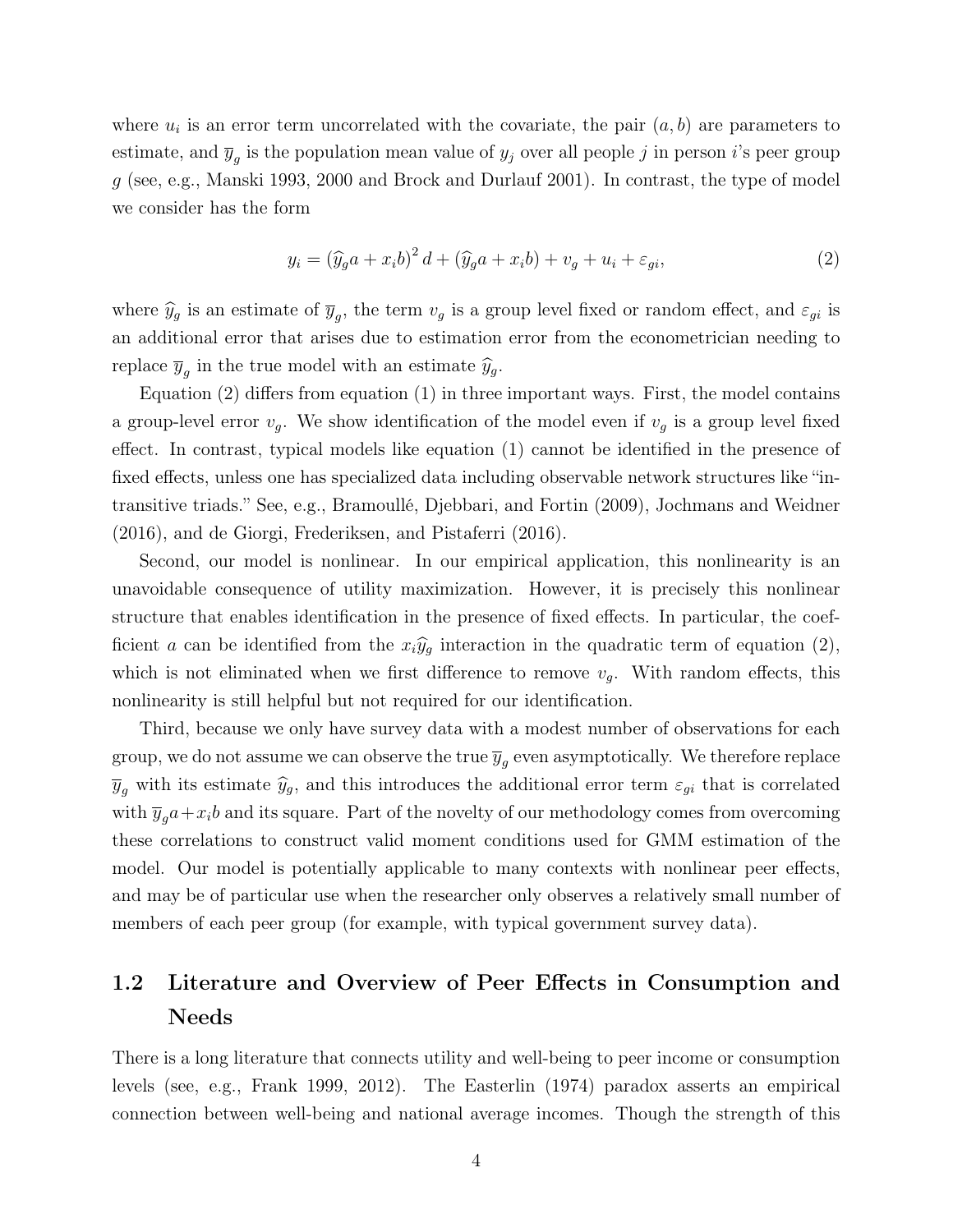where  $u_i$  is an error term uncorrelated with the covariate, the pair  $(a, b)$  are parameters to estimate, and  $\overline{y}_g$  is the population mean value of  $y_j$  over all people j in person i's peer group g (see, e.g., Manski 1993, 2000 and Brock and Durlauf 2001). In contrast, the type of model we consider has the form

$$
y_i = \left(\widehat{y}_g a + x_i b\right)^2 d + \left(\widehat{y}_g a + x_i b\right) + v_g + u_i + \varepsilon_{gi},\tag{2}
$$

where  $\hat{y}_g$  is an estimate of  $\overline{y}_g$ , the term  $v_g$  is a group level fixed or random effect, and  $\varepsilon_{gi}$  is an additional error that arises due to estimation error from the econometrician needing to replace  $\overline{y}_g$  in the true model with an estimate  $\hat{y}_g$ .

Equation (2) differs from equation (1) in three important ways. First, the model contains a group-level error  $v_g$ . We show identification of the model even if  $v_g$  is a group level fixed effect. In contrast, typical models like equation (1) cannot be identified in the presence of fixed effects, unless one has specialized data including observable network structures like "intransitive triads." See, e.g., Bramoullé, Djebbari, and Fortin (2009), Jochmans and Weidner (2016), and de Giorgi, Frederiksen, and Pistaferri (2016).

Second, our model is nonlinear. In our empirical application, this nonlinearity is an unavoidable consequence of utility maximization. However, it is precisely this nonlinear structure that enables identification in the presence of fixed effects. In particular, the coefficient a can be identified from the  $x_i\hat{y}_j$  interaction in the quadratic term of equation (2), which is not eliminated when we first difference to remove  $v_q$ . With random effects, this nonlinearity is still helpful but not required for our identification.

Third, because we only have survey data with a modest number of observations for each group, we do not assume we can observe the true  $\overline{y}_g$  even asymptotically. We therefore replace  $\overline{y}_q$  with its estimate  $\hat{y}_g$ , and this introduces the additional error term  $\varepsilon_{gi}$  that is correlated with  $\overline{y}_q a + x_i b$  and its square. Part of the novelty of our methodology comes from overcoming these correlations to construct valid moment conditions used for GMM estimation of the model. Our model is potentially applicable to many contexts with nonlinear peer effects, and may be of particular use when the researcher only observes a relatively small number of members of each peer group (for example, with typical government survey data).

## 1.2 Literature and Overview of Peer Effects in Consumption and Needs

There is a long literature that connects utility and well-being to peer income or consumption levels (see, e.g., Frank 1999, 2012). The Easterlin (1974) paradox asserts an empirical connection between well-being and national average incomes. Though the strength of this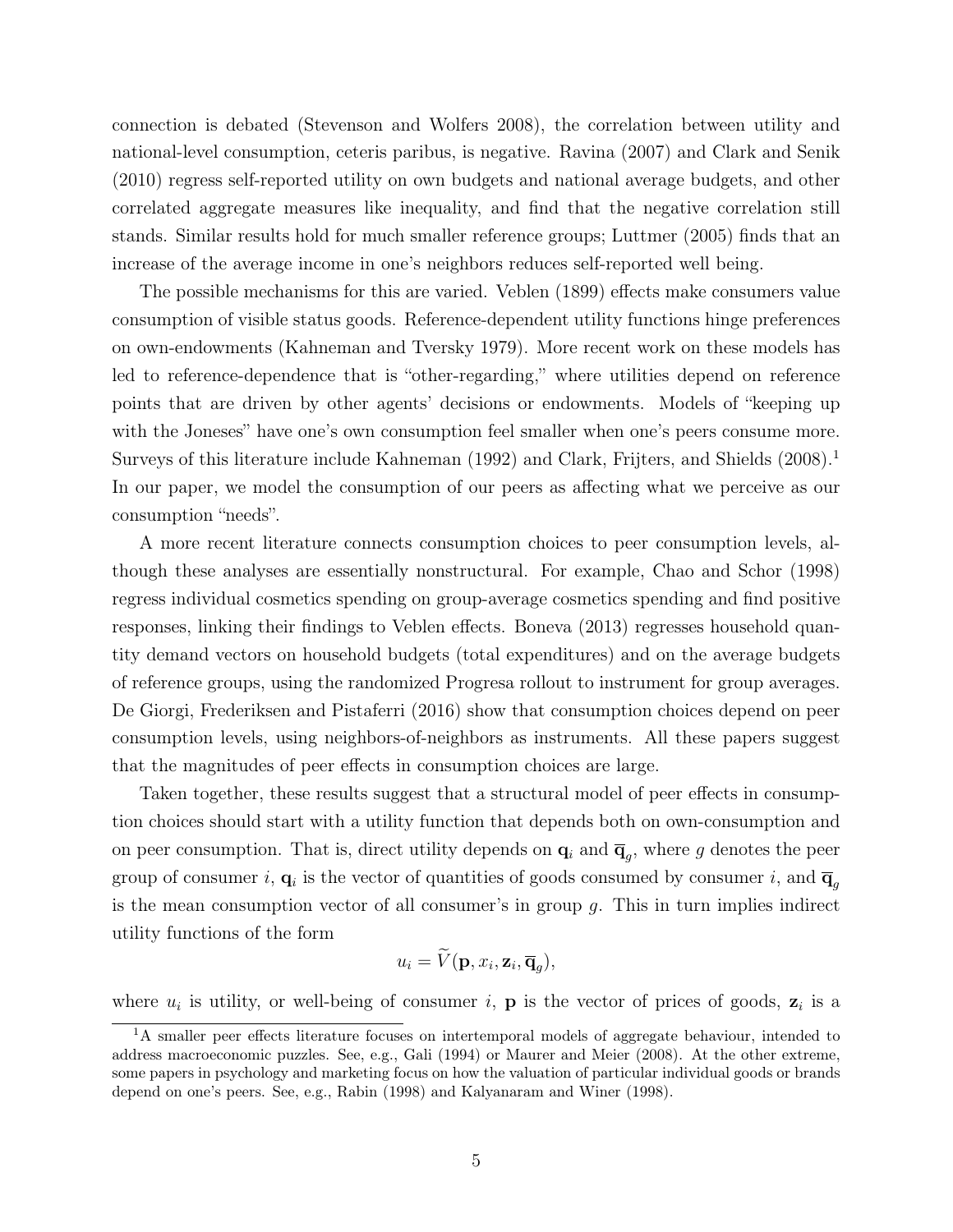connection is debated (Stevenson and Wolfers 2008), the correlation between utility and national-level consumption, ceteris paribus, is negative. Ravina (2007) and Clark and Senik (2010) regress self-reported utility on own budgets and national average budgets, and other correlated aggregate measures like inequality, and find that the negative correlation still stands. Similar results hold for much smaller reference groups; Luttmer (2005) finds that an increase of the average income in one's neighbors reduces self-reported well being.

The possible mechanisms for this are varied. Veblen (1899) effects make consumers value consumption of visible status goods. Reference-dependent utility functions hinge preferences on own-endowments (Kahneman and Tversky 1979). More recent work on these models has led to reference-dependence that is "other-regarding," where utilities depend on reference points that are driven by other agents' decisions or endowments. Models of "keeping up with the Joneses" have one's own consumption feel smaller when one's peers consume more. Surveys of this literature include Kahneman (1992) and Clark, Frijters, and Shields  $(2008)^{1}$ In our paper, we model the consumption of our peers as affecting what we perceive as our consumption "needs".

A more recent literature connects consumption choices to peer consumption levels, although these analyses are essentially nonstructural. For example, Chao and Schor (1998) regress individual cosmetics spending on group-average cosmetics spending and find positive responses, linking their findings to Veblen effects. Boneva (2013) regresses household quantity demand vectors on household budgets (total expenditures) and on the average budgets of reference groups, using the randomized Progresa rollout to instrument for group averages. De Giorgi, Frederiksen and Pistaferri (2016) show that consumption choices depend on peer consumption levels, using neighbors-of-neighbors as instruments. All these papers suggest that the magnitudes of peer effects in consumption choices are large.

Taken together, these results suggest that a structural model of peer effects in consumption choices should start with a utility function that depends both on own-consumption and on peer consumption. That is, direct utility depends on  $\mathbf{q}_i$  and  $\overline{\mathbf{q}}_g$ , where g denotes the peer group of consumer i,  $\mathbf{q}_i$  is the vector of quantities of goods consumed by consumer i, and  $\overline{\mathbf{q}}_g$ is the mean consumption vector of all consumer's in group  $q$ . This in turn implies indirect utility functions of the form

$$
u_i = \widetilde{V}(\mathbf{p}, x_i, \mathbf{z}_i, \overline{\mathbf{q}}_g),
$$

where  $u_i$  is utility, or well-being of consumer i, **p** is the vector of prices of goods,  $z_i$  is a

<sup>&</sup>lt;sup>1</sup>A smaller peer effects literature focuses on intertemporal models of aggregate behaviour, intended to address macroeconomic puzzles. See, e.g., Gali (1994) or Maurer and Meier (2008). At the other extreme, some papers in psychology and marketing focus on how the valuation of particular individual goods or brands depend on one's peers. See, e.g., Rabin (1998) and Kalyanaram and Winer (1998).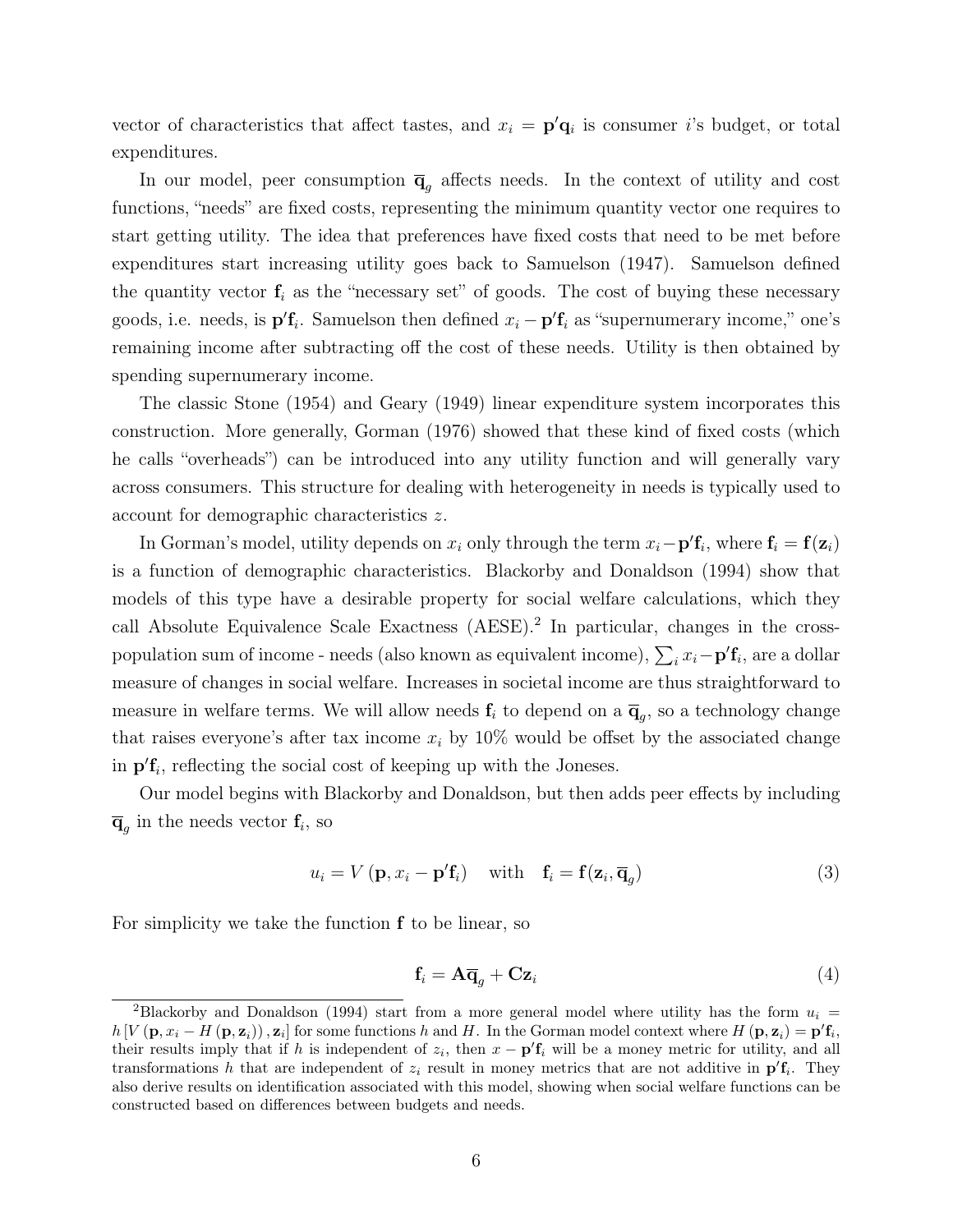vector of characteristics that affect tastes, and  $x_i = \mathbf{p}'\mathbf{q}_i$  is consumer *i*'s budget, or total expenditures.

In our model, peer consumption  $\overline{\mathbf{q}}_g$  affects needs. In the context of utility and cost functions, "needs" are fixed costs, representing the minimum quantity vector one requires to start getting utility. The idea that preferences have fixed costs that need to be met before expenditures start increasing utility goes back to Samuelson (1947). Samuelson defined the quantity vector  $f_i$  as the "necessary set" of goods. The cost of buying these necessary goods, i.e. needs, is  $p'f_i$ . Samuelson then defined  $x_i - p'f_i$  as "supernumerary income," one's remaining income after subtracting off the cost of these needs. Utility is then obtained by spending supernumerary income.

The classic Stone (1954) and Geary (1949) linear expenditure system incorporates this construction. More generally, Gorman (1976) showed that these kind of fixed costs (which he calls "overheads") can be introduced into any utility function and will generally vary across consumers. This structure for dealing with heterogeneity in needs is typically used to account for demographic characteristics z.

In Gorman's model, utility depends on  $x_i$  only through the term  $x_i - \mathbf{p}' \mathbf{f}_i$ , where  $\mathbf{f}_i = \mathbf{f}(\mathbf{z}_i)$ is a function of demographic characteristics. Blackorby and Donaldson (1994) show that models of this type have a desirable property for social welfare calculations, which they call Absolute Equivalence Scale Exactness (AESE).<sup>2</sup> In particular, changes in the crosspopulation sum of income - needs (also known as equivalent income),  $\sum_i x_i - \mathbf{p'} \mathbf{f}_i$ , are a dollar measure of changes in social welfare. Increases in societal income are thus straightforward to measure in welfare terms. We will allow needs  $f_i$  to depend on a  $\overline{q}_g$ , so a technology change that raises everyone's after tax income  $x_i$  by 10% would be offset by the associated change in  $\mathbf{p}'\mathbf{f}_i$ , reflecting the social cost of keeping up with the Joneses.

Our model begins with Blackorby and Donaldson, but then adds peer effects by including  $\overline{\mathbf{q}}_g$  in the needs vector  $\mathbf{f}_i$ , so

$$
u_i = V(\mathbf{p}, x_i - \mathbf{p}'\mathbf{f}_i) \quad \text{with} \quad \mathbf{f}_i = \mathbf{f}(\mathbf{z}_i, \overline{\mathbf{q}}_g) \tag{3}
$$

For simplicity we take the function  $f$  to be linear, so

$$
\mathbf{f}_i = \mathbf{A}\overline{\mathbf{q}}_g + \mathbf{C}\mathbf{z}_i \tag{4}
$$

<sup>&</sup>lt;sup>2</sup>Blackorby and Donaldson (1994) start from a more general model where utility has the form  $u_i =$  $h[V(\mathbf{p}, x_i - H(\mathbf{p}, \mathbf{z}_i)), \mathbf{z}_i]$  for some functions h and H. In the Gorman model context where  $H(\mathbf{p}, \mathbf{z}_i) = \mathbf{p}' \mathbf{f}_i$ , their results imply that if h is independent of  $z_i$ , then  $x - \mathbf{p}' \mathbf{f}_i$  will be a money metric for utility, and all transformations h that are independent of  $z_i$  result in money metrics that are not additive in  $\mathbf{p}'\mathbf{f}_i$ . They also derive results on identification associated with this model, showing when social welfare functions can be constructed based on differences between budgets and needs.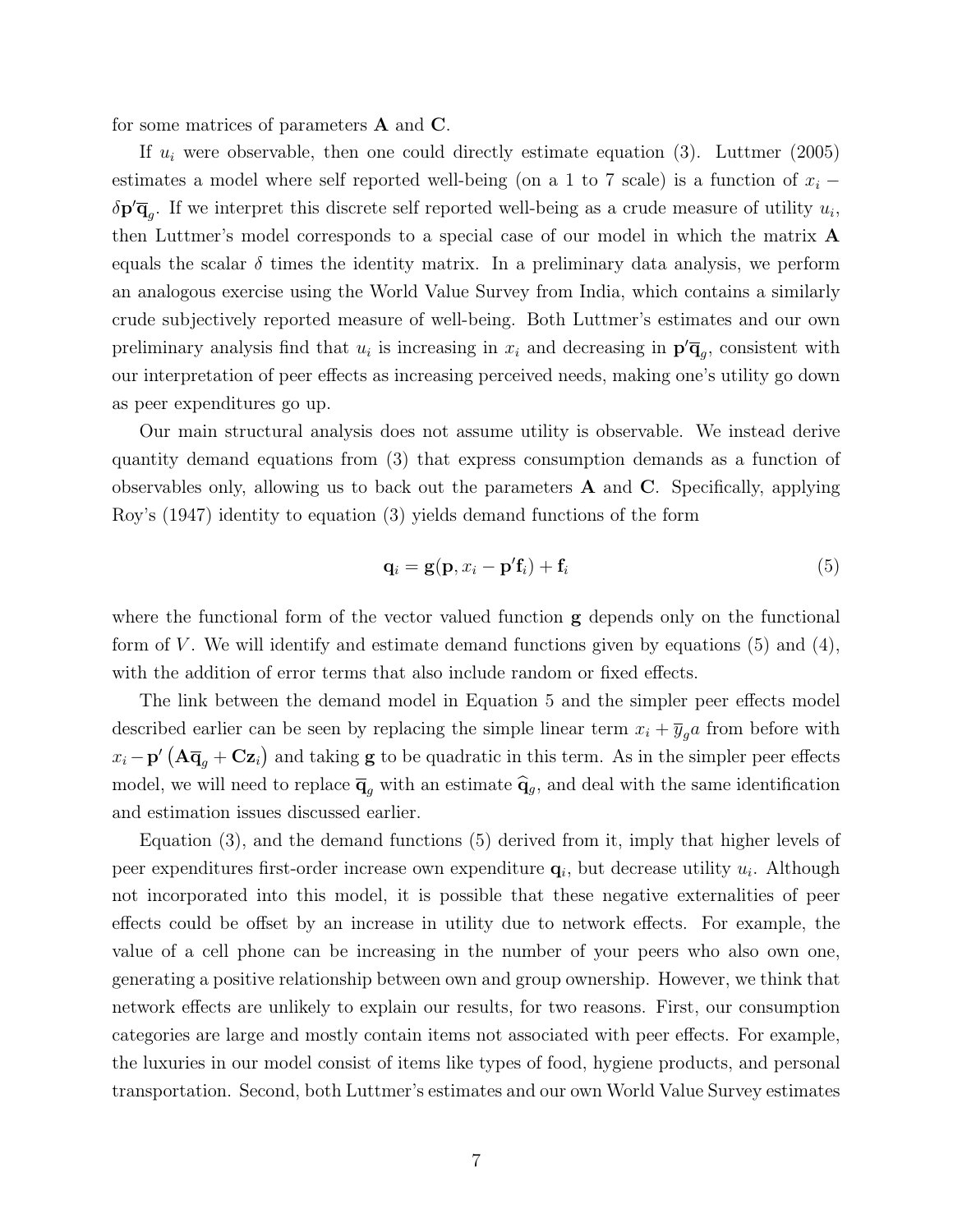for some matrices of parameters A and C.

If  $u_i$  were observable, then one could directly estimate equation (3). Luttmer (2005) estimates a model where self reported well-being (on a 1 to 7 scale) is a function of  $x_i$  −  $\delta \mathbf{p}' \overline{\mathbf{q}}_g$ . If we interpret this discrete self reported well-being as a crude measure of utility  $u_i$ , then Luttmer's model corresponds to a special case of our model in which the matrix A equals the scalar  $\delta$  times the identity matrix. In a preliminary data analysis, we perform an analogous exercise using the World Value Survey from India, which contains a similarly crude subjectively reported measure of well-being. Both Luttmer's estimates and our own preliminary analysis find that  $u_i$  is increasing in  $x_i$  and decreasing in  $\mathbf{p}'\overline{\mathbf{q}}_g$ , consistent with our interpretation of peer effects as increasing perceived needs, making one's utility go down as peer expenditures go up.

Our main structural analysis does not assume utility is observable. We instead derive quantity demand equations from (3) that express consumption demands as a function of observables only, allowing us to back out the parameters  $A$  and  $C$ . Specifically, applying Roy's (1947) identity to equation (3) yields demand functions of the form

$$
\mathbf{q}_i = \mathbf{g}(\mathbf{p}, x_i - \mathbf{p}'\mathbf{f}_i) + \mathbf{f}_i
$$
\n(5)

where the functional form of the vector valued function **g** depends only on the functional form of V. We will identify and estimate demand functions given by equations  $(5)$  and  $(4)$ , with the addition of error terms that also include random or fixed effects.

The link between the demand model in Equation 5 and the simpler peer effects model described earlier can be seen by replacing the simple linear term  $x_i + \overline{y}_g a$  from before with  $x_i - \mathbf{p}' \left( \mathbf{A} \overline{\mathbf{q}}_g + \mathbf{C} \mathbf{z}_i \right)$  and taking **g** to be quadratic in this term. As in the simpler peer effects model, we will need to replace  $\overline{\mathbf{q}}_q$  with an estimate  $\hat{\mathbf{q}}_g$ , and deal with the same identification and estimation issues discussed earlier.

Equation (3), and the demand functions (5) derived from it, imply that higher levels of peer expenditures first-order increase own expenditure  $\mathbf{q}_i$ , but decrease utility  $u_i$ . Although not incorporated into this model, it is possible that these negative externalities of peer effects could be offset by an increase in utility due to network effects. For example, the value of a cell phone can be increasing in the number of your peers who also own one, generating a positive relationship between own and group ownership. However, we think that network effects are unlikely to explain our results, for two reasons. First, our consumption categories are large and mostly contain items not associated with peer effects. For example, the luxuries in our model consist of items like types of food, hygiene products, and personal transportation. Second, both Luttmer's estimates and our own World Value Survey estimates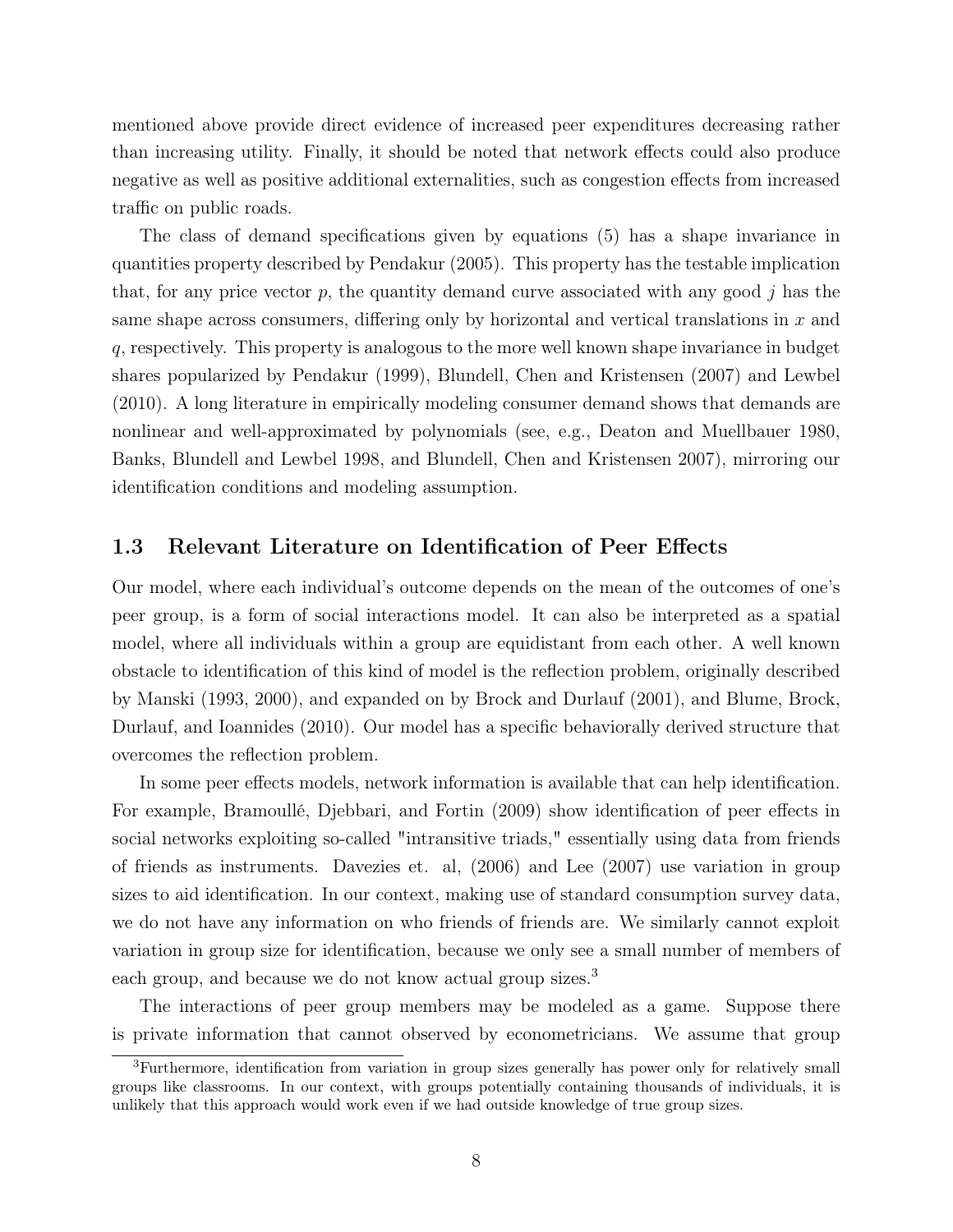mentioned above provide direct evidence of increased peer expenditures decreasing rather than increasing utility. Finally, it should be noted that network effects could also produce negative as well as positive additional externalities, such as congestion effects from increased traffic on public roads.

The class of demand specifications given by equations (5) has a shape invariance in quantities property described by Pendakur (2005). This property has the testable implication that, for any price vector p, the quantity demand curve associated with any good  $j$  has the same shape across consumers, differing only by horizontal and vertical translations in  $x$  and q, respectively. This property is analogous to the more well known shape invariance in budget shares popularized by Pendakur (1999), Blundell, Chen and Kristensen (2007) and Lewbel (2010). A long literature in empirically modeling consumer demand shows that demands are nonlinear and well-approximated by polynomials (see, e.g., Deaton and Muellbauer 1980, Banks, Blundell and Lewbel 1998, and Blundell, Chen and Kristensen 2007), mirroring our identification conditions and modeling assumption.

#### 1.3 Relevant Literature on Identification of Peer Effects

Our model, where each individual's outcome depends on the mean of the outcomes of one's peer group, is a form of social interactions model. It can also be interpreted as a spatial model, where all individuals within a group are equidistant from each other. A well known obstacle to identification of this kind of model is the reflection problem, originally described by Manski (1993, 2000), and expanded on by Brock and Durlauf (2001), and Blume, Brock, Durlauf, and Ioannides (2010). Our model has a specific behaviorally derived structure that overcomes the reflection problem.

In some peer effects models, network information is available that can help identification. For example, Bramoullé, Djebbari, and Fortin (2009) show identification of peer effects in social networks exploiting so-called "intransitive triads," essentially using data from friends of friends as instruments. Davezies et. al, (2006) and Lee (2007) use variation in group sizes to aid identification. In our context, making use of standard consumption survey data, we do not have any information on who friends of friends are. We similarly cannot exploit variation in group size for identification, because we only see a small number of members of each group, and because we do not know actual group sizes.<sup>3</sup>

The interactions of peer group members may be modeled as a game. Suppose there is private information that cannot observed by econometricians. We assume that group

<sup>3</sup>Furthermore, identification from variation in group sizes generally has power only for relatively small groups like classrooms. In our context, with groups potentially containing thousands of individuals, it is unlikely that this approach would work even if we had outside knowledge of true group sizes.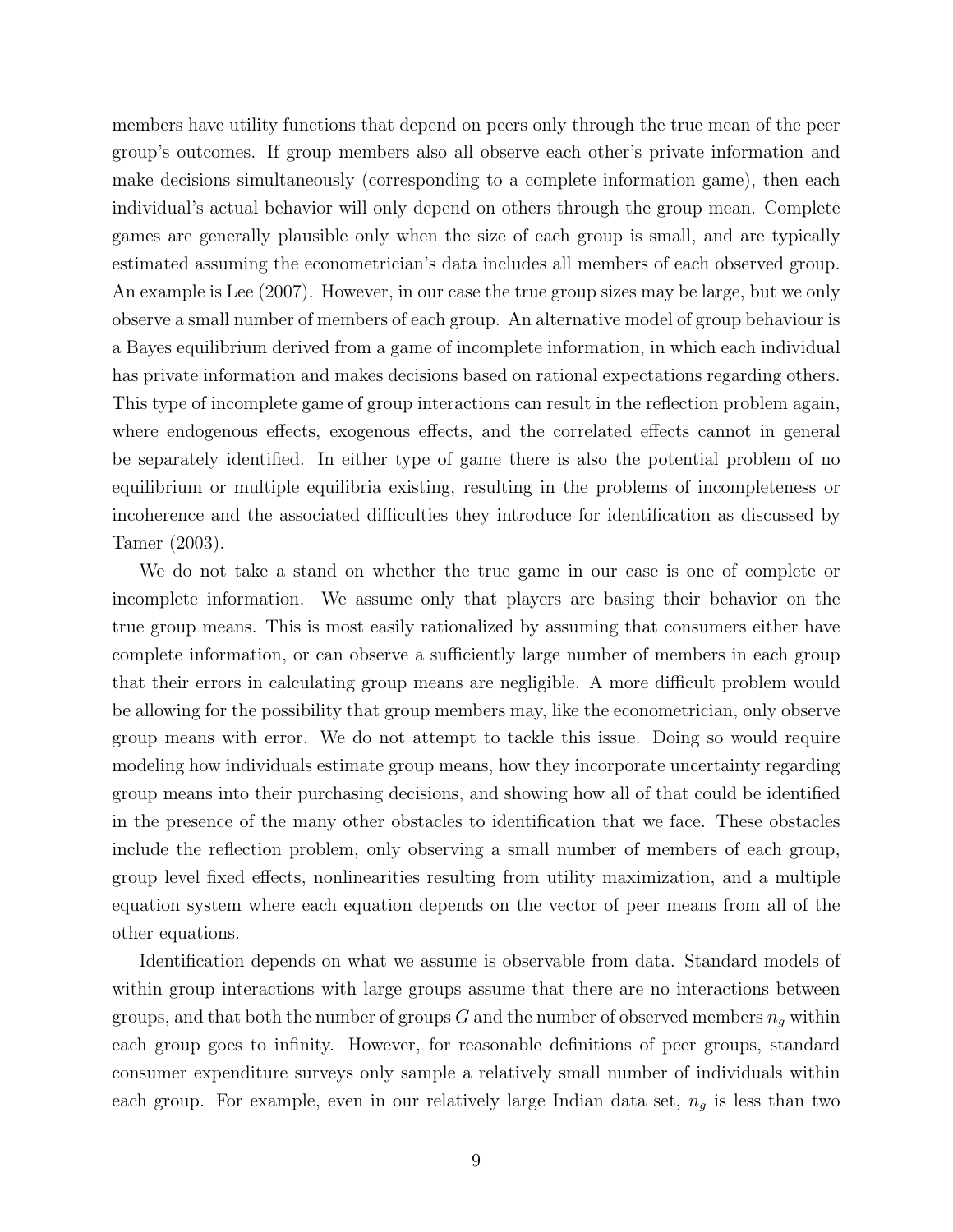members have utility functions that depend on peers only through the true mean of the peer group's outcomes. If group members also all observe each other's private information and make decisions simultaneously (corresponding to a complete information game), then each individual's actual behavior will only depend on others through the group mean. Complete games are generally plausible only when the size of each group is small, and are typically estimated assuming the econometrician's data includes all members of each observed group. An example is Lee (2007). However, in our case the true group sizes may be large, but we only observe a small number of members of each group. An alternative model of group behaviour is a Bayes equilibrium derived from a game of incomplete information, in which each individual has private information and makes decisions based on rational expectations regarding others. This type of incomplete game of group interactions can result in the reflection problem again, where endogenous effects, exogenous effects, and the correlated effects cannot in general be separately identified. In either type of game there is also the potential problem of no equilibrium or multiple equilibria existing, resulting in the problems of incompleteness or incoherence and the associated difficulties they introduce for identification as discussed by Tamer (2003).

We do not take a stand on whether the true game in our case is one of complete or incomplete information. We assume only that players are basing their behavior on the true group means. This is most easily rationalized by assuming that consumers either have complete information, or can observe a sufficiently large number of members in each group that their errors in calculating group means are negligible. A more difficult problem would be allowing for the possibility that group members may, like the econometrician, only observe group means with error. We do not attempt to tackle this issue. Doing so would require modeling how individuals estimate group means, how they incorporate uncertainty regarding group means into their purchasing decisions, and showing how all of that could be identified in the presence of the many other obstacles to identification that we face. These obstacles include the reflection problem, only observing a small number of members of each group, group level fixed effects, nonlinearities resulting from utility maximization, and a multiple equation system where each equation depends on the vector of peer means from all of the other equations.

Identification depends on what we assume is observable from data. Standard models of within group interactions with large groups assume that there are no interactions between groups, and that both the number of groups  $G$  and the number of observed members  $n_q$  within each group goes to infinity. However, for reasonable definitions of peer groups, standard consumer expenditure surveys only sample a relatively small number of individuals within each group. For example, even in our relatively large Indian data set,  $n<sub>g</sub>$  is less than two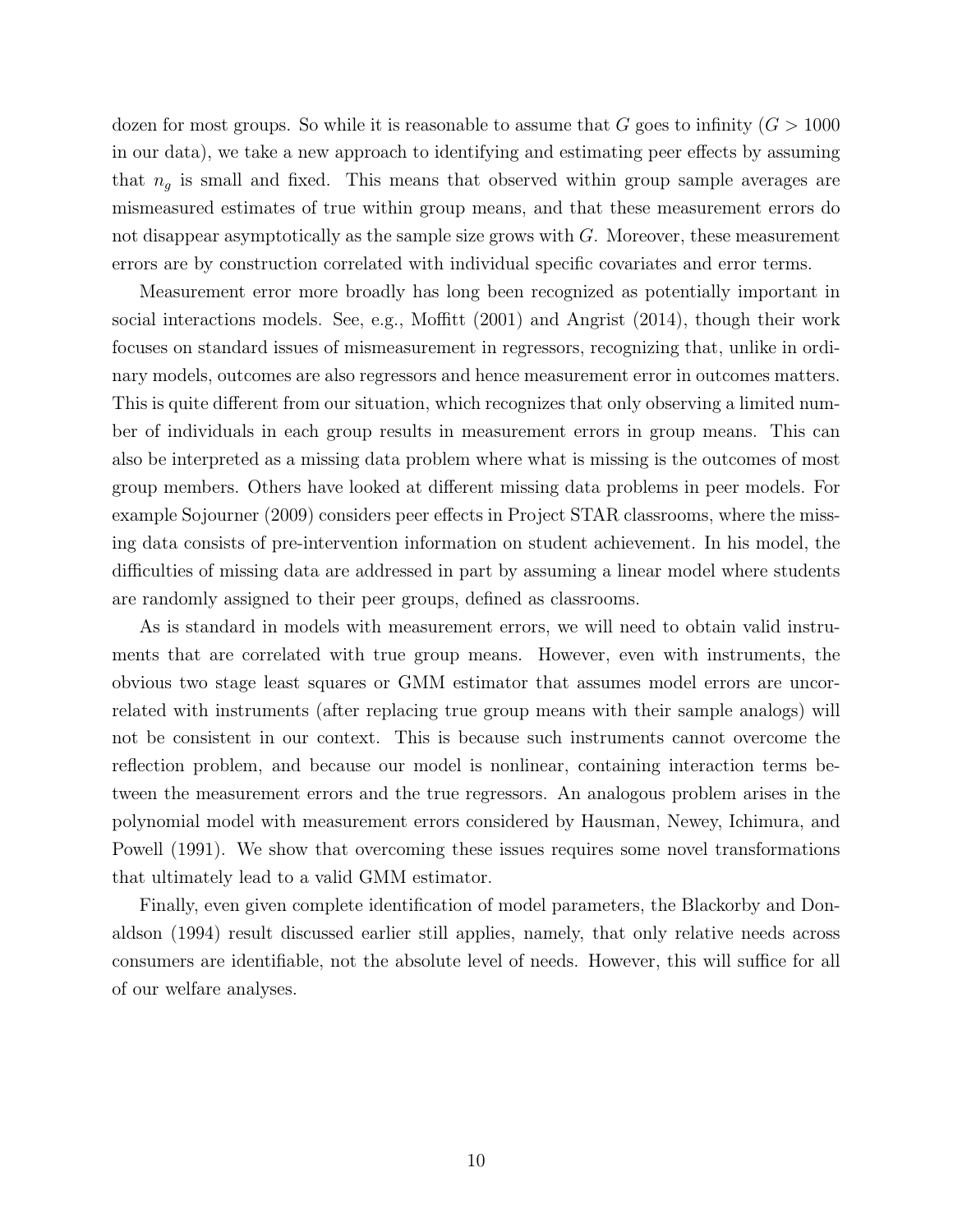dozen for most groups. So while it is reasonable to assume that G goes to infinity  $(G > 1000$ in our data), we take a new approach to identifying and estimating peer effects by assuming that  $n_q$  is small and fixed. This means that observed within group sample averages are mismeasured estimates of true within group means, and that these measurement errors do not disappear asymptotically as the sample size grows with  $G$ . Moreover, these measurement errors are by construction correlated with individual specific covariates and error terms.

Measurement error more broadly has long been recognized as potentially important in social interactions models. See, e.g., Moffitt (2001) and Angrist (2014), though their work focuses on standard issues of mismeasurement in regressors, recognizing that, unlike in ordinary models, outcomes are also regressors and hence measurement error in outcomes matters. This is quite different from our situation, which recognizes that only observing a limited number of individuals in each group results in measurement errors in group means. This can also be interpreted as a missing data problem where what is missing is the outcomes of most group members. Others have looked at different missing data problems in peer models. For example Sojourner (2009) considers peer effects in Project STAR classrooms, where the missing data consists of pre-intervention information on student achievement. In his model, the difficulties of missing data are addressed in part by assuming a linear model where students are randomly assigned to their peer groups, defined as classrooms.

As is standard in models with measurement errors, we will need to obtain valid instruments that are correlated with true group means. However, even with instruments, the obvious two stage least squares or GMM estimator that assumes model errors are uncorrelated with instruments (after replacing true group means with their sample analogs) will not be consistent in our context. This is because such instruments cannot overcome the reflection problem, and because our model is nonlinear, containing interaction terms between the measurement errors and the true regressors. An analogous problem arises in the polynomial model with measurement errors considered by Hausman, Newey, Ichimura, and Powell (1991). We show that overcoming these issues requires some novel transformations that ultimately lead to a valid GMM estimator.

Finally, even given complete identification of model parameters, the Blackorby and Donaldson (1994) result discussed earlier still applies, namely, that only relative needs across consumers are identifiable, not the absolute level of needs. However, this will suffice for all of our welfare analyses.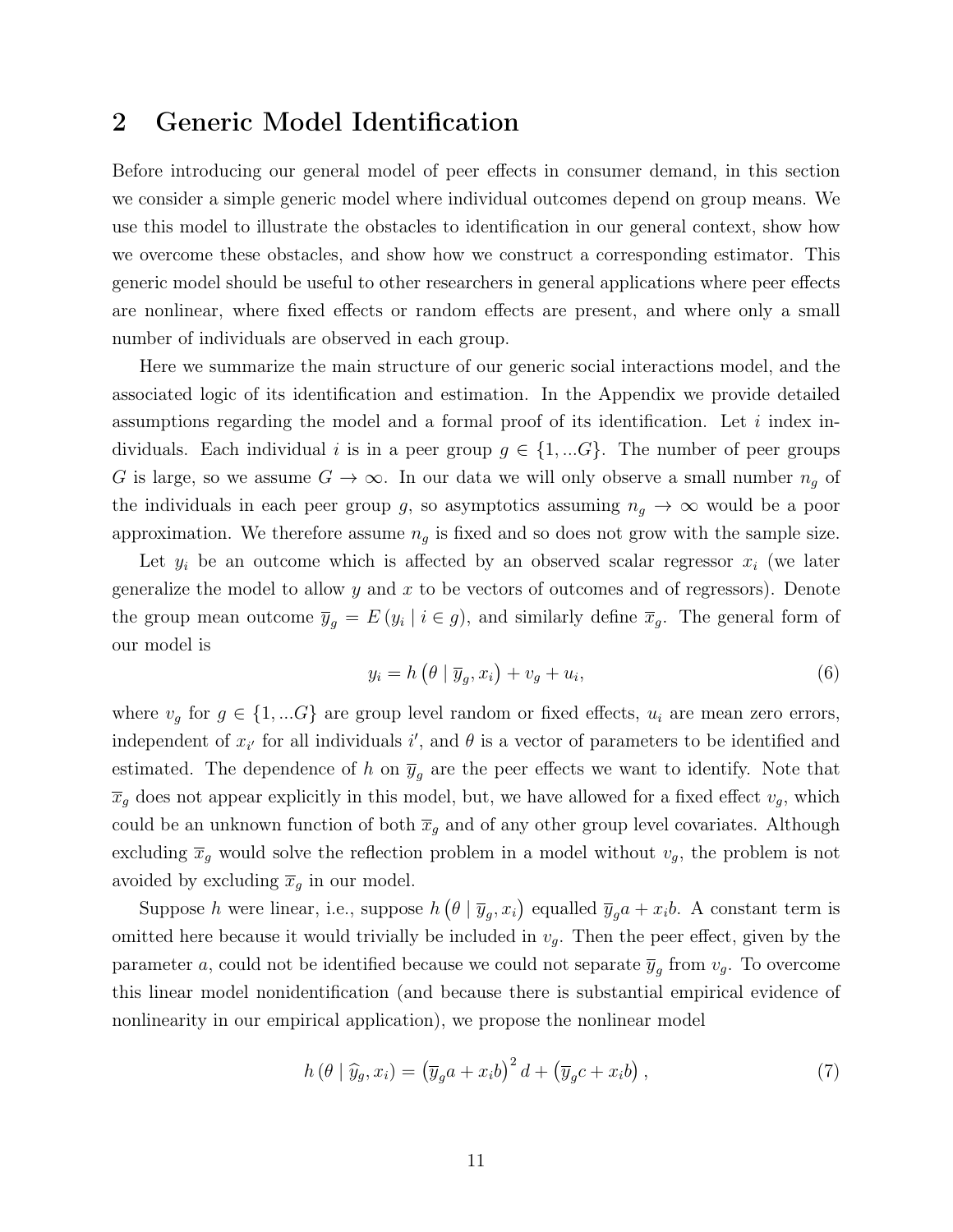### 2 Generic Model Identification

Before introducing our general model of peer effects in consumer demand, in this section we consider a simple generic model where individual outcomes depend on group means. We use this model to illustrate the obstacles to identification in our general context, show how we overcome these obstacles, and show how we construct a corresponding estimator. This generic model should be useful to other researchers in general applications where peer effects are nonlinear, where fixed effects or random effects are present, and where only a small number of individuals are observed in each group.

Here we summarize the main structure of our generic social interactions model, and the associated logic of its identification and estimation. In the Appendix we provide detailed assumptions regarding the model and a formal proof of its identification. Let  $i$  index individuals. Each individual i is in a peer group  $g \in \{1, \dots G\}$ . The number of peer groups G is large, so we assume  $G \to \infty$ . In our data we will only observe a small number  $n_q$  of the individuals in each peer group g, so asymptotics assuming  $n_q \to \infty$  would be a poor approximation. We therefore assume  $n<sub>g</sub>$  is fixed and so does not grow with the sample size.

Let  $y_i$  be an outcome which is affected by an observed scalar regressor  $x_i$  (we later generalize the model to allow y and x to be vectors of outcomes and of regressors). Denote the group mean outcome  $\overline{y}_g = E(y_i \mid i \in g)$ , and similarly define  $\overline{x}_g$ . The general form of our model is

$$
y_i = h\left(\theta \mid \overline{y}_g, x_i\right) + v_g + u_i,\tag{6}
$$

where  $v_g$  for  $g \in \{1, ...G\}$  are group level random or fixed effects,  $u_i$  are mean zero errors, independent of  $x_{i'}$  for all individuals  $i'$ , and  $\theta$  is a vector of parameters to be identified and estimated. The dependence of h on  $\bar{y}_q$  are the peer effects we want to identify. Note that  $\overline{x}_g$  does not appear explicitly in this model, but, we have allowed for a fixed effect  $v_g$ , which could be an unknown function of both  $\bar{x}_g$  and of any other group level covariates. Although excluding  $\bar{x}_g$  would solve the reflection problem in a model without  $v_g$ , the problem is not avoided by excluding  $\overline{x}_q$  in our model.

Suppose h were linear, i.e., suppose  $h(\theta | \overline{y}_g, x_i)$  equalled  $\overline{y}_g a + x_i b$ . A constant term is omitted here because it would trivially be included in  $v_g$ . Then the peer effect, given by the parameter a, could not be identified because we could not separate  $\overline{y}_g$  from  $v_g$ . To overcome this linear model nonidentification (and because there is substantial empirical evidence of nonlinearity in our empirical application), we propose the nonlinear model

$$
h(\theta \mid \widehat{y}_g, x_i) = (\overline{y}_g a + x_i b)^2 d + (\overline{y}_g c + x_i b), \qquad (7)
$$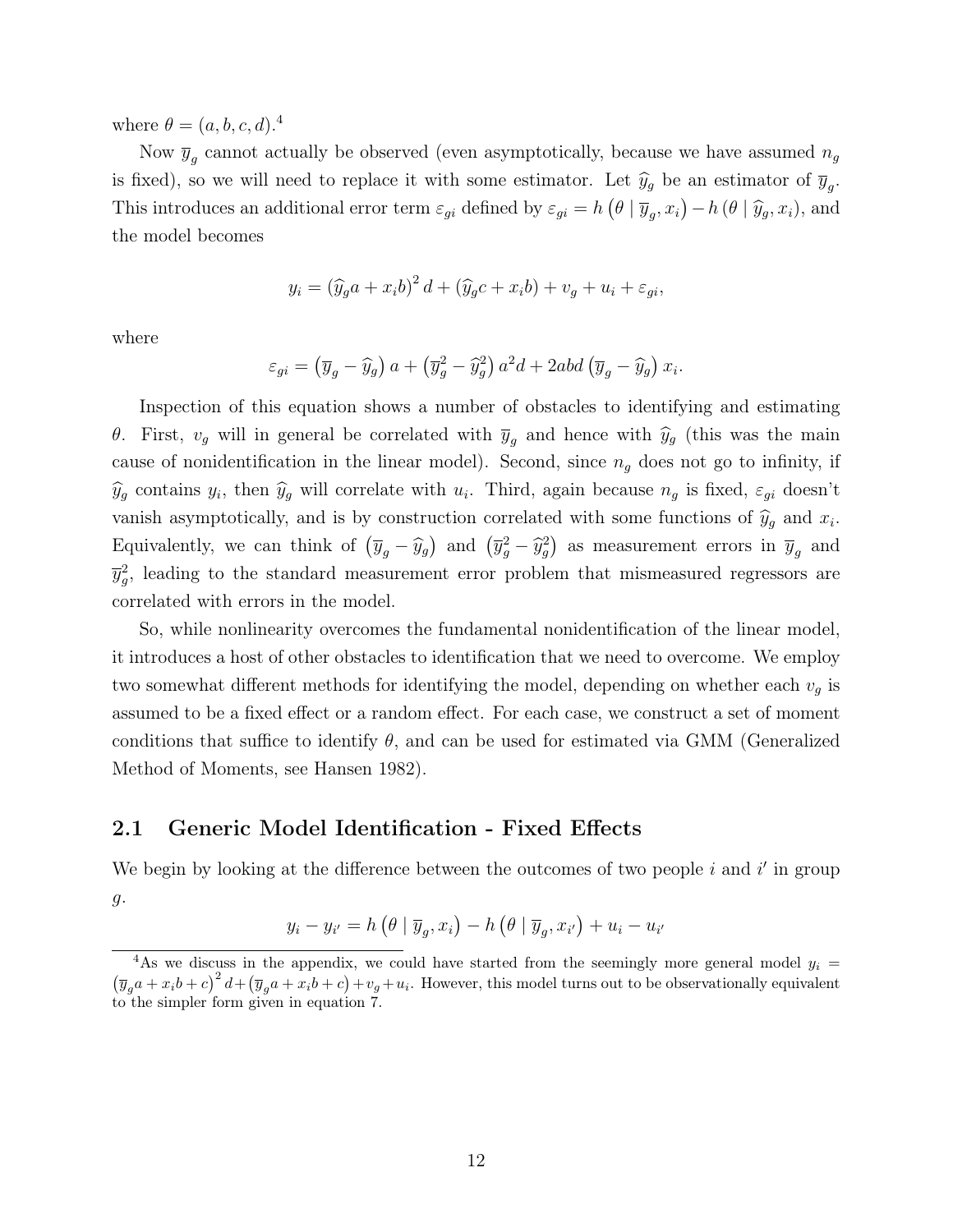where  $\theta = (a, b, c, d)$ .<sup>4</sup>

Now  $\overline{y}_g$  cannot actually be observed (even asymptotically, because we have assumed  $n_g$ is fixed), so we will need to replace it with some estimator. Let  $\hat{y}_g$  be an estimator of  $\overline{y}_g$ . This introduces an additional error term  $\varepsilon_{gi}$  defined by  $\varepsilon_{gi} = h(\theta | \overline{y}_g, x_i) - h(\theta | \widehat{y}_g, x_i)$ , and the model becomes

$$
y_i = (\widehat{y}_g a + x_i b)^2 d + (\widehat{y}_g c + x_i b) + v_g + u_i + \varepsilon_{gi},
$$

where

$$
\varepsilon_{gi} = (\overline{y}_g - \widehat{y}_g) a + (\overline{y}_g^2 - \widehat{y}_g^2) a^2 d + 2abd (\overline{y}_g - \widehat{y}_g) x_i.
$$

Inspection of this equation shows a number of obstacles to identifying and estimating θ. First,  $v_g$  will in general be correlated with  $\bar{y}_g$  and hence with  $\hat{y}_g$  (this was the main cause of nonidentification in the linear model). Second, since  $n<sub>g</sub>$  does not go to infinity, if  $\hat{y}_g$  contains  $y_i$ , then  $\hat{y}_g$  will correlate with  $u_i$ . Third, again because  $n_g$  is fixed,  $\varepsilon_{gi}$  doesn't vanish asymptotically, and is by construction correlated with some functions of  $\hat{y}_g$  and  $x_i$ . Equivalently, we can think of  $(\overline{y}_g - \widehat{y}_g)$  and  $(\overline{y}_g^2 - \widehat{y}_g^2)$  as measurement errors in  $\overline{y}_g$  and  $\overline{y}_{g}^{2}$ , leading to the standard measurement error problem that mismeasured regressors are correlated with errors in the model.

So, while nonlinearity overcomes the fundamental nonidentification of the linear model, it introduces a host of other obstacles to identification that we need to overcome. We employ two somewhat different methods for identifying the model, depending on whether each  $v<sub>q</sub>$  is assumed to be a fixed effect or a random effect. For each case, we construct a set of moment conditions that suffice to identify  $\theta$ , and can be used for estimated via GMM (Generalized Method of Moments, see Hansen 1982).

#### 2.1 Generic Model Identification - Fixed Effects

We begin by looking at the difference between the outcomes of two people  $i$  and  $i'$  in group g.

$$
y_i - y_{i'} = h\left(\theta \mid \overline{y}_g, x_i\right) - h\left(\theta \mid \overline{y}_g, x_{i'}\right) + u_i - u_{i'}
$$

<sup>&</sup>lt;sup>4</sup>As we discuss in the appendix, we could have started from the seemingly more general model  $y_i =$  $(\overline{y}_g a + x_i b + c)^2 d + (\overline{y}_g a + x_i b + c) + v_g + u_i$ . However, this model turns out to be observationally equivalent to the simpler form given in equation 7.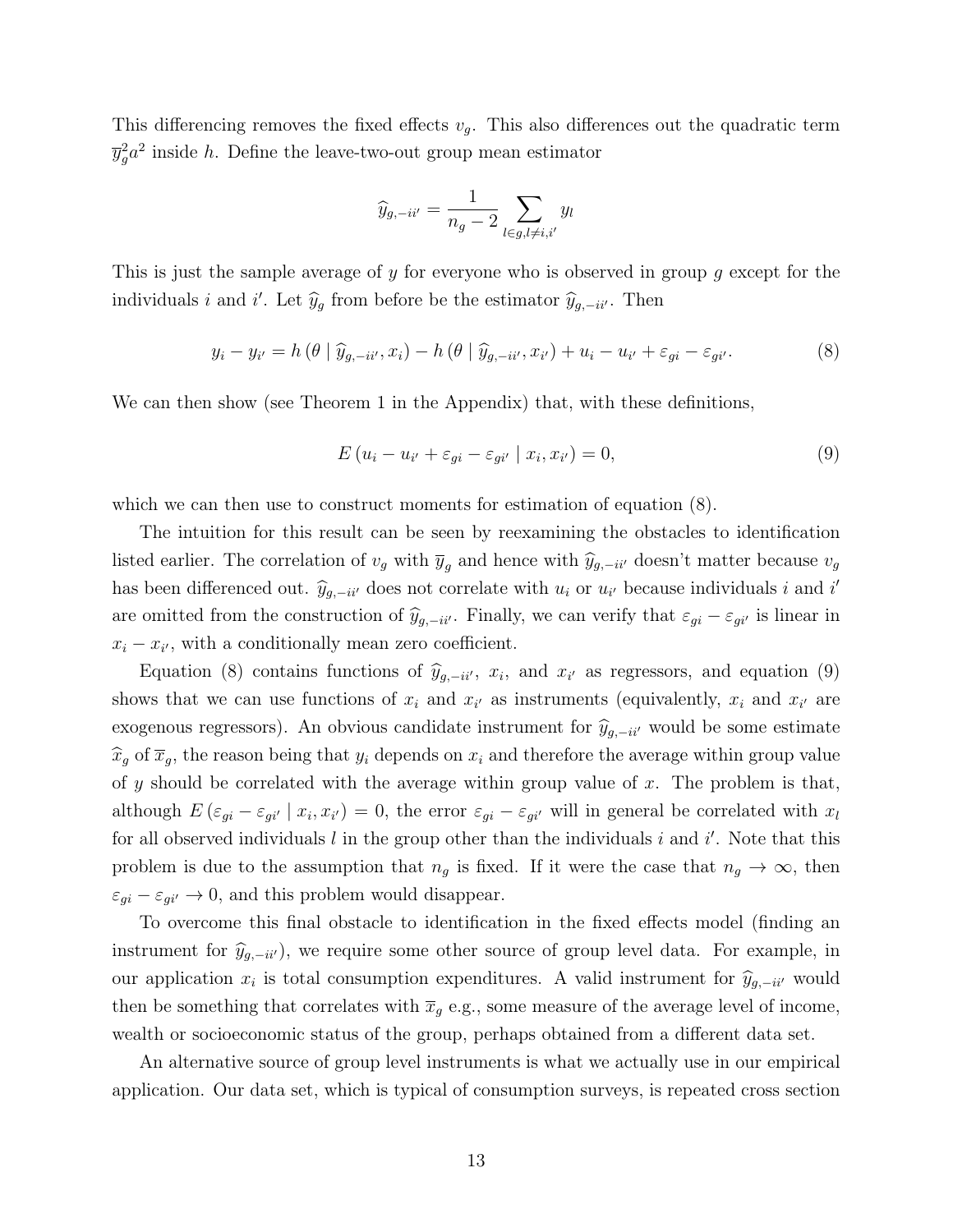This differencing removes the fixed effects  $v<sub>g</sub>$ . This also differences out the quadratic term  $\overline{y}_g^2 a^2$  inside h. Define the leave-two-out group mean estimator

$$
\widehat{y}_{g,-i i'} = \frac{1}{n_g - 2} \sum_{l \in g, l \neq i, i'} y_l
$$

This is just the sample average of y for everyone who is observed in group g except for the individuals *i* and *i'*. Let  $\hat{y}_g$  from before be the estimator  $\hat{y}_{g,-ii'}$ . Then

$$
y_i - y_{i'} = h\left(\theta \mid \widehat{y}_{g, -i i'}, x_i\right) - h\left(\theta \mid \widehat{y}_{g, -i i'}, x_{i'}\right) + u_i - u_{i'} + \varepsilon_{gi} - \varepsilon_{gi'}.\tag{8}
$$

We can then show (see Theorem 1 in the Appendix) that, with these definitions,

$$
E(u_i - u_{i'} + \varepsilon_{gi} - \varepsilon_{gi'} \mid x_i, x_{i'} ) = 0,
$$
\n<sup>(9)</sup>

which we can then use to construct moments for estimation of equation  $(8)$ .

The intuition for this result can be seen by reexamining the obstacles to identification listed earlier. The correlation of  $v_g$  with  $\bar{y}_g$  and hence with  $\hat{y}_{g,-ii'}$  doesn't matter because  $v_g$ has been differenced out.  $\hat{y}_{g,-ii'}$  does not correlate with  $u_i$  or  $u_{i'}$  because individuals i and i' are omitted from the construction of  $\hat{y}_{g,-ii'}$ . Finally, we can verify that  $\varepsilon_{gi} - \varepsilon_{gi'}$  is linear in  $x_i - x_{i'}$ , with a conditionally mean zero coefficient.

Equation (8) contains functions of  $\hat{y}_{g,-ii'}$ ,  $x_i$ , and  $x_{i'}$  as regressors, and equation (9) shows that we can use functions of  $x_i$  and  $x_{i'}$  as instruments (equivalently,  $x_i$  and  $x_{i'}$  are exogenous regressors). An obvious candidate instrument for  $\hat{y}_{g,-ii'}$  would be some estimate  $\widehat{x}_g$  of  $\overline{x}_g$ , the reason being that  $y_i$  depends on  $x_i$  and therefore the average within group value of y should be correlated with the average within group value of  $x$ . The problem is that, although  $E(\varepsilon_{gi} - \varepsilon_{gi'} | x_i, x_{i'}) = 0$ , the error  $\varepsilon_{gi} - \varepsilon_{gi'}$  will in general be correlated with  $x_i$ for all observed individuals  $l$  in the group other than the individuals  $i$  and  $i'$ . Note that this problem is due to the assumption that  $n_g$  is fixed. If it were the case that  $n_g \to \infty$ , then  $\varepsilon_{gi} - \varepsilon_{gi'} \to 0$ , and this problem would disappear.

To overcome this final obstacle to identification in the fixed effects model (finding an instrument for  $\hat{y}_{g,-ii'}$ , we require some other source of group level data. For example, in our application  $x_i$  is total consumption expenditures. A valid instrument for  $\hat{y}_{g,-ii'}$  would then be something that correlates with  $\bar{x}_g$  e.g., some measure of the average level of income, wealth or socioeconomic status of the group, perhaps obtained from a different data set.

An alternative source of group level instruments is what we actually use in our empirical application. Our data set, which is typical of consumption surveys, is repeated cross section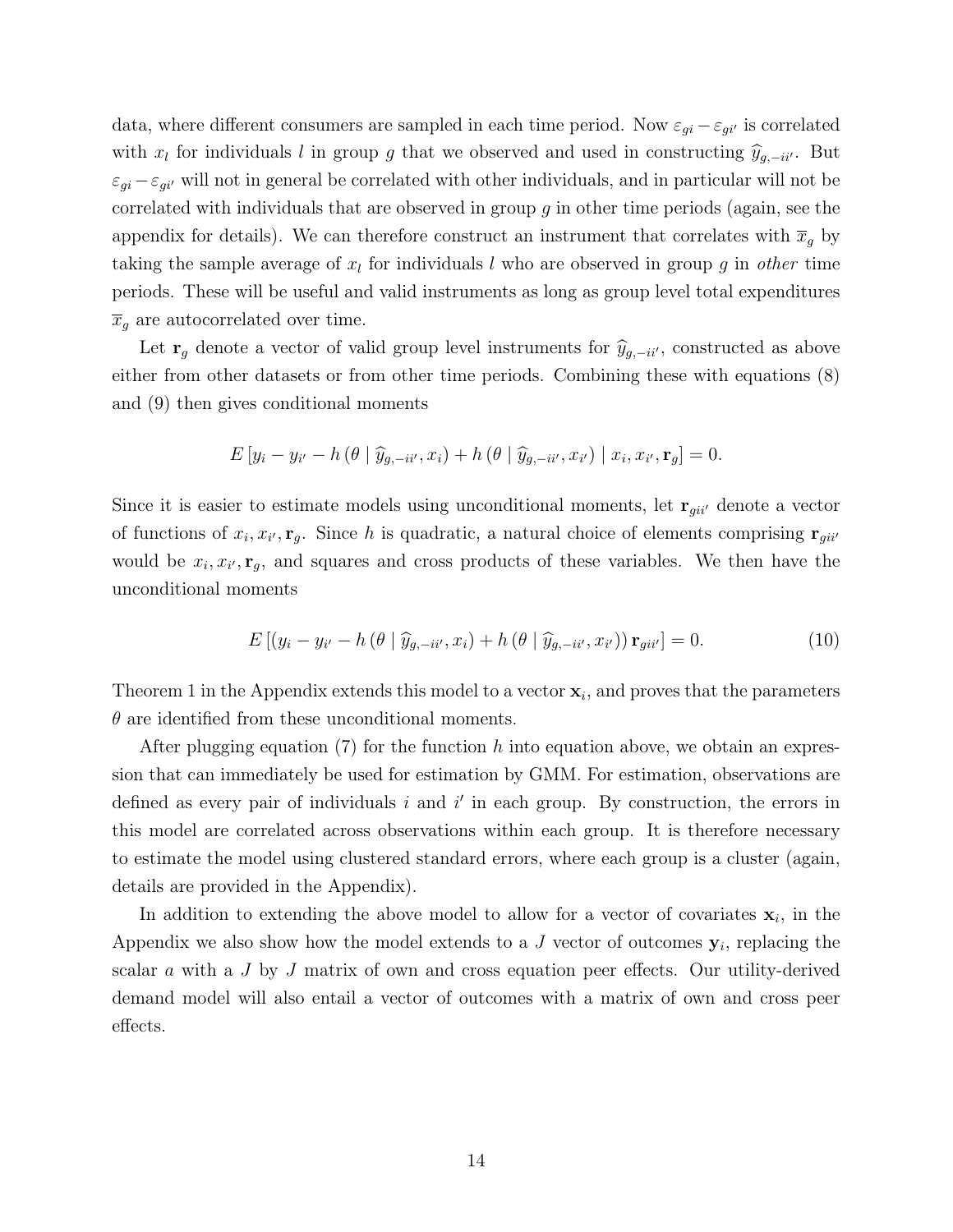data, where different consumers are sampled in each time period. Now  $\varepsilon_{gi} - \varepsilon_{gi'}$  is correlated with  $x_l$  for individuals l in group g that we observed and used in constructing  $\hat{y}_{g,-ii'}$ . But  $\varepsilon_{qi}-\varepsilon_{qi}$  will not in general be correlated with other individuals, and in particular will not be correlated with individuals that are observed in group  $g$  in other time periods (again, see the appendix for details). We can therefore construct an instrument that correlates with  $\bar{x}_g$  by taking the sample average of  $x_l$  for individuals l who are observed in group g in other time periods. These will be useful and valid instruments as long as group level total expenditures  $\overline{x}_g$  are autocorrelated over time.

Let  $\mathbf{r}_g$  denote a vector of valid group level instruments for  $\hat{y}_{g,-ii'}$ , constructed as above either from other datasets or from other time periods. Combining these with equations (8) and (9) then gives conditional moments

$$
E[y_i - y_{i'} - h(\theta | \widehat{y}_{g, -i i'}, x_i) + h(\theta | \widehat{y}_{g, -i i'}, x_{i'}) | x_i, x_{i'}, \mathbf{r}_g] = 0.
$$

Since it is easier to estimate models using unconditional moments, let  $\mathbf{r}_{gii'}$  denote a vector of functions of  $x_i, x_{i'}, \mathbf{r}_g$ . Since h is quadratic, a natural choice of elements comprising  $\mathbf{r}_{gi}$ would be  $x_i, x_{i'}, \mathbf{r}_g$ , and squares and cross products of these variables. We then have the unconditional moments

$$
E\left[\left(y_i - y_{i'} - h\left(\theta \mid \widehat{y}_{g, -i i'}, x_i\right) + h\left(\theta \mid \widehat{y}_{g, -i i'}, x_{i'}\right)\right) \mathbf{r}_{g i i'}\right] = 0. \tag{10}
$$

Theorem 1 in the Appendix extends this model to a vector  $\mathbf{x}_i$ , and proves that the parameters  $\theta$  are identified from these unconditional moments.

After plugging equation (7) for the function h into equation above, we obtain an expression that can immediately be used for estimation by GMM. For estimation, observations are defined as every pair of individuals  $i$  and  $i'$  in each group. By construction, the errors in this model are correlated across observations within each group. It is therefore necessary to estimate the model using clustered standard errors, where each group is a cluster (again, details are provided in the Appendix).

In addition to extending the above model to allow for a vector of covariates  $x_i$ , in the Appendix we also show how the model extends to a  $J$  vector of outcomes  $y_i$ , replacing the scalar  $\alpha$  with a J by J matrix of own and cross equation peer effects. Our utility-derived demand model will also entail a vector of outcomes with a matrix of own and cross peer effects.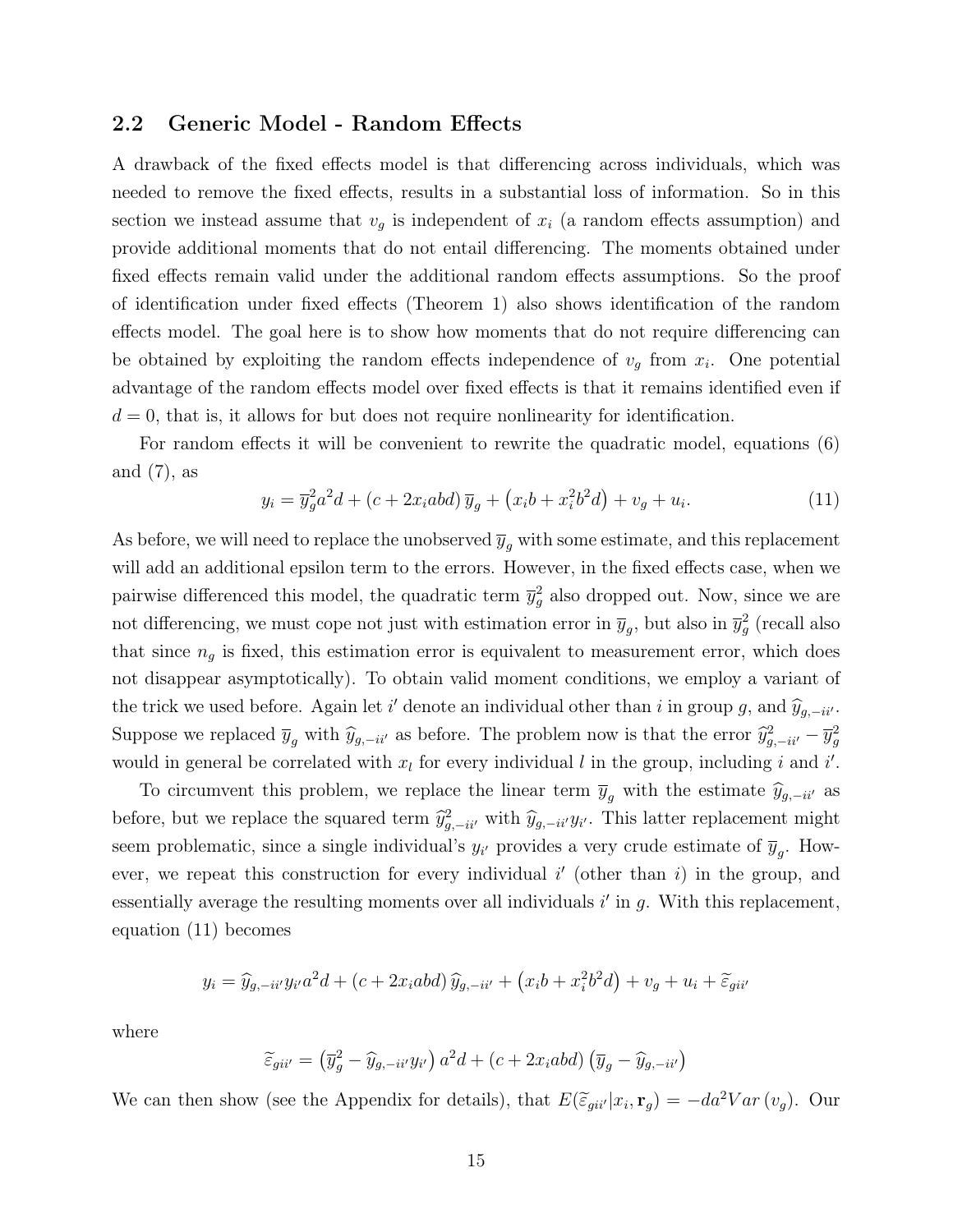#### 2.2 Generic Model - Random Effects

A drawback of the fixed effects model is that differencing across individuals, which was needed to remove the fixed effects, results in a substantial loss of information. So in this section we instead assume that  $v<sub>g</sub>$  is independent of  $x<sub>i</sub>$  (a random effects assumption) and provide additional moments that do not entail differencing. The moments obtained under fixed effects remain valid under the additional random effects assumptions. So the proof of identification under fixed effects (Theorem 1) also shows identification of the random effects model. The goal here is to show how moments that do not require differencing can be obtained by exploiting the random effects independence of  $v<sub>g</sub>$  from  $x<sub>i</sub>$ . One potential advantage of the random effects model over fixed effects is that it remains identified even if  $d = 0$ , that is, it allows for but does not require nonlinearity for identification.

For random effects it will be convenient to rewrite the quadratic model, equations (6) and  $(7)$ , as

$$
y_i = \overline{y}_g^2 a^2 d + (c + 2x_i abd) \overline{y}_g + (x_i b + x_i^2 b^2 d) + v_g + u_i.
$$
 (11)

As before, we will need to replace the unobserved  $\bar{y}_q$  with some estimate, and this replacement will add an additional epsilon term to the errors. However, in the fixed effects case, when we pairwise differenced this model, the quadratic term  $\bar{y}_g^2$  also dropped out. Now, since we are not differencing, we must cope not just with estimation error in  $\overline{y}_g$ , but also in  $\overline{y}_g^2$  (recall also that since  $n_g$  is fixed, this estimation error is equivalent to measurement error, which does not disappear asymptotically). To obtain valid moment conditions, we employ a variant of the trick we used before. Again let i' denote an individual other than i in group g, and  $\hat{y}_{g,-ii}$ . Suppose we replaced  $\overline{y}_g$  with  $\widehat{y}_{g,-ii'}$  as before. The problem now is that the error  $\widehat{y}_{g,-ii'}^2 - \overline{y}_g^2$ would in general be correlated with  $x_l$  for every individual l in the group, including i and i'.

To circumvent this problem, we replace the linear term  $\overline{y}_g$  with the estimate  $\widehat{y}_{g,-ii'}$  as before, but we replace the squared term  $\hat{y}_{g,-ii'}^2$  with  $\hat{y}_{g,-ii'}y_{i'}$ . This latter replacement might seem problematic, since a single individual's  $y_{i'}$  provides a very crude estimate of  $\overline{y}_g$ . However, we repeat this construction for every individual  $i'$  (other than i) in the group, and essentially average the resulting moments over all individuals  $i'$  in  $g$ . With this replacement, equation (11) becomes

$$
y_i = \widehat{y}_{g,-ii'} y_{i'} a^2 d + (c + 2x_i abd) \widehat{y}_{g,-ii'} + (x_i b + x_i^2 b^2 d) + v_g + u_i + \widetilde{\varepsilon}_{gi'}
$$

where

$$
\widetilde{\varepsilon}_{gii'} = (\overline{y}_g^2 - \widehat{y}_{g,-ii'} y_{i'}) a^2 d + (c + 2x_i abd) (\overline{y}_g - \widehat{y}_{g,-ii'})
$$

We can then show (see the Appendix for details), that  $E(\tilde{\epsilon}_{gii'}|x_i, \mathbf{r}_g) = -da^2Var(v_g)$ . Our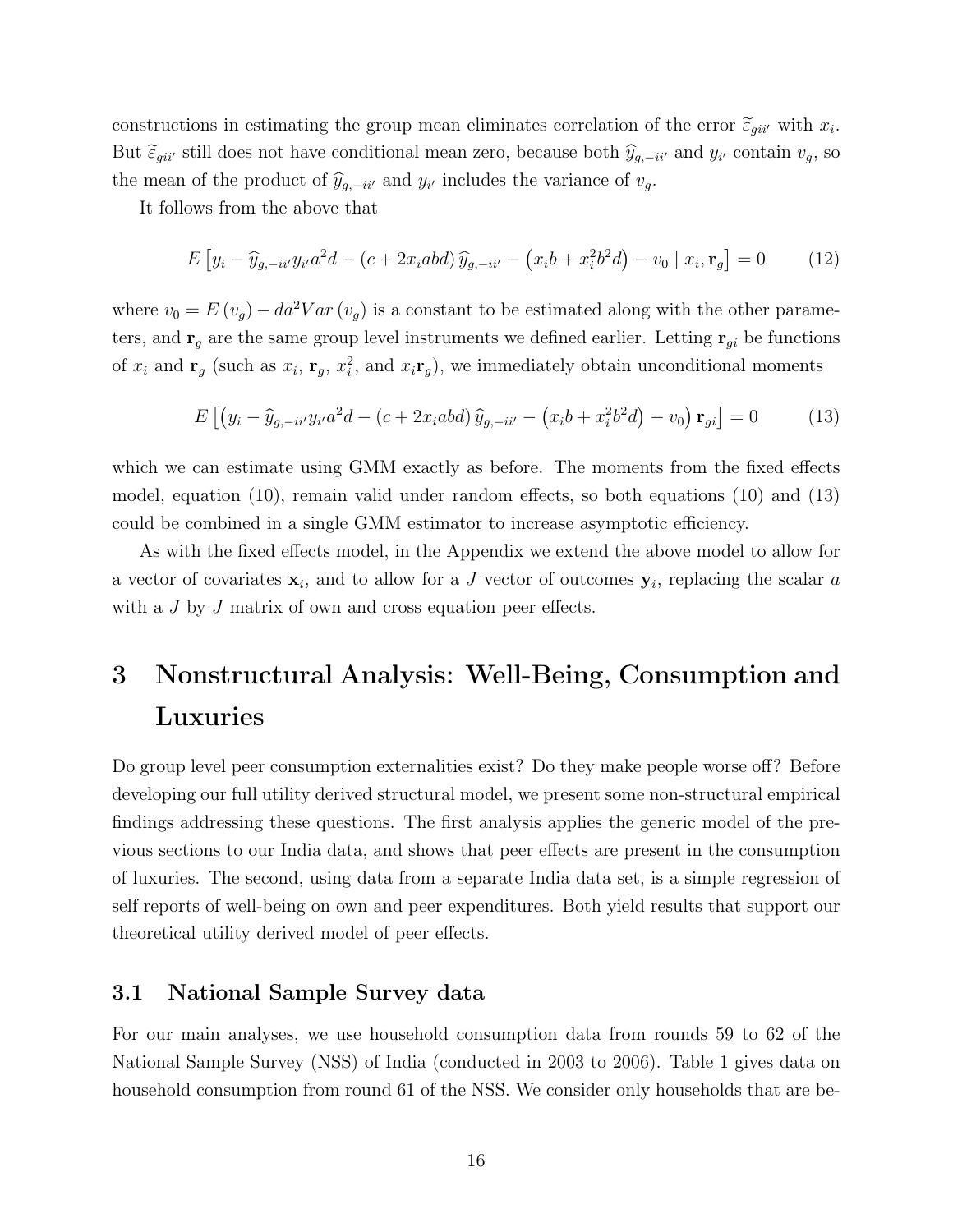constructions in estimating the group mean eliminates correlation of the error  $\tilde{\epsilon}_{gii'}$  with  $x_i$ . But  $\tilde{\varepsilon}_{gii'}$  still does not have conditional mean zero, because both  $\hat{y}_{g,-ii'}$  and  $y_{i'}$  contain  $v_g$ , so the mean of the product of  $\hat{y}_{g,-ii'}$  and  $y_{i'}$  includes the variance of  $v_g$ .

It follows from the above that

$$
E\left[y_i - \widehat{y}_{g,-ii'}y_{i'}a^2d - (c + 2x_iabd)\widehat{y}_{g,-ii'} - (x_ib + x_i^2b^2d) - v_0 \mid x_i, \mathbf{r}_g\right] = 0 \tag{12}
$$

where  $v_0 = E(v_g) - da^2Var(v_g)$  is a constant to be estimated along with the other parameters, and  $\mathbf{r}_g$  are the same group level instruments we defined earlier. Letting  $\mathbf{r}_{gi}$  be functions of  $x_i$  and  $\mathbf{r}_g$  (such as  $x_i$ ,  $\mathbf{r}_g$ ,  $x_i^2$ , and  $x_i\mathbf{r}_g$ ), we immediately obtain unconditional moments

$$
E\left[\left(y_i - \widehat{y}_{g,-ii'}y_{i'}a^2d - (c + 2x_iab)d\right)\widehat{y}_{g,-ii'} - \left(x_ib + x_i^2b^2d\right) - v_0\right)\mathbf{r}_{gi}\right] = 0\tag{13}
$$

which we can estimate using GMM exactly as before. The moments from the fixed effects model, equation (10), remain valid under random effects, so both equations (10) and (13) could be combined in a single GMM estimator to increase asymptotic efficiency.

As with the fixed effects model, in the Appendix we extend the above model to allow for a vector of covariates  $x_i$ , and to allow for a J vector of outcomes  $y_i$ , replacing the scalar a with a J by J matrix of own and cross equation peer effects.

## 3 Nonstructural Analysis: Well-Being, Consumption and Luxuries

Do group level peer consumption externalities exist? Do they make people worse off? Before developing our full utility derived structural model, we present some non-structural empirical findings addressing these questions. The first analysis applies the generic model of the previous sections to our India data, and shows that peer effects are present in the consumption of luxuries. The second, using data from a separate India data set, is a simple regression of self reports of well-being on own and peer expenditures. Both yield results that support our theoretical utility derived model of peer effects.

#### 3.1 National Sample Survey data

For our main analyses, we use household consumption data from rounds 59 to 62 of the National Sample Survey (NSS) of India (conducted in 2003 to 2006). Table 1 gives data on household consumption from round 61 of the NSS. We consider only households that are be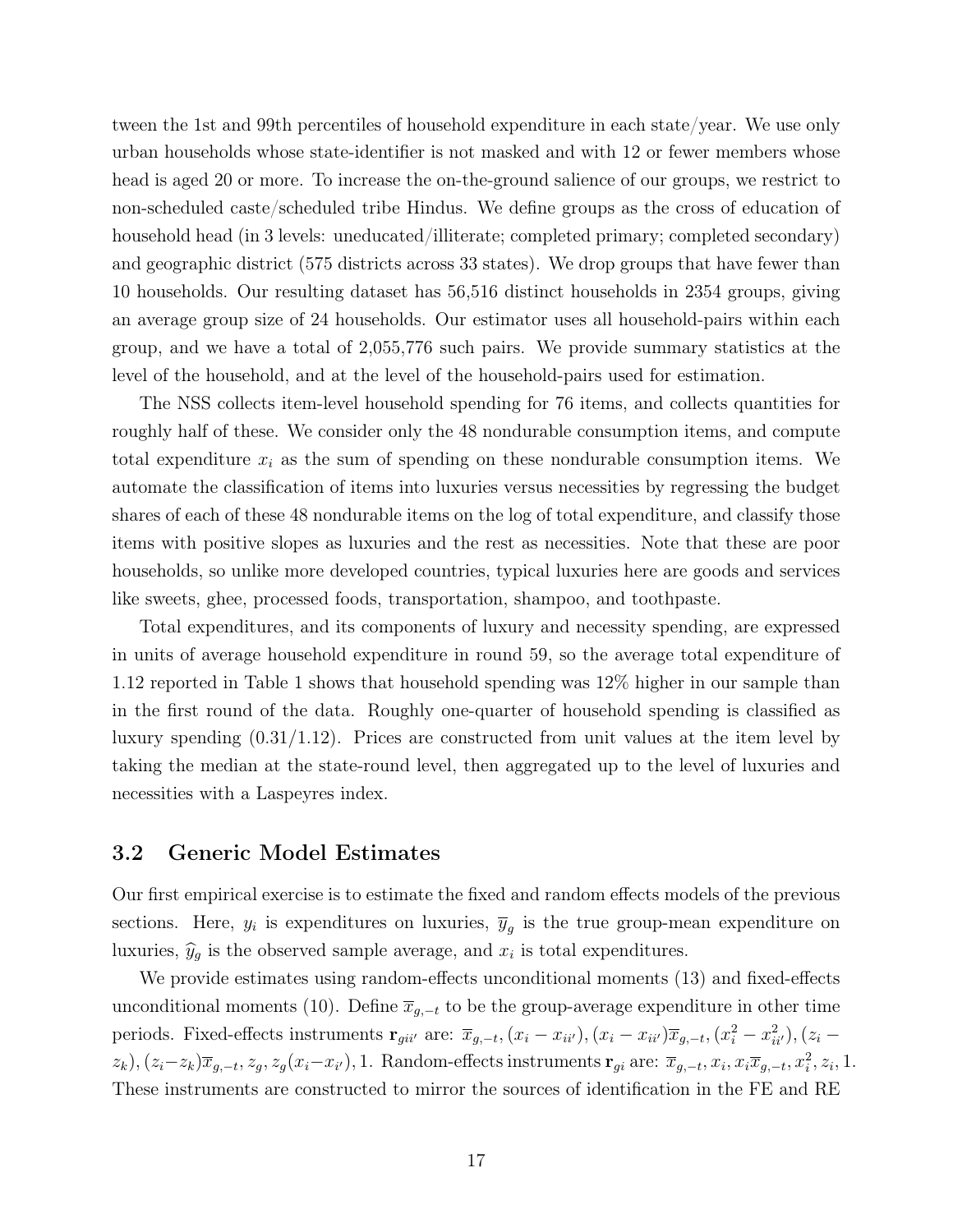tween the 1st and 99th percentiles of household expenditure in each state/year. We use only urban households whose state-identifier is not masked and with 12 or fewer members whose head is aged 20 or more. To increase the on-the-ground salience of our groups, we restrict to non-scheduled caste/scheduled tribe Hindus. We define groups as the cross of education of household head (in 3 levels: uneducated/illiterate; completed primary; completed secondary) and geographic district (575 districts across 33 states). We drop groups that have fewer than 10 households. Our resulting dataset has 56,516 distinct households in 2354 groups, giving an average group size of 24 households. Our estimator uses all household-pairs within each group, and we have a total of 2,055,776 such pairs. We provide summary statistics at the level of the household, and at the level of the household-pairs used for estimation.

The NSS collects item-level household spending for 76 items, and collects quantities for roughly half of these. We consider only the 48 nondurable consumption items, and compute total expenditure  $x_i$  as the sum of spending on these nondurable consumption items. We automate the classification of items into luxuries versus necessities by regressing the budget shares of each of these 48 nondurable items on the log of total expenditure, and classify those items with positive slopes as luxuries and the rest as necessities. Note that these are poor households, so unlike more developed countries, typical luxuries here are goods and services like sweets, ghee, processed foods, transportation, shampoo, and toothpaste.

Total expenditures, and its components of luxury and necessity spending, are expressed in units of average household expenditure in round 59, so the average total expenditure of 1.12 reported in Table 1 shows that household spending was 12% higher in our sample than in the first round of the data. Roughly one-quarter of household spending is classified as luxury spending (0.31/1.12). Prices are constructed from unit values at the item level by taking the median at the state-round level, then aggregated up to the level of luxuries and necessities with a Laspeyres index.

#### 3.2 Generic Model Estimates

Our first empirical exercise is to estimate the fixed and random effects models of the previous sections. Here,  $y_i$  is expenditures on luxuries,  $\overline{y}_g$  is the true group-mean expenditure on luxuries,  $\hat{y}_g$  is the observed sample average, and  $x_i$  is total expenditures.

We provide estimates using random-effects unconditional moments (13) and fixed-effects unconditional moments (10). Define  $\overline{x}_{q,-t}$  to be the group-average expenditure in other time periods. Fixed-effects instruments  $\mathbf{r}_{gi i'}$  are:  $\overline{x}_{g,-t}$ ,  $(x_i - x_{ii'})$ ,  $(x_i - x_{ii'}) \overline{x}_{g,-t}$ ,  $(x_i^2 - x_{ii'}^2)$ ,  $(z_i - z_{ii'})$  $(z_k)$ ,  $(z_i-z_k)\overline{x}_{g,-t}, z_g, z_g(x_i-x_{i'})$ , 1. Random-effects instruments  $\mathbf{r}_{gi}$  are:  $\overline{x}_{g,-t}, x_i, x_i\overline{x}_{g,-t}, x_i^2, z_i, 1$ . These instruments are constructed to mirror the sources of identification in the FE and RE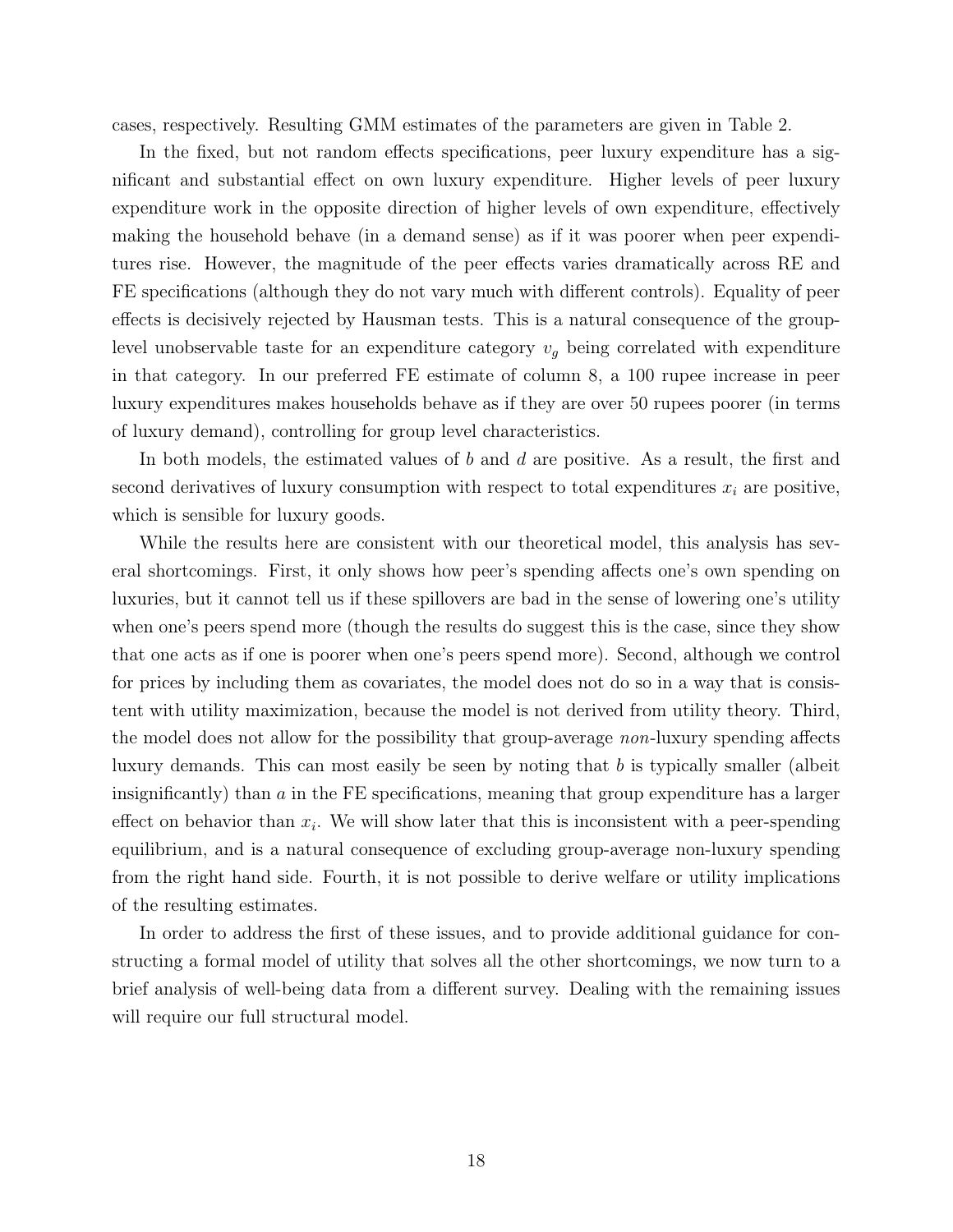cases, respectively. Resulting GMM estimates of the parameters are given in Table 2.

In the fixed, but not random effects specifications, peer luxury expenditure has a significant and substantial effect on own luxury expenditure. Higher levels of peer luxury expenditure work in the opposite direction of higher levels of own expenditure, effectively making the household behave (in a demand sense) as if it was poorer when peer expenditures rise. However, the magnitude of the peer effects varies dramatically across RE and FE specifications (although they do not vary much with different controls). Equality of peer effects is decisively rejected by Hausman tests. This is a natural consequence of the grouplevel unobservable taste for an expenditure category  $v<sub>g</sub>$  being correlated with expenditure in that category. In our preferred FE estimate of column 8, a 100 rupee increase in peer luxury expenditures makes households behave as if they are over 50 rupees poorer (in terms of luxury demand), controlling for group level characteristics.

In both models, the estimated values of b and d are positive. As a result, the first and second derivatives of luxury consumption with respect to total expenditures  $x_i$  are positive, which is sensible for luxury goods.

While the results here are consistent with our theoretical model, this analysis has several shortcomings. First, it only shows how peer's spending affects one's own spending on luxuries, but it cannot tell us if these spillovers are bad in the sense of lowering one's utility when one's peers spend more (though the results do suggest this is the case, since they show that one acts as if one is poorer when one's peers spend more). Second, although we control for prices by including them as covariates, the model does not do so in a way that is consistent with utility maximization, because the model is not derived from utility theory. Third, the model does not allow for the possibility that group-average non-luxury spending affects luxury demands. This can most easily be seen by noting that  $b$  is typically smaller (albeit insignificantly) than a in the FE specifications, meaning that group expenditure has a larger effect on behavior than  $x_i$ . We will show later that this is inconsistent with a peer-spending equilibrium, and is a natural consequence of excluding group-average non-luxury spending from the right hand side. Fourth, it is not possible to derive welfare or utility implications of the resulting estimates.

In order to address the first of these issues, and to provide additional guidance for constructing a formal model of utility that solves all the other shortcomings, we now turn to a brief analysis of well-being data from a different survey. Dealing with the remaining issues will require our full structural model.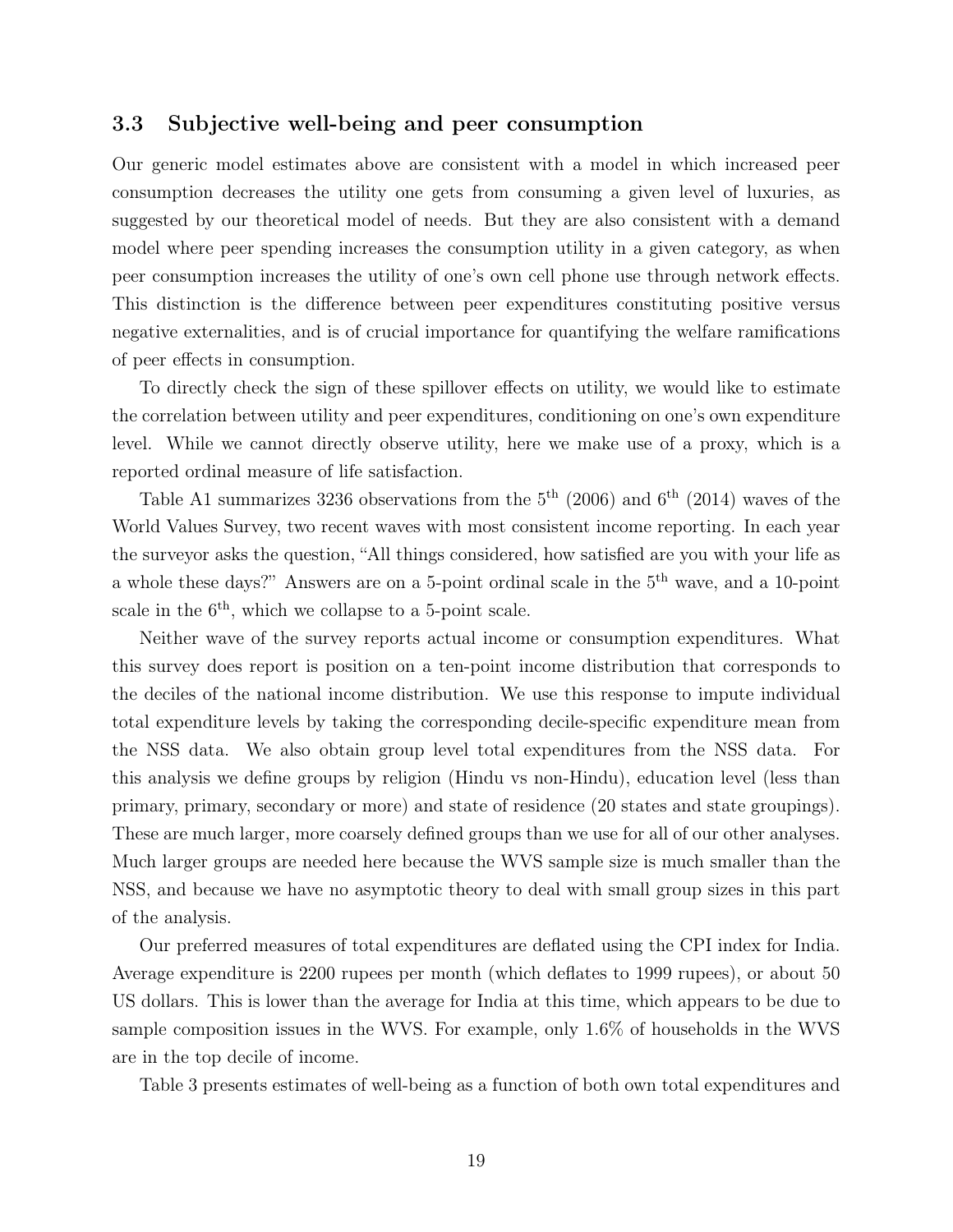#### 3.3 Subjective well-being and peer consumption

Our generic model estimates above are consistent with a model in which increased peer consumption decreases the utility one gets from consuming a given level of luxuries, as suggested by our theoretical model of needs. But they are also consistent with a demand model where peer spending increases the consumption utility in a given category, as when peer consumption increases the utility of one's own cell phone use through network effects. This distinction is the difference between peer expenditures constituting positive versus negative externalities, and is of crucial importance for quantifying the welfare ramifications of peer effects in consumption.

To directly check the sign of these spillover effects on utility, we would like to estimate the correlation between utility and peer expenditures, conditioning on one's own expenditure level. While we cannot directly observe utility, here we make use of a proxy, which is a reported ordinal measure of life satisfaction.

Table A1 summarizes 3236 observations from the  $5<sup>th</sup>$  (2006) and  $6<sup>th</sup>$  (2014) waves of the World Values Survey, two recent waves with most consistent income reporting. In each year the surveyor asks the question, "All things considered, how satisfied are you with your life as a whole these days?" Answers are on a 5-point ordinal scale in the 5th wave, and a 10-point scale in the  $6<sup>th</sup>$ , which we collapse to a 5-point scale.

Neither wave of the survey reports actual income or consumption expenditures. What this survey does report is position on a ten-point income distribution that corresponds to the deciles of the national income distribution. We use this response to impute individual total expenditure levels by taking the corresponding decile-specific expenditure mean from the NSS data. We also obtain group level total expenditures from the NSS data. For this analysis we define groups by religion (Hindu vs non-Hindu), education level (less than primary, primary, secondary or more) and state of residence (20 states and state groupings). These are much larger, more coarsely defined groups than we use for all of our other analyses. Much larger groups are needed here because the WVS sample size is much smaller than the NSS, and because we have no asymptotic theory to deal with small group sizes in this part of the analysis.

Our preferred measures of total expenditures are deflated using the CPI index for India. Average expenditure is 2200 rupees per month (which deflates to 1999 rupees), or about 50 US dollars. This is lower than the average for India at this time, which appears to be due to sample composition issues in the WVS. For example, only 1.6% of households in the WVS are in the top decile of income.

Table 3 presents estimates of well-being as a function of both own total expenditures and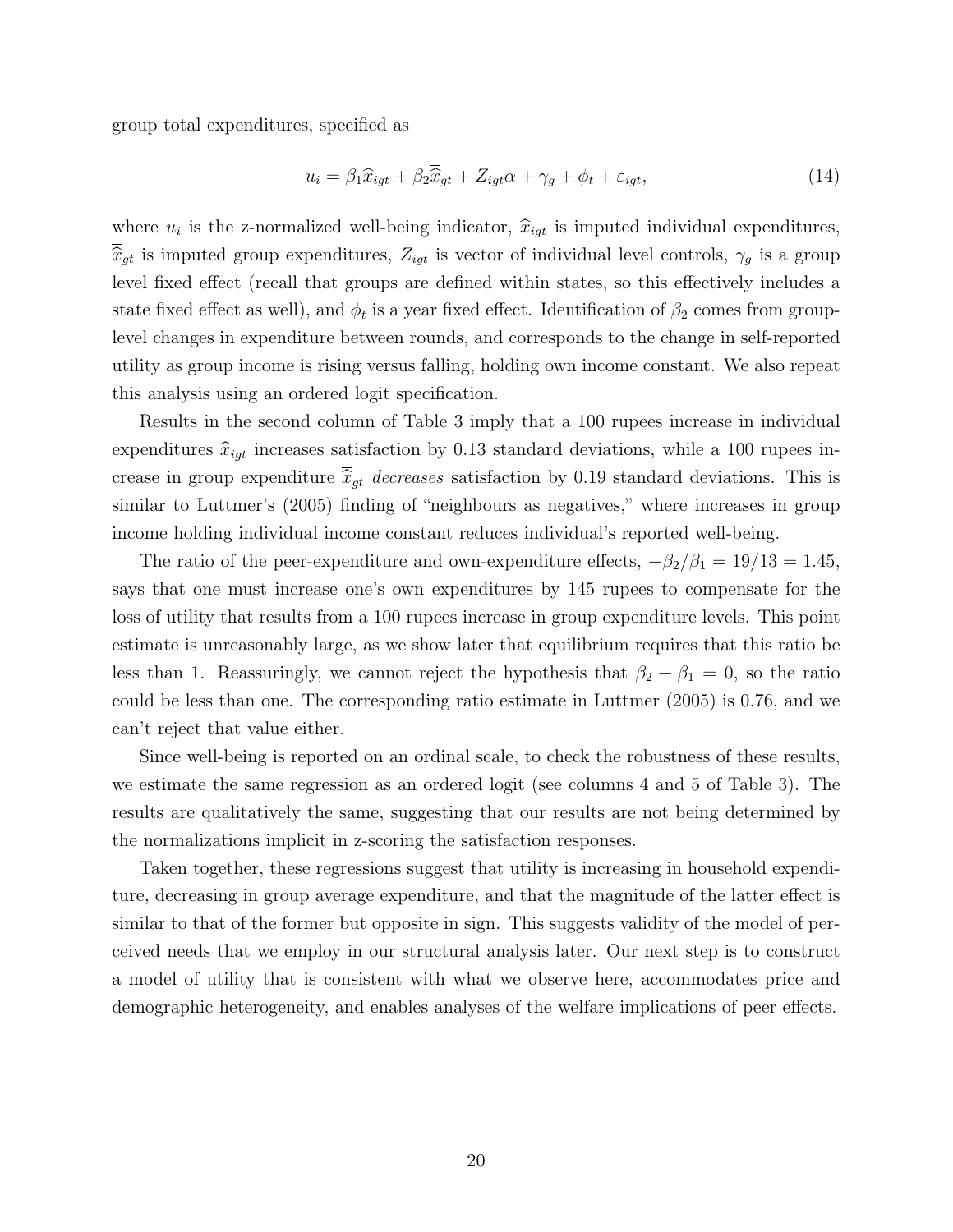group total expenditures, specified as

$$
u_i = \beta_1 \widehat{x}_{igt} + \beta_2 \overline{\widehat{x}}_{gt} + Z_{igt}\alpha + \gamma_g + \phi_t + \varepsilon_{igt}, \tag{14}
$$

where  $u_i$  is the z-normalized well-being indicator,  $\hat{x}_{igt}$  is imputed individual expenditures,  $\widehat{x}_{gt}$  is imputed group expenditures,  $Z_{igt}$  is vector of individual level controls,  $\gamma_g$  is a group level fixed effect (recall that groups are defined within states, so this effectively includes a state fixed effect as well), and  $\phi_t$  is a year fixed effect. Identification of  $\beta_2$  comes from grouplevel changes in expenditure between rounds, and corresponds to the change in self-reported utility as group income is rising versus falling, holding own income constant. We also repeat this analysis using an ordered logit specification.

Results in the second column of Table 3 imply that a 100 rupees increase in individual expenditures  $\hat{x}_{igt}$  increases satisfaction by 0.13 standard deviations, while a 100 rupees increase in group expenditure  $\overline{\hat{x}}_{qt}$  decreases satisfaction by 0.19 standard deviations. This is similar to Luttmer's (2005) finding of "neighbours as negatives," where increases in group income holding individual income constant reduces individual's reported well-being.

The ratio of the peer-expenditure and own-expenditure effects,  $-\beta_2/\beta_1 = 19/13 = 1.45$ , says that one must increase one's own expenditures by 145 rupees to compensate for the loss of utility that results from a 100 rupees increase in group expenditure levels. This point estimate is unreasonably large, as we show later that equilibrium requires that this ratio be less than 1. Reassuringly, we cannot reject the hypothesis that  $\beta_2 + \beta_1 = 0$ , so the ratio could be less than one. The corresponding ratio estimate in Luttmer (2005) is 0.76, and we can't reject that value either.

Since well-being is reported on an ordinal scale, to check the robustness of these results, we estimate the same regression as an ordered logit (see columns 4 and 5 of Table 3). The results are qualitatively the same, suggesting that our results are not being determined by the normalizations implicit in z-scoring the satisfaction responses.

Taken together, these regressions suggest that utility is increasing in household expenditure, decreasing in group average expenditure, and that the magnitude of the latter effect is similar to that of the former but opposite in sign. This suggests validity of the model of perceived needs that we employ in our structural analysis later. Our next step is to construct a model of utility that is consistent with what we observe here, accommodates price and demographic heterogeneity, and enables analyses of the welfare implications of peer effects.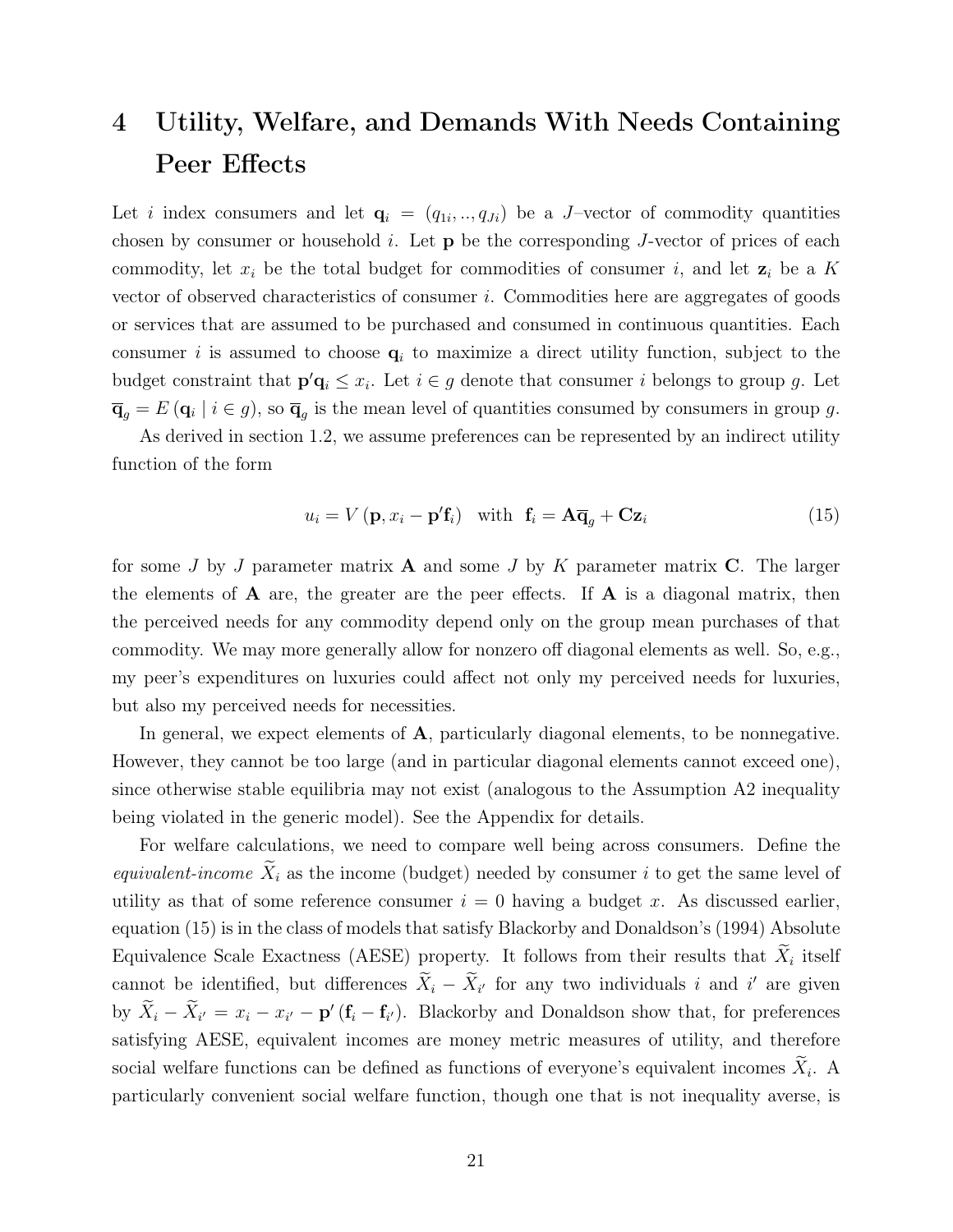## 4 Utility, Welfare, and Demands With Needs Containing Peer Effects

Let *i* index consumers and let  $\mathbf{q}_i = (q_{1i},..,q_{Ji})$  be a J-vector of commodity quantities chosen by consumer or household  $i$ . Let  $\bf{p}$  be the corresponding J-vector of prices of each commodity, let  $x_i$  be the total budget for commodities of consumer i, and let  $z_i$  be a K vector of observed characteristics of consumer i. Commodities here are aggregates of goods or services that are assumed to be purchased and consumed in continuous quantities. Each consumer i is assumed to choose  $q_i$  to maximize a direct utility function, subject to the budget constraint that  $\mathbf{p}'\mathbf{q}_i \leq x_i$ . Let  $i \in g$  denote that consumer i belongs to group g. Let  $\overline{\mathbf{q}}_g = E(\mathbf{q}_i \mid i \in g)$ , so  $\overline{\mathbf{q}}_g$  is the mean level of quantities consumed by consumers in group g.

As derived in section 1.2, we assume preferences can be represented by an indirect utility function of the form

$$
u_i = V(\mathbf{p}, x_i - \mathbf{p}'\mathbf{f}_i) \quad \text{with} \quad \mathbf{f}_i = \mathbf{A}\overline{\mathbf{q}}_g + \mathbf{C}\mathbf{z}_i \tag{15}
$$

for some J by J parameter matrix  $\bf{A}$  and some J by K parameter matrix  $\bf{C}$ . The larger the elements of  $\bf{A}$  are, the greater are the peer effects. If  $\bf{A}$  is a diagonal matrix, then the perceived needs for any commodity depend only on the group mean purchases of that commodity. We may more generally allow for nonzero off diagonal elements as well. So, e.g., my peer's expenditures on luxuries could affect not only my perceived needs for luxuries, but also my perceived needs for necessities.

In general, we expect elements of  $A$ , particularly diagonal elements, to be nonnegative. However, they cannot be too large (and in particular diagonal elements cannot exceed one), since otherwise stable equilibria may not exist (analogous to the Assumption A2 inequality being violated in the generic model). See the Appendix for details.

For welfare calculations, we need to compare well being across consumers. Define the equivalent-income  $\widetilde{X}_i$  as the income (budget) needed by consumer i to get the same level of utility as that of some reference consumer  $i = 0$  having a budget x. As discussed earlier, equation (15) is in the class of models that satisfy Blackorby and Donaldson's (1994) Absolute Equivalence Scale Exactness (AESE) property. It follows from their results that  $X_i$  itself cannot be identified, but differences  $\tilde{X}_i - \tilde{X}_{i'}$  for any two individuals i and i' are given by  $\tilde{X}_i - \tilde{X}_{i'} = x_i - x_{i'} - \mathbf{p}'(\mathbf{f}_i - \mathbf{f}_{i'})$ . Blackorby and Donaldson show that, for preferences satisfying AESE, equivalent incomes are money metric measures of utility, and therefore social welfare functions can be defined as functions of everyone's equivalent incomes  $X_i$ . A particularly convenient social welfare function, though one that is not inequality averse, is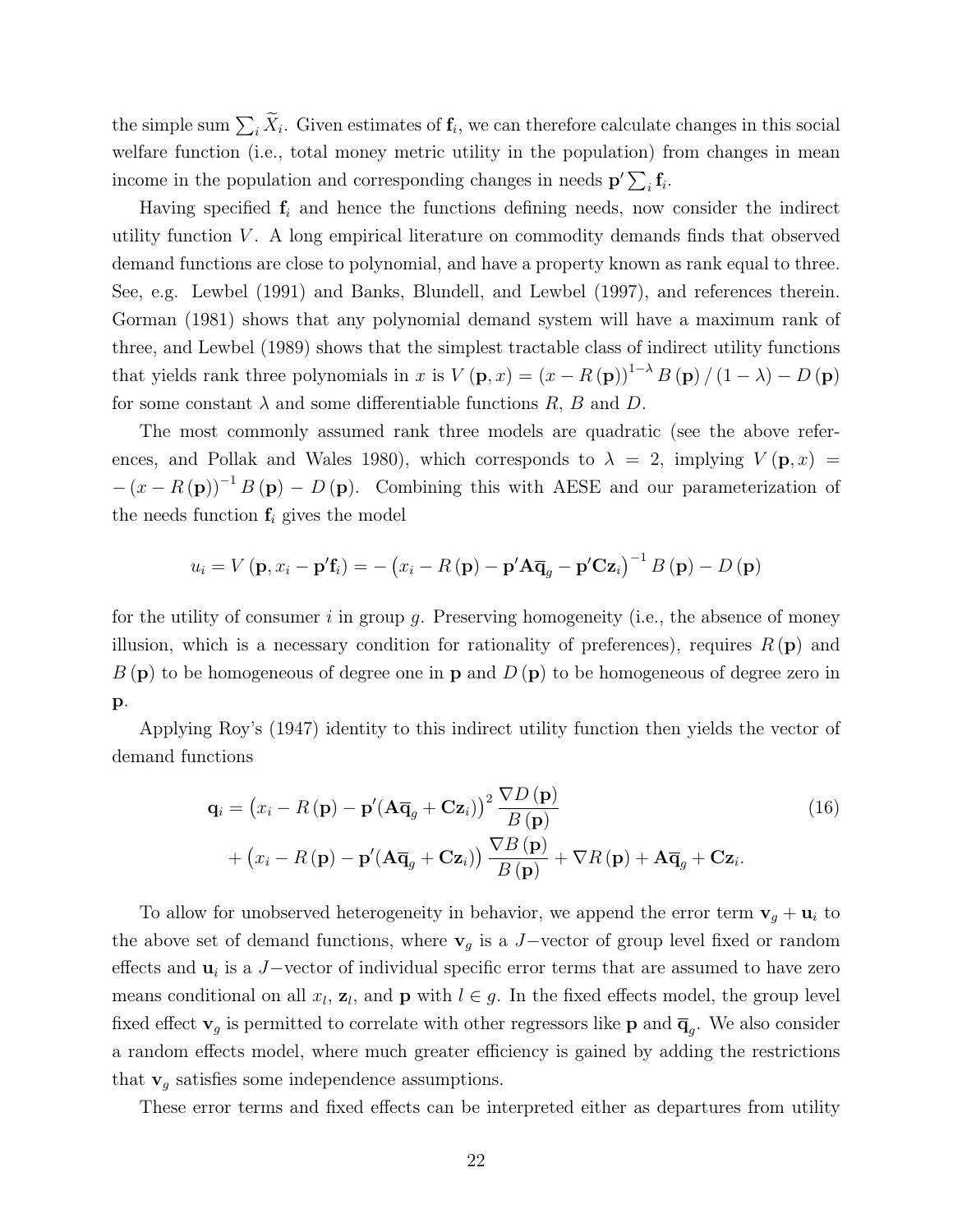the simple sum  $\sum_i X_i$ . Given estimates of  $\mathbf{f}_i$ , we can therefore calculate changes in this social welfare function (i.e., total money metric utility in the population) from changes in mean income in the population and corresponding changes in needs  $\mathbf{p}'\sum_i \mathbf{f}_i$ .

Having specified  $f_i$  and hence the functions defining needs, now consider the indirect utility function  $V$ . A long empirical literature on commodity demands finds that observed demand functions are close to polynomial, and have a property known as rank equal to three. See, e.g. Lewbel (1991) and Banks, Blundell, and Lewbel (1997), and references therein. Gorman (1981) shows that any polynomial demand system will have a maximum rank of three, and Lewbel (1989) shows that the simplest tractable class of indirect utility functions that yields rank three polynomials in x is  $V(\mathbf{p},x) = (x - R(\mathbf{p}))^{1-\lambda} B(\mathbf{p})/(1-\lambda) - D(\mathbf{p})$ for some constant  $\lambda$  and some differentiable functions R, B and D.

The most commonly assumed rank three models are quadratic (see the above references, and Pollak and Wales 1980), which corresponds to  $\lambda = 2$ , implying  $V(\mathbf{p}, x) =$  $-(x - R(p))^{-1} B(p) - D(p)$ . Combining this with AESE and our parameterization of the needs function  $f_i$  gives the model

$$
u_i = V(\mathbf{p}, x_i - \mathbf{p}'\mathbf{f}_i) = -(x_i - R(\mathbf{p}) - \mathbf{p}'\mathbf{A}\overline{\mathbf{q}}_g - \mathbf{p}'\mathbf{C}\mathbf{z}_i)^{-1} B(\mathbf{p}) - D(\mathbf{p})
$$

for the utility of consumer  $i$  in group  $g$ . Preserving homogeneity (i.e., the absence of money illusion, which is a necessary condition for rationality of preferences), requires  $R(\mathbf{p})$  and  $B(\mathbf{p})$  to be homogeneous of degree one in **p** and  $D(\mathbf{p})$  to be homogeneous of degree zero in p.

Applying Roy's (1947) identity to this indirect utility function then yields the vector of demand functions

$$
\mathbf{q}_{i} = (x_{i} - R(\mathbf{p}) - \mathbf{p}'(\mathbf{A}\overline{\mathbf{q}}_{g} + \mathbf{C}\mathbf{z}_{i}))^{2} \frac{\nabla D(\mathbf{p})}{B(\mathbf{p})} + (x_{i} - R(\mathbf{p}) - \mathbf{p}'(\mathbf{A}\overline{\mathbf{q}}_{g} + \mathbf{C}\mathbf{z}_{i})) \frac{\nabla B(\mathbf{p})}{B(\mathbf{p})} + \nabla R(\mathbf{p}) + \mathbf{A}\overline{\mathbf{q}}_{g} + \mathbf{C}\mathbf{z}_{i}.
$$
 (16)

To allow for unobserved heterogeneity in behavior, we append the error term  $\mathbf{v}_g + \mathbf{u}_i$  to the above set of demand functions, where  $\mathbf{v}_g$  is a J−vector of group level fixed or random effects and  $\mathbf{u}_i$  is a J–vector of individual specific error terms that are assumed to have zero means conditional on all  $x_l$ ,  $z_l$ , and  $p$  with  $l \in g$ . In the fixed effects model, the group level fixed effect  $\mathbf{v}_g$  is permitted to correlate with other regressors like **p** and  $\overline{\mathbf{q}}_g$ . We also consider a random effects model, where much greater efficiency is gained by adding the restrictions that  $\mathbf{v}_g$  satisfies some independence assumptions.

These error terms and fixed effects can be interpreted either as departures from utility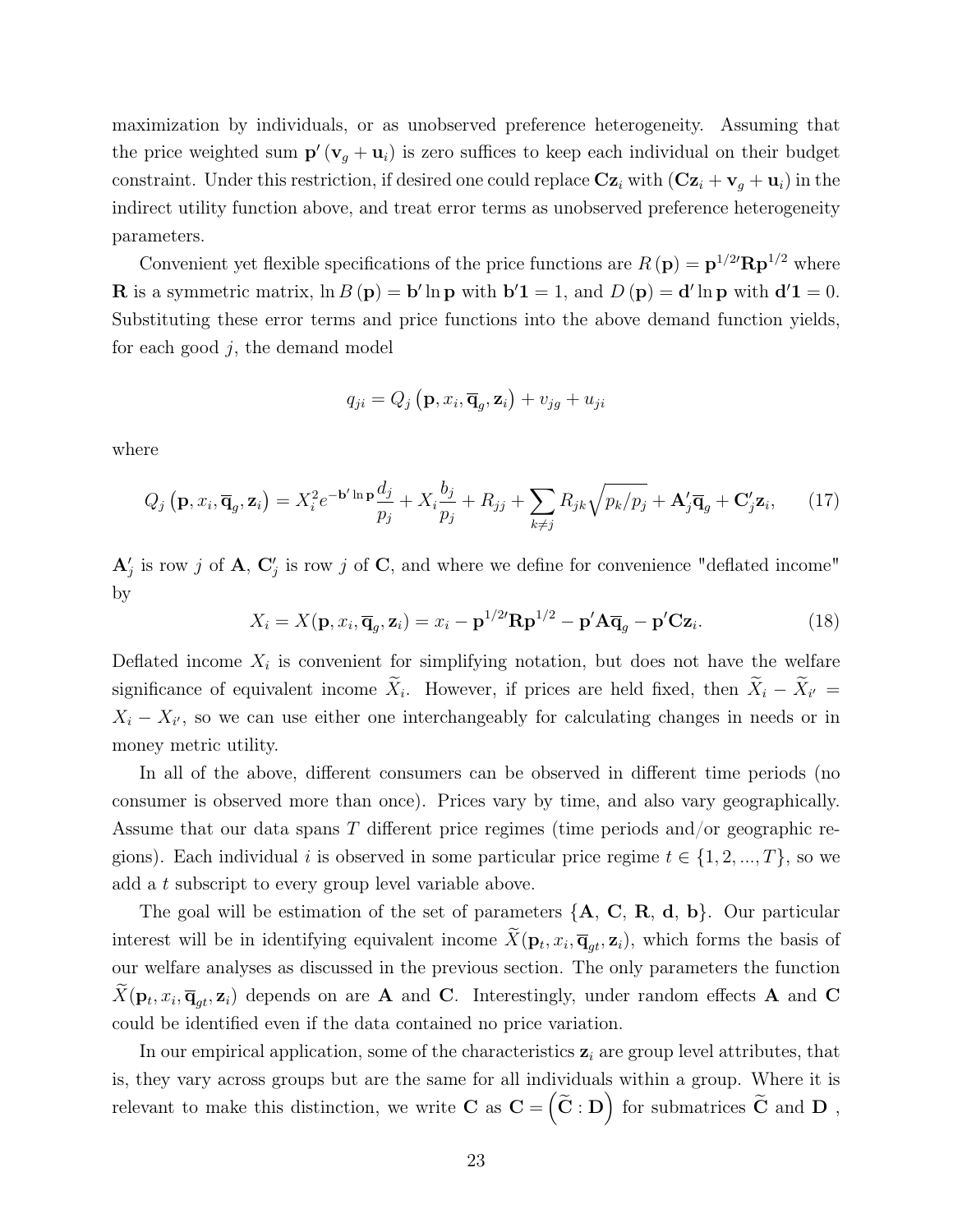maximization by individuals, or as unobserved preference heterogeneity. Assuming that the price weighted sum  $\mathbf{p}'(\mathbf{v}_g + \mathbf{u}_i)$  is zero suffices to keep each individual on their budget constraint. Under this restriction, if desired one could replace  $\mathbf{Cz}_i$  with  $(\mathbf{Cz}_i + \mathbf{v}_j + \mathbf{u}_i)$  in the indirect utility function above, and treat error terms as unobserved preference heterogeneity parameters.

Convenient yet flexible specifications of the price functions are  $R(\mathbf{p}) = \mathbf{p}^{1/2} \mathbf{R} \mathbf{p}^{1/2}$  where **R** is a symmetric matrix,  $\ln B(\mathbf{p}) = \mathbf{b}' \ln \mathbf{p}$  with  $\mathbf{b}'\mathbf{1} = 1$ , and  $D(\mathbf{p}) = \mathbf{d}' \ln \mathbf{p}$  with  $\mathbf{d}'\mathbf{1} = 0$ . Substituting these error terms and price functions into the above demand function yields, for each good  $j$ , the demand model

$$
q_{ji} = Q_j \left( \mathbf{p}, x_i, \overline{\mathbf{q}}_g, \mathbf{z}_i \right) + v_{jg} + u_{ji}
$$

where

$$
Q_j\left(\mathbf{p}, x_i, \overline{\mathbf{q}}_g, \mathbf{z}_i\right) = X_i^2 e^{-\mathbf{b}' \ln \mathbf{p}} \frac{d_j}{p_j} + X_i \frac{b_j}{p_j} + R_{jj} + \sum_{k \neq j} R_{jk} \sqrt{p_k/p_j} + \mathbf{A}'_j \overline{\mathbf{q}}_g + \mathbf{C}'_j \mathbf{z}_i,\qquad(17)
$$

 ${\bf A}'_j$  is row j of  ${\bf A}, {\bf C}'_j$  is row j of  ${\bf C},$  and where we define for convenience "deflated income" by

$$
X_i = X(\mathbf{p}, x_i, \overline{\mathbf{q}}_g, \mathbf{z}_i) = x_i - \mathbf{p}^{1/2} \mathbf{R} \mathbf{p}^{1/2} - \mathbf{p}' \mathbf{A} \overline{\mathbf{q}}_g - \mathbf{p}' \mathbf{C} \mathbf{z}_i.
$$
 (18)

Deflated income  $X_i$  is convenient for simplifying notation, but does not have the welfare significance of equivalent income  $X_i$ . However, if prices are held fixed, then  $X_i - X_{i'} =$  $X_i - X_{i'}$ , so we can use either one interchangeably for calculating changes in needs or in money metric utility.

In all of the above, different consumers can be observed in different time periods (no consumer is observed more than once). Prices vary by time, and also vary geographically. Assume that our data spans  $T$  different price regimes (time periods and/or geographic regions). Each individual i is observed in some particular price regime  $t \in \{1, 2, ..., T\}$ , so we add a t subscript to every group level variable above.

The goal will be estimation of the set of parameters  ${A, C, R, d, b}$ . Our particular interest will be in identifying equivalent income  $X(\mathbf{p}_t, x_i, \overline{\mathbf{q}}_{gt}, \mathbf{z}_i)$ , which forms the basis of our welfare analyses as discussed in the previous section. The only parameters the function  $X(\mathbf{p}_t, x_i, \overline{\mathbf{q}}_{gt}, \mathbf{z}_i)$  depends on are **A** and **C**. Interestingly, under random effects **A** and **C** could be identified even if the data contained no price variation.

In our empirical application, some of the characteristics  $z<sub>i</sub>$  are group level attributes, that is, they vary across groups but are the same for all individuals within a group. Where it is relevant to make this distinction, we write  $C$  as  $C = \left(\widetilde{C} : D\right)$  for submatrices  $\widetilde{C}$  and  $D$ ,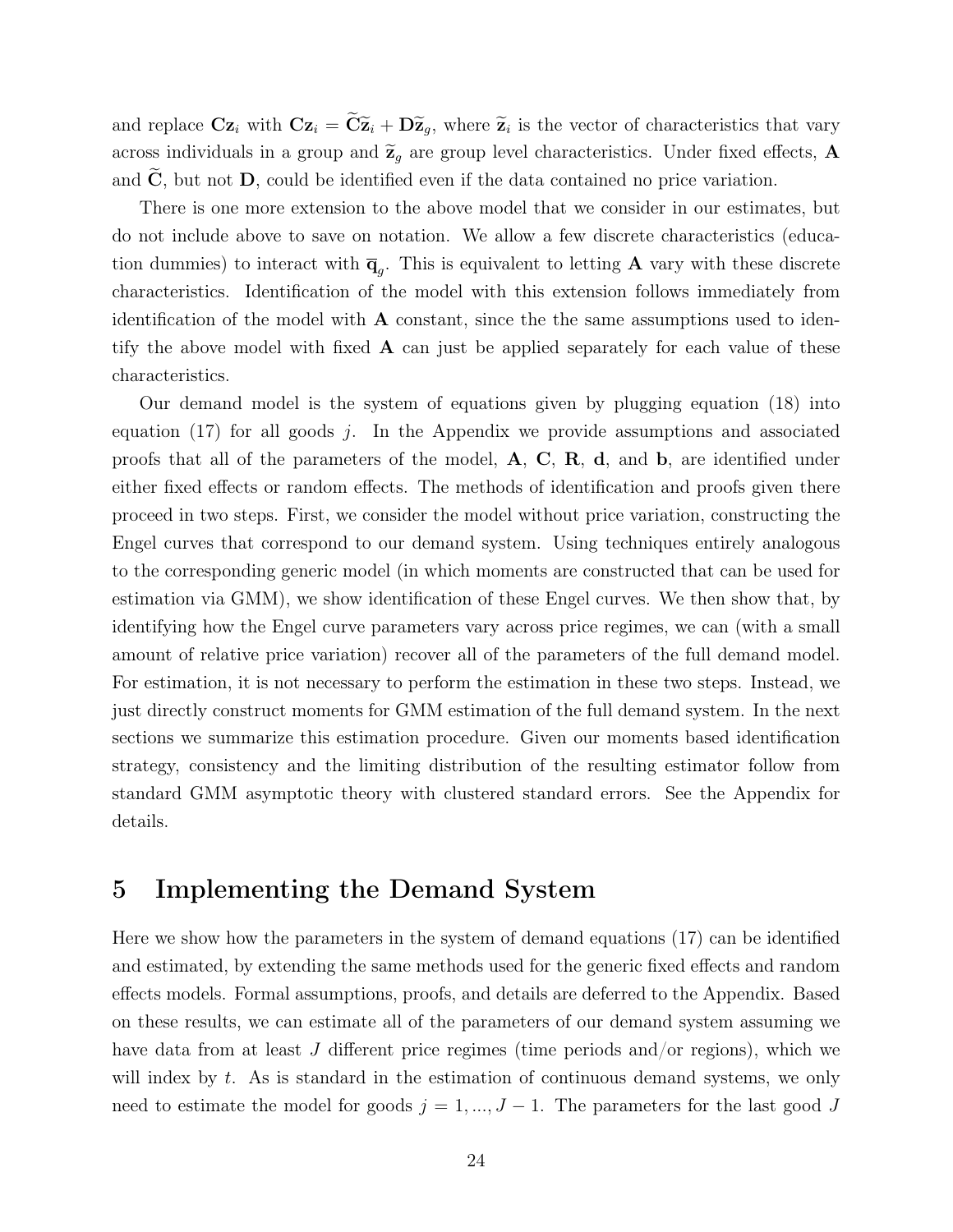and replace  $\mathbf{Cz}_i$  with  $\mathbf{Cz}_i = \mathbf{C\widetilde{z}}_i + \mathbf{D\widetilde{z}}_g$ , where  $\widetilde{z}_i$  is the vector of characteristics that vary across individuals in a group and  $\widetilde{\mathbf{z}}_q$  are group level characteristics. Under fixed effects, **A** and  $C$ , but not  $D$ , could be identified even if the data contained no price variation.

There is one more extension to the above model that we consider in our estimates, but do not include above to save on notation. We allow a few discrete characteristics (education dummies) to interact with  $\overline{\mathbf{q}}_g$ . This is equivalent to letting **A** vary with these discrete characteristics. Identification of the model with this extension follows immediately from identification of the model with A constant, since the the same assumptions used to identify the above model with fixed  $\bf{A}$  can just be applied separately for each value of these characteristics.

Our demand model is the system of equations given by plugging equation (18) into equation  $(17)$  for all goods j. In the Appendix we provide assumptions and associated proofs that all of the parameters of the model,  $A$ ,  $C$ ,  $R$ ,  $d$ , and  $b$ , are identified under either fixed effects or random effects. The methods of identification and proofs given there proceed in two steps. First, we consider the model without price variation, constructing the Engel curves that correspond to our demand system. Using techniques entirely analogous to the corresponding generic model (in which moments are constructed that can be used for estimation via GMM), we show identification of these Engel curves. We then show that, by identifying how the Engel curve parameters vary across price regimes, we can (with a small amount of relative price variation) recover all of the parameters of the full demand model. For estimation, it is not necessary to perform the estimation in these two steps. Instead, we just directly construct moments for GMM estimation of the full demand system. In the next sections we summarize this estimation procedure. Given our moments based identification strategy, consistency and the limiting distribution of the resulting estimator follow from standard GMM asymptotic theory with clustered standard errors. See the Appendix for details.

## 5 Implementing the Demand System

Here we show how the parameters in the system of demand equations (17) can be identified and estimated, by extending the same methods used for the generic fixed effects and random effects models. Formal assumptions, proofs, and details are deferred to the Appendix. Based on these results, we can estimate all of the parameters of our demand system assuming we have data from at least J different price regimes (time periods and/or regions), which we will index by  $t$ . As is standard in the estimation of continuous demand systems, we only need to estimate the model for goods  $j = 1, ..., J - 1$ . The parameters for the last good J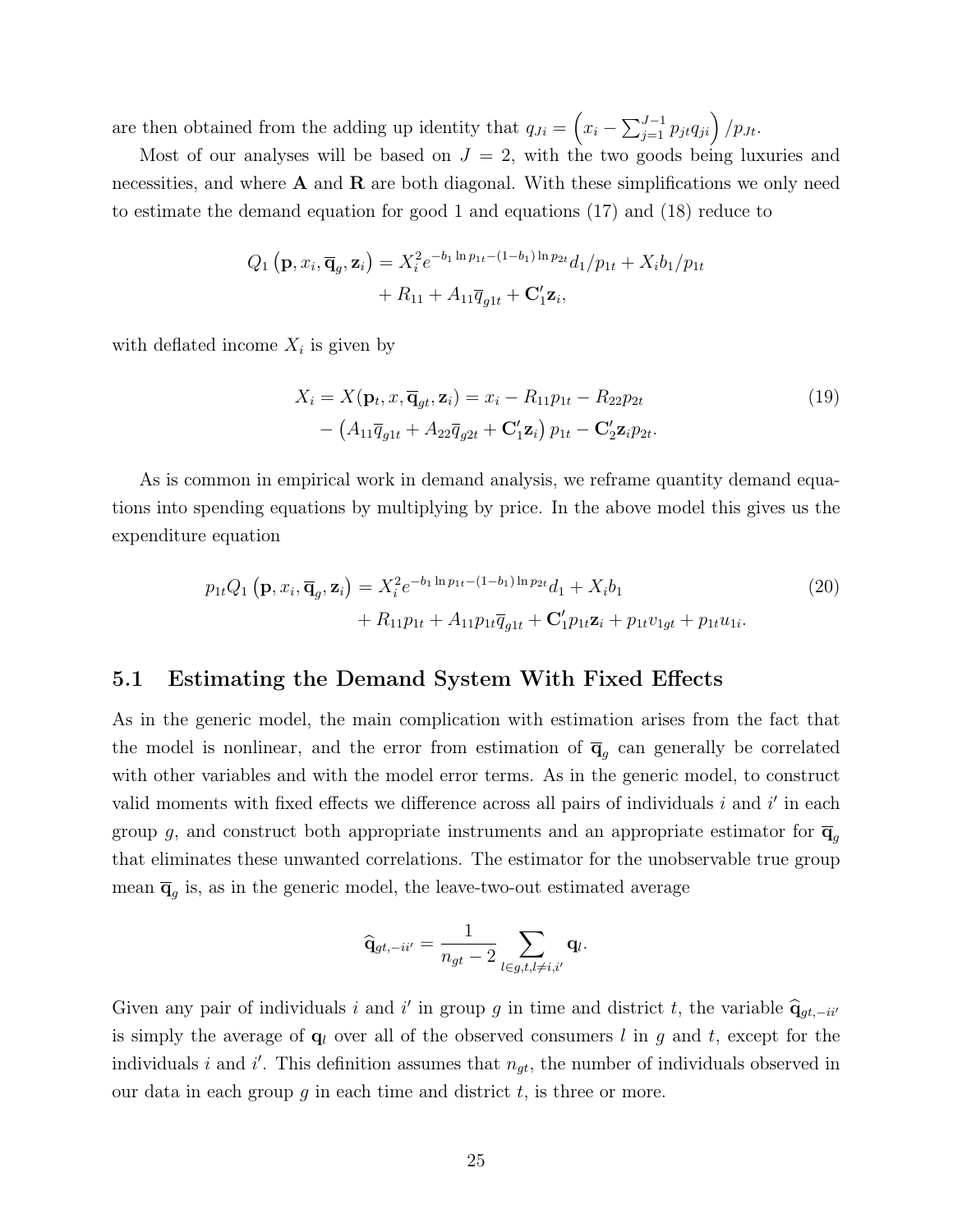are then obtained from the adding up identity that  $q_{Ji} = \left(x_i - \sum_{j=1}^{J-1} p_{jt} q_{ji}\right) / p_{Jt}$ .

Most of our analyses will be based on  $J = 2$ , with the two goods being luxuries and necessities, and where  $A$  and  $R$  are both diagonal. With these simplifications we only need to estimate the demand equation for good 1 and equations (17) and (18) reduce to

$$
Q_1(\mathbf{p}, x_i, \overline{\mathbf{q}}_g, \mathbf{z}_i) = X_i^2 e^{-b_1 \ln p_{1t} - (1 - b_1) \ln p_{2t}} d_1/p_{1t} + X_i b_1/p_{1t} + R_{11} + A_{11} \overline{q}_{g1t} + \mathbf{C}_1' \mathbf{z}_i,
$$

with deflated income  $X_i$  is given by

$$
X_i = X(\mathbf{p}_t, x, \overline{\mathbf{q}}_{gt}, \mathbf{z}_i) = x_i - R_{11}p_{1t} - R_{22}p_{2t}
$$
  
- 
$$
(A_{11}\overline{q}_{g1t} + A_{22}\overline{q}_{g2t} + \mathbf{C}'_1\mathbf{z}_i) p_{1t} - \mathbf{C}'_2\mathbf{z}_i p_{2t}.
$$
 (19)

As is common in empirical work in demand analysis, we reframe quantity demand equations into spending equations by multiplying by price. In the above model this gives us the expenditure equation

$$
p_{1t}Q_1(\mathbf{p}, x_i, \overline{\mathbf{q}}_g, \mathbf{z}_i) = X_i^2 e^{-b_1 \ln p_{1t} - (1 - b_1) \ln p_{2t}} d_1 + X_i b_1
$$
  
+  $R_{11}p_{1t} + A_{11}p_{1t}\overline{q}_{g1t} + \mathbf{C}'_1 p_{1t} \mathbf{z}_i + p_{1t} v_{1gt} + p_{1t} u_{1i}.$  (20)

#### 5.1 Estimating the Demand System With Fixed Effects

As in the generic model, the main complication with estimation arises from the fact that the model is nonlinear, and the error from estimation of  $\overline{q}_g$  can generally be correlated with other variables and with the model error terms. As in the generic model, to construct valid moments with fixed effects we difference across all pairs of individuals  $i$  and  $i'$  in each group g, and construct both appropriate instruments and an appropriate estimator for  $\overline{\mathbf{q}}_q$ that eliminates these unwanted correlations. The estimator for the unobservable true group mean  $\overline{\mathbf{q}}_g$  is, as in the generic model, the leave-two-out estimated average

$$
\widehat{\mathbf{q}}_{gt,-ii'} = \frac{1}{n_{gt}-2} \sum_{l \in g,t,l \neq i,i'} \mathbf{q}_l.
$$

Given any pair of individuals i and i' in group g in time and district t, the variable  $\hat{q}_{gt,-ii'}$ is simply the average of  $q_l$  over all of the observed consumers l in g and t, except for the individuals i and i'. This definition assumes that  $n_{gt}$ , the number of individuals observed in our data in each group  $g$  in each time and district  $t$ , is three or more.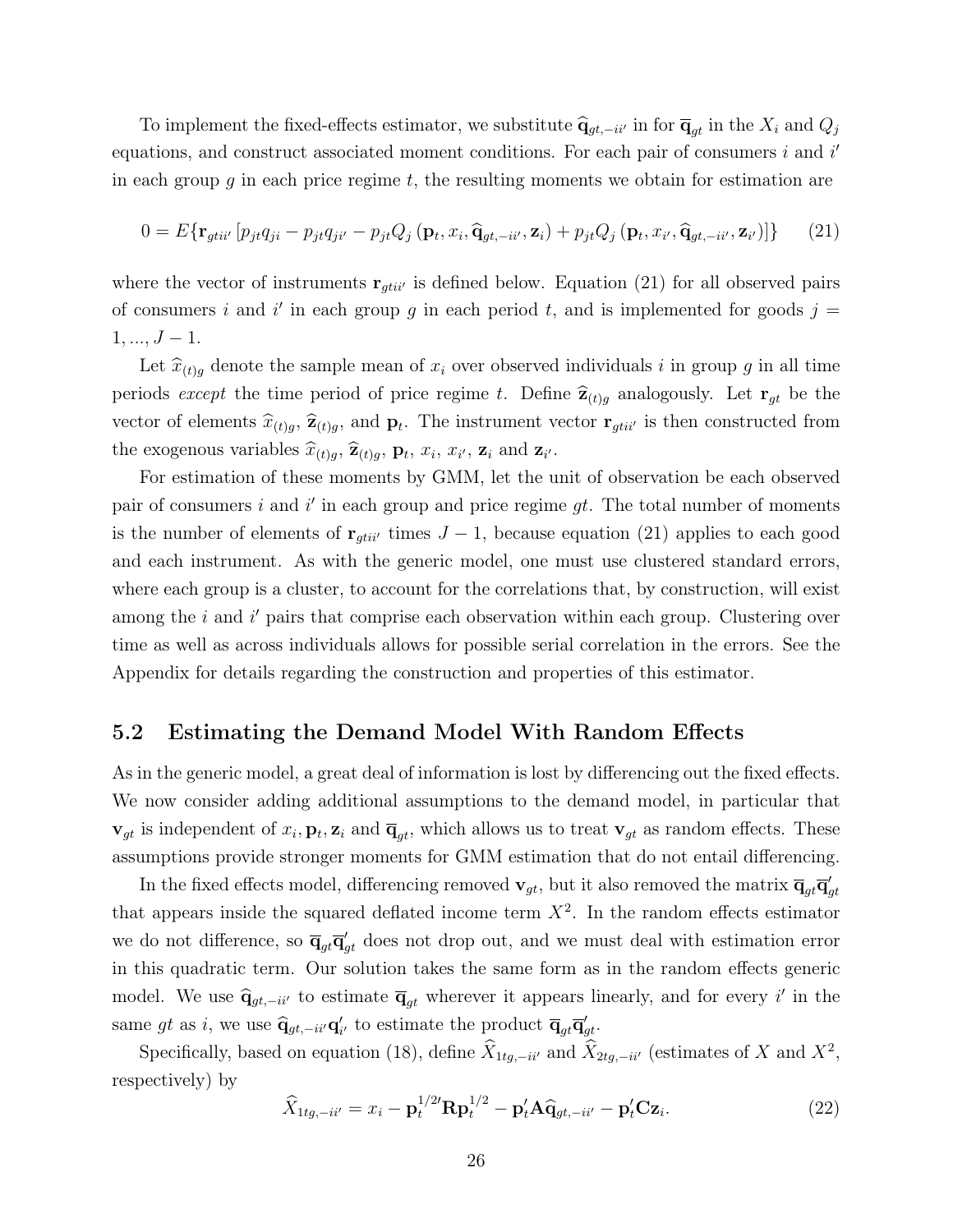To implement the fixed-effects estimator, we substitute  $\hat{q}_{gt,-ii'}$  in for  $\overline{q}_{gt}$  in the  $X_i$  and  $Q_j$ equations, and construct associated moment conditions. For each pair of consumers  $i$  and  $i'$ in each group g in each price regime  $t$ , the resulting moments we obtain for estimation are

$$
0 = E\{\mathbf{r}_{gtii'}\left[p_{jt}q_{ji} - p_{jt}q_{ji'} - p_{jt}Q_j\left(\mathbf{p}_t, x_i, \hat{\mathbf{q}}_{gt, -ii'}, \mathbf{z}_i\right) + p_{jt}Q_j\left(\mathbf{p}_t, x_{i'}, \hat{\mathbf{q}}_{gt, -ii'}, \mathbf{z}_{i'}\right)\right]\}\
$$
(21)

where the vector of instruments  $\mathbf{r}_{gtii'}$  is defined below. Equation (21) for all observed pairs of consumers i and i' in each group g in each period t, and is implemented for goods  $j =$  $1, ..., J - 1.$ 

Let  $\hat{x}_{(t)q}$  denote the sample mean of  $x_i$  over observed individuals i in group g in all time periods except the time period of price regime t. Define  $\hat{\mathbf{z}}_{(t)g}$  analogously. Let  $\mathbf{r}_{gt}$  be the vector of elements  $\widehat{x}_{(t)g}$ ,  $\widehat{z}_{(t)g}$ , and  $p_t$ . The instrument vector  $\mathbf{r}_{gtii'}$  is then constructed from the exogenous variables  $\widehat{x}_{(t)g}, \widehat{\mathbf{z}}_{(t)g}, \mathbf{p}_t, x_i, x_{i'}, \mathbf{z}_i$  and  $\mathbf{z}_{i'}$ .

For estimation of these moments by GMM, let the unit of observation be each observed pair of consumers i and i' in each group and price regime  $gt$ . The total number of moments is the number of elements of  $\mathbf{r}_{gtii'}$  times  $J - 1$ , because equation (21) applies to each good and each instrument. As with the generic model, one must use clustered standard errors, where each group is a cluster, to account for the correlations that, by construction, will exist among the  $i$  and  $i'$  pairs that comprise each observation within each group. Clustering over time as well as across individuals allows for possible serial correlation in the errors. See the Appendix for details regarding the construction and properties of this estimator.

#### 5.2 Estimating the Demand Model With Random Effects

As in the generic model, a great deal of information is lost by differencing out the fixed effects. We now consider adding additional assumptions to the demand model, in particular that  $\mathbf{v}_{gt}$  is independent of  $x_i, \mathbf{p}_t, \mathbf{z}_i$  and  $\overline{\mathbf{q}}_{gt}$ , which allows us to treat  $\mathbf{v}_{gt}$  as random effects. These assumptions provide stronger moments for GMM estimation that do not entail differencing.

In the fixed effects model, differencing removed  $\mathbf{v}_{gt}$ , but it also removed the matrix  $\overline{\mathbf{q}}_{gt}\overline{\mathbf{q}}_{gt}'$ that appears inside the squared deflated income term  $X^2$ . In the random effects estimator we do not difference, so  $\overline{\mathbf{q}}_{gt}\overline{\mathbf{q}}_{gt}$  does not drop out, and we must deal with estimation error in this quadratic term. Our solution takes the same form as in the random effects generic model. We use  $\hat{\mathbf{q}}_{gt,-ii'}$  to estimate  $\overline{\mathbf{q}}_{gt}$  wherever it appears linearly, and for every i' in the same gt as i, we use  $\hat{\mathbf{q}}_{gt,-ii'}\mathbf{q}'_{i'}$  to estimate the product  $\overline{\mathbf{q}}_{gt}\overline{\mathbf{q}}'_{gt}$ .

Specifically, based on equation (18), define  $\hat{X}_{1tg,-ii'}$  and  $\hat{X}_{2tg,-ii'}$  (estimates of X and  $X^2$ , respectively) by

$$
\widehat{X}_{1tg,-ii'} = x_i - \mathbf{p}_t^{1/2'} \mathbf{R} \mathbf{p}_t^{1/2} - \mathbf{p}_t' \mathbf{A} \widehat{\mathbf{q}}_{gt,-ii'} - \mathbf{p}_t' \mathbf{C} \mathbf{z}_i.
$$
\n(22)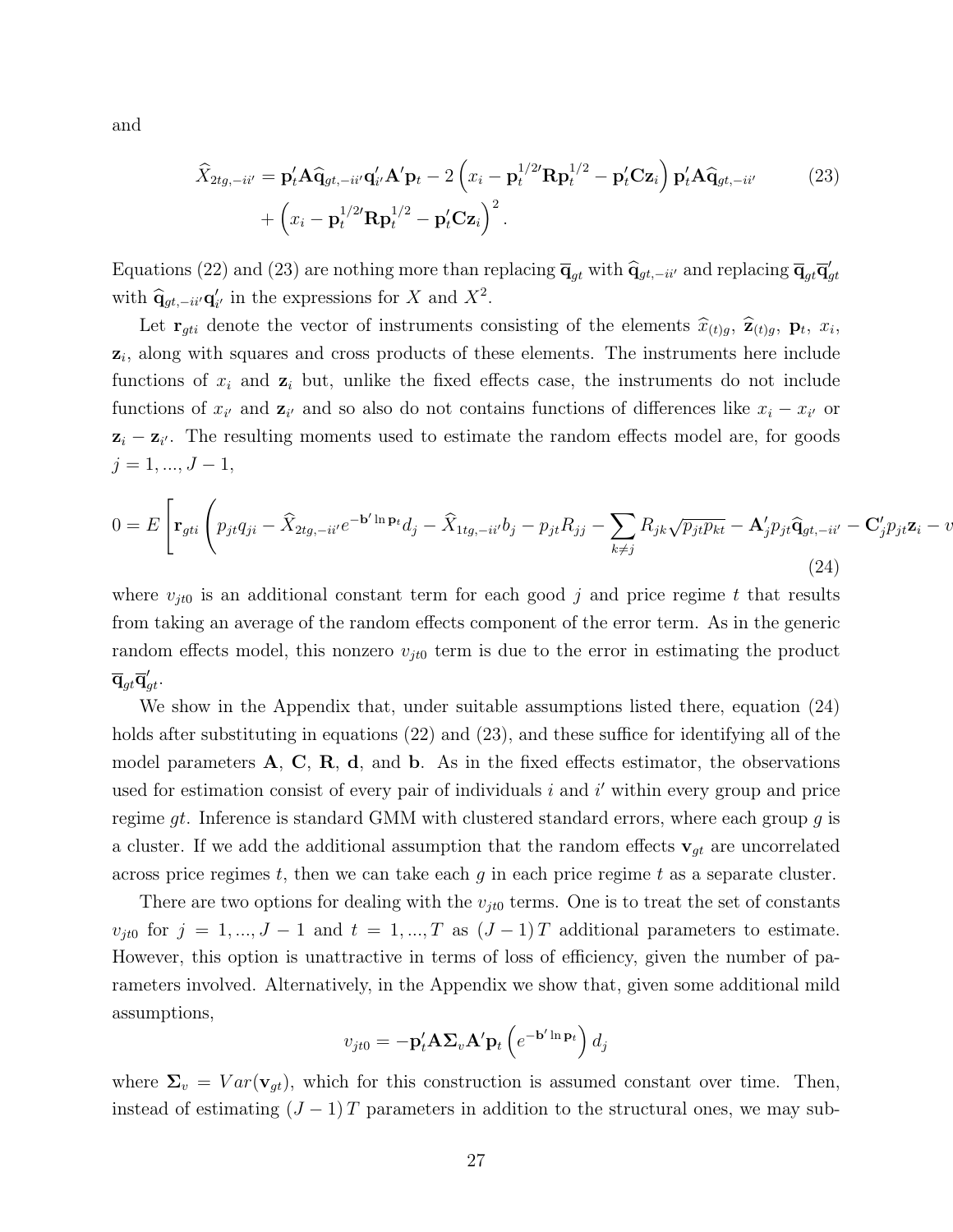and

$$
\widehat{X}_{2tg,-ii'} = \mathbf{p}'_t \mathbf{A} \widehat{\mathbf{q}}_{gt,-ii'} \mathbf{q}'_{i'} \mathbf{A}' \mathbf{p}_t - 2 \left( x_i - \mathbf{p}_t^{1/2'} \mathbf{R} \mathbf{p}_t^{1/2} - \mathbf{p}'_t \mathbf{C} \mathbf{z}_i \right) \mathbf{p}'_t \mathbf{A} \widehat{\mathbf{q}}_{gt,-ii'} + \left( x_i - \mathbf{p}_t^{1/2'} \mathbf{R} \mathbf{p}_t^{1/2} - \mathbf{p}'_t \mathbf{C} \mathbf{z}_i \right)^2.
$$
\n(23)

Equations (22) and (23) are nothing more than replacing  $\overline{\mathbf{q}}_{gt}$  with  $\hat{\mathbf{q}}_{gt,-ii'}$  and replacing  $\overline{\mathbf{q}}_{gt}\overline{\mathbf{q}}_{gt}$ with  $\hat{\mathbf{q}}_{gt,-ii'}\mathbf{q}'_{i'}$  in the expressions for X and  $X^2$ .

Let  $\mathbf{r}_{gti}$  denote the vector of instruments consisting of the elements  $\hat{x}_{(t)g}$ ,  $\hat{\mathbf{z}}_{(t)g}$ ,  $\mathbf{p}_t$ ,  $x_i$ ,  $z_i$ , along with squares and cross products of these elements. The instruments here include functions of  $x_i$  and  $z_i$  but, unlike the fixed effects case, the instruments do not include functions of  $x_{i'}$  and  $z_{i'}$  and so also do not contains functions of differences like  $x_i - x_{i'}$  or  $z_i - z_{i'}$ . The resulting moments used to estimate the random effects model are, for goods  $j = 1, ..., J - 1,$ 

$$
0 = E\left[\mathbf{r}_{gti}\left(p_{jt}q_{ji} - \widehat{X}_{2tg,-ii'}e^{-\mathbf{b}'\ln\mathbf{p}_t}d_j - \widehat{X}_{1tg,-ii'}b_j - p_{jt}R_{jj} - \sum_{k\neq j}R_{jk}\sqrt{p_{jt}p_{kt}} - \mathbf{A}'_jp_{jt}\widehat{\mathbf{q}}_{gt,-ii'} - \mathbf{C}'_jp_{jt}\mathbf{z}_i - v\right)\right]
$$
\n(24)

where  $v_{it0}$  is an additional constant term for each good j and price regime t that results from taking an average of the random effects component of the error term. As in the generic random effects model, this nonzero  $v_{j\ell0}$  term is due to the error in estimating the product  $\overline{\mathbf{q}}_{gt}\overline{\mathbf{q}}_{gt}'.$ 

We show in the Appendix that, under suitable assumptions listed there, equation (24) holds after substituting in equations (22) and (23), and these suffice for identifying all of the model parameters  $\bf{A}$ ,  $\bf{C}$ ,  $\bf{R}$ ,  $\bf{d}$ , and  $\bf{b}$ . As in the fixed effects estimator, the observations used for estimation consist of every pair of individuals  $i$  and  $i'$  within every group and price regime gt. Inference is standard GMM with clustered standard errors, where each group  $g$  is a cluster. If we add the additional assumption that the random effects  $\mathbf{v}_{gt}$  are uncorrelated across price regimes t, then we can take each  $g$  in each price regime t as a separate cluster.

There are two options for dealing with the  $v_{it0}$  terms. One is to treat the set of constants  $v_{jt0}$  for  $j = 1, ..., J - 1$  and  $t = 1, ..., T$  as  $(J - 1)T$  additional parameters to estimate. However, this option is unattractive in terms of loss of efficiency, given the number of parameters involved. Alternatively, in the Appendix we show that, given some additional mild assumptions,

$$
v_{jt0} = -\mathbf{p}'_t \mathbf{A} \mathbf{\Sigma}_v \mathbf{A}' \mathbf{p}_t \left( e^{-\mathbf{b}' \ln \mathbf{p}_t} \right) d_j
$$

where  $\Sigma_v = Var(\mathbf{v}_{gt})$ , which for this construction is assumed constant over time. Then, instead of estimating  $(J-1)T$  parameters in addition to the structural ones, we may sub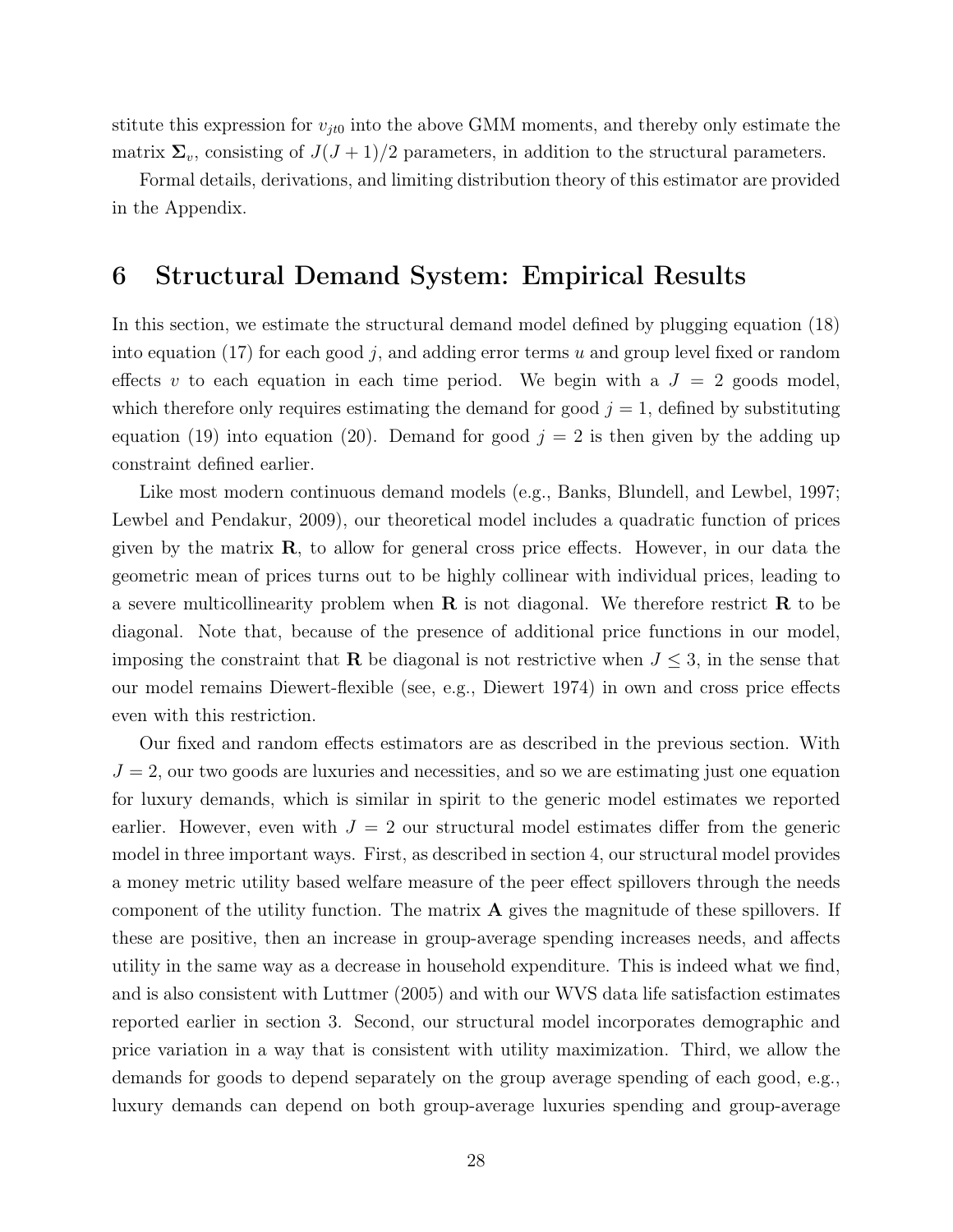stitute this expression for  $v_{jt0}$  into the above GMM moments, and thereby only estimate the matrix  $\Sigma_v$ , consisting of  $J(J+1)/2$  parameters, in addition to the structural parameters.

Formal details, derivations, and limiting distribution theory of this estimator are provided in the Appendix.

### 6 Structural Demand System: Empirical Results

In this section, we estimate the structural demand model defined by plugging equation (18) into equation (17) for each good j, and adding error terms u and group level fixed or random effects v to each equation in each time period. We begin with a  $J = 2$  goods model, which therefore only requires estimating the demand for good  $j = 1$ , defined by substituting equation (19) into equation (20). Demand for good  $j = 2$  is then given by the adding up constraint defined earlier.

Like most modern continuous demand models (e.g., Banks, Blundell, and Lewbel, 1997; Lewbel and Pendakur, 2009), our theoretical model includes a quadratic function of prices given by the matrix  $\bf{R}$ , to allow for general cross price effects. However, in our data the geometric mean of prices turns out to be highly collinear with individual prices, leading to a severe multicollinearity problem when  $R$  is not diagonal. We therefore restrict  $R$  to be diagonal. Note that, because of the presence of additional price functions in our model, imposing the constraint that **R** be diagonal is not restrictive when  $J \leq 3$ , in the sense that our model remains Diewert-flexible (see, e.g., Diewert 1974) in own and cross price effects even with this restriction.

Our fixed and random effects estimators are as described in the previous section. With  $J = 2$ , our two goods are luxuries and necessities, and so we are estimating just one equation for luxury demands, which is similar in spirit to the generic model estimates we reported earlier. However, even with  $J = 2$  our structural model estimates differ from the generic model in three important ways. First, as described in section 4, our structural model provides a money metric utility based welfare measure of the peer effect spillovers through the needs component of the utility function. The matrix A gives the magnitude of these spillovers. If these are positive, then an increase in group-average spending increases needs, and affects utility in the same way as a decrease in household expenditure. This is indeed what we find, and is also consistent with Luttmer (2005) and with our WVS data life satisfaction estimates reported earlier in section 3. Second, our structural model incorporates demographic and price variation in a way that is consistent with utility maximization. Third, we allow the demands for goods to depend separately on the group average spending of each good, e.g., luxury demands can depend on both group-average luxuries spending and group-average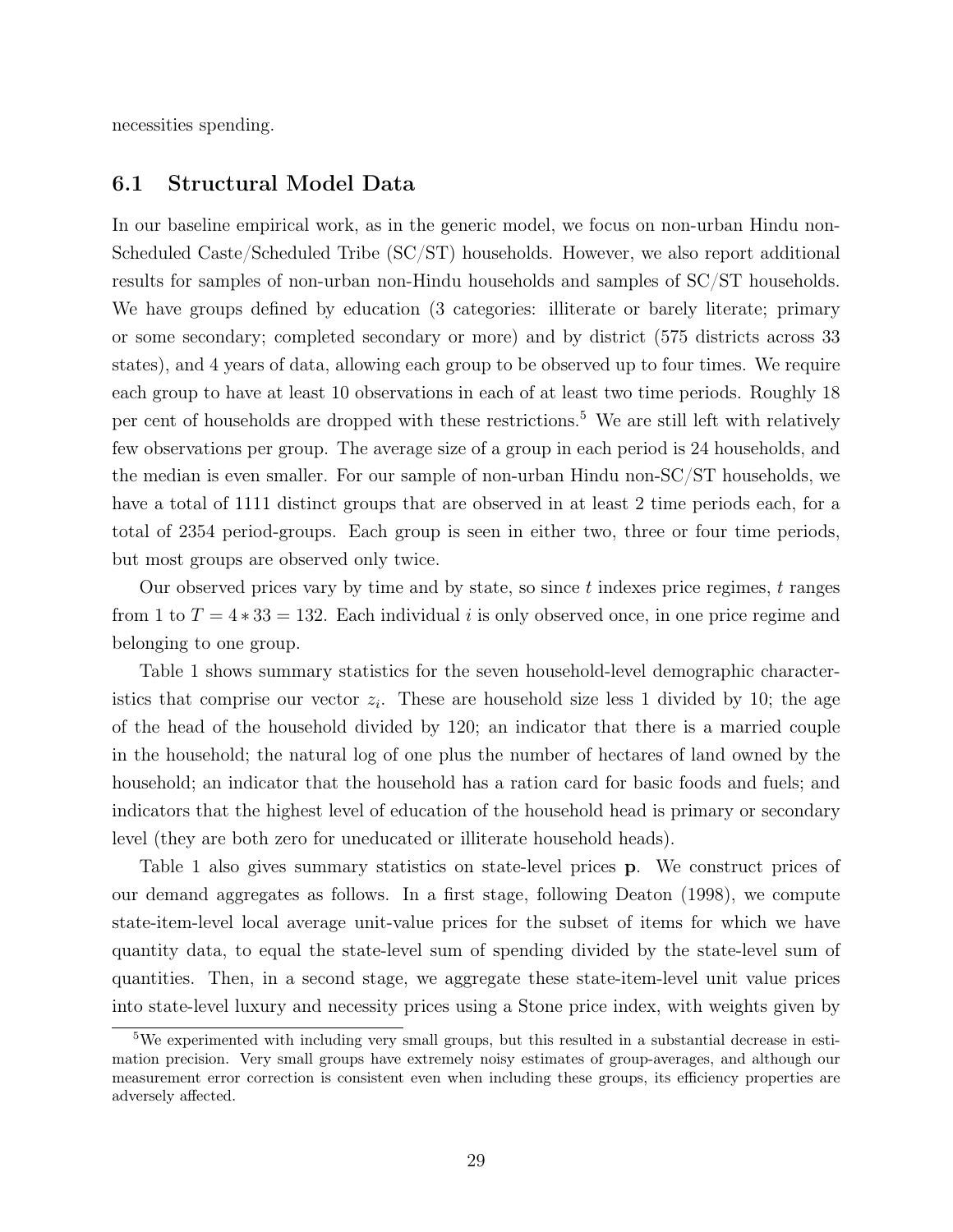necessities spending.

#### 6.1 Structural Model Data

In our baseline empirical work, as in the generic model, we focus on non-urban Hindu non-Scheduled Caste/Scheduled Tribe (SC/ST) households. However, we also report additional results for samples of non-urban non-Hindu households and samples of SC/ST households. We have groups defined by education (3 categories: illiterate or barely literate; primary or some secondary; completed secondary or more) and by district (575 districts across 33 states), and 4 years of data, allowing each group to be observed up to four times. We require each group to have at least 10 observations in each of at least two time periods. Roughly 18 per cent of households are dropped with these restrictions.<sup>5</sup> We are still left with relatively few observations per group. The average size of a group in each period is 24 households, and the median is even smaller. For our sample of non-urban Hindu non-SC/ST households, we have a total of 1111 distinct groups that are observed in at least 2 time periods each, for a total of 2354 period-groups. Each group is seen in either two, three or four time periods, but most groups are observed only twice.

Our observed prices vary by time and by state, so since t indexes price regimes, t ranges from 1 to  $T = 4*33 = 132$ . Each individual i is only observed once, in one price regime and belonging to one group.

Table 1 shows summary statistics for the seven household-level demographic characteristics that comprise our vector  $z_i$ . These are household size less 1 divided by 10; the age of the head of the household divided by 120; an indicator that there is a married couple in the household; the natural log of one plus the number of hectares of land owned by the household; an indicator that the household has a ration card for basic foods and fuels; and indicators that the highest level of education of the household head is primary or secondary level (they are both zero for uneducated or illiterate household heads).

Table 1 also gives summary statistics on state-level prices p. We construct prices of our demand aggregates as follows. In a first stage, following Deaton (1998), we compute state-item-level local average unit-value prices for the subset of items for which we have quantity data, to equal the state-level sum of spending divided by the state-level sum of quantities. Then, in a second stage, we aggregate these state-item-level unit value prices into state-level luxury and necessity prices using a Stone price index, with weights given by

<sup>&</sup>lt;sup>5</sup>We experimented with including very small groups, but this resulted in a substantial decrease in estimation precision. Very small groups have extremely noisy estimates of group-averages, and although our measurement error correction is consistent even when including these groups, its efficiency properties are adversely affected.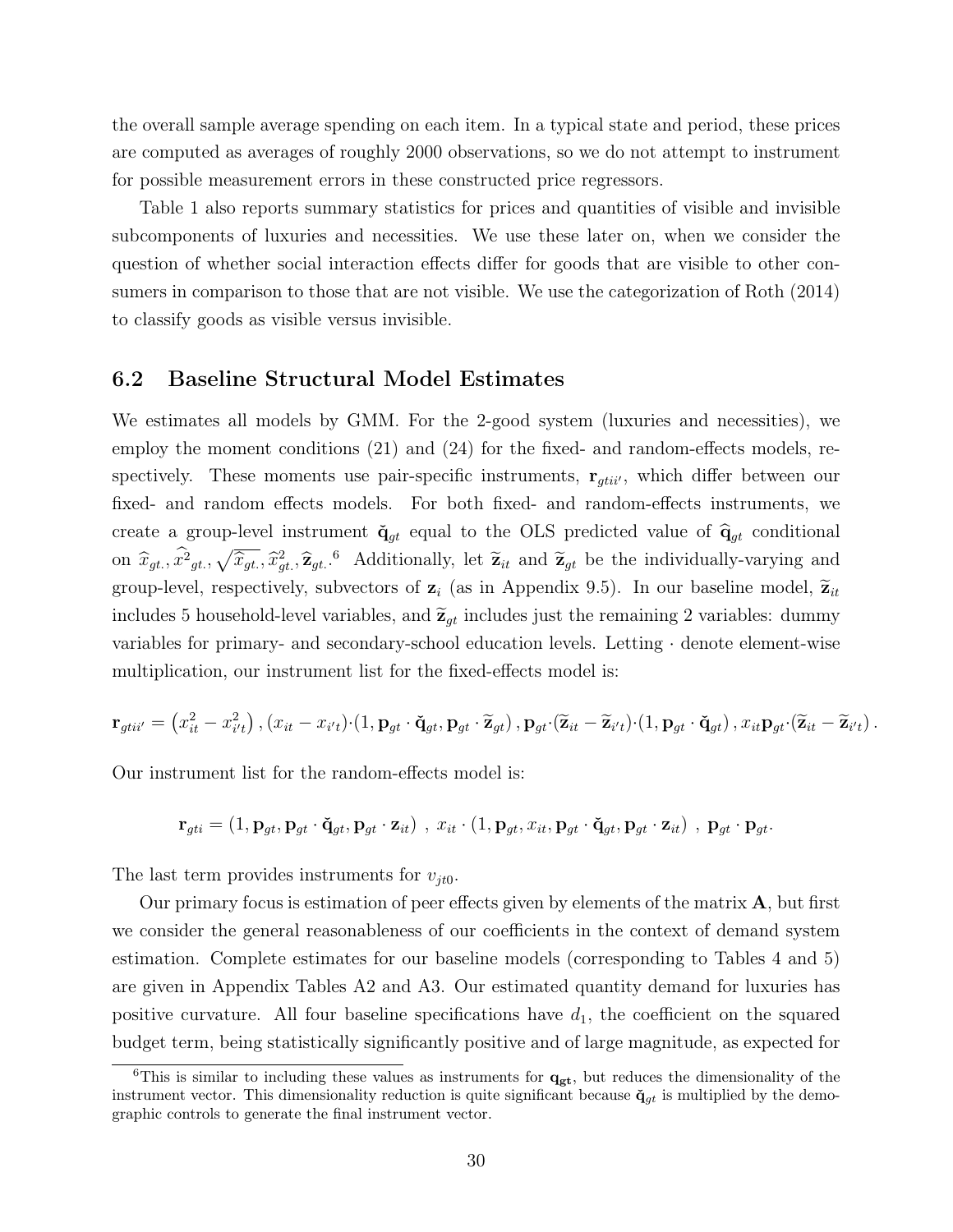the overall sample average spending on each item. In a typical state and period, these prices are computed as averages of roughly 2000 observations, so we do not attempt to instrument for possible measurement errors in these constructed price regressors.

Table 1 also reports summary statistics for prices and quantities of visible and invisible subcomponents of luxuries and necessities. We use these later on, when we consider the question of whether social interaction effects differ for goods that are visible to other consumers in comparison to those that are not visible. We use the categorization of Roth (2014) to classify goods as visible versus invisible.

#### 6.2 Baseline Structural Model Estimates

We estimates all models by GMM. For the 2-good system (luxuries and necessities), we employ the moment conditions (21) and (24) for the fixed- and random-effects models, respectively. These moments use pair-specific instruments,  $\mathbf{r}_{gtii'}$ , which differ between our fixed- and random effects models. For both fixed- and random-effects instruments, we create a group-level instrument  $\check{\mathbf{q}}_{gt}$  equal to the OLS predicted value of  $\hat{\mathbf{q}}_{gt}$  conditional on  $\hat{x}_{gt}$ ,  $\hat{x}_{gt}^2$ ,  $\sqrt{\hat{x}_{gt}}$ ,  $\hat{x}_{gt}^2$ ,  $\hat{z}_{gt}$ . <sup>6</sup> Additionally, let  $\tilde{z}_{it}$  and  $\tilde{z}_{gt}$  be the individually-varying and group-level, respectively, subvectors of  $z_i$  (as in Appendix 9.5). In our baseline model,  $\tilde{z}_{it}$ includes 5 household-level variables, and  $\tilde{\mathbf{z}}_{gt}$  includes just the remaining 2 variables: dummy variables for primary- and secondary-school education levels. Letting · denote element-wise multiplication, our instrument list for the fixed-effects model is:

$$
\mathbf{r}_{gtii'} = \left(x_{it}^2 - x_{i't}^2\right), \left(x_{it} - x_{i't}\right) \cdot \left(1, \mathbf{p}_{gt} \cdot \check{\mathbf{q}}_{gt}, \mathbf{p}_{gt} \cdot \widetilde{\mathbf{z}}_{gt}\right), \mathbf{p}_{gt} \cdot (\widetilde{\mathbf{z}}_{it} - \widetilde{\mathbf{z}}_{i't}) \cdot \left(1, \mathbf{p}_{gt} \cdot \check{\mathbf{q}}_{gt}\right), x_{it} \mathbf{p}_{gt'} (\widetilde{\mathbf{z}}_{it} - \widetilde{\mathbf{z}}_{i't})\,.
$$

Our instrument list for the random-effects model is:

 $\mathbf{r}_{gti} = (1, \mathbf{p}_{gt}, \mathbf{p}_{gt} \cdot \check{\mathbf{q}}_{gt}, \mathbf{p}_{gt} \cdot \mathbf{z}_{it})$ ,  $x_{it} \cdot (1, \mathbf{p}_{gt}, x_{it}, \mathbf{p}_{gt} \cdot \check{\mathbf{q}}_{gt}, \mathbf{p}_{gt} \cdot \mathbf{z}_{it})$ ,  $\mathbf{p}_{gt} \cdot \mathbf{p}_{gt}$ .

The last term provides instruments for  $v_{it0}$ .

Our primary focus is estimation of peer effects given by elements of the matrix  $\bf{A}$ , but first we consider the general reasonableness of our coefficients in the context of demand system estimation. Complete estimates for our baseline models (corresponding to Tables 4 and 5) are given in Appendix Tables A2 and A3. Our estimated quantity demand for luxuries has positive curvature. All four baseline specifications have  $d_1$ , the coefficient on the squared budget term, being statistically significantly positive and of large magnitude, as expected for

<sup>&</sup>lt;sup>6</sup>This is similar to including these values as instruments for  $\mathbf{q}_{gt}$ , but reduces the dimensionality of the instrument vector. This dimensionality reduction is quite significant because  $\check{q}_{gt}$  is multiplied by the demographic controls to generate the final instrument vector.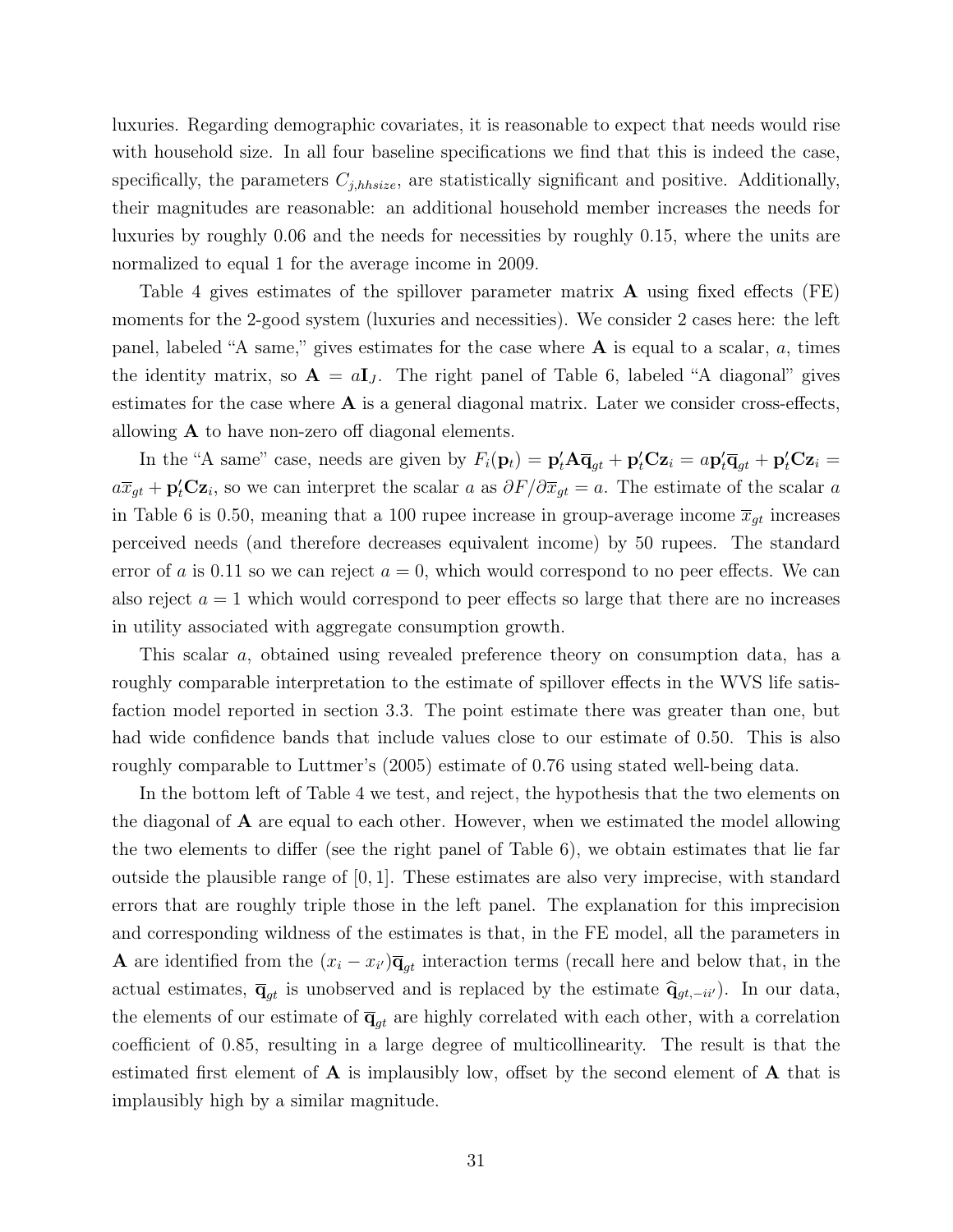luxuries. Regarding demographic covariates, it is reasonable to expect that needs would rise with household size. In all four baseline specifications we find that this is indeed the case, specifically, the parameters  $C_{j,thsize}$ , are statistically significant and positive. Additionally, their magnitudes are reasonable: an additional household member increases the needs for luxuries by roughly 0.06 and the needs for necessities by roughly 0.15, where the units are normalized to equal 1 for the average income in 2009.

Table 4 gives estimates of the spillover parameter matrix A using fixed effects (FE) moments for the 2-good system (luxuries and necessities). We consider 2 cases here: the left panel, labeled "A same," gives estimates for the case where  $A$  is equal to a scalar, a, times the identity matrix, so  $\mathbf{A} = a\mathbf{I}_J$ . The right panel of Table 6, labeled "A diagonal" gives estimates for the case where  $A$  is a general diagonal matrix. Later we consider cross-effects, allowing A to have non-zero off diagonal elements.

In the "A same" case, needs are given by  $F_i(\mathbf{p}_t) = \mathbf{p}'_t \mathbf{A} \overline{\mathbf{q}}_{gt} + \mathbf{p}'_t \mathbf{C} \mathbf{z}_i = a \mathbf{p}'_t \overline{\mathbf{q}}_{gt} + \mathbf{p}'_t \mathbf{C} \mathbf{z}_i =$  $a\overline{x}_{gt} + \mathbf{p}'_t \mathbf{C} \mathbf{z}_i$ , so we can interpret the scalar a as  $\partial F/\partial \overline{x}_{gt} = a$ . The estimate of the scalar a in Table 6 is 0.50, meaning that a 100 rupee increase in group-average income  $\overline{x}_{gt}$  increases perceived needs (and therefore decreases equivalent income) by 50 rupees. The standard error of a is 0.11 so we can reject  $a = 0$ , which would correspond to no peer effects. We can also reject  $a = 1$  which would correspond to peer effects so large that there are no increases in utility associated with aggregate consumption growth.

This scalar a, obtained using revealed preference theory on consumption data, has a roughly comparable interpretation to the estimate of spillover effects in the WVS life satisfaction model reported in section 3.3. The point estimate there was greater than one, but had wide confidence bands that include values close to our estimate of 0.50. This is also roughly comparable to Luttmer's (2005) estimate of 0.76 using stated well-being data.

In the bottom left of Table 4 we test, and reject, the hypothesis that the two elements on the diagonal of A are equal to each other. However, when we estimated the model allowing the two elements to differ (see the right panel of Table 6), we obtain estimates that lie far outside the plausible range of  $[0, 1]$ . These estimates are also very imprecise, with standard errors that are roughly triple those in the left panel. The explanation for this imprecision and corresponding wildness of the estimates is that, in the FE model, all the parameters in **A** are identified from the  $(x_i - x_{i'})\overline{\mathbf{q}}_{gt}$  interaction terms (recall here and below that, in the actual estimates,  $\overline{\mathbf{q}}_{gt}$  is unobserved and is replaced by the estimate  $\hat{\mathbf{q}}_{gt,-ii'}$ ). In our data, the elements of our estimate of  $\overline{\mathbf{q}}_{gt}$  are highly correlated with each other, with a correlation coefficient of 0.85, resulting in a large degree of multicollinearity. The result is that the estimated first element of  $\bf{A}$  is implausibly low, offset by the second element of  $\bf{A}$  that is implausibly high by a similar magnitude.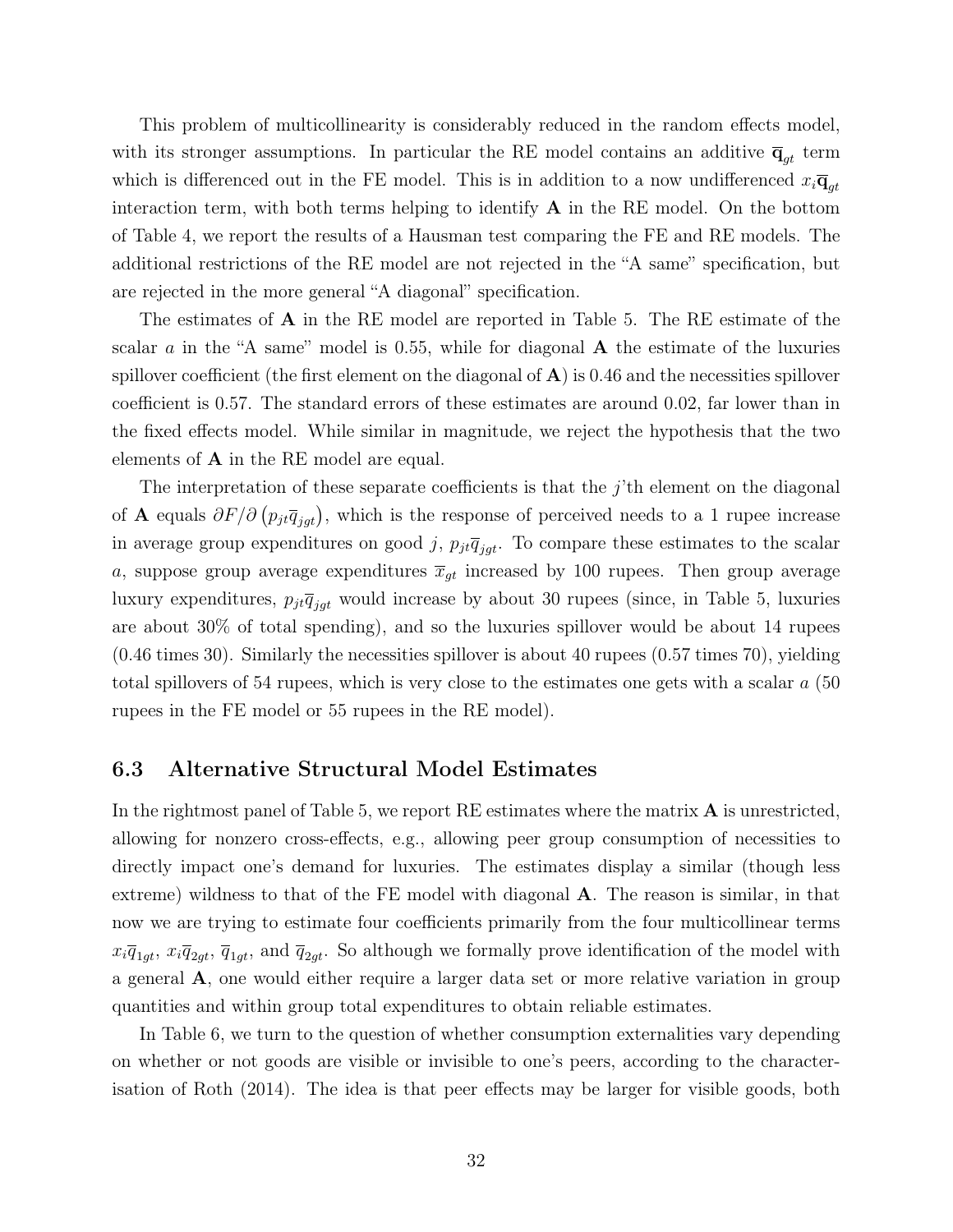This problem of multicollinearity is considerably reduced in the random effects model, with its stronger assumptions. In particular the RE model contains an additive  $\overline{\mathbf{q}}_{gt}$  term which is differenced out in the FE model. This is in addition to a now undifferenced  $x_i\overline{\mathbf{q}}_{at}$ interaction term, with both terms helping to identify  $A$  in the RE model. On the bottom of Table 4, we report the results of a Hausman test comparing the FE and RE models. The additional restrictions of the RE model are not rejected in the "A same" specification, but are rejected in the more general "A diagonal" specification.

The estimates of A in the RE model are reported in Table 5. The RE estimate of the scalar a in the "A same" model is 0.55, while for diagonal  $\bf{A}$  the estimate of the luxuries spillover coefficient (the first element on the diagonal of  $\bf{A}$ ) is 0.46 and the necessities spillover coefficient is 0.57. The standard errors of these estimates are around 0.02, far lower than in the fixed effects model. While similar in magnitude, we reject the hypothesis that the two elements of A in the RE model are equal.

The interpretation of these separate coefficients is that the  $j$ 'th element on the diagonal of A equals  $\partial F/\partial (p_{jt}\overline{q}_{jgt})$ , which is the response of perceived needs to a 1 rupee increase in average group expenditures on good j,  $p_{jt}\bar{q}_{jgt}$ . To compare these estimates to the scalar a, suppose group average expenditures  $\bar{x}_{gt}$  increased by 100 rupees. Then group average luxury expenditures,  $p_{jt}\overline{q}_{jqt}$  would increase by about 30 rupees (since, in Table 5, luxuries are about 30% of total spending), and so the luxuries spillover would be about 14 rupees (0.46 times 30). Similarly the necessities spillover is about 40 rupees (0.57 times 70), yielding total spillovers of 54 rupees, which is very close to the estimates one gets with a scalar a (50 rupees in the FE model or 55 rupees in the RE model).

#### 6.3 Alternative Structural Model Estimates

In the rightmost panel of Table 5, we report RE estimates where the matrix  $\bf{A}$  is unrestricted, allowing for nonzero cross-effects, e.g., allowing peer group consumption of necessities to directly impact one's demand for luxuries. The estimates display a similar (though less extreme) wildness to that of the FE model with diagonal A. The reason is similar, in that now we are trying to estimate four coefficients primarily from the four multicollinear terms  $x_i\overline{q}_{1gt}$ ,  $x_i\overline{q}_{2gt}$ ,  $\overline{q}_{1gt}$ , and  $\overline{q}_{2gt}$ . So although we formally prove identification of the model with a general A, one would either require a larger data set or more relative variation in group quantities and within group total expenditures to obtain reliable estimates.

In Table 6, we turn to the question of whether consumption externalities vary depending on whether or not goods are visible or invisible to one's peers, according to the characterisation of Roth (2014). The idea is that peer effects may be larger for visible goods, both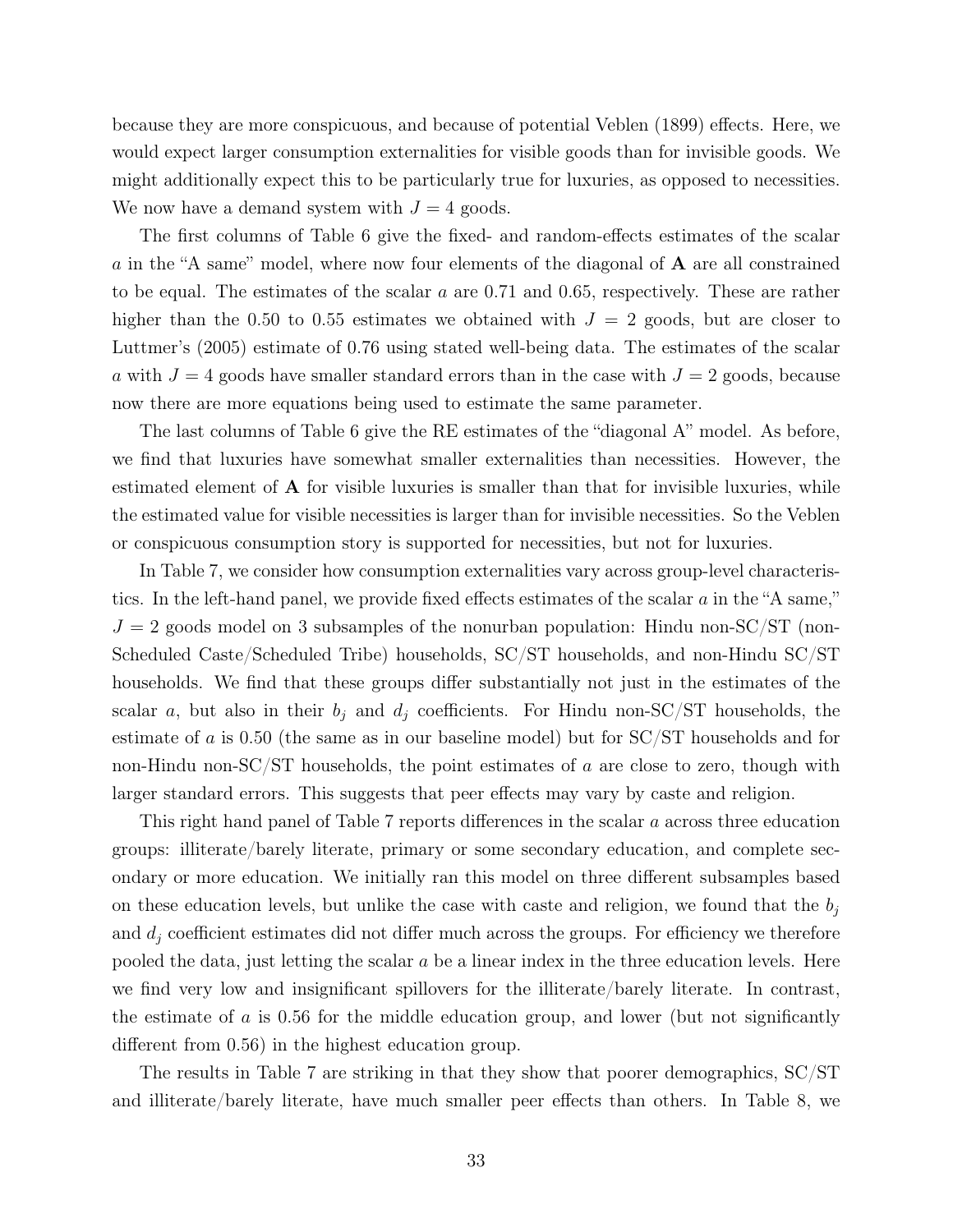because they are more conspicuous, and because of potential Veblen (1899) effects. Here, we would expect larger consumption externalities for visible goods than for invisible goods. We might additionally expect this to be particularly true for luxuries, as opposed to necessities. We now have a demand system with  $J = 4$  goods.

The first columns of Table 6 give the fixed- and random-effects estimates of the scalar a in the "A same" model, where now four elements of the diagonal of A are all constrained to be equal. The estimates of the scalar  $a$  are 0.71 and 0.65, respectively. These are rather higher than the 0.50 to 0.55 estimates we obtained with  $J = 2$  goods, but are closer to Luttmer's (2005) estimate of 0.76 using stated well-being data. The estimates of the scalar a with  $J = 4$  goods have smaller standard errors than in the case with  $J = 2$  goods, because now there are more equations being used to estimate the same parameter.

The last columns of Table 6 give the RE estimates of the "diagonal A" model. As before, we find that luxuries have somewhat smaller externalities than necessities. However, the estimated element of A for visible luxuries is smaller than that for invisible luxuries, while the estimated value for visible necessities is larger than for invisible necessities. So the Veblen or conspicuous consumption story is supported for necessities, but not for luxuries.

In Table 7, we consider how consumption externalities vary across group-level characteristics. In the left-hand panel, we provide fixed effects estimates of the scalar  $a$  in the "A same,"  $J = 2$  goods model on 3 subsamples of the nonurban population: Hindu non-SC/ST (non-Scheduled Caste/Scheduled Tribe) households, SC/ST households, and non-Hindu SC/ST households. We find that these groups differ substantially not just in the estimates of the scalar a, but also in their  $b_j$  and  $d_j$  coefficients. For Hindu non-SC/ST households, the estimate of a is 0.50 (the same as in our baseline model) but for SC/ST households and for non-Hindu non-SC/ST households, the point estimates of  $a$  are close to zero, though with larger standard errors. This suggests that peer effects may vary by caste and religion.

This right hand panel of Table 7 reports differences in the scalar a across three education groups: illiterate/barely literate, primary or some secondary education, and complete secondary or more education. We initially ran this model on three different subsamples based on these education levels, but unlike the case with caste and religion, we found that the  $b_i$ and  $d_i$  coefficient estimates did not differ much across the groups. For efficiency we therefore pooled the data, just letting the scalar  $a$  be a linear index in the three education levels. Here we find very low and insignificant spillovers for the illiterate/barely literate. In contrast, the estimate of  $\alpha$  is 0.56 for the middle education group, and lower (but not significantly different from 0.56) in the highest education group.

The results in Table 7 are striking in that they show that poorer demographics, SC/ST and illiterate/barely literate, have much smaller peer effects than others. In Table 8, we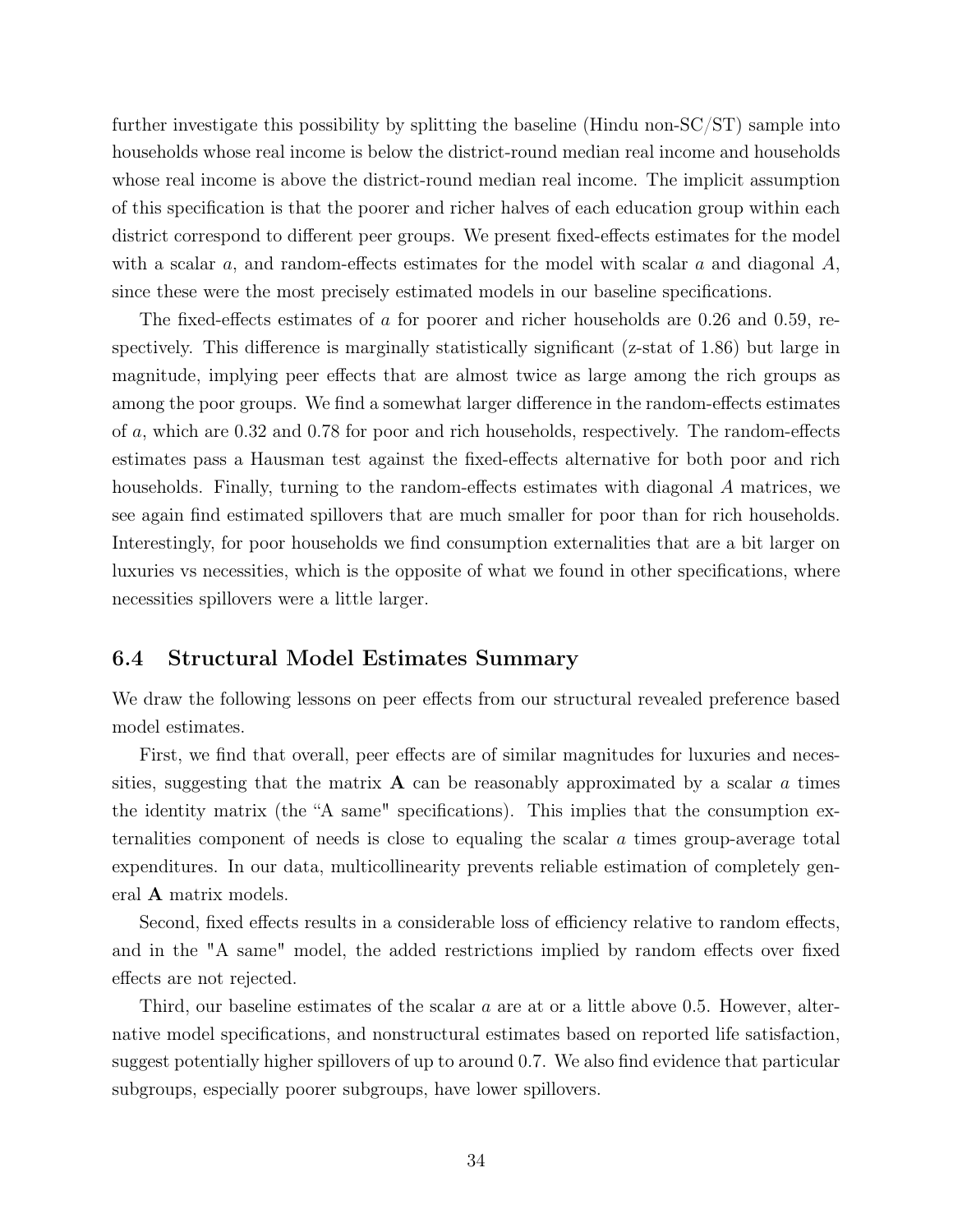further investigate this possibility by splitting the baseline (Hindu non-SC/ST) sample into households whose real income is below the district-round median real income and households whose real income is above the district-round median real income. The implicit assumption of this specification is that the poorer and richer halves of each education group within each district correspond to different peer groups. We present fixed-effects estimates for the model with a scalar  $a$ , and random-effects estimates for the model with scalar  $a$  and diagonal  $A$ , since these were the most precisely estimated models in our baseline specifications.

The fixed-effects estimates of a for poorer and richer households are 0.26 and 0.59, respectively. This difference is marginally statistically significant (z-stat of 1.86) but large in magnitude, implying peer effects that are almost twice as large among the rich groups as among the poor groups. We find a somewhat larger difference in the random-effects estimates of a, which are 0.32 and 0.78 for poor and rich households, respectively. The random-effects estimates pass a Hausman test against the fixed-effects alternative for both poor and rich households. Finally, turning to the random-effects estimates with diagonal A matrices, we see again find estimated spillovers that are much smaller for poor than for rich households. Interestingly, for poor households we find consumption externalities that are a bit larger on luxuries vs necessities, which is the opposite of what we found in other specifications, where necessities spillovers were a little larger.

#### 6.4 Structural Model Estimates Summary

We draw the following lessons on peer effects from our structural revealed preference based model estimates.

First, we find that overall, peer effects are of similar magnitudes for luxuries and necessities, suggesting that the matrix  $\bf{A}$  can be reasonably approximated by a scalar a times the identity matrix (the "A same" specifications). This implies that the consumption externalities component of needs is close to equaling the scalar a times group-average total expenditures. In our data, multicollinearity prevents reliable estimation of completely general A matrix models.

Second, fixed effects results in a considerable loss of efficiency relative to random effects, and in the "A same" model, the added restrictions implied by random effects over fixed effects are not rejected.

Third, our baseline estimates of the scalar a are at or a little above 0.5. However, alternative model specifications, and nonstructural estimates based on reported life satisfaction, suggest potentially higher spillovers of up to around 0.7. We also find evidence that particular subgroups, especially poorer subgroups, have lower spillovers.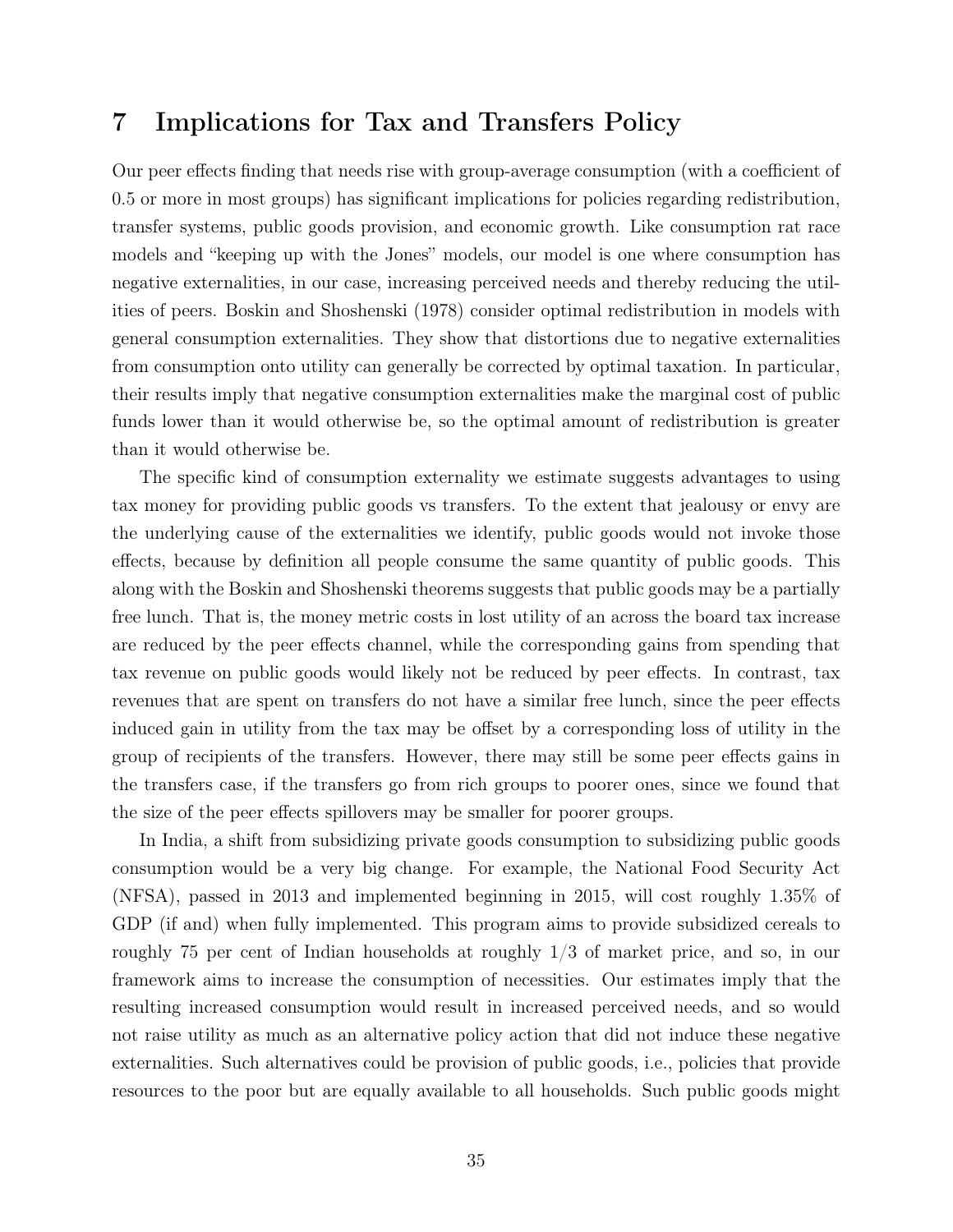## 7 Implications for Tax and Transfers Policy

Our peer effects finding that needs rise with group-average consumption (with a coefficient of 0.5 or more in most groups) has significant implications for policies regarding redistribution, transfer systems, public goods provision, and economic growth. Like consumption rat race models and "keeping up with the Jones" models, our model is one where consumption has negative externalities, in our case, increasing perceived needs and thereby reducing the utilities of peers. Boskin and Shoshenski (1978) consider optimal redistribution in models with general consumption externalities. They show that distortions due to negative externalities from consumption onto utility can generally be corrected by optimal taxation. In particular, their results imply that negative consumption externalities make the marginal cost of public funds lower than it would otherwise be, so the optimal amount of redistribution is greater than it would otherwise be.

The specific kind of consumption externality we estimate suggests advantages to using tax money for providing public goods vs transfers. To the extent that jealousy or envy are the underlying cause of the externalities we identify, public goods would not invoke those effects, because by definition all people consume the same quantity of public goods. This along with the Boskin and Shoshenski theorems suggests that public goods may be a partially free lunch. That is, the money metric costs in lost utility of an across the board tax increase are reduced by the peer effects channel, while the corresponding gains from spending that tax revenue on public goods would likely not be reduced by peer effects. In contrast, tax revenues that are spent on transfers do not have a similar free lunch, since the peer effects induced gain in utility from the tax may be offset by a corresponding loss of utility in the group of recipients of the transfers. However, there may still be some peer effects gains in the transfers case, if the transfers go from rich groups to poorer ones, since we found that the size of the peer effects spillovers may be smaller for poorer groups.

In India, a shift from subsidizing private goods consumption to subsidizing public goods consumption would be a very big change. For example, the National Food Security Act (NFSA), passed in 2013 and implemented beginning in 2015, will cost roughly 1.35% of GDP (if and) when fully implemented. This program aims to provide subsidized cereals to roughly 75 per cent of Indian households at roughly 1/3 of market price, and so, in our framework aims to increase the consumption of necessities. Our estimates imply that the resulting increased consumption would result in increased perceived needs, and so would not raise utility as much as an alternative policy action that did not induce these negative externalities. Such alternatives could be provision of public goods, i.e., policies that provide resources to the poor but are equally available to all households. Such public goods might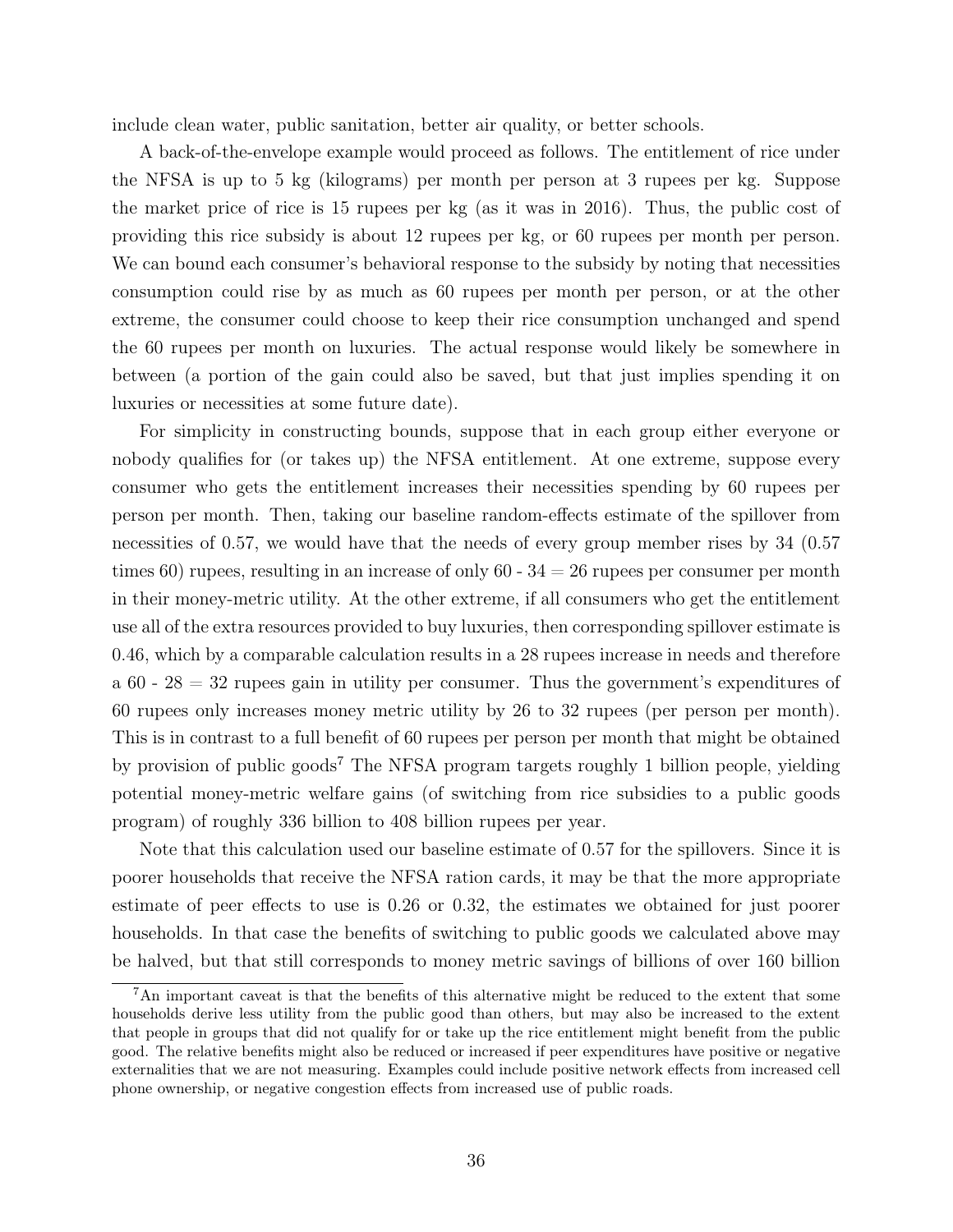include clean water, public sanitation, better air quality, or better schools.

A back-of-the-envelope example would proceed as follows. The entitlement of rice under the NFSA is up to 5 kg (kilograms) per month per person at 3 rupees per kg. Suppose the market price of rice is 15 rupees per kg (as it was in 2016). Thus, the public cost of providing this rice subsidy is about 12 rupees per kg, or 60 rupees per month per person. We can bound each consumer's behavioral response to the subsidy by noting that necessities consumption could rise by as much as 60 rupees per month per person, or at the other extreme, the consumer could choose to keep their rice consumption unchanged and spend the 60 rupees per month on luxuries. The actual response would likely be somewhere in between (a portion of the gain could also be saved, but that just implies spending it on luxuries or necessities at some future date).

For simplicity in constructing bounds, suppose that in each group either everyone or nobody qualifies for (or takes up) the NFSA entitlement. At one extreme, suppose every consumer who gets the entitlement increases their necessities spending by 60 rupees per person per month. Then, taking our baseline random-effects estimate of the spillover from necessities of 0.57, we would have that the needs of every group member rises by 34 (0.57) times 60) rupees, resulting in an increase of only 60 -  $34 = 26$  rupees per consumer per month in their money-metric utility. At the other extreme, if all consumers who get the entitlement use all of the extra resources provided to buy luxuries, then corresponding spillover estimate is 0.46, which by a comparable calculation results in a 28 rupees increase in needs and therefore a  $60 - 28 = 32$  rupees gain in utility per consumer. Thus the government's expenditures of 60 rupees only increases money metric utility by 26 to 32 rupees (per person per month). This is in contrast to a full benefit of 60 rupees per person per month that might be obtained by provision of public goods<sup>7</sup> The NFSA program targets roughly 1 billion people, yielding potential money-metric welfare gains (of switching from rice subsidies to a public goods program) of roughly 336 billion to 408 billion rupees per year.

Note that this calculation used our baseline estimate of 0.57 for the spillovers. Since it is poorer households that receive the NFSA ration cards, it may be that the more appropriate estimate of peer effects to use is 0.26 or 0.32, the estimates we obtained for just poorer households. In that case the benefits of switching to public goods we calculated above may be halved, but that still corresponds to money metric savings of billions of over 160 billion

<sup>7</sup>An important caveat is that the benefits of this alternative might be reduced to the extent that some households derive less utility from the public good than others, but may also be increased to the extent that people in groups that did not qualify for or take up the rice entitlement might benefit from the public good. The relative benefits might also be reduced or increased if peer expenditures have positive or negative externalities that we are not measuring. Examples could include positive network effects from increased cell phone ownership, or negative congestion effects from increased use of public roads.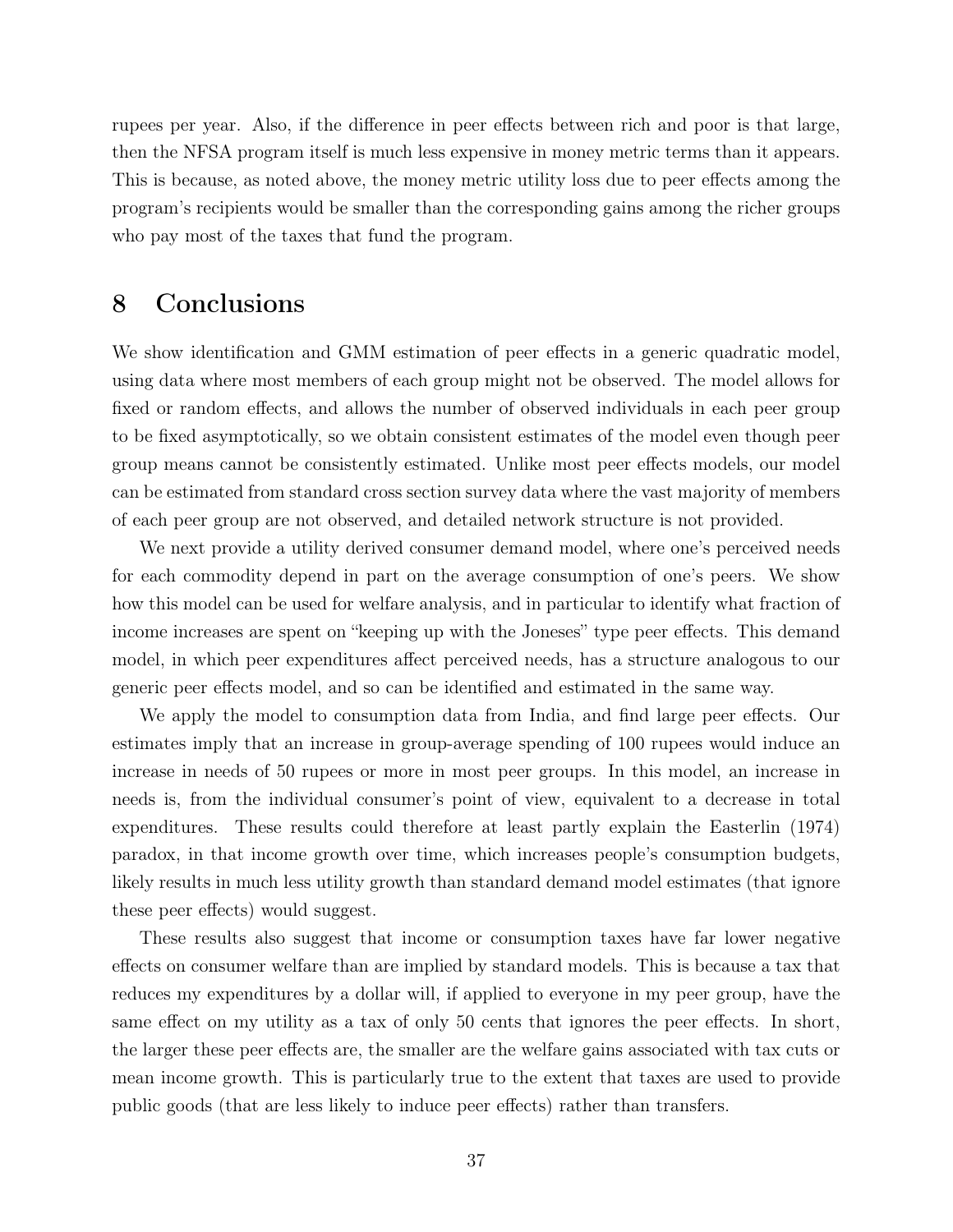rupees per year. Also, if the difference in peer effects between rich and poor is that large, then the NFSA program itself is much less expensive in money metric terms than it appears. This is because, as noted above, the money metric utility loss due to peer effects among the program's recipients would be smaller than the corresponding gains among the richer groups who pay most of the taxes that fund the program.

## 8 Conclusions

We show identification and GMM estimation of peer effects in a generic quadratic model, using data where most members of each group might not be observed. The model allows for fixed or random effects, and allows the number of observed individuals in each peer group to be fixed asymptotically, so we obtain consistent estimates of the model even though peer group means cannot be consistently estimated. Unlike most peer effects models, our model can be estimated from standard cross section survey data where the vast majority of members of each peer group are not observed, and detailed network structure is not provided.

We next provide a utility derived consumer demand model, where one's perceived needs for each commodity depend in part on the average consumption of one's peers. We show how this model can be used for welfare analysis, and in particular to identify what fraction of income increases are spent on "keeping up with the Joneses" type peer effects. This demand model, in which peer expenditures affect perceived needs, has a structure analogous to our generic peer effects model, and so can be identified and estimated in the same way.

We apply the model to consumption data from India, and find large peer effects. Our estimates imply that an increase in group-average spending of 100 rupees would induce an increase in needs of 50 rupees or more in most peer groups. In this model, an increase in needs is, from the individual consumer's point of view, equivalent to a decrease in total expenditures. These results could therefore at least partly explain the Easterlin (1974) paradox, in that income growth over time, which increases people's consumption budgets, likely results in much less utility growth than standard demand model estimates (that ignore these peer effects) would suggest.

These results also suggest that income or consumption taxes have far lower negative effects on consumer welfare than are implied by standard models. This is because a tax that reduces my expenditures by a dollar will, if applied to everyone in my peer group, have the same effect on my utility as a tax of only 50 cents that ignores the peer effects. In short, the larger these peer effects are, the smaller are the welfare gains associated with tax cuts or mean income growth. This is particularly true to the extent that taxes are used to provide public goods (that are less likely to induce peer effects) rather than transfers.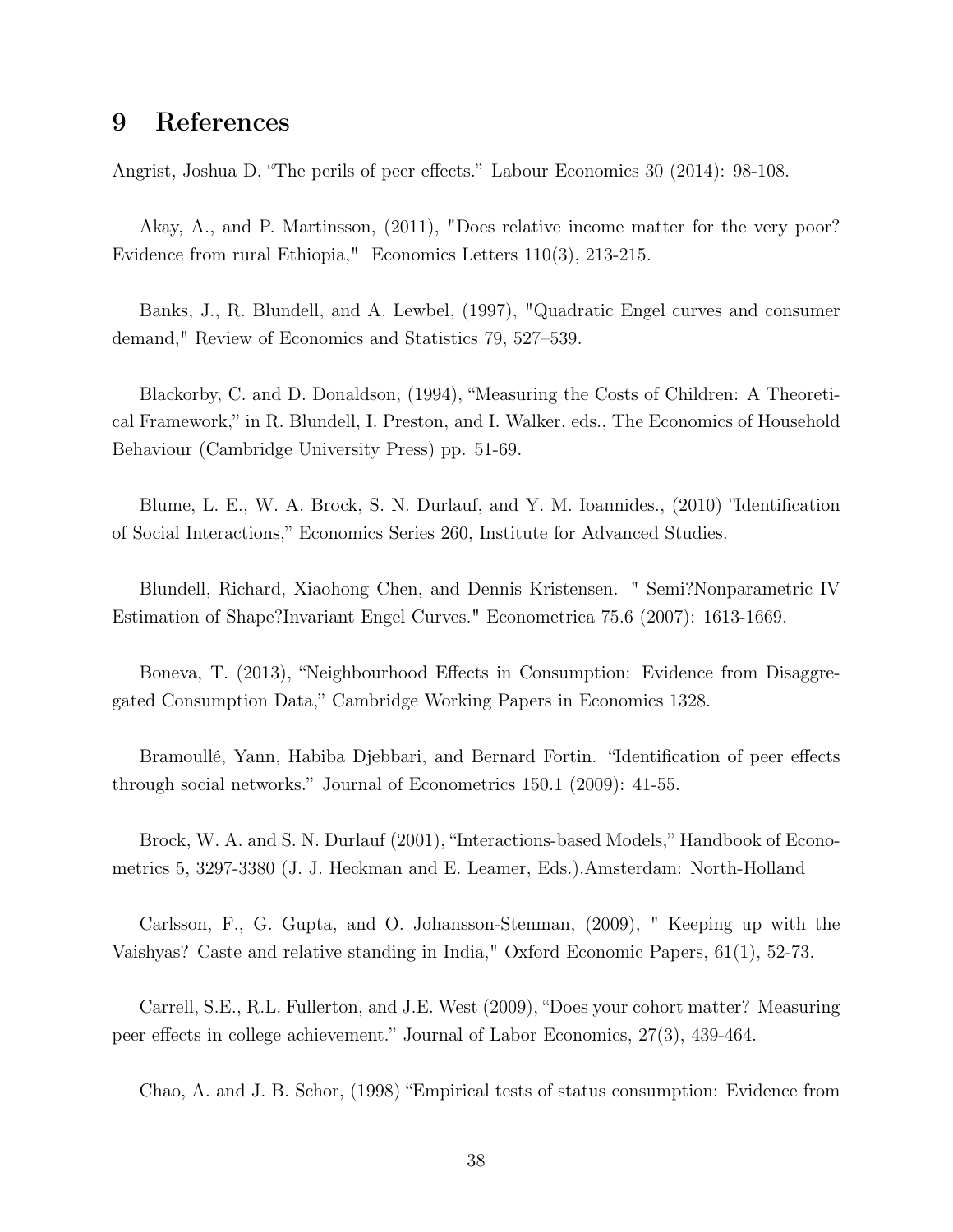## 9 References

Angrist, Joshua D. "The perils of peer effects." Labour Economics 30 (2014): 98-108.

Akay, A., and P. Martinsson, (2011), "Does relative income matter for the very poor? Evidence from rural Ethiopia," Economics Letters 110(3), 213-215.

Banks, J., R. Blundell, and A. Lewbel, (1997), "Quadratic Engel curves and consumer demand," Review of Economics and Statistics 79, 527–539.

Blackorby, C. and D. Donaldson, (1994), "Measuring the Costs of Children: A Theoretical Framework," in R. Blundell, I. Preston, and I. Walker, eds., The Economics of Household Behaviour (Cambridge University Press) pp. 51-69.

Blume, L. E., W. A. Brock, S. N. Durlauf, and Y. M. Ioannides., (2010) "Identification of Social Interactions," Economics Series 260, Institute for Advanced Studies.

Blundell, Richard, Xiaohong Chen, and Dennis Kristensen. " Semi?Nonparametric IV Estimation of Shape?Invariant Engel Curves." Econometrica 75.6 (2007): 1613-1669.

Boneva, T. (2013), "Neighbourhood Effects in Consumption: Evidence from Disaggregated Consumption Data," Cambridge Working Papers in Economics 1328.

Bramoullé, Yann, Habiba Djebbari, and Bernard Fortin. "Identification of peer effects through social networks." Journal of Econometrics 150.1 (2009): 41-55.

Brock, W. A. and S. N. Durlauf (2001), "Interactions-based Models," Handbook of Econometrics 5, 3297-3380 (J. J. Heckman and E. Leamer, Eds.).Amsterdam: North-Holland

Carlsson, F., G. Gupta, and O. Johansson-Stenman, (2009), " Keeping up with the Vaishyas? Caste and relative standing in India," Oxford Economic Papers, 61(1), 52-73.

Carrell, S.E., R.L. Fullerton, and J.E. West (2009), "Does your cohort matter? Measuring peer effects in college achievement." Journal of Labor Economics, 27(3), 439-464.

Chao, A. and J. B. Schor, (1998) "Empirical tests of status consumption: Evidence from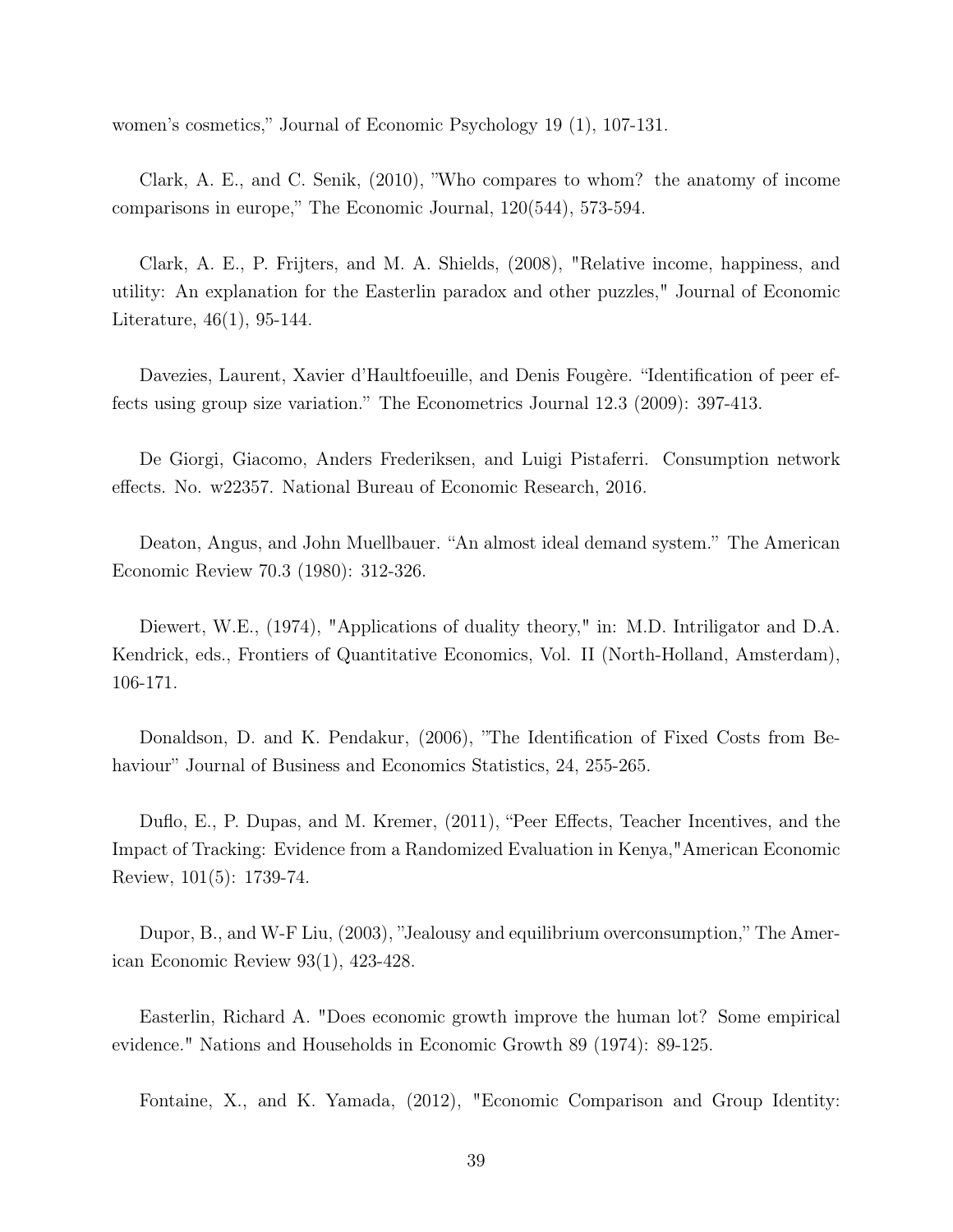women's cosmetics," Journal of Economic Psychology 19 (1), 107-131.

Clark, A. E., and C. Senik, (2010), "Who compares to whom? the anatomy of income comparisons in europe," The Economic Journal, 120(544), 573-594.

Clark, A. E., P. Frijters, and M. A. Shields, (2008), "Relative income, happiness, and utility: An explanation for the Easterlin paradox and other puzzles," Journal of Economic Literature, 46(1), 95-144.

Davezies, Laurent, Xavier d'Haultfoeuille, and Denis Fougère. "Identification of peer effects using group size variation." The Econometrics Journal 12.3 (2009): 397-413.

De Giorgi, Giacomo, Anders Frederiksen, and Luigi Pistaferri. Consumption network effects. No. w22357. National Bureau of Economic Research, 2016.

Deaton, Angus, and John Muellbauer. "An almost ideal demand system." The American Economic Review 70.3 (1980): 312-326.

Diewert, W.E., (1974), "Applications of duality theory," in: M.D. Intriligator and D.A. Kendrick, eds., Frontiers of Quantitative Economics, Vol. II (North-Holland, Amsterdam), 106-171.

Donaldson, D. and K. Pendakur, (2006), "The Identification of Fixed Costs from Behaviour" Journal of Business and Economics Statistics, 24, 255-265.

Duflo, E., P. Dupas, and M. Kremer, (2011), "Peer Effects, Teacher Incentives, and the Impact of Tracking: Evidence from a Randomized Evaluation in Kenya,"American Economic Review, 101(5): 1739-74.

Dupor, B., and W-F Liu, (2003), "Jealousy and equilibrium overconsumption," The American Economic Review 93(1), 423-428.

Easterlin, Richard A. "Does economic growth improve the human lot? Some empirical evidence." Nations and Households in Economic Growth 89 (1974): 89-125.

Fontaine, X., and K. Yamada, (2012), "Economic Comparison and Group Identity: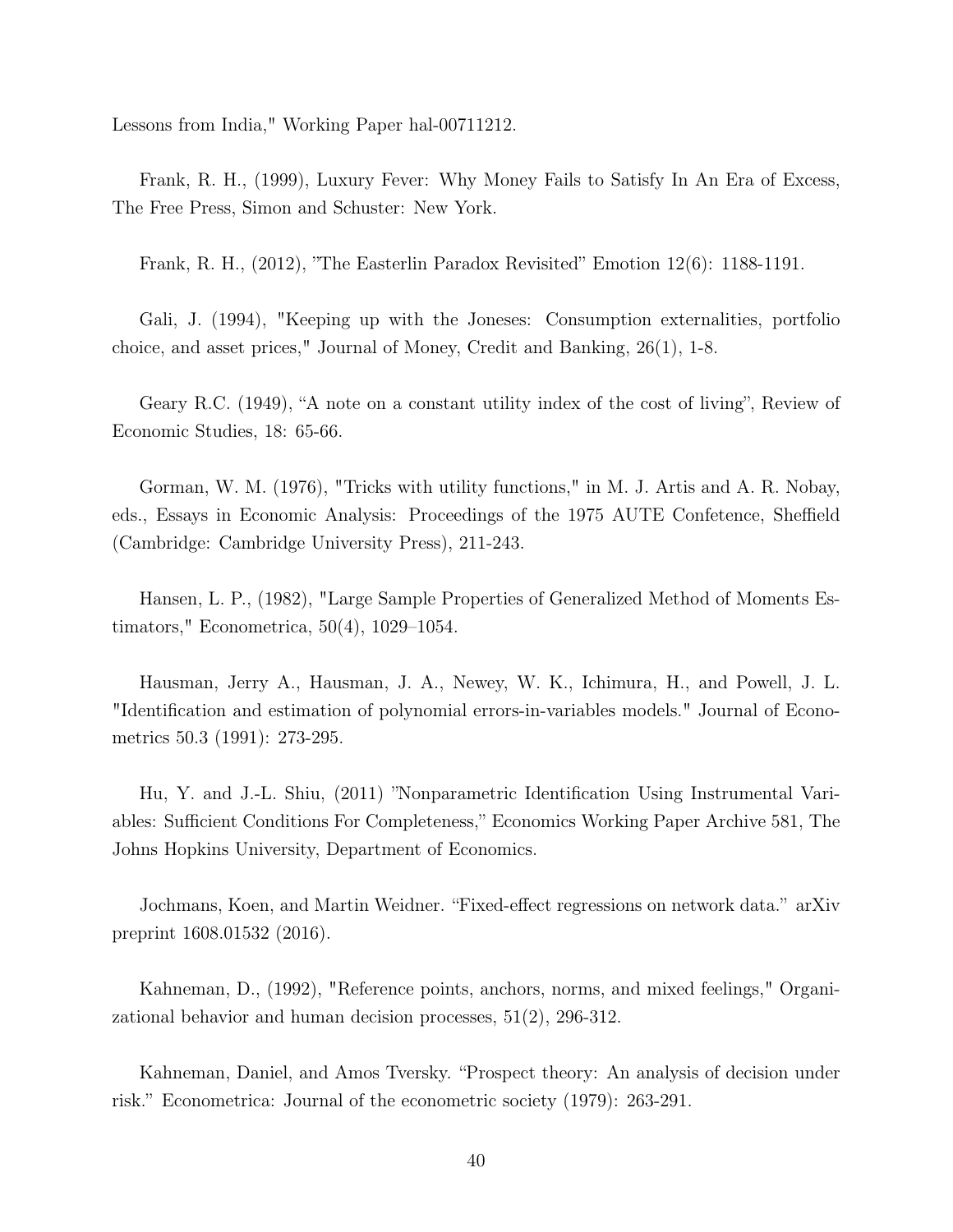Lessons from India," Working Paper hal-00711212.

Frank, R. H., (1999), Luxury Fever: Why Money Fails to Satisfy In An Era of Excess, The Free Press, Simon and Schuster: New York.

Frank, R. H., (2012), "The Easterlin Paradox Revisited" Emotion 12(6): 1188-1191.

Gali, J. (1994), "Keeping up with the Joneses: Consumption externalities, portfolio choice, and asset prices," Journal of Money, Credit and Banking, 26(1), 1-8.

Geary R.C. (1949), "A note on a constant utility index of the cost of living", Review of Economic Studies, 18: 65-66.

Gorman, W. M. (1976), "Tricks with utility functions," in M. J. Artis and A. R. Nobay, eds., Essays in Economic Analysis: Proceedings of the 1975 AUTE Confetence, Sheffield (Cambridge: Cambridge University Press), 211-243.

Hansen, L. P., (1982), "Large Sample Properties of Generalized Method of Moments Estimators," Econometrica, 50(4), 1029–1054.

Hausman, Jerry A., Hausman, J. A., Newey, W. K., Ichimura, H., and Powell, J. L. "Identification and estimation of polynomial errors-in-variables models." Journal of Econometrics 50.3 (1991): 273-295.

Hu, Y. and J.-L. Shiu, (2011) "Nonparametric Identification Using Instrumental Variables: Sufficient Conditions For Completeness," Economics Working Paper Archive 581, The Johns Hopkins University, Department of Economics.

Jochmans, Koen, and Martin Weidner. "Fixed-effect regressions on network data." arXiv preprint 1608.01532 (2016).

Kahneman, D., (1992), "Reference points, anchors, norms, and mixed feelings," Organizational behavior and human decision processes, 51(2), 296-312.

Kahneman, Daniel, and Amos Tversky. "Prospect theory: An analysis of decision under risk." Econometrica: Journal of the econometric society (1979): 263-291.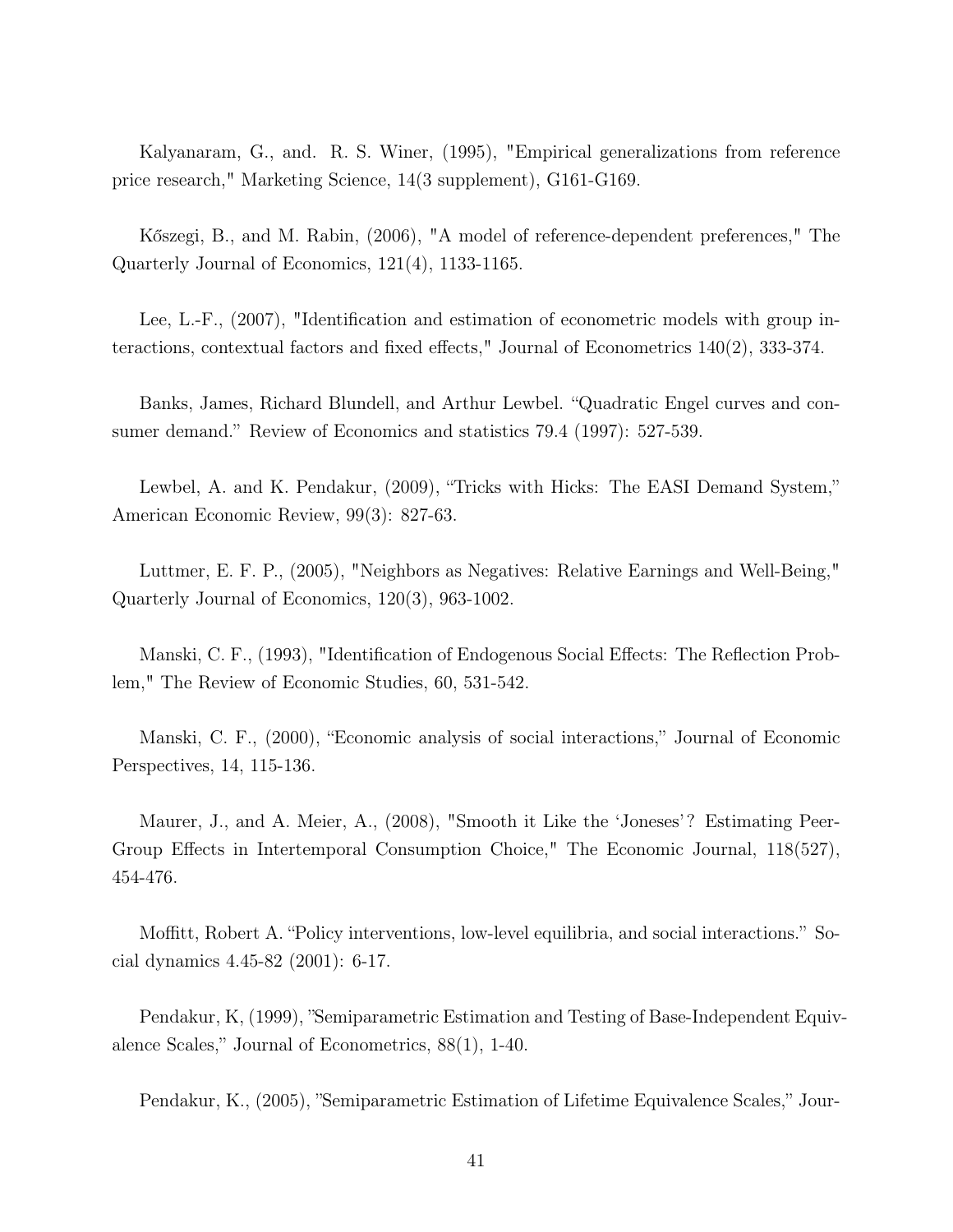Kalyanaram, G., and. R. S. Winer, (1995), "Empirical generalizations from reference price research," Marketing Science, 14(3 supplement), G161-G169.

Kőszegi, B., and M. Rabin, (2006), "A model of reference-dependent preferences," The Quarterly Journal of Economics, 121(4), 1133-1165.

Lee, L.-F., (2007), "Identification and estimation of econometric models with group interactions, contextual factors and fixed effects," Journal of Econometrics 140(2), 333-374.

Banks, James, Richard Blundell, and Arthur Lewbel. "Quadratic Engel curves and consumer demand." Review of Economics and statistics 79.4 (1997): 527-539.

Lewbel, A. and K. Pendakur, (2009), "Tricks with Hicks: The EASI Demand System," American Economic Review, 99(3): 827-63.

Luttmer, E. F. P., (2005), "Neighbors as Negatives: Relative Earnings and Well-Being," Quarterly Journal of Economics, 120(3), 963-1002.

Manski, C. F., (1993), "Identification of Endogenous Social Effects: The Reflection Problem," The Review of Economic Studies, 60, 531-542.

Manski, C. F., (2000), "Economic analysis of social interactions," Journal of Economic Perspectives, 14, 115-136.

Maurer, J., and A. Meier, A., (2008), "Smooth it Like the 'Joneses'? Estimating Peer-Group Effects in Intertemporal Consumption Choice," The Economic Journal, 118(527), 454-476.

Moffitt, Robert A. "Policy interventions, low-level equilibria, and social interactions." Social dynamics 4.45-82 (2001): 6-17.

Pendakur, K, (1999), "Semiparametric Estimation and Testing of Base-Independent Equivalence Scales," Journal of Econometrics, 88(1), 1-40.

Pendakur, K., (2005), "Semiparametric Estimation of Lifetime Equivalence Scales," Jour-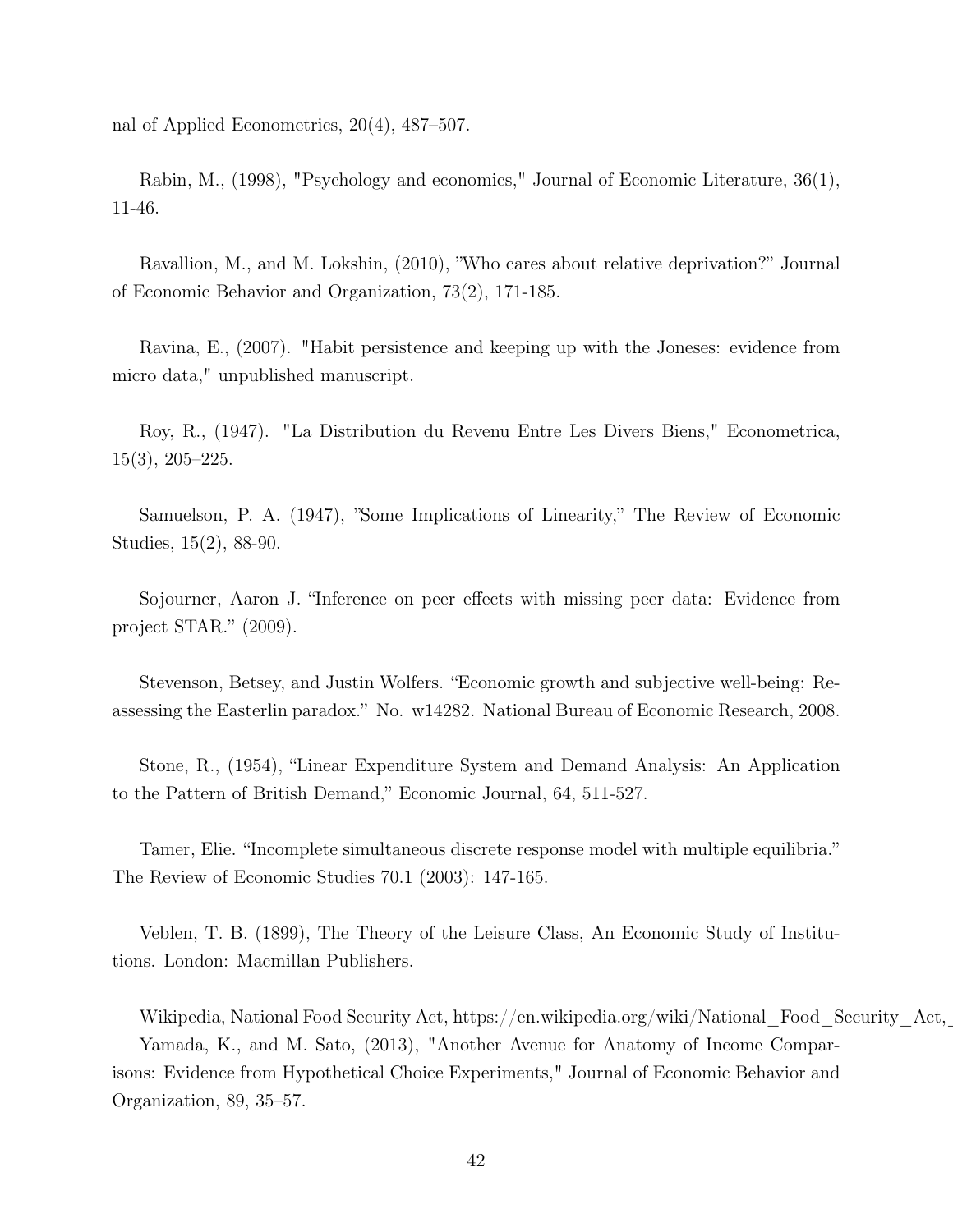nal of Applied Econometrics, 20(4), 487–507.

Rabin, M., (1998), "Psychology and economics," Journal of Economic Literature, 36(1), 11-46.

Ravallion, M., and M. Lokshin, (2010), "Who cares about relative deprivation?" Journal of Economic Behavior and Organization, 73(2), 171-185.

Ravina, E., (2007). "Habit persistence and keeping up with the Joneses: evidence from micro data," unpublished manuscript.

Roy, R., (1947). "La Distribution du Revenu Entre Les Divers Biens," Econometrica, 15(3), 205–225.

Samuelson, P. A. (1947), "Some Implications of Linearity," The Review of Economic Studies, 15(2), 88-90.

Sojourner, Aaron J. "Inference on peer effects with missing peer data: Evidence from project STAR." (2009).

Stevenson, Betsey, and Justin Wolfers. "Economic growth and subjective well-being: Reassessing the Easterlin paradox." No. w14282. National Bureau of Economic Research, 2008.

Stone, R., (1954), "Linear Expenditure System and Demand Analysis: An Application to the Pattern of British Demand," Economic Journal, 64, 511-527.

Tamer, Elie. "Incomplete simultaneous discrete response model with multiple equilibria." The Review of Economic Studies 70.1 (2003): 147-165.

Veblen, T. B. (1899), The Theory of the Leisure Class, An Economic Study of Institutions. London: Macmillan Publishers.

Wikipedia, National Food Security Act, https://en.wikipedia.org/wiki/National\_Food\_Security\_Act,\_ Yamada, K., and M. Sato, (2013), "Another Avenue for Anatomy of Income Comparisons: Evidence from Hypothetical Choice Experiments," Journal of Economic Behavior and Organization, 89, 35–57.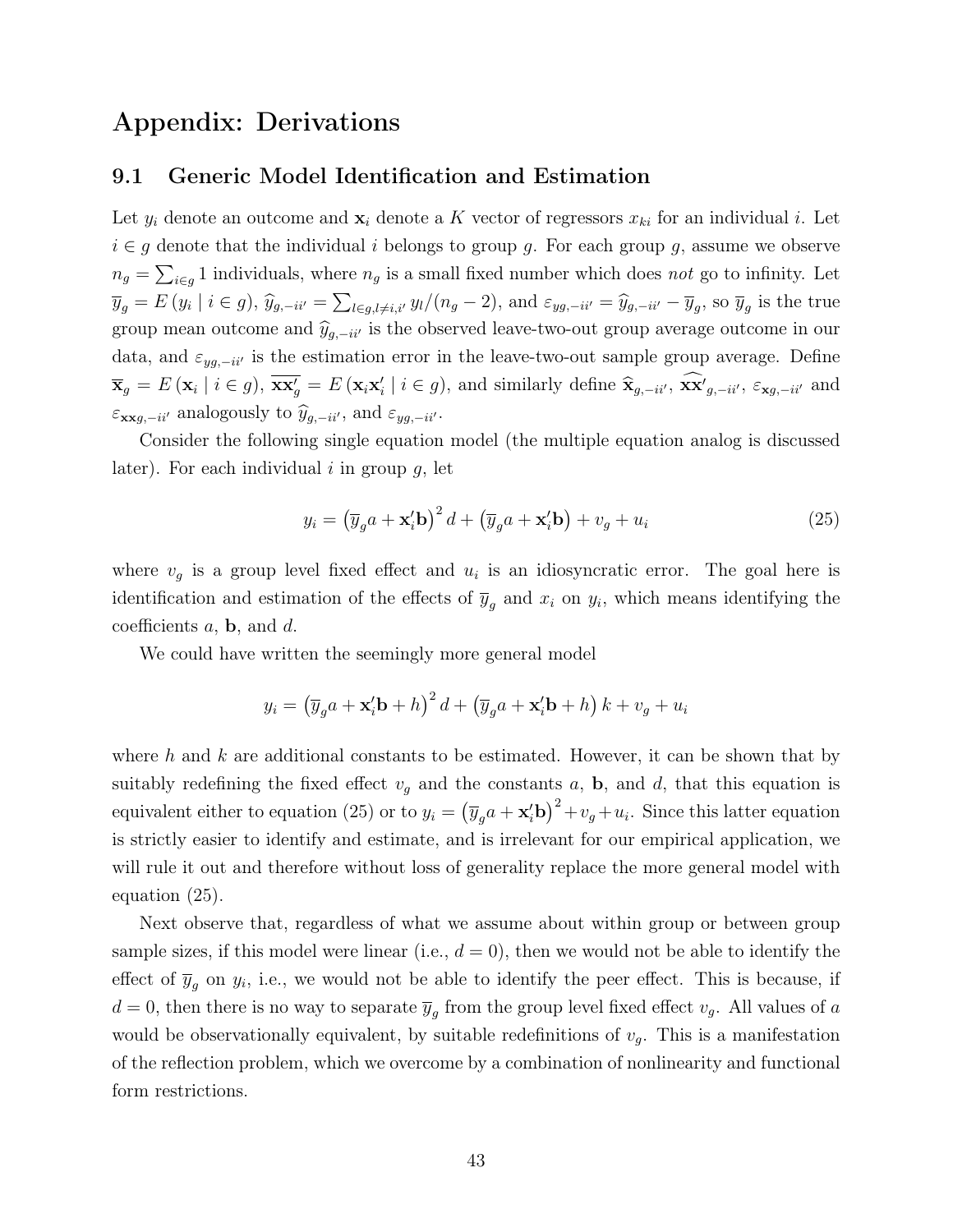## Appendix: Derivations

#### 9.1 Generic Model Identification and Estimation

Let  $y_i$  denote an outcome and  $\mathbf{x}_i$  denote a K vector of regressors  $x_{ki}$  for an individual i. Let  $i \in g$  denote that the individual i belongs to group g. For each group g, assume we observe  $n_g = \sum_{i \in g} 1$  individuals, where  $n_g$  is a small fixed number which does not go to infinity. Let  $\overline{y}_g = E(y_i \mid i \in g), \ \widehat{y}_{g,-ii'} = \sum_{l \in g, l \neq i,i'} y_l/(n_g - 2), \text{ and } \varepsilon_{yg,-ii'} = \widehat{y}_{g,-ii'} - \overline{y}_g, \text{ so } \overline{y}_g \text{ is the true}$ group mean outcome and  $\hat{y}_{g,-ii'}$  is the observed leave-two-out group average outcome in our data, and  $\varepsilon_{yg,-ii'}$  is the estimation error in the leave-two-out sample group average. Define  $\overline{\mathbf{x}}_g = E(\mathbf{x}_i | i \in g), \overline{\mathbf{x} \mathbf{x}'_g} = E(\mathbf{x}_i \mathbf{x}'_i | i \in g),$  and similarly define  $\hat{\mathbf{x}}_{g,-ii'}, \overline{\mathbf{x} \mathbf{x}'}_{g,-ii'}, \varepsilon_{\mathbf{x}g,-ii'}$  and  $\varepsilon_{\mathbf{xx}g,-ii'}$  analogously to  $\hat{y}_{g,-ii'}$ , and  $\varepsilon_{yg,-ii'}$ .

Consider the following single equation model (the multiple equation analog is discussed later). For each individual  $i$  in group  $g$ , let

$$
y_i = \left(\overline{y}_g a + \mathbf{x}_i' \mathbf{b}\right)^2 d + \left(\overline{y}_g a + \mathbf{x}_i' \mathbf{b}\right) + v_g + u_i \tag{25}
$$

where  $v<sub>g</sub>$  is a group level fixed effect and  $u<sub>i</sub>$  is an idiosyncratic error. The goal here is identification and estimation of the effects of  $\overline{y}_g$  and  $x_i$  on  $y_i$ , which means identifying the coefficients  $a$ ,  $b$ , and  $d$ .

We could have written the seemingly more general model

$$
y_i = \left(\overline{y}_g a + \mathbf{x}_i' \mathbf{b} + h\right)^2 d + \left(\overline{y}_g a + \mathbf{x}_i' \mathbf{b} + h\right) k + v_g + u_i
$$

where h and k are additional constants to be estimated. However, it can be shown that by suitably redefining the fixed effect  $v<sub>g</sub>$  and the constants a, b, and d, that this equation is equivalent either to equation (25) or to  $y_i = (\overline{y}_g a + \mathbf{x}_i' \mathbf{b})^2 + v_g + u_i$ . Since this latter equation is strictly easier to identify and estimate, and is irrelevant for our empirical application, we will rule it out and therefore without loss of generality replace the more general model with equation (25).

Next observe that, regardless of what we assume about within group or between group sample sizes, if this model were linear (i.e.,  $d = 0$ ), then we would not be able to identify the effect of  $\overline{y}_g$  on  $y_i$ , i.e., we would not be able to identify the peer effect. This is because, if  $d = 0$ , then there is no way to separate  $\overline{y}_g$  from the group level fixed effect  $v_g$ . All values of a would be observationally equivalent, by suitable redefinitions of  $v<sub>g</sub>$ . This is a manifestation of the reflection problem, which we overcome by a combination of nonlinearity and functional form restrictions.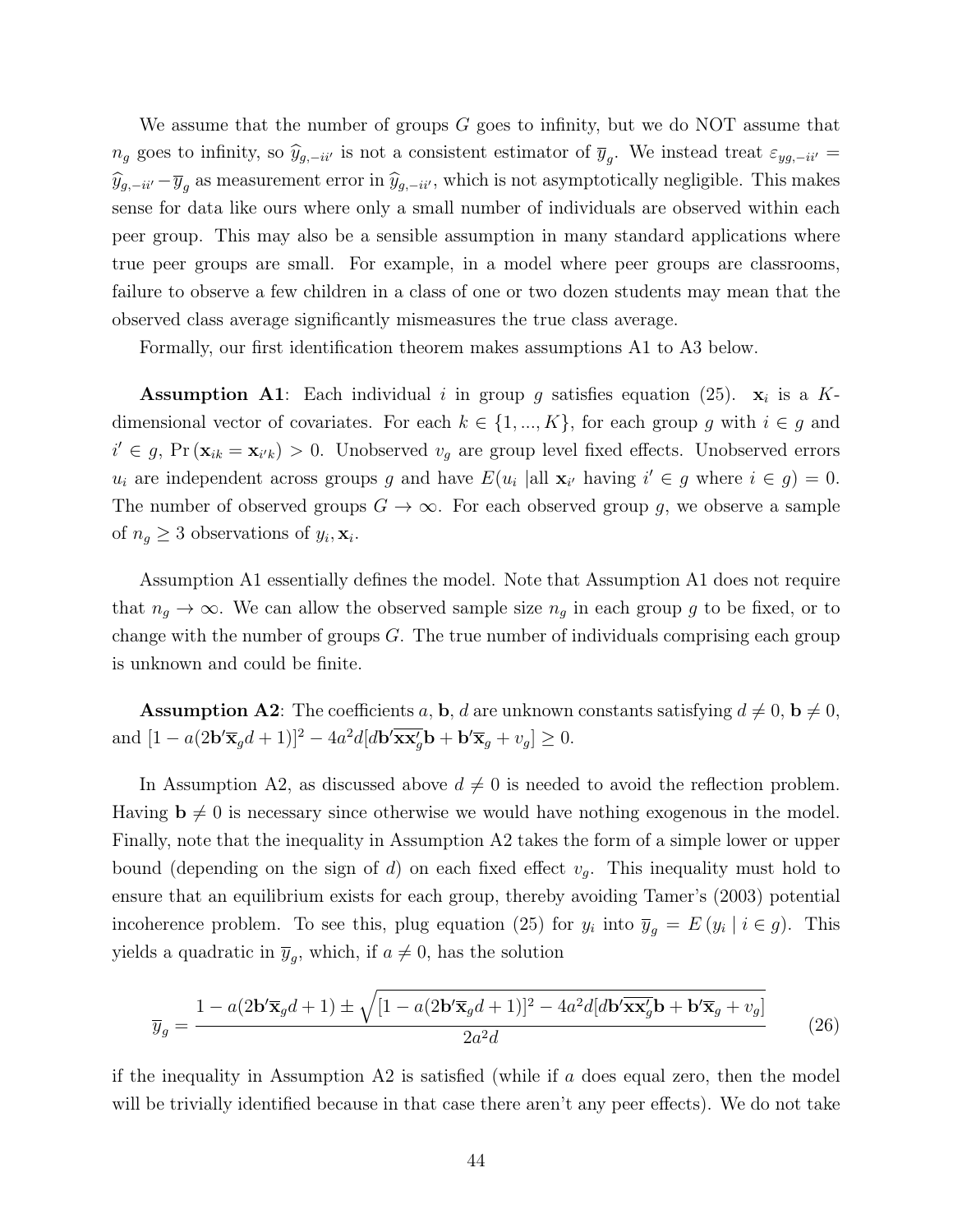We assume that the number of groups  $G$  goes to infinity, but we do NOT assume that  $n_g$  goes to infinity, so  $\hat{y}_{g,-ii'}$  is not a consistent estimator of  $\overline{y}_g$ . We instead treat  $\varepsilon_{yg,-ii'}$  =  $\widehat{y}_{g,-ii'}-\overline{y}_g$  as measurement error in  $\widehat{y}_{g,-ii'}$ , which is not asymptotically negligible. This makes sense for data like ours where only a small number of individuals are observed within each peer group. This may also be a sensible assumption in many standard applications where true peer groups are small. For example, in a model where peer groups are classrooms, failure to observe a few children in a class of one or two dozen students may mean that the observed class average significantly mismeasures the true class average.

Formally, our first identification theorem makes assumptions A1 to A3 below.

**Assumption A1**: Each individual i in group g satisfies equation (25).  $x_i$  is a Kdimensional vector of covariates. For each  $k \in \{1, ..., K\}$ , for each group g with  $i \in g$  and  $i' \in g$ ,  $Pr(\mathbf{x}_{ik} = \mathbf{x}_{i'k}) > 0$ . Unobserved  $v_g$  are group level fixed effects. Unobserved errors  $u_i$  are independent across groups g and have  $E(u_i \text{ all } \mathbf{x}_{i'} \text{ having } i' \in g \text{ where } i \in g) = 0.$ The number of observed groups  $G \to \infty$ . For each observed group g, we observe a sample of  $n_g \geq 3$  observations of  $y_i, \mathbf{x}_i$ .

Assumption A1 essentially defines the model. Note that Assumption A1 does not require that  $n_g \to \infty$ . We can allow the observed sample size  $n_g$  in each group g to be fixed, or to change with the number of groups  $G$ . The true number of individuals comprising each group is unknown and could be finite.

**Assumption A2**: The coefficients a, **b**, d are unknown constants satisfying  $d \neq 0$ ,  $\mathbf{b} \neq 0$ , and  $[1 - a(2\mathbf{b}'\overline{\mathbf{x}}_g d + 1)]^2 - 4a^2d[d\mathbf{b}'\overline{\mathbf{x}}_g\overline{\mathbf{x}}_g' \mathbf{b} + \mathbf{b}'\overline{\mathbf{x}}_g + v_g] \ge 0.$ 

In Assumption A2, as discussed above  $d \neq 0$  is needed to avoid the reflection problem. Having  $\mathbf{b} \neq 0$  is necessary since otherwise we would have nothing exogenous in the model. Finally, note that the inequality in Assumption A2 takes the form of a simple lower or upper bound (depending on the sign of d) on each fixed effect  $v_q$ . This inequality must hold to ensure that an equilibrium exists for each group, thereby avoiding Tamer's (2003) potential incoherence problem. To see this, plug equation (25) for  $y_i$  into  $\overline{y}_g = E(y_i \mid i \in g)$ . This yields a quadratic in  $\overline{y}_g$ , which, if  $a \neq 0$ , has the solution

$$
\overline{y}_g = \frac{1 - a(2\mathbf{b}'\overline{\mathbf{x}}_g d + 1) \pm \sqrt{[1 - a(2\mathbf{b}'\overline{\mathbf{x}}_g d + 1)]^2 - 4a^2d[d\mathbf{b}'\overline{\mathbf{x}}\overline{\mathbf{x}}_g' \mathbf{b} + \mathbf{b}'\overline{\mathbf{x}}_g + v_g]}{2a^2d}
$$
(26)

if the inequality in Assumption  $A2$  is satisfied (while if a does equal zero, then the model will be trivially identified because in that case there aren't any peer effects). We do not take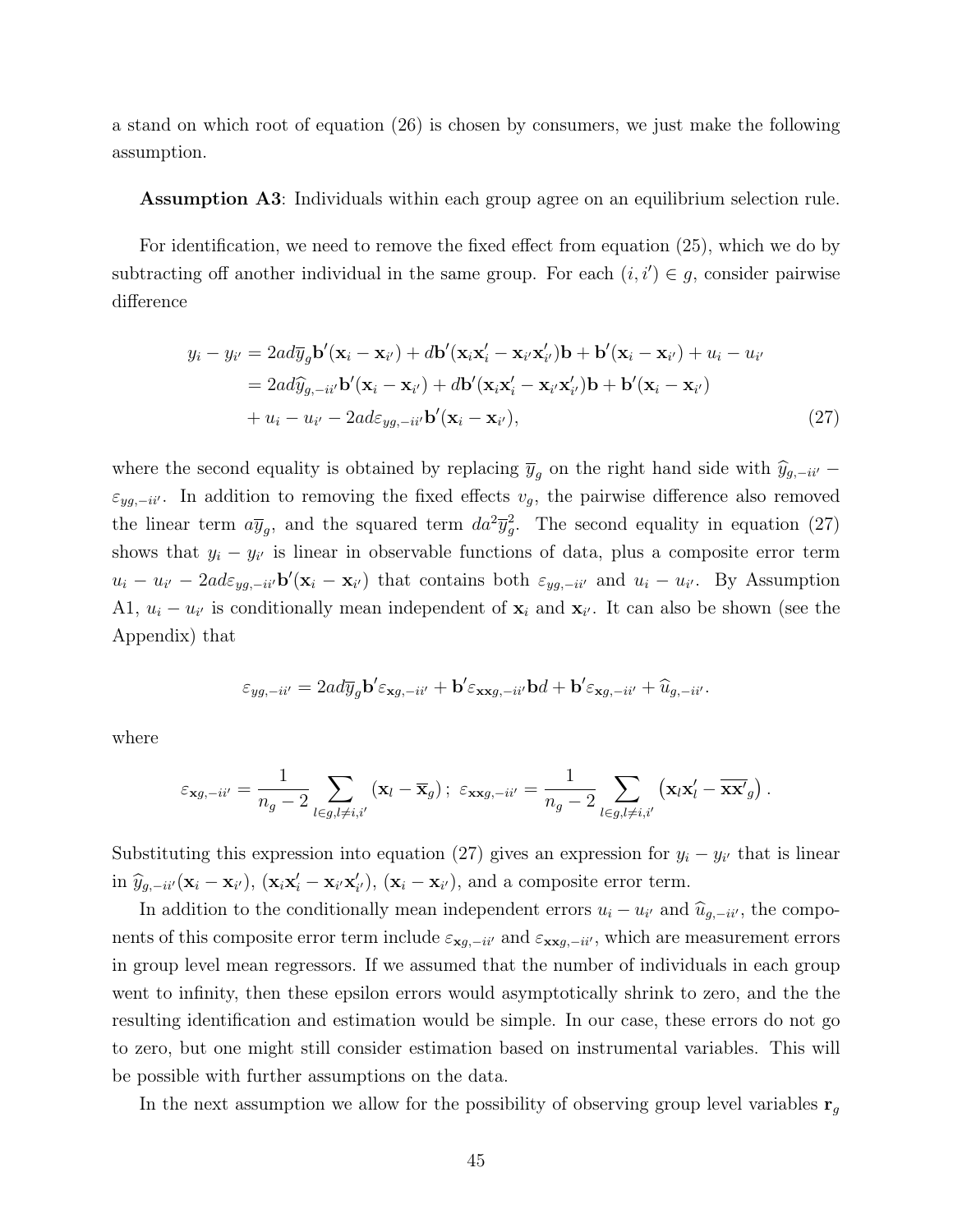a stand on which root of equation (26) is chosen by consumers, we just make the following assumption.

Assumption A3: Individuals within each group agree on an equilibrium selection rule.

For identification, we need to remove the fixed effect from equation (25), which we do by subtracting off another individual in the same group. For each  $(i, i') \in g$ , consider pairwise difference

$$
y_i - y_{i'} = 2ad\overline{y}_g \mathbf{b}'(\mathbf{x}_i - \mathbf{x}_{i'}) + d\mathbf{b}'(\mathbf{x}_i \mathbf{x}'_i - \mathbf{x}_{i'} \mathbf{x}'_{i'})\mathbf{b} + \mathbf{b}'(\mathbf{x}_i - \mathbf{x}_{i'}) + u_i - u_{i'}
$$
  
=  $2ad\widehat{y}_{g, -ii'} \mathbf{b}'(\mathbf{x}_i - \mathbf{x}_{i'}) + d\mathbf{b}'(\mathbf{x}_i \mathbf{x}'_i - \mathbf{x}_{i'} \mathbf{x}'_{i'})\mathbf{b} + \mathbf{b}'(\mathbf{x}_i - \mathbf{x}_{i'})$   
+  $u_i - u_{i'} - 2ad\varepsilon_{yg, -ii'} \mathbf{b}'(\mathbf{x}_i - \mathbf{x}_{i'})$ , (27)

where the second equality is obtained by replacing  $\bar{y}_q$  on the right hand side with  $\hat{y}_{g,-ii'}$  −  $\varepsilon_{yg,-ii'}$ . In addition to removing the fixed effects  $v_g$ , the pairwise difference also removed the linear term  $a\bar{y}_g$ , and the squared term  $da^2\bar{y}_g^2$ . The second equality in equation (27) shows that  $y_i - y_{i'}$  is linear in observable functions of data, plus a composite error term  $u_i - u_{i'} - 2ad\varepsilon_{yg, -i'y}$  b'( $\mathbf{x}_i - \mathbf{x}_{i'}$ ) that contains both  $\varepsilon_{yg, -i'z}$  and  $u_i - u_{i'}$ . By Assumption A1,  $u_i - u_{i'}$  is conditionally mean independent of  $\mathbf{x}_i$  and  $\mathbf{x}_{i'}$ . It can also be shown (see the Appendix) that

$$
\varepsilon_{yg,-ii'} = 2ad\overline{y}_g \mathbf{b}' \varepsilon_{\mathbf{x}g,-ii'} + \mathbf{b}' \varepsilon_{\mathbf{x}xg,-ii'} \mathbf{b}d + \mathbf{b}' \varepsilon_{\mathbf{x}g,-ii'} + \widehat{u}_{g,-ii'}.
$$

where

$$
\varepsilon_{\mathbf{x}g,-ii'}=\frac{1}{n_g-2}\sum_{l\in g,l\neq i,i'}\left(\mathbf{x}_l-\overline{\mathbf{x}}_g\right); \,\,\varepsilon_{\mathbf{x}\mathbf{x}g,-ii'}=\frac{1}{n_g-2}\sum_{l\in g,l\neq i,i'}\left(\mathbf{x}_l\mathbf{x}_l'-\overline{\mathbf{x}\mathbf{x}'}_g\right).
$$

Substituting this expression into equation (27) gives an expression for  $y_i - y_{i'}$  that is linear in  $\hat{y}_{g,-ii'}(\mathbf{x}_i - \mathbf{x}_{i'}), (\mathbf{x}_i \mathbf{x}'_i - \mathbf{x}_{i'} \mathbf{x}'_{i'}), (\mathbf{x}_i - \mathbf{x}_{i'}),$  and a composite error term.

In addition to the conditionally mean independent errors  $u_i - u_{i'}$  and  $\hat{u}_{g,-ii'}$ , the components of this composite error term include  $\varepsilon_{\mathbf{x}g,-ii'}$  and  $\varepsilon_{\mathbf{x}xg,-ii'}$ , which are measurement errors in group level mean regressors. If we assumed that the number of individuals in each group went to infinity, then these epsilon errors would asymptotically shrink to zero, and the the resulting identification and estimation would be simple. In our case, these errors do not go to zero, but one might still consider estimation based on instrumental variables. This will be possible with further assumptions on the data.

In the next assumption we allow for the possibility of observing group level variables  $r_g$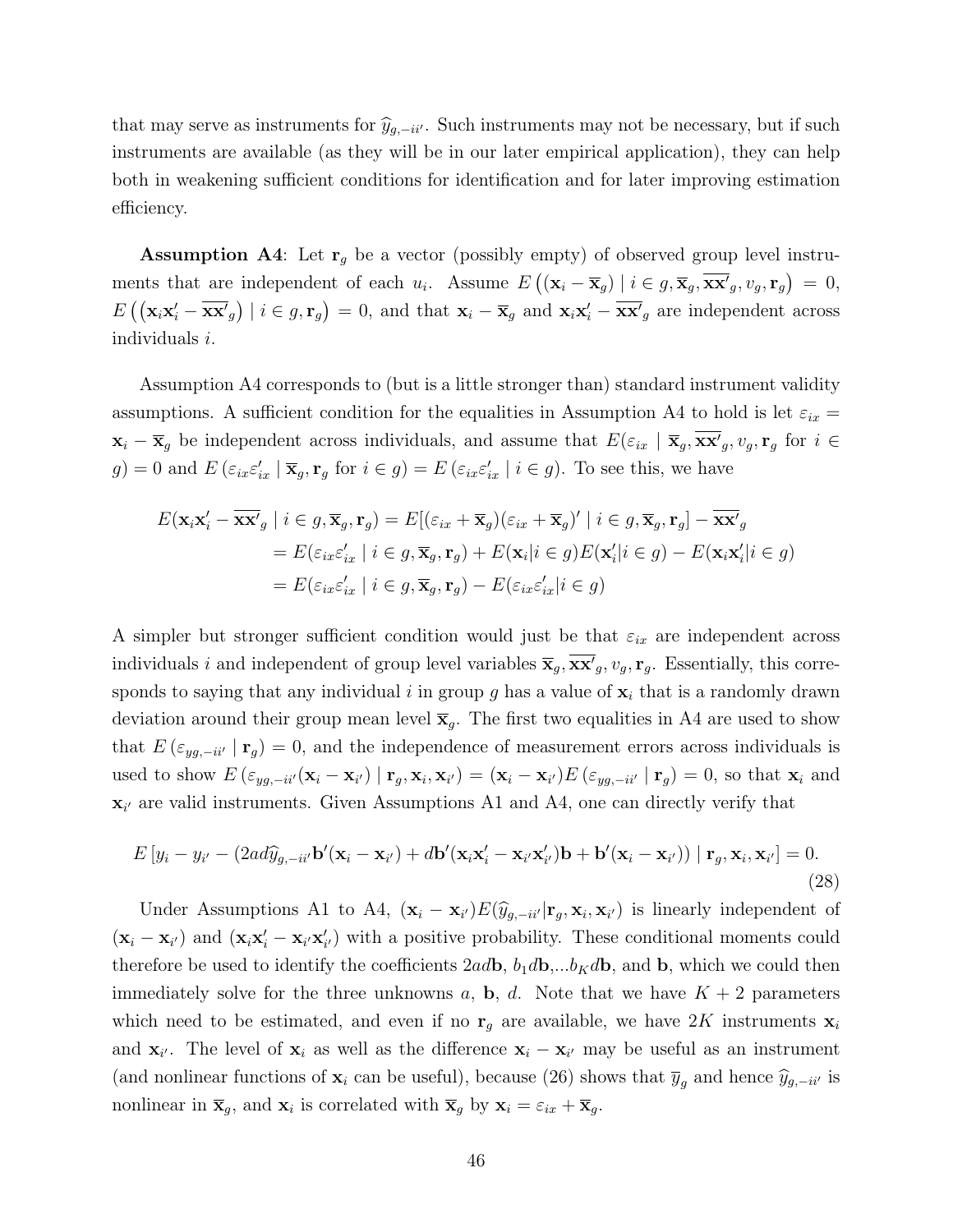that may serve as instruments for  $\hat{y}_{g,-ii'}$ . Such instruments may not be necessary, but if such instruments are available (as they will be in our later empirical application), they can help both in weakening sufficient conditions for identification and for later improving estimation efficiency.

**Assumption A4**: Let  $\mathbf{r}_q$  be a vector (possibly empty) of observed group level instruments that are independent of each  $u_i$ . Assume  $E((\mathbf{x}_i - \overline{\mathbf{x}}_g) | i \in g, \overline{\mathbf{x}}_g, \overline{\mathbf{x}}_g, v_g, \mathbf{r}_g) = 0$ ,  $E\left(\left(\mathbf{x}_i\mathbf{x}_i^{\prime}-\overline{\mathbf{x}\mathbf{x}^{\prime}}_g\right) \mid i \in g, \mathbf{r}_g\right) = 0$ , and that  $\mathbf{x}_i - \overline{\mathbf{x}}_g$  and  $\mathbf{x}_i\mathbf{x}_i^{\prime}-\overline{\mathbf{x}\mathbf{x}^{\prime}}_g$  are independent across individuals i.

Assumption A4 corresponds to (but is a little stronger than) standard instrument validity assumptions. A sufficient condition for the equalities in Assumption A4 to hold is let  $\varepsilon_{ix}$  =  $\mathbf{x}_i - \overline{\mathbf{x}}_g$  be independent across individuals, and assume that  $E(\varepsilon_{ix} | \overline{\mathbf{x}}_g, \overline{\mathbf{x}}_g, v_g, \mathbf{r}_g$  for  $i \in$  $g$ ) = 0 and  $E\left(\varepsilon_{ix}\varepsilon'_{ix} \mid \overline{\mathbf{x}}_g, \mathbf{r}_g \text{ for } i \in g\right) = E\left(\varepsilon_{ix}\varepsilon'_{ix} \mid i \in g\right)$ . To see this, we have

$$
E(\mathbf{x}_{i}\mathbf{x}'_{i} - \overline{\mathbf{x}}\mathbf{x}'_{g} \mid i \in g, \overline{\mathbf{x}}_{g}, \mathbf{r}_{g}) = E[(\varepsilon_{ix} + \overline{\mathbf{x}}_{g})(\varepsilon_{ix} + \overline{\mathbf{x}}_{g})' \mid i \in g, \overline{\mathbf{x}}_{g}, \mathbf{r}_{g}] - \overline{\mathbf{x}}\mathbf{x}'_{g}
$$
  
\n
$$
= E(\varepsilon_{ix}\varepsilon'_{ix} \mid i \in g, \overline{\mathbf{x}}_{g}, \mathbf{r}_{g}) + E(\mathbf{x}_{i}|i \in g)E(\mathbf{x}'_{i}|i \in g) - E(\mathbf{x}_{i}\mathbf{x}'_{i}|i \in g)
$$
  
\n
$$
= E(\varepsilon_{ix}\varepsilon'_{ix} \mid i \in g, \overline{\mathbf{x}}_{g}, \mathbf{r}_{g}) - E(\varepsilon_{ix}\varepsilon'_{ix}|i \in g)
$$

A simpler but stronger sufficient condition would just be that  $\varepsilon_{ix}$  are independent across individuals i and independent of group level variables  $\overline{\mathbf{x}}_g$ ,  $\overline{\mathbf{x}\mathbf{x}}'_g$ ,  $v_g$ ,  $\mathbf{r}_g$ . Essentially, this corresponds to saying that any individual i in group g has a value of  $x_i$  that is a randomly drawn deviation around their group mean level  $\bar{\mathbf{x}}_q$ . The first two equalities in A4 are used to show that  $E(\epsilon_{yg,-ii'} | \mathbf{r}_g) = 0$ , and the independence of measurement errors across individuals is used to show  $E\left(\varepsilon_{yg,-ii'}(\mathbf{x}_i-\mathbf{x}_{i'})\mid \mathbf{r}_g,\mathbf{x}_i,\mathbf{x}_{i'}\right)= (\mathbf{x}_i-\mathbf{x}_{i'})E\left(\varepsilon_{yg,-ii'}\mid \mathbf{r}_g\right)=0$ , so that  $\mathbf{x}_i$  and  $\mathbf{x}_{i'}$  are valid instruments. Given Assumptions A1 and A4, one can directly verify that

$$
E[y_i - y_{i'} - (2ad\hat{y}_{g, -ii'}\mathbf{b}'(\mathbf{x}_i - \mathbf{x}_{i'}) + d\mathbf{b}'(\mathbf{x}_i\mathbf{x}'_i - \mathbf{x}_{i'}\mathbf{x}'_{i'})\mathbf{b} + \mathbf{b}'(\mathbf{x}_i - \mathbf{x}_{i'})\mathbf{r}_g, \mathbf{x}_i, \mathbf{x}_{i'}] = 0.
$$
\n(28)

Under Assumptions A1 to A4,  $(\mathbf{x}_i - \mathbf{x}_{i'}) E(\hat{y}_{g, -i i'} | \mathbf{r}_g, \mathbf{x}_i, \mathbf{x}_{i'})$  is linearly independent of  $(\mathbf{x}_i - \mathbf{x}_{i'})$  and  $(\mathbf{x}_i \mathbf{x}'_i - \mathbf{x}_{i'} \mathbf{x}'_{i'})$  with a positive probability. These conditional moments could therefore be used to identify the coefficients  $2ad\mathbf{b}$ ,  $b_1d\mathbf{b}$ ,... $b_Kd\mathbf{b}$ , and  $\mathbf{b}$ , which we could then immediately solve for the three unknowns a, b, d. Note that we have  $K + 2$  parameters which need to be estimated, and even if no  $\mathbf{r}_g$  are available, we have 2K instruments  $\mathbf{x}_i$ and  $\mathbf{x}_{i'}$ . The level of  $\mathbf{x}_i$  as well as the difference  $\mathbf{x}_i - \mathbf{x}_{i'}$  may be useful as an instrument (and nonlinear functions of  $\mathbf{x}_i$  can be useful), because (26) shows that  $\overline{y}_q$  and hence  $\widehat{y}_{g,-ii'}$  is nonlinear in  $\bar{\mathbf{x}}_g$ , and  $\mathbf{x}_i$  is correlated with  $\bar{\mathbf{x}}_g$  by  $\mathbf{x}_i = \varepsilon_{ix} + \bar{\mathbf{x}}_g$ .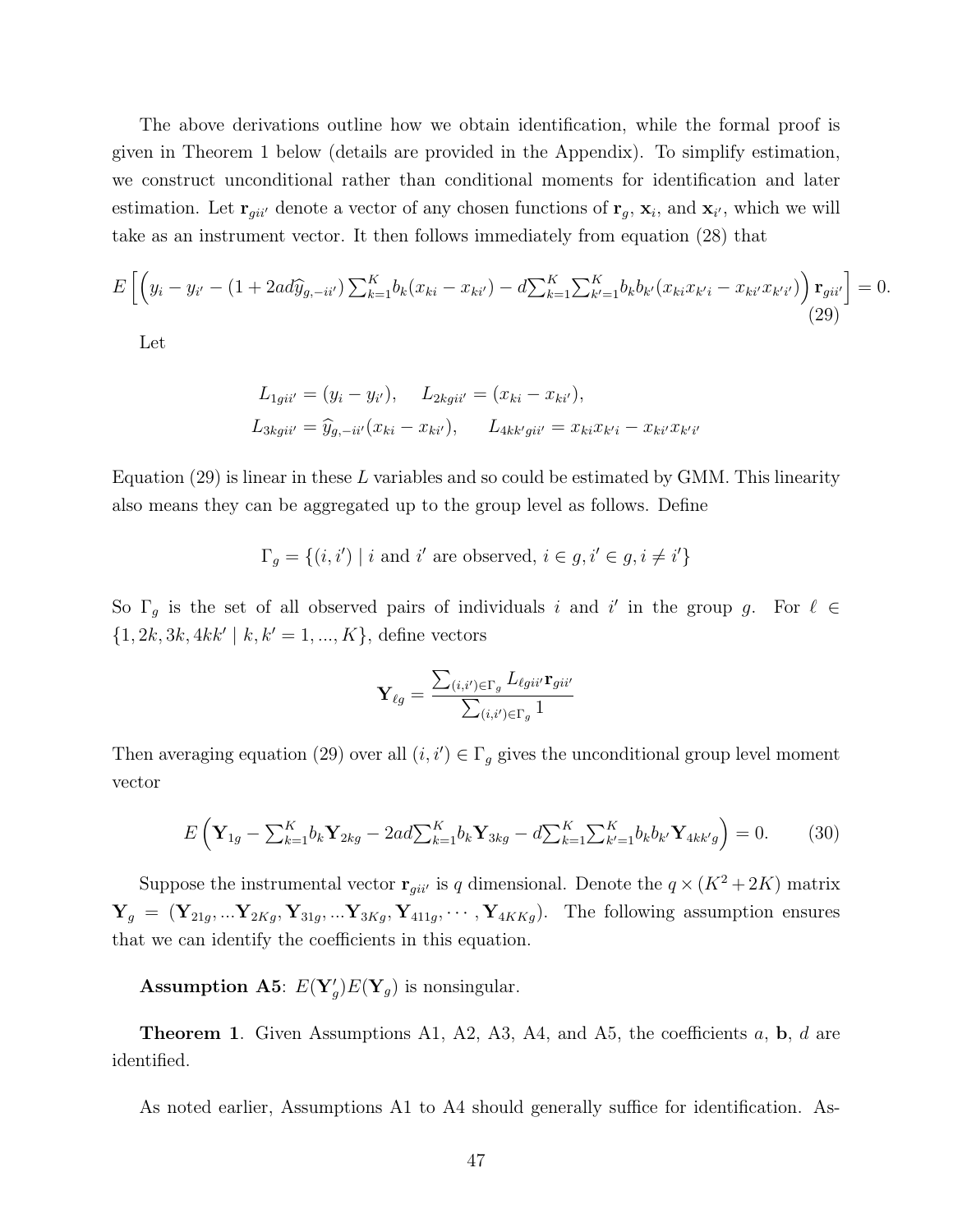The above derivations outline how we obtain identification, while the formal proof is given in Theorem 1 below (details are provided in the Appendix). To simplify estimation, we construct unconditional rather than conditional moments for identification and later estimation. Let  $\mathbf{r}_{gi''}$  denote a vector of any chosen functions of  $\mathbf{r}_g$ ,  $\mathbf{x}_i$ , and  $\mathbf{x}_{i'}$ , which we will take as an instrument vector. It then follows immediately from equation (28) that

$$
E\left[\left(y_i - y_{i'} - (1 + 2ad\widehat{y}_{g, -ii'})\sum_{k=1}^K b_k(x_{ki} - x_{ki'}) - d\sum_{k=1}^K \sum_{k'=1}^K b_k b_{k'}(x_{ki}x_{k'i} - x_{ki'}x_{k'i'})\right) \mathbf{r}_{gii'}\right] = 0.
$$
\n(29)

 $\prime$ 

Let

$$
L_{1gii'} = (y_i - y_{i'}), \quad L_{2kgii'} = (x_{ki} - x_{ki'}),
$$
  
\n
$$
L_{3kgii'} = \hat{y}_{g, -ii'}(x_{ki} - x_{ki'}), \quad L_{4kk'gii'} = x_{ki}x_{k'i} - x_{ki'}x_{k'i}
$$

Equation  $(29)$  is linear in these L variables and so could be estimated by GMM. This linearity also means they can be aggregated up to the group level as follows. Define

$$
\Gamma_g = \{(i, i') \mid i \text{ and } i' \text{ are observed, } i \in g, i' \in g, i \neq i'\}
$$

So  $\Gamma_g$  is the set of all observed pairs of individuals i and i' in the group g. For  $\ell \in$  $\{1, 2k, 3k, 4kk' \mid k, k' = 1, ..., K\}$ , define vectors

$$
\mathbf{Y}_{\ell g} = \frac{\sum_{(i,i') \in \Gamma_g} L_{\ell g i i'} \mathbf{r}_{g i i'}}{\sum_{(i,i') \in \Gamma_g} 1}
$$

Then averaging equation (29) over all  $(i, i') \in \Gamma_g$  gives the unconditional group level moment vector

$$
E\left(\mathbf{Y}_{1g} - \sum_{k=1}^{K} b_k \mathbf{Y}_{2kg} - 2ad \sum_{k=1}^{K} b_k \mathbf{Y}_{3kg} - d \sum_{k=1}^{K} \sum_{k'=1}^{K} b_k b_{k'} \mathbf{Y}_{4kk'g}\right) = 0. \tag{30}
$$

Suppose the instrumental vector  $\mathbf{r}_{gi'j}$  is q dimensional. Denote the  $q \times (K^2 + 2K)$  matrix  $\mathbf{Y}_g = (\mathbf{Y}_{21g}, \dots \mathbf{Y}_{2Kg}, \mathbf{Y}_{31g}, \dots \mathbf{Y}_{3Kg}, \mathbf{Y}_{411g}, \dots, \mathbf{Y}_{4KKg}).$  The following assumption ensures that we can identify the coefficients in this equation.

**Assumption A5:**  $E(Y'_g)E(Y_g)$  is nonsingular.

**Theorem 1.** Given Assumptions A1, A2, A3, A4, and A5, the coefficients  $a$ ,  $b$ ,  $d$  are identified.

As noted earlier, Assumptions A1 to A4 should generally suffice for identification. As-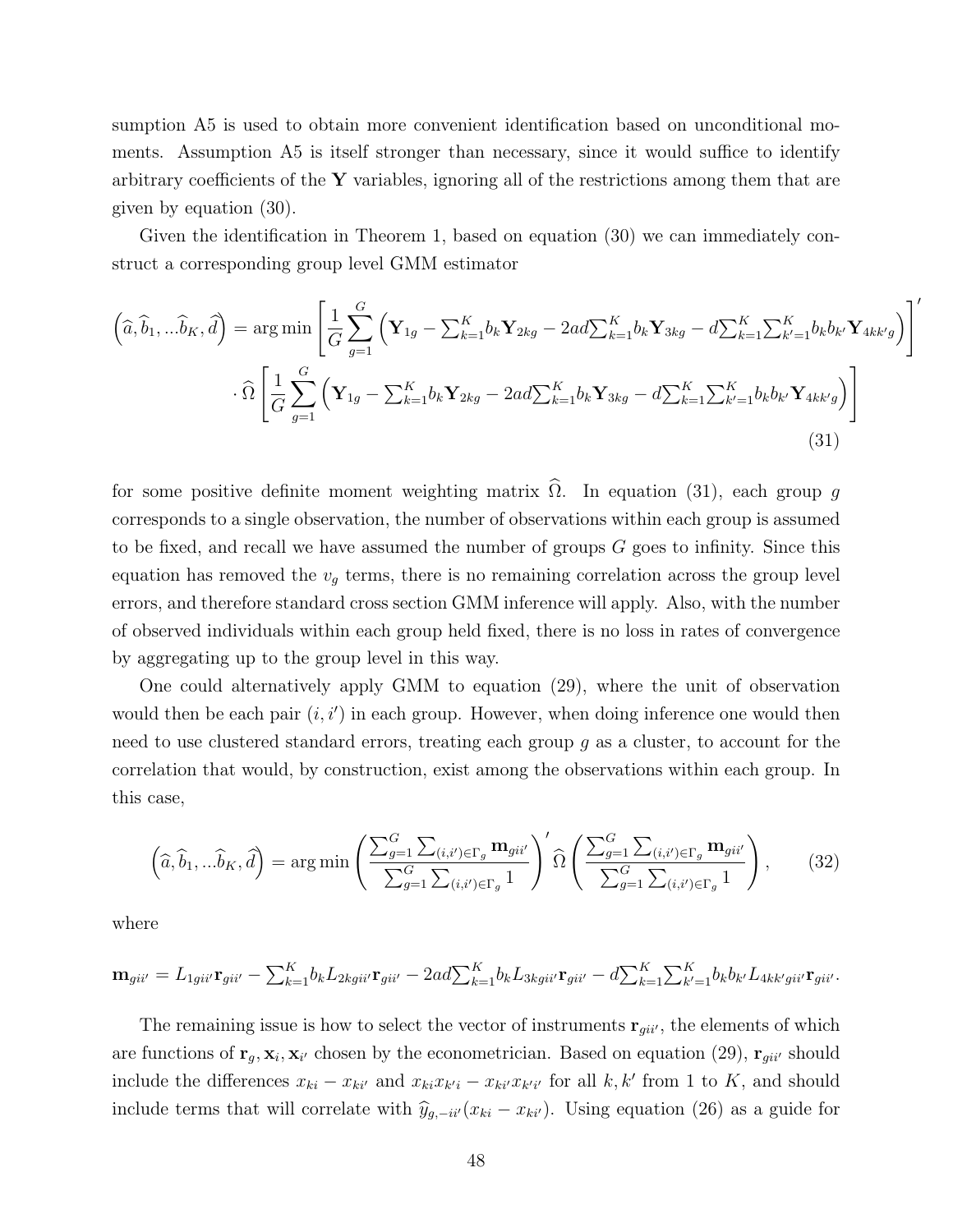sumption A5 is used to obtain more convenient identification based on unconditional moments. Assumption A5 is itself stronger than necessary, since it would suffice to identify arbitrary coefficients of the  $\bf{Y}$  variables, ignoring all of the restrictions among them that are given by equation (30).

Given the identification in Theorem 1, based on equation (30) we can immediately construct a corresponding group level GMM estimator

$$
\left(\widehat{a}, \widehat{b}_1, \ldots \widehat{b}_K, \widehat{d}\right) = \arg\min\left[\frac{1}{G} \sum_{g=1}^G \left(\mathbf{Y}_{1g} - \sum_{k=1}^K b_k \mathbf{Y}_{2kg} - 2ad \sum_{k=1}^K b_k \mathbf{Y}_{3kg} - d \sum_{k=1}^K \sum_{k'=1}^K b_k b_k \mathbf{Y}_{4kk'g}\right)\right]'
$$

$$
\widehat{\Omega}\left[\frac{1}{G} \sum_{g=1}^G \left(\mathbf{Y}_{1g} - \sum_{k=1}^K b_k \mathbf{Y}_{2kg} - 2ad \sum_{k=1}^K b_k \mathbf{Y}_{3kg} - d \sum_{k=1}^K \sum_{k'=1}^K b_k b_k \mathbf{Y}_{4kk'g}\right)\right]
$$
(31)

for some positive definite moment weighting matrix  $\Omega$ . In equation (31), each group g corresponds to a single observation, the number of observations within each group is assumed to be fixed, and recall we have assumed the number of groups G goes to infinity. Since this equation has removed the  $v_q$  terms, there is no remaining correlation across the group level errors, and therefore standard cross section GMM inference will apply. Also, with the number of observed individuals within each group held fixed, there is no loss in rates of convergence by aggregating up to the group level in this way.

One could alternatively apply GMM to equation (29), where the unit of observation would then be each pair  $(i, i')$  in each group. However, when doing inference one would then need to use clustered standard errors, treating each group  $g$  as a cluster, to account for the correlation that would, by construction, exist among the observations within each group. In this case,

$$
\left(\widehat{a}, \widehat{b}_1, \ldots, \widehat{b}_K, \widehat{d}\right) = \arg\min\left(\frac{\sum_{g=1}^G \sum_{(i,i') \in \Gamma_g} \mathbf{m}_{gii'}}{\sum_{g=1}^G \sum_{(i,i') \in \Gamma_g} 1}\right)' \widehat{\Omega}\left(\frac{\sum_{g=1}^G \sum_{(i,i') \in \Gamma_g} \mathbf{m}_{gii'}}{\sum_{g=1}^G \sum_{(i,i') \in \Gamma_g} 1}\right),\tag{32}
$$

where

$$
\mathbf{m}_{gii'} = L_{1gii'} \mathbf{r}_{gii'} - \sum_{k=1}^{K} b_k L_{2kgii'} \mathbf{r}_{gii'} - 2ad \sum_{k=1}^{K} b_k L_{3kgii'} \mathbf{r}_{gii'} - d \sum_{k=1}^{K} \sum_{k'=1}^{K} b_k b_{k'} L_{4kk'gii'} \mathbf{r}_{gii'}.
$$

The remaining issue is how to select the vector of instruments  $\mathbf{r}_{gii'}$ , the elements of which are functions of  $\mathbf{r}_g, \mathbf{x}_i, \mathbf{x}_{i'}$  chosen by the econometrician. Based on equation (29),  $\mathbf{r}_{gi i'}$  should include the differences  $x_{ki} - x_{ki'}$  and  $x_{ki}x_{k'i} - x_{ki'}x_{k'i'}$  for all k, k' from 1 to K, and should include terms that will correlate with  $\hat{y}_{g,-ii'}(x_{ki} - x_{ki'})$ . Using equation (26) as a guide for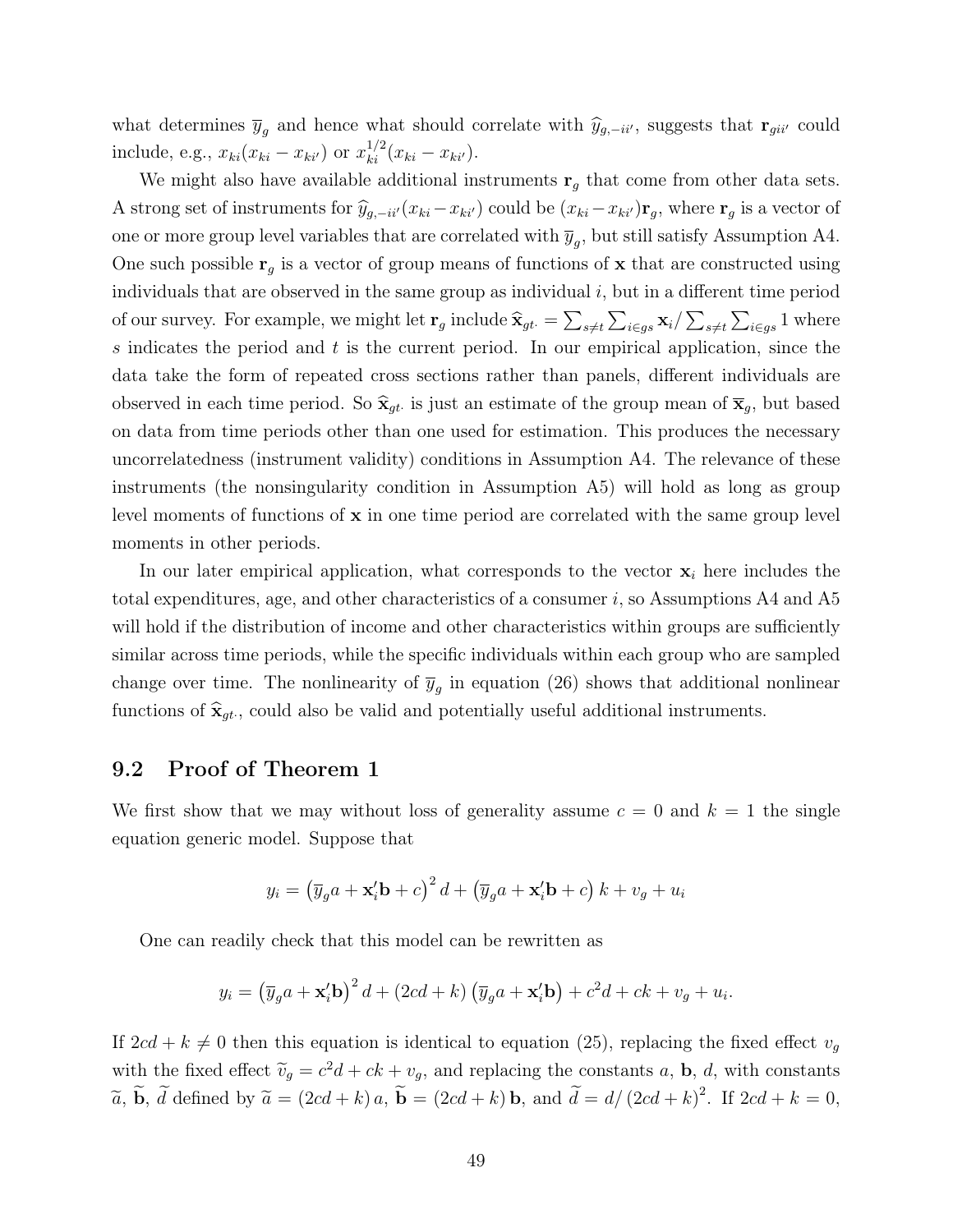what determines  $\bar{y}_g$  and hence what should correlate with  $\hat{y}_{g,-ii'}$ , suggests that  $\mathbf{r}_{gii'}$  could include, e.g.,  $x_{ki}(x_{ki} - x_{ki'})$  or  $x_{ki}^{1/2}(x_{ki} - x_{ki'})$ .

We might also have available additional instruments  $\mathbf{r}_q$  that come from other data sets. A strong set of instruments for  $\hat{y}_{g,-ii'}(x_{ki}-x_{ki'})$  could be  $(x_{ki}-x_{ki'})\mathbf{r}_g$ , where  $\mathbf{r}_g$  is a vector of one or more group level variables that are correlated with  $\overline{y}_g$ , but still satisfy Assumption A4. One such possible  $r_q$  is a vector of group means of functions of x that are constructed using individuals that are observed in the same group as individual  $i$ , but in a different time period of our survey. For example, we might let  $\mathbf{r}_g$  include  $\hat{\mathbf{x}}_{gt} = \sum_{s \neq t} \sum_{i \in gs} \mathbf{x}_i / \sum_{s \neq t} \sum_{i \in gs} 1$  where s indicates the period and  $t$  is the current period. In our empirical application, since the data take the form of repeated cross sections rather than panels, different individuals are observed in each time period. So  $\hat{\mathbf{x}}_{gt}$  is just an estimate of the group mean of  $\overline{\mathbf{x}}_g$ , but based on data from time periods other than one used for estimation. This produces the necessary uncorrelatedness (instrument validity) conditions in Assumption A4. The relevance of these instruments (the nonsingularity condition in Assumption A5) will hold as long as group level moments of functions of  $x$  in one time period are correlated with the same group level moments in other periods.

In our later empirical application, what corresponds to the vector  $x_i$  here includes the total expenditures, age, and other characteristics of a consumer  $i$ , so Assumptions A4 and A5 will hold if the distribution of income and other characteristics within groups are sufficiently similar across time periods, while the specific individuals within each group who are sampled change over time. The nonlinearity of  $\overline{y}_g$  in equation (26) shows that additional nonlinear functions of  $\hat{\mathbf{x}}_{gt}$ , could also be valid and potentially useful additional instruments.

### 9.2 Proof of Theorem 1

We first show that we may without loss of generality assume  $c = 0$  and  $k = 1$  the single equation generic model. Suppose that

$$
y_i = \left(\overline{y}_g a + \mathbf{x}_i' \mathbf{b} + c\right)^2 d + \left(\overline{y}_g a + \mathbf{x}_i' \mathbf{b} + c\right) k + v_g + u_i
$$

One can readily check that this model can be rewritten as

$$
y_i = \left(\overline{y}_g a + \mathbf{x}_i' \mathbf{b}\right)^2 d + \left(2cd + k\right) \left(\overline{y}_g a + \mathbf{x}_i' \mathbf{b}\right) + c^2 d + ck + v_g + u_i.
$$

If  $2cd + k \neq 0$  then this equation is identical to equation (25), replacing the fixed effect  $v_q$ with the fixed effect  $\widetilde{v}_g = c^2d + ck + v_g$ , and replacing the constants a, **b**, *d*, with constants  $\widetilde{v}_g = c^2d + ck + v_g$ , and replacing the constants a, **b**, *d*, with constants  $\widetilde{a}$ ,  $\widetilde{b}$ ,  $\widetilde{d}$  defined by  $\widetilde{a} = (2cd + k)a$ ,  $\widetilde{b} = (2cd + k)b$ , and  $\widetilde{d} = d/(2cd + k)^2$ . If  $2cd + k = 0$ ,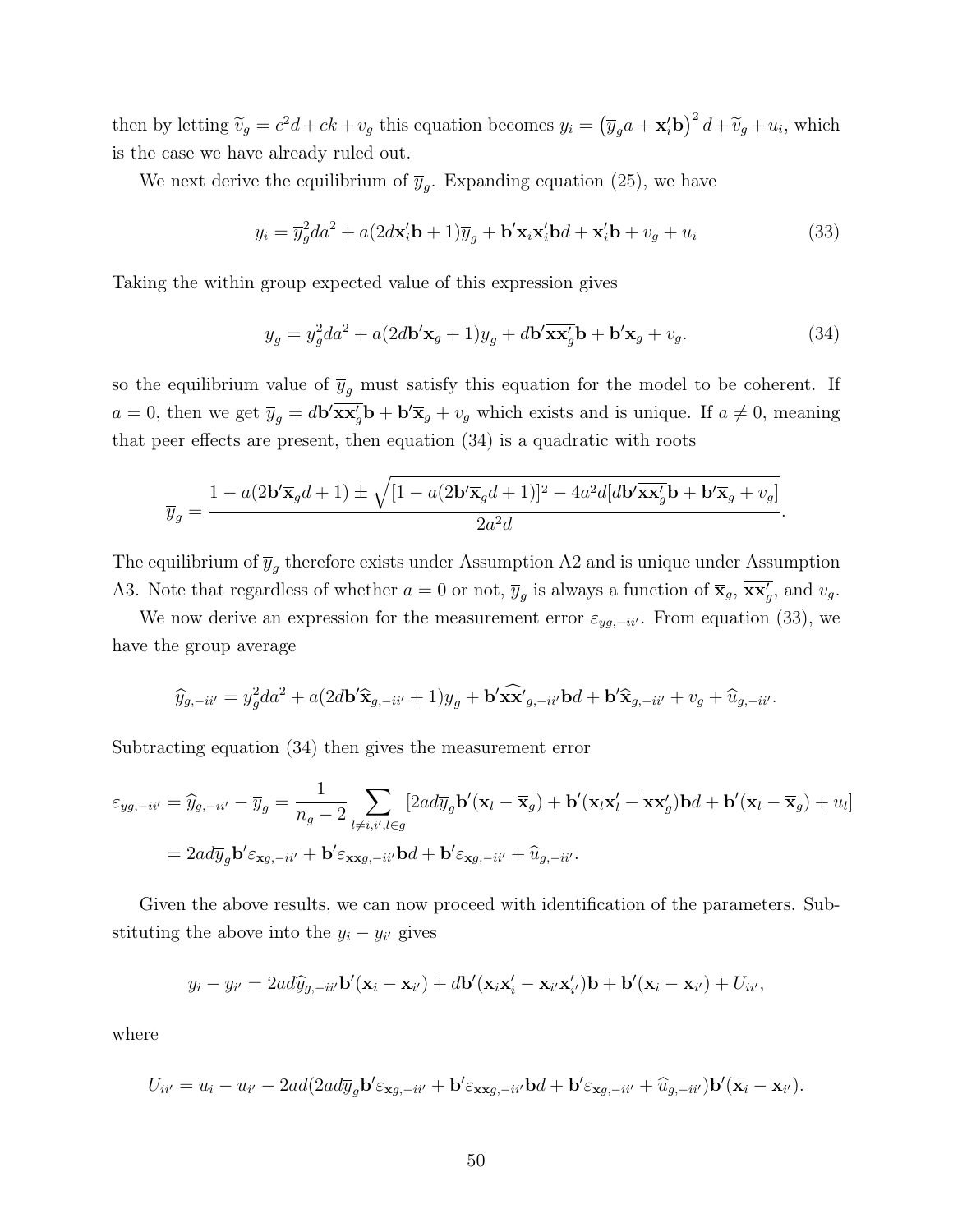then by letting  $\tilde{v}_g = c^2d + ck + v_g$  this equation becomes  $y_i = (\overline{y}_g a + \mathbf{x}_i' \mathbf{b})^2 d + \tilde{v}_g + u_i$ , which is the case we have already ruled out.

We next derive the equilibrium of  $\overline{y}_g$ . Expanding equation (25), we have

$$
y_i = \overline{y}_g^2 da^2 + a(2d\mathbf{x}_i' \mathbf{b} + 1)\overline{y}_g + \mathbf{b}' \mathbf{x}_i \mathbf{x}_i' \mathbf{b} + \mathbf{x}_i' \mathbf{b} + v_g + u_i
$$
 (33)

Taking the within group expected value of this expression gives

$$
\overline{y}_g = \overline{y}_g^2 da^2 + a(2d\mathbf{b}' \overline{\mathbf{x}}_g + 1)\overline{y}_g + d\mathbf{b}' \overline{\mathbf{x}} \overline{\mathbf{x}}_g' \mathbf{b} + \mathbf{b}' \overline{\mathbf{x}}_g + v_g.
$$
\n(34)

so the equilibrium value of  $\overline{y}_g$  must satisfy this equation for the model to be coherent. If  $a = 0$ , then we get  $\overline{y}_g = d\mathbf{b}' \overline{\mathbf{x} \mathbf{x}'_g} \mathbf{b} + \mathbf{b}' \overline{\mathbf{x}}_g + v_g$  which exists and is unique. If  $a \neq 0$ , meaning that peer effects are present, then equation (34) is a quadratic with roots

$$
\overline{y}_g=\frac{1-a(2\mathbf{b}'\overline{\mathbf{x}}_g d+1)\pm\sqrt{[1-a(2\mathbf{b}'\overline{\mathbf{x}}_g d+1)]^2-4a^2d[d\mathbf{b}'\overline{\mathbf{x}\mathbf{x}}_g'\mathbf{b}+\mathbf{b}'\overline{\mathbf{x}}_g+v_g]}}{2a^2d}.
$$

The equilibrium of  $\overline{y}_g$  therefore exists under Assumption A2 and is unique under Assumption A3. Note that regardless of whether  $a = 0$  or not,  $\overline{y}_g$  is always a function of  $\overline{\mathbf{x}}_g$ ,  $\overline{\mathbf{x}\mathbf{x}'_g}$ , and  $v_g$ .

We now derive an expression for the measurement error  $\varepsilon_{yg,-ii'}$ . From equation (33), we have the group average

$$
\widehat{y}_{g,-ii'} = \overline{y}_g^2 da^2 + a(2d\mathbf{b}' \widehat{\mathbf{x}}_{g,-ii'} + 1) \overline{y}_g + \mathbf{b}' \widehat{\mathbf{x} \mathbf{x}}'_{g,-ii'} \mathbf{b} d + \mathbf{b}' \widehat{\mathbf{x}}_{g,-ii'} + v_g + \widehat{u}_{g,-ii'}.
$$

Subtracting equation (34) then gives the measurement error

$$
\varepsilon_{yg, -ii'} = \widehat{y}_{g, -ii'} - \overline{y}_g = \frac{1}{n_g - 2} \sum_{l \neq i, i', l \in g} [2adj_g \mathbf{b}'(\mathbf{x}_l - \overline{\mathbf{x}}_g) + \mathbf{b}'(\mathbf{x}_l \mathbf{x}'_l - \overline{\mathbf{x}} \mathbf{x}'_g) \mathbf{b} d + \mathbf{b}'(\mathbf{x}_l - \overline{\mathbf{x}}_g) + u_l]
$$
  
=  $2ad \overline{y}_g \mathbf{b}' \varepsilon_{\mathbf{x}g, -ii'} + \mathbf{b}' \varepsilon_{\mathbf{x}xg, -ii'} \mathbf{b} d + \mathbf{b}' \varepsilon_{\mathbf{x}g, -ii'} + \widehat{u}_{g, -ii'}.$ 

Given the above results, we can now proceed with identification of the parameters. Substituting the above into the  $y_i - y_{i'}$  gives

$$
y_i - y_{i'} = 2ad\widehat{y}_{g, -ii'}\mathbf{b}'(\mathbf{x}_i - \mathbf{x}_{i'}) + d\mathbf{b}'(\mathbf{x}_i\mathbf{x}'_i - \mathbf{x}_{i'}\mathbf{x}'_{i'})\mathbf{b} + \mathbf{b}'(\mathbf{x}_i - \mathbf{x}_{i'}) + U_{ii'},
$$

where

$$
U_{ii'} = u_i - u_{i'} - 2ad(2ad\overline{y}_g \mathbf{b}' \varepsilon_{\mathbf{x}g, -ii'} + \mathbf{b}' \varepsilon_{\mathbf{x}g, -ii'} \mathbf{b}d + \mathbf{b}' \varepsilon_{\mathbf{x}g, -ii'} + \widehat{u}_{g, -ii'}) \mathbf{b}'(\mathbf{x}_i - \mathbf{x}_{i'}).
$$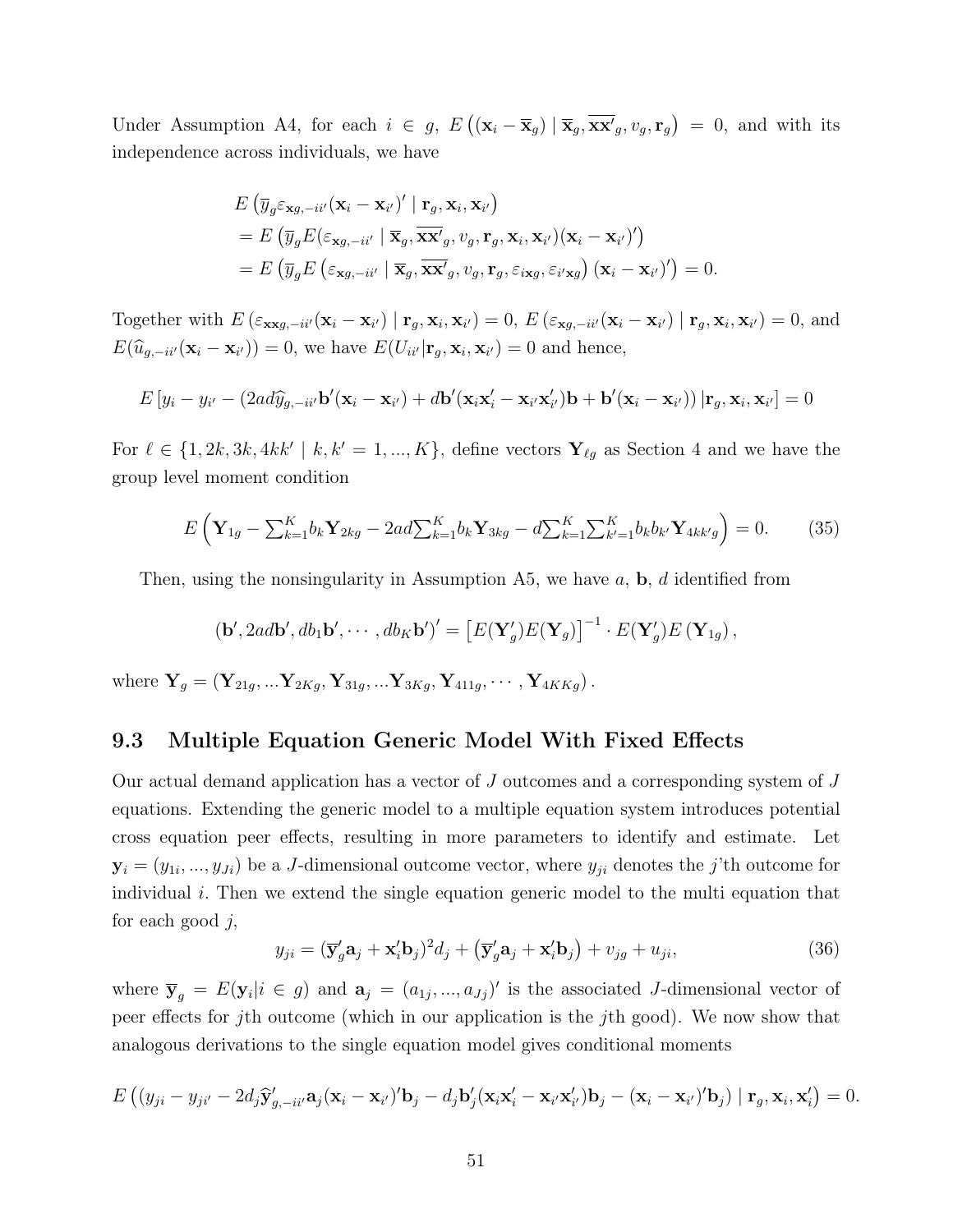Under Assumption A4, for each  $i \in g$ ,  $E((\mathbf{x}_i - \overline{\mathbf{x}}_g) | \overline{\mathbf{x}}_g, \overline{\mathbf{x}}_g', v_g, \mathbf{r}_g) = 0$ , and with its independence across individuals, we have

$$
E(\overline{y}_g \varepsilon_{\mathbf{x}g, -i i'}(\mathbf{x}_i - \mathbf{x}_{i'})' | \mathbf{r}_g, \mathbf{x}_i, \mathbf{x}_{i'})
$$
  
=  $E(\overline{y}_g E(\varepsilon_{\mathbf{x}g, -i i'} | \overline{\mathbf{x}}_g, \overline{\mathbf{x} \mathbf{x}}'_g, v_g, \mathbf{r}_g, \mathbf{x}_i, \mathbf{x}_{i'})(\mathbf{x}_i - \mathbf{x}_{i'})')$   
=  $E(\overline{y}_g E(\varepsilon_{\mathbf{x}g, -i i'} | \overline{\mathbf{x}}_g, \overline{\mathbf{x} \mathbf{x}}'_g, v_g, \mathbf{r}_g, \varepsilon_{i\mathbf{x}g}, \varepsilon_{i'\mathbf{x}g}) (\mathbf{x}_i - \mathbf{x}_{i'})') = 0.$ 

Together with  $E\left(\varepsilon_{\mathbf{x}\mathbf{x}g,-ii'}(\mathbf{x}_i-\mathbf{x}_{i'}) \mid \mathbf{r}_g, \mathbf{x}_i, \mathbf{x}_{i'}\right) = 0, E\left(\varepsilon_{\mathbf{x}g,-ii'}(\mathbf{x}_i-\mathbf{x}_{i'}) \mid \mathbf{r}_g, \mathbf{x}_i, \mathbf{x}_{i'}\right) = 0$ , and  $E(\widehat{u}_{g,-ii'}(\mathbf{x}_i - \mathbf{x}_{i'})) = 0$ , we have  $E(U_{ii'}|\mathbf{r}_g, \mathbf{x}_i, \mathbf{x}_{i'}) = 0$  and hence,

$$
E[y_i - y_{i'} - (2ad\widehat{y}_{g, -ii'}\mathbf{b}'(\mathbf{x}_i - \mathbf{x}_{i'}) + d\mathbf{b}'(\mathbf{x}_i\mathbf{x}'_i - \mathbf{x}_{i'}\mathbf{x}'_{i'})\mathbf{b} + \mathbf{b}'(\mathbf{x}_i - \mathbf{x}_{i'})\mathbf{r}_g, \mathbf{x}_i, \mathbf{x}_{i'}] = 0
$$

For  $\ell \in \{1, 2k, 3k, 4kk' \mid k, k' = 1, ..., K\}$ , define vectors  $\mathbf{Y}_{\ell g}$  as Section 4 and we have the group level moment condition

$$
E\left(\mathbf{Y}_{1g} - \sum_{k=1}^{K} b_k \mathbf{Y}_{2kg} - 2ad \sum_{k=1}^{K} b_k \mathbf{Y}_{3kg} - d \sum_{k=1}^{K} \sum_{k'=1}^{K} b_k b_{k'} \mathbf{Y}_{4kk'g}\right) = 0. \tag{35}
$$

Then, using the nonsingularity in Assumption A5, we have  $a, b, d$  identified from

$$
(\mathbf{b}', 2ad\mathbf{b}', db_1\mathbf{b}', \cdots, db_K\mathbf{b}')' = \left[E(\mathbf{Y}'_g)E(\mathbf{Y}_g)\right]^{-1} \cdot E(\mathbf{Y}'_g)E(\mathbf{Y}_{1g}),
$$

where  $Y_g = (Y_{21g},...Y_{2Kg}, Y_{31g},...Y_{3Kg}, Y_{411g},..., Y_{4KKg}).$ 

#### 9.3 Multiple Equation Generic Model With Fixed Effects

Our actual demand application has a vector of J outcomes and a corresponding system of J equations. Extending the generic model to a multiple equation system introduces potential cross equation peer effects, resulting in more parameters to identify and estimate. Let  $\mathbf{y}_i = (y_{1i},..., y_{Ji})$  be a J-dimensional outcome vector, where  $y_{ji}$  denotes the j'th outcome for individual i. Then we extend the single equation generic model to the multi equation that for each good  $j$ ,

$$
y_{ji} = (\overline{\mathbf{y}}_g' \mathbf{a}_j + \mathbf{x}_i' \mathbf{b}_j)^2 d_j + (\overline{\mathbf{y}}_g' \mathbf{a}_j + \mathbf{x}_i' \mathbf{b}_j) + v_{jg} + u_{ji},\tag{36}
$$

where  $\bar{y}_g = E(y_i | i \in g)$  and  $a_j = (a_{1j},...,a_{Jj})'$  is the associated J-dimensional vector of peer effects for jth outcome (which in our application is the jth good). We now show that analogous derivations to the single equation model gives conditional moments

$$
E\left((y_{ji}-y_{ji'}-2d_j\hat{\mathbf{y}}'_{g,-ii'}\mathbf{a}_j(\mathbf{x}_i-\mathbf{x}_{i'})'\mathbf{b}_j-d_j\mathbf{b}'_j(\mathbf{x}_i\mathbf{x}'_i-\mathbf{x}_{i'}\mathbf{x}'_{i'})\mathbf{b}_j-(\mathbf{x}_i-\mathbf{x}_{i'})'\mathbf{b}_j)\mid\mathbf{r}_g,\mathbf{x}_i,\mathbf{x}'_i\right)=0.
$$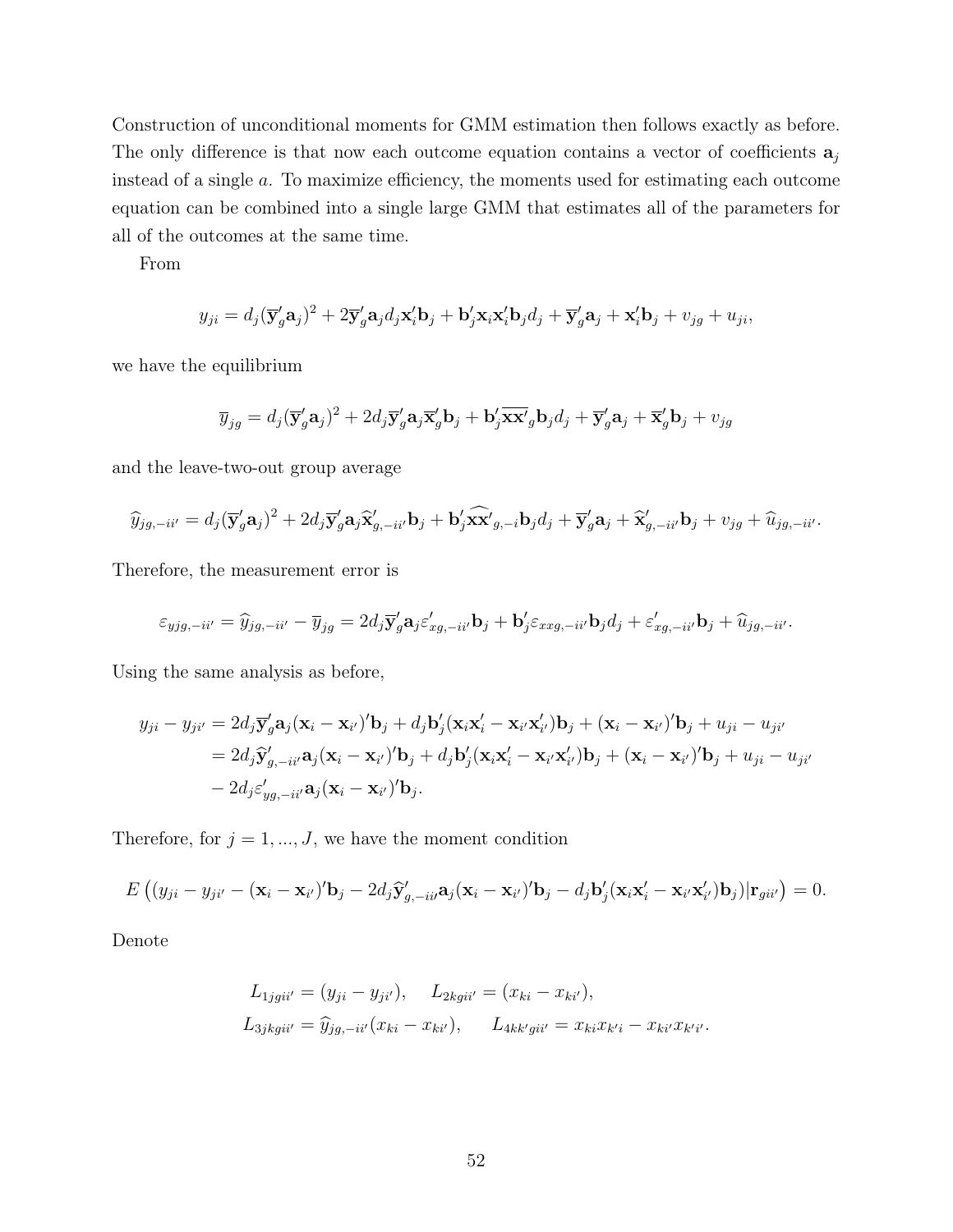Construction of unconditional moments for GMM estimation then follows exactly as before. The only difference is that now each outcome equation contains a vector of coefficients  $a_i$ instead of a single a. To maximize efficiency, the moments used for estimating each outcome equation can be combined into a single large GMM that estimates all of the parameters for all of the outcomes at the same time.

From

$$
y_{ji} = d_j(\overline{\mathbf{y}}_g'\mathbf{a}_j)^2 + 2\overline{\mathbf{y}}_g'\mathbf{a}_j d_j \mathbf{x}_i' \mathbf{b}_j + \mathbf{b}_j' \mathbf{x}_i \mathbf{x}_i' \mathbf{b}_j d_j + \overline{\mathbf{y}}_g' \mathbf{a}_j + \mathbf{x}_i' \mathbf{b}_j + v_{jg} + u_{ji},
$$

we have the equilibrium

$$
\overline{y}_{jg} = d_j(\overline{\mathbf{y}}_g' \mathbf{a}_j)^2 + 2d_j \overline{\mathbf{y}}_g' \mathbf{a}_j \overline{\mathbf{x}}_g' \mathbf{b}_j + \mathbf{b}_j' \overline{\mathbf{x}} \overline{\mathbf{x}}_g' \mathbf{b}_j d_j + \overline{\mathbf{y}}_g' \mathbf{a}_j + \overline{\mathbf{x}}_g' \mathbf{b}_j + v_{jg}
$$

and the leave-two-out group average

$$
\widehat{y}_{jg,-ii'} = d_j (\overline{\mathbf{y}}_g' \mathbf{a}_j)^2 + 2d_j \overline{\mathbf{y}}_g' \mathbf{a}_j \widehat{\mathbf{x}}_{g,-ii'}' \mathbf{b}_j + \mathbf{b}_j' \widehat{\mathbf{x}} \widehat{\mathbf{x}}_{g,-i} \mathbf{b}_j d_j + \overline{\mathbf{y}}_g' \mathbf{a}_j + \widehat{\mathbf{x}}_{g,-ii'}' \mathbf{b}_j + v_{jg} + \widehat{u}_{jg,-ii'}.
$$

Therefore, the measurement error is

$$
\varepsilon_{yjg,-ii'} = \hat{y}_{jg,-ii'} - \overline{y}_{jg} = 2d_j \overline{\mathbf{y}}_g' \mathbf{a}_j \varepsilon_{xg,-ii'}' \mathbf{b}_j + \mathbf{b}_j' \varepsilon_{xxg,-ii'} \mathbf{b}_j d_j + \varepsilon_{xg,-ii'}' \mathbf{b}_j + \hat{u}_{jg,-ii'}.
$$

Using the same analysis as before,

$$
y_{ji} - y_{ji'} = 2d_j \overline{\mathbf{y}}_g' \mathbf{a}_j (\mathbf{x}_i - \mathbf{x}_{i'})' \mathbf{b}_j + d_j \mathbf{b}_j' (\mathbf{x}_i \mathbf{x}_i' - \mathbf{x}_{i'} \mathbf{x}_{i'}) \mathbf{b}_j + (\mathbf{x}_i - \mathbf{x}_{i'})' \mathbf{b}_j + u_{ji} - u_{ji'}
$$
  
=  $2d_j \widehat{\mathbf{y}}_{g, -ii'}' \mathbf{a}_j (\mathbf{x}_i - \mathbf{x}_{i'})' \mathbf{b}_j + d_j \mathbf{b}_j' (\mathbf{x}_i \mathbf{x}_i' - \mathbf{x}_{i'} \mathbf{x}_{i'}) \mathbf{b}_j + (\mathbf{x}_i - \mathbf{x}_{i'})' \mathbf{b}_j + u_{ji} - u_{ji'}- 2d_j \varepsilon_{yg, -ii'}' \mathbf{a}_j (\mathbf{x}_i - \mathbf{x}_{i'})' \mathbf{b}_j.$ 

Therefore, for  $j = 1, ..., J$ , we have the moment condition

$$
E\left((y_{ji}-y_{ji'}-(\mathbf{x}_i-\mathbf{x}_{i'})'\mathbf{b}_j-2d_j\hat{\mathbf{y}}'_{g,-ii'}\mathbf{a}_j(\mathbf{x}_i-\mathbf{x}_{i'})'\mathbf{b}_j-d_j\mathbf{b}'_j(\mathbf{x}_i\mathbf{x}'_i-\mathbf{x}_{i'}\mathbf{x}'_{i'})\mathbf{b}_j)|\mathbf{r}_{gii'}\right)=0.
$$

Denote

$$
L_{1jgii'} = (y_{ji} - y_{ji'}), \quad L_{2kgii'} = (x_{ki} - x_{ki'}),
$$
  
\n
$$
L_{3jkgii'} = \hat{y}_{jg, -ii'}(x_{ki} - x_{ki'}), \quad L_{4kk'gii'} = x_{ki}x_{k'i} - x_{ki'}x_{k'i'}.
$$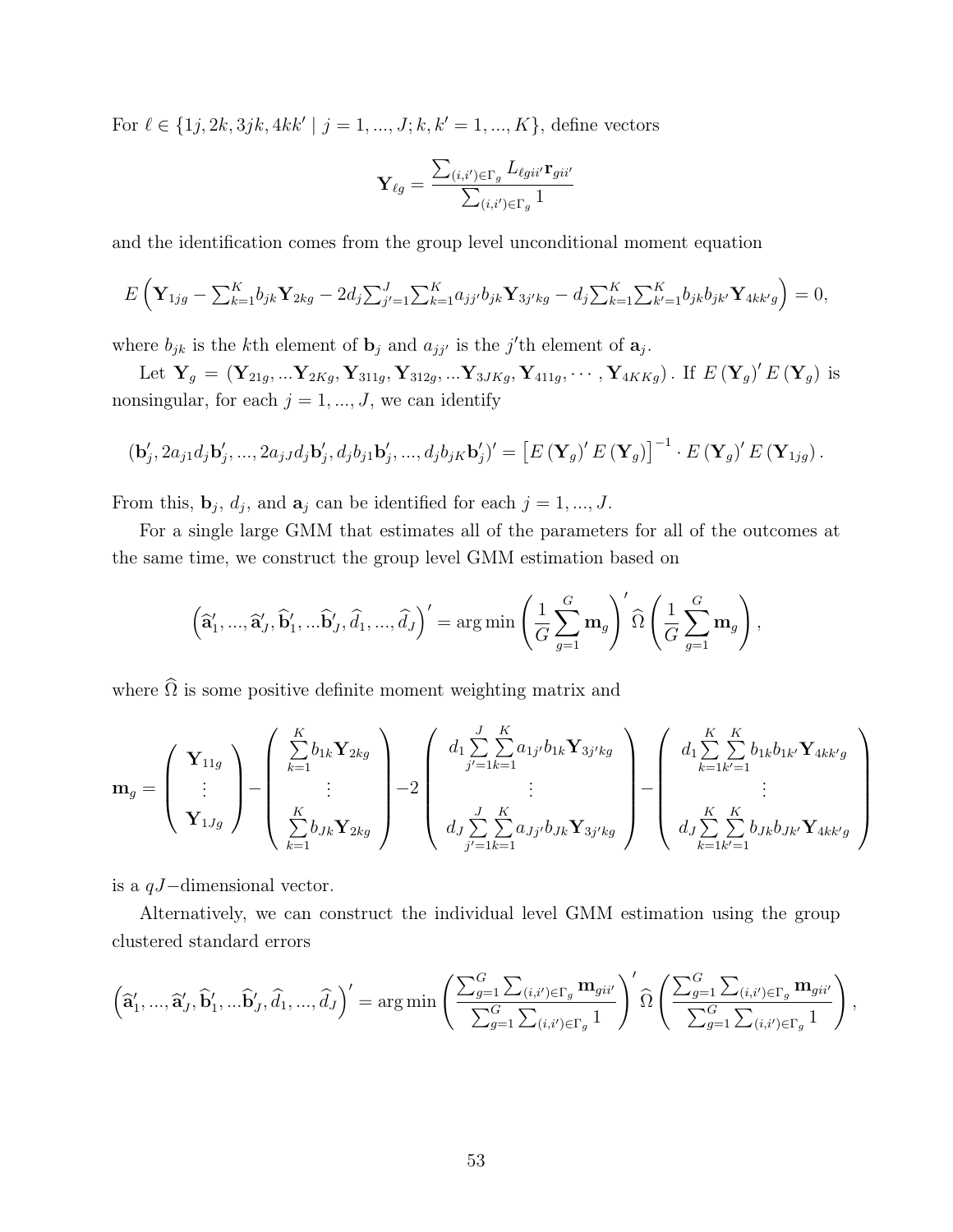For  $\ell \in \{1j, 2k, 3jk, 4kk' \mid j = 1, ..., J; k, k' = 1, ..., K\}$ , define vectors

$$
\mathbf{Y}_{\ell g} = \frac{\sum_{(i,i') \in \Gamma_g} L_{\ell g i i'} \mathbf{r}_{g i i'}}{\sum_{(i,i') \in \Gamma_g} 1}
$$

and the identification comes from the group level unconditional moment equation

$$
E\left(\mathbf{Y}_{1jg} - \sum_{k=1}^{K} b_{jk}\mathbf{Y}_{2kg} - 2d_j \sum_{j'=1}^{J} \sum_{k=1}^{K} a_{jj'}b_{jk}\mathbf{Y}_{3j'kg} - d_j \sum_{k=1}^{K} \sum_{k'=1}^{K} b_{jk}b_{jk'}\mathbf{Y}_{4kk'g}\right) = 0,
$$

where  $b_{jk}$  is the k<sup>th</sup> element of  $\mathbf{b}_j$  and  $a_{jj'}$  is the j'th element of  $\mathbf{a}_j$ .

Let  $Y_g = (Y_{21g},...Y_{2Kg}, Y_{311g}, Y_{312g},...Y_{3JKg}, Y_{411g},..., Y_{4KKg})$ . If  $E(Y_g)'E(Y_g)$  is nonsingular, for each  $j = 1, ..., J$ , we can identify

$$
(\mathbf{b}'_j, 2a_{j1}d_j\mathbf{b}'_j, ..., 2a_{jJ}d_j\mathbf{b}'_j, d_jb_{j1}\mathbf{b}'_j, ..., d_jb_{jK}\mathbf{b}'_j)' = \left[E\left(\mathbf{Y}_g\right)'E\left(\mathbf{Y}_g\right)\right]^{-1} \cdot E\left(\mathbf{Y}_g\right)'E\left(\mathbf{Y}_{1jg}\right).
$$

From this,  $\mathbf{b}_j$ ,  $d_j$ , and  $\mathbf{a}_j$  can be identified for each  $j = 1, ..., J$ .

For a single large GMM that estimates all of the parameters for all of the outcomes at the same time, we construct the group level GMM estimation based on

$$
\left(\widehat{\mathbf{a}}'_1, ..., \widehat{\mathbf{a}}'_J, \widehat{\mathbf{b}}'_1, ..., \widehat{\mathbf{b}}'_J, \widehat{d}_1, ..., \widehat{d}_J\right)' = \arg\min\left(\frac{1}{G}\sum_{g=1}^G \mathbf{m}_g\right)' \widehat{\Omega}\left(\frac{1}{G}\sum_{g=1}^G \mathbf{m}_g\right),
$$

where  $\widehat{\Omega}$  is some positive definite moment weighting matrix and

$$
\mathbf{m}_{g} = \begin{pmatrix} \mathbf{Y}_{11g} \\ \vdots \\ \mathbf{Y}_{1Jg} \end{pmatrix} - \begin{pmatrix} \sum_{k=1}^{K} b_{1k} \mathbf{Y}_{2kg} \\ \vdots \\ \sum_{k=1}^{K} b_{Jk} \mathbf{Y}_{2kg} \end{pmatrix} - 2 \begin{pmatrix} d_{1} \sum_{j'=1}^{J} \sum_{k=1}^{K} a_{1j'} b_{1k} \mathbf{Y}_{3j'kg} \\ \vdots \\ d_{J} \sum_{j'=1}^{J} \sum_{k=1}^{K} a_{Jj'} b_{Jk} \mathbf{Y}_{3j'kg} \end{pmatrix} - \begin{pmatrix} d_{1} \sum_{k=1}^{K} \sum_{k'=1}^{K} b_{1k} b_{1k'} \mathbf{Y}_{4kk'g} \\ \vdots \\ d_{J} \sum_{k=1}^{K} \sum_{k'=1}^{K} b_{Jk} b_{Jk'} \mathbf{Y}_{4kk'g} \end{pmatrix}
$$

is a qJ−dimensional vector.

Alternatively, we can construct the individual level GMM estimation using the group clustered standard errors

$$
\left(\widehat{\mathbf{a}}'_1, ..., \widehat{\mathbf{a}}'_J, \widehat{\mathbf{b}}'_1, ..., \widehat{\mathbf{b}}'_J, \widehat{d}_1, ..., \widehat{d}_J\right)' = \arg\min\left(\frac{\sum_{g=1}^G \sum_{(i,i') \in \Gamma_g} \mathbf{m}_{gii'}}{\sum_{g=1}^G \sum_{(i,i') \in \Gamma_g} 1}\right)' \widehat{\Omega}\left(\frac{\sum_{g=1}^G \sum_{(i,i') \in \Gamma_g} \mathbf{m}_{gii'}}{\sum_{g=1}^G \sum_{(i,i') \in \Gamma_g} 1}\right),
$$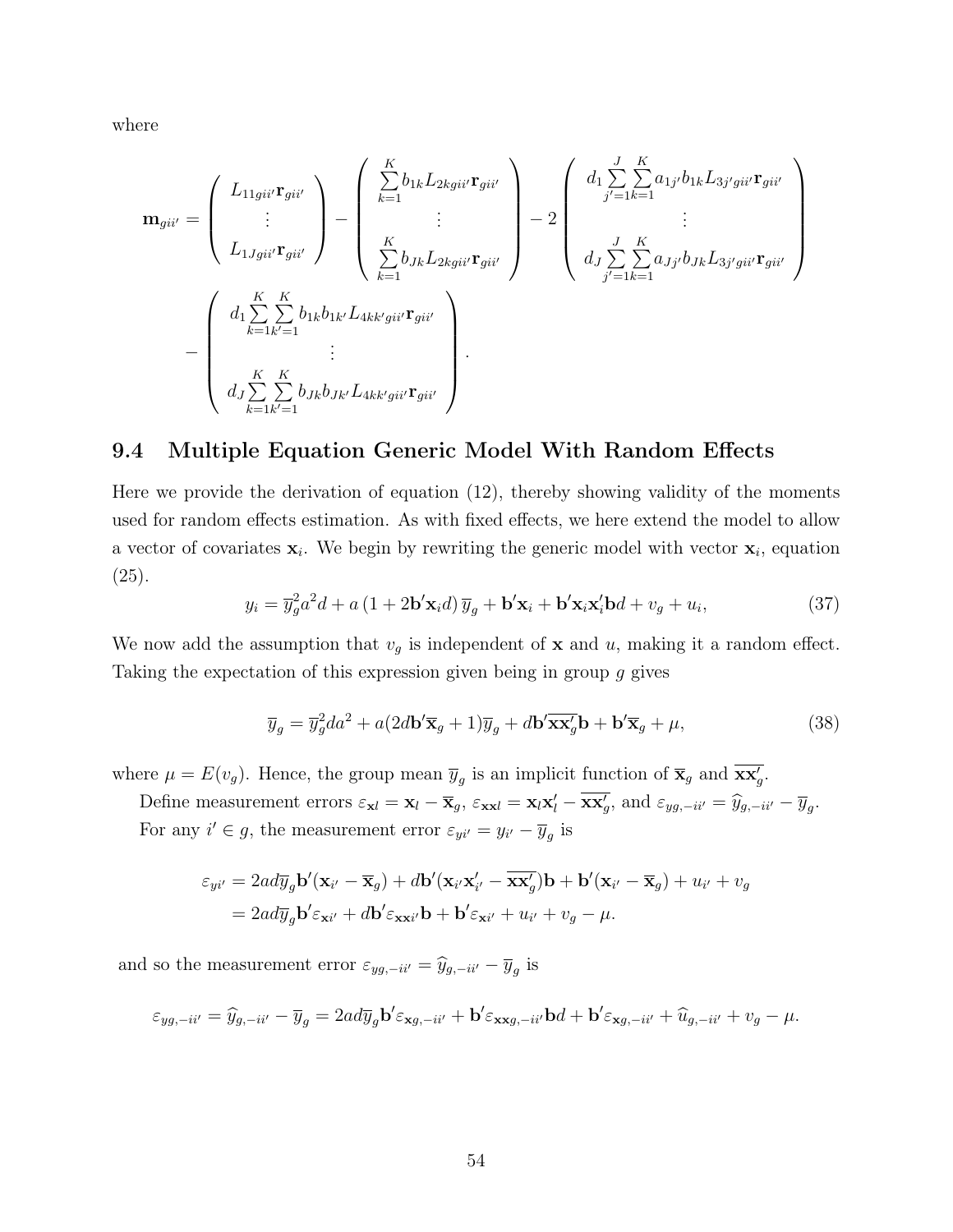where

$$
\mathbf{m}_{gii'} = \begin{pmatrix} L_{11gii'} \mathbf{r}_{gii'} \\ \vdots \\ L_{1Jgii'} \mathbf{r}_{gii'} \end{pmatrix} - \begin{pmatrix} \sum_{k=1}^{K} b_{1k} L_{2kgii'} \mathbf{r}_{gii'} \\ \vdots \\ \sum_{k=1}^{K} b_{Jk} L_{2kgii'} \mathbf{r}_{gii'} \end{pmatrix} - 2 \begin{pmatrix} d_{1} \sum_{j'=1}^{J} \sum_{k=1}^{K} a_{1j'} b_{1k} L_{3j'gii'} \mathbf{r}_{gii'} \\ \vdots \\ d_{J} \sum_{j'=1}^{J} \sum_{k=1}^{K} a_{Jj'} b_{Jk} L_{3j'gii'} \mathbf{r}_{gii'} \end{pmatrix} - \begin{pmatrix} d_{1} \sum_{k=1}^{K} \sum_{k=1}^{K} a_{1j'} b_{1k} L_{3j'gii'} \mathbf{r}_{gii'} \\ d_{2} \sum_{k=1}^{K} \sum_{k'=1}^{K} b_{2k} b_{3j'} L_{4kk'gii'} \mathbf{r}_{gii'} \end{pmatrix}.
$$

### 9.4 Multiple Equation Generic Model With Random Effects

Here we provide the derivation of equation (12), thereby showing validity of the moments used for random effects estimation. As with fixed effects, we here extend the model to allow a vector of covariates  $x_i$ . We begin by rewriting the generic model with vector  $x_i$ , equation (25).

$$
y_i = \overline{y}_g^2 a^2 d + a \left(1 + 2\mathbf{b}' \mathbf{x}_i d\right) \overline{y}_g + \mathbf{b}' \mathbf{x}_i + \mathbf{b}' \mathbf{x}_i \mathbf{x}'_i \mathbf{b} d + v_g + u_i,\tag{37}
$$

We now add the assumption that  $v_g$  is independent of **x** and u, making it a random effect. Taking the expectation of this expression given being in group g gives

$$
\overline{y}_g = \overline{y}_g^2 da^2 + a(2d\mathbf{b}' \overline{\mathbf{x}}_g + 1)\overline{y}_g + d\mathbf{b}' \overline{\mathbf{x}} \overline{\mathbf{x}}_g' \mathbf{b} + \mathbf{b}' \overline{\mathbf{x}}_g + \mu,
$$
\n(38)

where  $\mu = E(v_g)$ . Hence, the group mean  $\overline{y}_g$  is an implicit function of  $\overline{\mathbf{x}}_g$  and  $\overline{\mathbf{x}\mathbf{x}}'_g$ .

Define measurement errors  $\varepsilon_{\mathbf{x}l} = \mathbf{x}_l - \overline{\mathbf{x}}_g$ ,  $\varepsilon_{\mathbf{x}xl} = \mathbf{x}_l\mathbf{x}'_l - \overline{\mathbf{x}\mathbf{x}'_g}$ , and  $\varepsilon_{yg, -i i'} = \hat{y}_{g, -i i'} - \overline{y}_g$ . For any  $i' \in g$ , the measurement error  $\varepsilon_{yi'} = y_{i'} - \overline{y}_g$  is

$$
\varepsilon_{yi'} = 2ad\overline{y}_g \mathbf{b}'(\mathbf{x}_{i'} - \overline{\mathbf{x}}_g) + d\mathbf{b}'(\mathbf{x}_{i'}\mathbf{x}_{i'}' - \overline{\mathbf{x}}\mathbf{x}_g')\mathbf{b} + \mathbf{b}'(\mathbf{x}_{i'} - \overline{\mathbf{x}}_g) + u_{i'} + v_g
$$
  
=  $2ad\overline{y}_g \mathbf{b}' \varepsilon_{\mathbf{x}i'} + d\mathbf{b}' \varepsilon_{\mathbf{x}i'}\mathbf{b} + \mathbf{b}' \varepsilon_{\mathbf{x}i'} + u_{i'} + v_g - \mu.$ 

and so the measurement error  $\varepsilon_{yg,-ii'} = \widehat{y}_{g,-ii'} - \overline{y}_g$  is

$$
\varepsilon_{yg,-ii'} = \widehat{y}_{g,-ii'} - \overline{y}_g = 2ad\overline{y}_g \mathbf{b}' \varepsilon_{\mathbf{x}g,-ii'} + \mathbf{b}' \varepsilon_{\mathbf{x}g,-ii'} \mathbf{b}d + \mathbf{b}' \varepsilon_{\mathbf{x}g,-ii'} + \widehat{u}_{g,-ii'} + v_g - \mu.
$$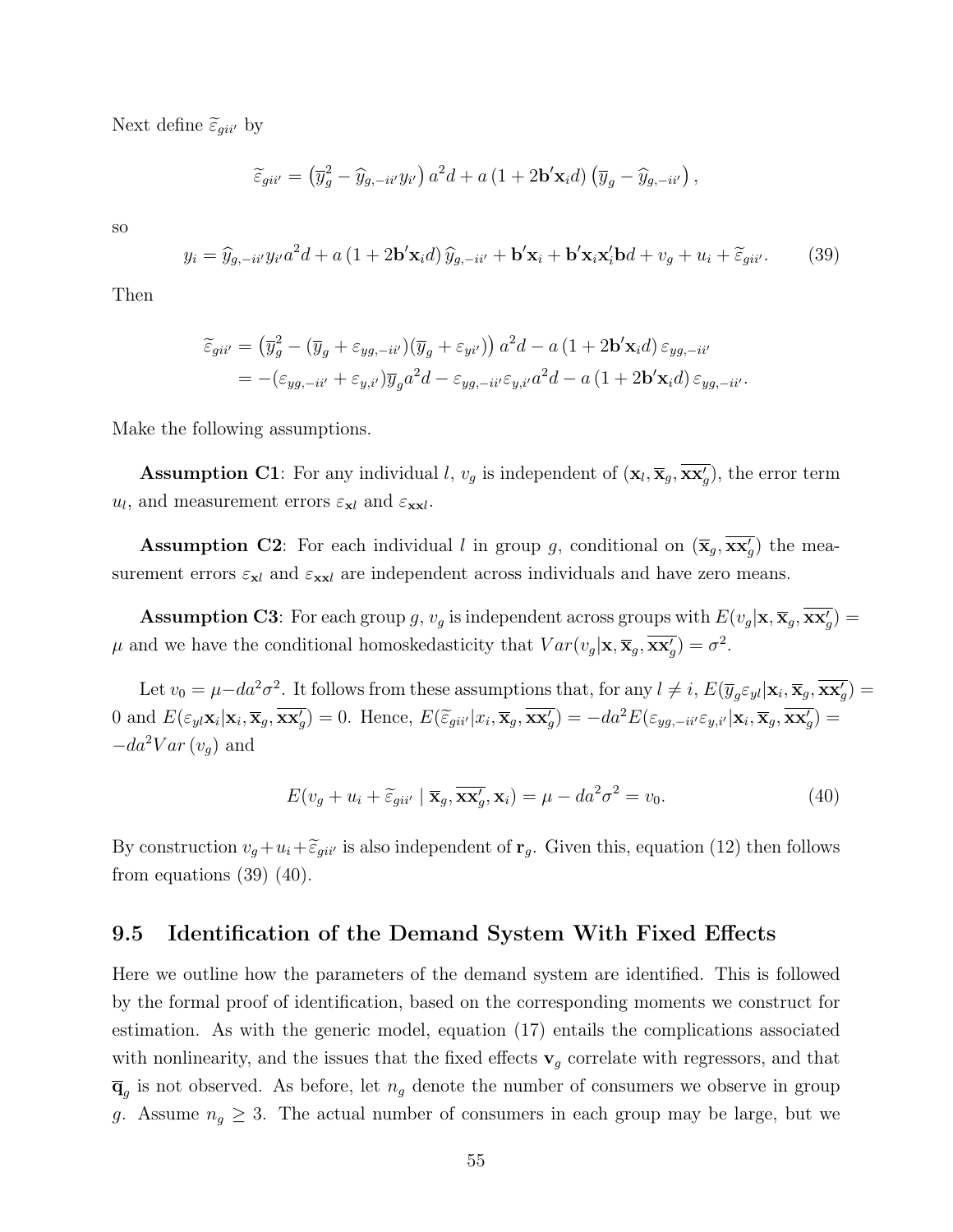Next define  $\widetilde{\varepsilon}_{gii'}$  by

$$
\widetilde{\varepsilon}_{gii'} = (\overline{y}_g^2 - \widehat{y}_{g,-ii'} y_{i'}) a^2 d + a (1+2\mathbf{b}'\mathbf{x}_i d) (\overline{y}_g - \widehat{y}_{g,-ii'}) ,
$$

so

$$
y_i = \hat{y}_{g, -i i'} y_{i'} a^2 d + a (1 + 2\mathbf{b'} \mathbf{x}_i d) \hat{y}_{g, -i i'} + \mathbf{b'} \mathbf{x}_i + \mathbf{b'} \mathbf{x}_i \mathbf{x}_i' \mathbf{b} d + v_g + u_i + \tilde{\varepsilon}_{g i i'}.
$$
 (39)

Then

$$
\widetilde{\varepsilon}_{gii'} = (\overline{y}_g^2 - (\overline{y}_g + \varepsilon_{yg, -ii'}) (\overline{y}_g + \varepsilon_{yi'}) ) a^2 d - a (1 + 2\mathbf{b}' \mathbf{x}_i d) \varepsilon_{yg, -ii'}
$$
  
= -(\varepsilon\_{yg, -ii'} + \varepsilon\_{y,i'}) \overline{y}\_g a^2 d - \varepsilon\_{yg, -ii'} \varepsilon\_{y,i'} a^2 d - a (1 + 2\mathbf{b}' \mathbf{x}\_i d) \varepsilon\_{yg, -ii'}.

Make the following assumptions.

**Assumption C1**: For any individual l,  $v_g$  is independent of  $(\mathbf{x}_l, \overline{\mathbf{x}}_g, \overline{\mathbf{x}\mathbf{x}'_g})$ , the error term  $u_l$ , and measurement errors  $\varepsilon_{\mathbf{x}l}$  and  $\varepsilon_{\mathbf{x}\mathbf{x}l}$ .

**Assumption C2**: For each individual l in group g, conditional on  $(\overline{\mathbf{x}}_g, \overline{\mathbf{x}\mathbf{x}'_g})$  the measurement errors  $\varepsilon_{\mathbf{x}l}$  and  $\varepsilon_{\mathbf{x}l}$  are independent across individuals and have zero means.

**Assumption C3**: For each group g,  $v_g$  is independent across groups with  $E(v_g|\mathbf{x}, \overline{\mathbf{x}}_g, \overline{\mathbf{x}}_g)'$  $\mu$  and we have the conditional homoskedasticity that  $Var(v_g|\mathbf{x}, \overline{\mathbf{x}}_g, \overline{\mathbf{x}\mathbf{x}}_g') = \sigma^2$ .

Let  $v_0 = \mu - da^2 \sigma^2$ . It follows from these assumptions that, for any  $l \neq i$ ,  $E(\overline{y}_g \varepsilon_{yl} | \mathbf{x}_i, \overline{\mathbf{x}}_g, \overline{\mathbf{x} \mathbf{x}'_g}) =$ 0 and  $E(\varepsilon_{yl}\mathbf{x}_i|\mathbf{x}_i, \overline{\mathbf{x}}_g, \overline{\mathbf{x}\mathbf{x}'_g}) = 0$ . Hence,  $E(\widetilde{\varepsilon}_{gii'}|x_i, \overline{\mathbf{x}}_g, \overline{\mathbf{x}\mathbf{x}'_g}) = -da^2 E(\varepsilon_{yg, -ii'}\varepsilon_{y,i'}|\mathbf{x}_i, \overline{\mathbf{x}}_g, \overline{\mathbf{x}\mathbf{x}'_g}) =$  $-da^2Var(v_q)$  and

$$
E(v_g + u_i + \tilde{\varepsilon}_{gii'} | \overline{\mathbf{x}}_g, \overline{\mathbf{x}\mathbf{x}'_g}, \mathbf{x}_i) = \mu - da^2 \sigma^2 = v_0.
$$
 (40)

By construction  $v_g+u_i+\tilde{\epsilon}_{gii'}$  is also independent of  $\mathbf{r}_g$ . Given this, equation (12) then follows from equations  $(39)$   $(40)$ .

#### 9.5 Identification of the Demand System With Fixed Effects

Here we outline how the parameters of the demand system are identified. This is followed by the formal proof of identification, based on the corresponding moments we construct for estimation. As with the generic model, equation (17) entails the complications associated with nonlinearity, and the issues that the fixed effects  $\mathbf{v}_g$  correlate with regressors, and that  $\overline{\mathbf{q}}_g$  is not observed. As before, let  $n_g$  denote the number of consumers we observe in group g. Assume  $n_g \geq 3$ . The actual number of consumers in each group may be large, but we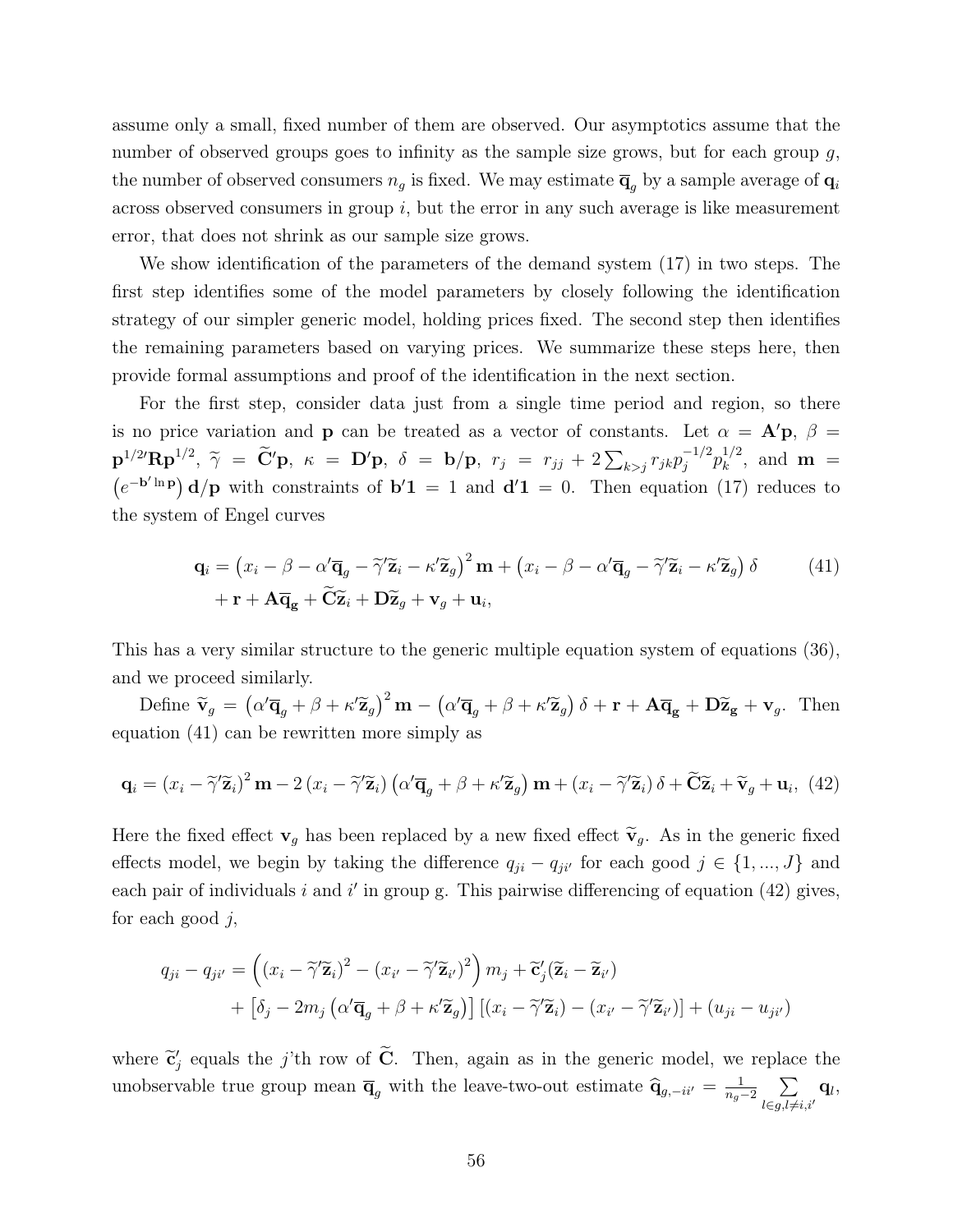assume only a small, fixed number of them are observed. Our asymptotics assume that the number of observed groups goes to infinity as the sample size grows, but for each group g, the number of observed consumers  $n_g$  is fixed. We may estimate  $\overline{\mathbf{q}}_g$  by a sample average of  $\mathbf{q}_i$ across observed consumers in group  $i$ , but the error in any such average is like measurement error, that does not shrink as our sample size grows.

We show identification of the parameters of the demand system (17) in two steps. The first step identifies some of the model parameters by closely following the identification strategy of our simpler generic model, holding prices fixed. The second step then identifies the remaining parameters based on varying prices. We summarize these steps here, then provide formal assumptions and proof of the identification in the next section.

For the first step, consider data just from a single time period and region, so there is no price variation and **p** can be treated as a vector of constants. Let  $\alpha = A'p$ ,  $\beta =$  ${\bf p}^{1/2'}{\bf R}{\bf p}^{1/2}, \ \widetilde{\gamma} \ = \ \widetilde{\bf C}'{\bf p}, \ \kappa \ = \ {\bf D}'{\bf p}, \ \delta \ = \ {\bf b}/{\bf p}, \ \ r_j \ = \ r_{jj} \ + \ 2\sum_{k>j} r_{jk}p_j^{-1/2}$  $j^{-1/2} p_k^{1/2}$  $\int_{k}^{1/2}$ , and **m** =  $(e^{-b^{\prime} \ln p}) d/p$  with constraints of  $b'1 = 1$  and  $d'1 = 0$ . Then equation (17) reduces to the system of Engel curves

$$
\mathbf{q}_{i} = (x_{i} - \beta - \alpha' \overline{\mathbf{q}}_{g} - \widetilde{\gamma}' \widetilde{\mathbf{z}}_{i} - \kappa' \widetilde{\mathbf{z}}_{g})^{2} \mathbf{m} + (x_{i} - \beta - \alpha' \overline{\mathbf{q}}_{g} - \widetilde{\gamma}' \widetilde{\mathbf{z}}_{i} - \kappa' \widetilde{\mathbf{z}}_{g}) \delta
$$
(41)  
+  $\mathbf{r} + \mathbf{A} \overline{\mathbf{q}}_{g} + \widetilde{\mathbf{C}} \widetilde{\mathbf{z}}_{i} + \mathbf{D} \widetilde{\mathbf{z}}_{g} + \mathbf{v}_{g} + \mathbf{u}_{i},$ 

This has a very similar structure to the generic multiple equation system of equations (36), and we proceed similarly.

Define  $\tilde{\mathbf{v}}_g = (\alpha' \overline{\mathbf{q}}_g + \beta + \kappa' \widetilde{\mathbf{z}}_g)^2 \mathbf{m} - (\alpha' \overline{\mathbf{q}}_g + \beta + \kappa' \widetilde{\mathbf{z}}_g) \delta + \mathbf{r} + \mathbf{A} \overline{\mathbf{q}}_g + \mathbf{D} \widetilde{\mathbf{z}}_g + \mathbf{v}_g$ . Then equation (41) can be rewritten more simply as

$$
\mathbf{q}_{i} = (x_{i} - \tilde{\gamma}'\tilde{\mathbf{z}}_{i})^{2} \mathbf{m} - 2(x_{i} - \tilde{\gamma}'\tilde{\mathbf{z}}_{i}) (\alpha'\overline{\mathbf{q}}_{g} + \beta + \kappa'\tilde{\mathbf{z}}_{g}) \mathbf{m} + (x_{i} - \tilde{\gamma}'\tilde{\mathbf{z}}_{i}) \delta + \tilde{\mathbf{C}}\tilde{\mathbf{z}}_{i} + \tilde{\mathbf{v}}_{g} + \mathbf{u}_{i}, \tag{42}
$$

Here the fixed effect  $\mathbf{v}_g$  has been replaced by a new fixed effect  $\widetilde{\mathbf{v}}_g$ . As in the generic fixed effects model, we begin by taking the difference  $q_{ji} - q_{ji'}$  for each good  $j \in \{1, ..., J\}$  and each pair of individuals  $i$  and  $i'$  in group g. This pairwise differencing of equation (42) gives, for each good  $j$ ,

$$
q_{ji} - q_{ji'} = \left( (x_i - \tilde{\gamma}' \tilde{\mathbf{z}}_i)^2 - (x_{i'} - \tilde{\gamma}' \tilde{\mathbf{z}}_{i'})^2 \right) m_j + \tilde{\mathbf{c}}'_j (\tilde{\mathbf{z}}_i - \tilde{\mathbf{z}}_{i'})
$$
  
+ 
$$
\left[ \delta_j - 2m_j \left( \alpha' \overline{\mathbf{q}}_g + \beta + \kappa' \tilde{\mathbf{z}}_g \right) \right] \left[ (x_i - \tilde{\gamma}' \tilde{\mathbf{z}}_i) - (x_{i'} - \tilde{\gamma}' \tilde{\mathbf{z}}_{i'}) \right] + (u_{ji} - u_{ji'})
$$

where  $\tilde{\mathbf{c}}'_{j}$  equals the j'th row of  $\tilde{\mathbf{C}}$ . Then, again as in the generic model, we replace the unobservable true group mean  $\overline{\mathbf{q}}_g$  with the leave-two-out estimate  $\widehat{\mathbf{q}}_{g,-ii'} = \frac{1}{n_g}$  $\frac{1}{n_g-2}$   $\sum$  $l \in g, l \neq i, i'$  $\mathbf{q}_l,$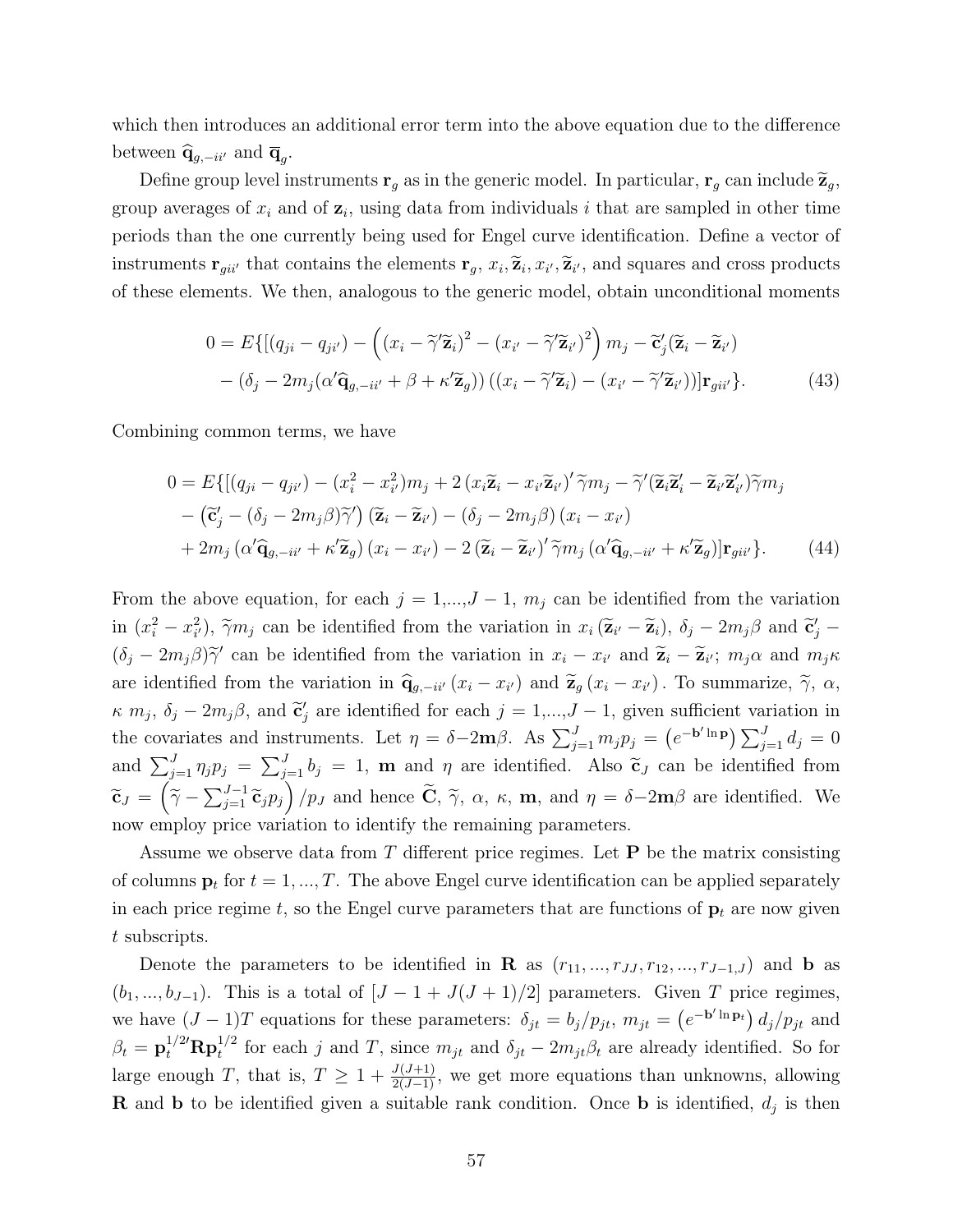which then introduces an additional error term into the above equation due to the difference between  $\widehat{\mathbf{q}}_{g,-ii'}$  and  $\overline{\mathbf{q}}_g$ .

Define group level instruments  $\mathbf{r}_g$  as in the generic model. In particular,  $\mathbf{r}_g$  can include  $\widetilde{\mathbf{z}}_g$ , group averages of  $x_i$  and of  $z_i$ , using data from individuals i that are sampled in other time periods than the one currently being used for Engel curve identification. Define a vector of instruments  $\mathbf{r}_{gii'}$  that contains the elements  $\mathbf{r}_g$ ,  $x_i$ ,  $\widetilde{\mathbf{z}}_i$ ,  $x_{i'}$ ,  $\widetilde{\mathbf{z}}_i$ , and squares and cross products of these elements. We then, analogous to the generic model, obtain unconditional moments

$$
0 = E\{[(q_{ji} - q_{ji'}) - ((x_i - \tilde{\gamma}'\tilde{\mathbf{z}}_i)^2 - (x_{i'} - \tilde{\gamma}'\tilde{\mathbf{z}}_{i'})^2)m_j - \tilde{\mathbf{c}}'_j(\tilde{\mathbf{z}}_i - \tilde{\mathbf{z}}_{i'}) - (\delta_j - 2m_j(\alpha'\hat{\mathbf{q}}_{g, -i i'} + \beta + \kappa'\tilde{\mathbf{z}}_g))((x_i - \tilde{\gamma}'\tilde{\mathbf{z}}_i) - (x_{i'} - \tilde{\gamma}'\tilde{\mathbf{z}}_{i'}))|\mathbf{r}_{gii'}\}.
$$
\n(43)

Combining common terms, we have

$$
0 = E\{[(q_{ji} - q_{ji'}) - (x_i^2 - x_{i'}^2)m_j + 2(x_i\tilde{\mathbf{z}}_i - x_{i'}\tilde{\mathbf{z}}_{i'})'\tilde{\gamma}m_j - \tilde{\gamma}'(\tilde{\mathbf{z}}_i\tilde{\mathbf{z}}_i' - \tilde{\mathbf{z}}_{i'}\tilde{\mathbf{z}}_{i'})\tilde{\gamma}m_j - (\tilde{\mathbf{c}}'_j - (\delta_j - 2m_j\beta)\tilde{\gamma}')(\tilde{\mathbf{z}}_i - \tilde{\mathbf{z}}_{i'}) - (\delta_j - 2m_j\beta)(x_i - x_{i'})\n+ 2m_j(\alpha'\hat{\mathbf{q}}_{g, -i i'} + \kappa'\tilde{\mathbf{z}}_g)(x_i - x_{i'}) - 2(\tilde{\mathbf{z}}_i - \tilde{\mathbf{z}}_{i'})'\tilde{\gamma}m_j(\alpha'\hat{\mathbf{q}}_{g, -i i'} + \kappa'\tilde{\mathbf{z}}_g)]\mathbf{r}_{g i i'}
$$
\n(44)

From the above equation, for each  $j = 1,...,J - 1$ ,  $m_j$  can be identified from the variation in  $(x_i^2 - x_{i'}^2)$ ,  $\tilde{\gamma}m_j$  can be identified from the variation in  $x_i (\tilde{\mathbf{z}}_{i'} - \tilde{\mathbf{z}}_i)$ ,  $\delta_j - 2m_j \beta$  and  $\tilde{\mathbf{c}}'_j (\delta_j - 2m_j \beta) \tilde{\gamma}'$  can be identified from the variation in  $x_i - x_{i'}$  and  $\tilde{\mathbf{z}}_i - \tilde{\mathbf{z}}_{i'}$ ;  $m_j \alpha$  and  $m_j \kappa$ are identified from the variation in  $\hat{\mathbf{q}}_{g,-ii'}(x_i - x_{i'})$  and  $\tilde{\mathbf{z}}_g(x_i - x_{i'})$ . To summarize,  $\tilde{\gamma}$ ,  $\alpha$ ,  $\kappa$   $m_j$ ,  $\delta_j - 2m_j\beta$ , and  $\tilde{\mathbf{c}}'_j$  are identified for each  $j = 1,...,J-1$ , given sufficient variation in the covariates and instruments. Let  $\eta = \delta - 2\mathbf{m}\beta$ . As  $\sum_{j=1}^{J} m_j p_j = (e^{-\mathbf{b}' \ln \mathbf{p}}) \sum_{j=1}^{J} d_j = 0$ and  $\sum_{j=1}^{J} \eta_j p_j = \sum_{j=1}^{J} b_j = 1$ , **m** and  $\eta$  are identified. Also  $\tilde{\mathbf{c}}_J$  can be identified from  $\widetilde{\mathbf{c}}_J = (\widetilde{\gamma} - \sum_{j=1}^{J-1} \widetilde{\mathbf{c}}_j p_j) / p_J$  and hence  $\widetilde{\mathbf{C}}$ ,  $\widetilde{\gamma}$ ,  $\alpha$ ,  $\kappa$ ,  $\mathbf{m}$ , and  $\eta = \delta - 2\mathbf{m}\beta$  are identified. We now employ price variation to identify the remaining parameters.

Assume we observe data from T different price regimes. Let  $P$  be the matrix consisting of columns  $\mathbf{p}_t$  for  $t = 1, ..., T$ . The above Engel curve identification can be applied separately in each price regime t, so the Engel curve parameters that are functions of  $\mathbf{p}_t$  are now given t subscripts.

Denote the parameters to be identified in R as  $(r_{11}, ..., r_{JJ}, r_{12}, ..., r_{J-1,J})$  and b as  $(b_1, ..., b_{J-1})$ . This is a total of  $[J - 1 + J(J + 1)/2]$  parameters. Given T price regimes, we have  $(J-1)T$  equations for these parameters:  $\delta_{jt} = b_j/p_{jt}, m_{jt} = (e^{-b' \ln p_t}) d_j/p_{jt}$  and  $\beta_t = \mathbf{p}_t^{1/2'} \mathbf{R} \mathbf{p}_t^{1/2}$  for each j and T, since  $m_{jt}$  and  $\delta_{jt} - 2m_{jt}\beta_t$  are already identified. So for large enough T, that is,  $T \geq 1 + \frac{J(J+1)}{2(J-1)}$ , we get more equations than unknowns, allowing **R** and **b** to be identified given a suitable rank condition. Once **b** is identified,  $d_j$  is then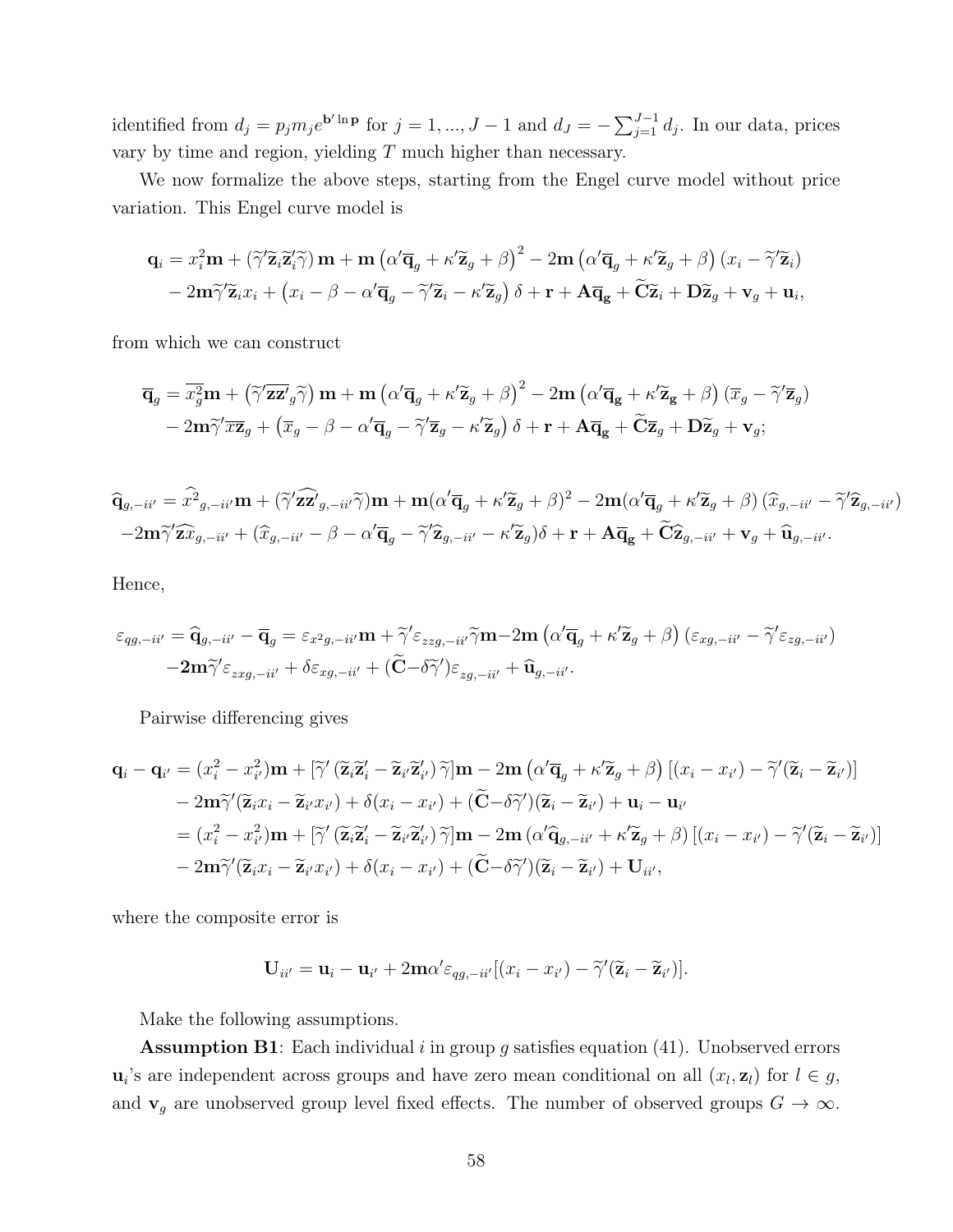identified from  $d_j = p_j m_j e^{\mathbf{b}' \ln \mathbf{p}}$  for  $j = 1, ..., J - 1$  and  $d_J = -\sum_{j=1}^{J-1} d_j$ . In our data, prices vary by time and region, yielding  $T$  much higher than necessary.

We now formalize the above steps, starting from the Engel curve model without price variation. This Engel curve model is

$$
\mathbf{q}_{i} = x_{i}^{2} \mathbf{m} + (\widetilde{\gamma}^{\prime} \widetilde{\mathbf{z}}_{i} \widetilde{\mathbf{z}}_{i}^{\prime} \widetilde{\gamma}) \mathbf{m} + \mathbf{m} (\alpha^{\prime} \overline{\mathbf{q}}_{g} + \kappa^{\prime} \widetilde{\mathbf{z}}_{g} + \beta)^{2} - 2 \mathbf{m} (\alpha^{\prime} \overline{\mathbf{q}}_{g} + \kappa^{\prime} \widetilde{\mathbf{z}}_{g} + \beta) (x_{i} - \widetilde{\gamma}^{\prime} \widetilde{\mathbf{z}}_{i})
$$

$$
- 2 \mathbf{m} \widetilde{\gamma}^{\prime} \widetilde{\mathbf{z}}_{i} x_{i} + (x_{i} - \beta - \alpha^{\prime} \overline{\mathbf{q}}_{g} - \widetilde{\gamma}^{\prime} \widetilde{\mathbf{z}}_{i} - \kappa^{\prime} \widetilde{\mathbf{z}}_{g}) \delta + \mathbf{r} + \mathbf{A} \overline{\mathbf{q}}_{g} + \widetilde{\mathbf{C}} \widetilde{\mathbf{z}}_{i} + \mathbf{D} \widetilde{\mathbf{z}}_{g} + \mathbf{v}_{g} + \mathbf{u}_{i},
$$

from which we can construct

$$
\overline{\mathbf{q}}_g = \overline{x_g^2} \mathbf{m} + \left( \widetilde{\gamma}' \overline{\mathbf{z}} \mathbf{z}'_g \widetilde{\gamma} \right) \mathbf{m} + \mathbf{m} \left( \alpha' \overline{\mathbf{q}}_g + \kappa' \widetilde{\mathbf{z}}_g + \beta \right)^2 - 2 \mathbf{m} \left( \alpha' \overline{\mathbf{q}}_g + \kappa' \widetilde{\mathbf{z}}_g + \beta \right) (\overline{x}_g - \widetilde{\gamma}' \overline{\mathbf{z}}_g) - 2 \mathbf{m} \widetilde{\gamma}' \overline{x} \overline{\mathbf{z}}_g + \left( \overline{x}_g - \beta - \alpha' \overline{\mathbf{q}}_g - \widetilde{\gamma}' \overline{\mathbf{z}}_g - \kappa' \widetilde{\mathbf{z}}_g \right) \delta + \mathbf{r} + \mathbf{A} \overline{\mathbf{q}}_g + \widetilde{\mathbf{C}} \overline{\mathbf{z}}_g + \mathbf{D} \widetilde{\mathbf{z}}_g + \mathbf{v}_g;
$$

$$
\widehat{\mathbf{q}}_{g,-ii'} = \widehat{x^2}_{g,-ii'} \mathbf{m} + (\widetilde{\gamma}' \widehat{\mathbf{z} \mathbf{z}}'_{g,-ii'} \widetilde{\gamma}) \mathbf{m} + \mathbf{m} (\alpha' \overline{\mathbf{q}}_g + \kappa' \widetilde{\mathbf{z}}_g + \beta)^2 - 2 \mathbf{m} (\alpha' \overline{\mathbf{q}}_g + \kappa' \widetilde{\mathbf{z}}_g + \beta) (\widehat{x}_{g,-ii'} - \widetilde{\gamma}' \widehat{\mathbf{z}}_{g,-ii'})
$$
  
-2 $\mathbf{m} \widetilde{\gamma}' \widehat{\mathbf{z}} \widehat{x}_{g,-ii'} + (\widehat{x}_{g,-ii'} - \beta - \alpha' \overline{\mathbf{q}}_g - \widetilde{\gamma}' \widehat{\mathbf{z}}_{g,-ii'} - \kappa' \widetilde{\mathbf{z}}_g) \delta + \mathbf{r} + \mathbf{A} \overline{\mathbf{q}}_g + \widetilde{\mathbf{C}} \widehat{\mathbf{z}}_{g,-ii'} + \mathbf{v}_g + \widehat{\mathbf{u}}_{g,-ii'}.$ 

Hence,

$$
\varepsilon_{qg,-ii'} = \hat{q}_{g,-ii'} - \overline{q}_g = \varepsilon_{x^2g,-ii'} m + \tilde{\gamma}' \varepsilon_{zzg,-ii'} \tilde{\gamma} m - 2m \left( \alpha' \overline{q}_g + \kappa' \widetilde{z}_g + \beta \right) \left( \varepsilon_{xg,-ii'} - \tilde{\gamma}' \varepsilon_{zg,-ii'} \right) - 2m \tilde{\gamma}' \varepsilon_{zxg,-ii'} + \delta \varepsilon_{xg,-ii'} + (\tilde{C} - \delta \tilde{\gamma}') \varepsilon_{zg,-ii'} + \hat{u}_{g,-ii'}.
$$

Pairwise differencing gives

$$
\mathbf{q}_{i} - \mathbf{q}_{i'} = (x_{i}^{2} - x_{i'}^{2})\mathbf{m} + [\widetilde{\gamma}'(\widetilde{\mathbf{z}}_{i}\widetilde{\mathbf{z}}'_{i} - \widetilde{\mathbf{z}}_{i'}\widetilde{\mathbf{z}}'_{i'})\widetilde{\gamma}]\mathbf{m} - 2\mathbf{m}\left(\alpha'\overline{\mathbf{q}}_{g} + \kappa'\widetilde{\mathbf{z}}_{g} + \beta\right)\left[(x_{i} - x_{i'}) - \widetilde{\gamma}'(\widetilde{\mathbf{z}}_{i} - \widetilde{\mathbf{z}}_{i'})\right] - 2\mathbf{m}\widetilde{\gamma}'(\widetilde{\mathbf{z}}_{i}x_{i} - \widetilde{\mathbf{z}}_{i'}x_{i'}) + \delta(x_{i} - x_{i'}) + (\widetilde{\mathbf{C}} - \delta\widetilde{\gamma}')(\widetilde{\mathbf{z}}_{i} - \widetilde{\mathbf{z}}_{i'}) + \mathbf{u}_{i} - \mathbf{u}_{i'}
$$
  
=  $(x_{i}^{2} - x_{i'}^{2})\mathbf{m} + [\widetilde{\gamma}'(\widetilde{\mathbf{z}}_{i}\widetilde{\mathbf{z}}'_{i} - \widetilde{\mathbf{z}}_{i'}\widetilde{\mathbf{z}}'_{i'})\widetilde{\gamma}]\mathbf{m} - 2\mathbf{m}\left(\alpha'\widetilde{\mathbf{q}}_{g, -i i'} + \kappa'\widetilde{\mathbf{z}}_{g} + \beta\right)\left[(x_{i} - x_{i'}) - \widetilde{\gamma}'(\widetilde{\mathbf{z}}_{i} - \widetilde{\mathbf{z}}_{i'})\right] - 2\mathbf{m}\widetilde{\gamma}'(\widetilde{\mathbf{z}}_{i}x_{i} - \widetilde{\mathbf{z}}_{i'}x_{i'}) + \delta(x_{i} - x_{i'}) + (\widetilde{\mathbf{C}} - \delta\widetilde{\gamma}')(\widetilde{\mathbf{z}}_{i} - \widetilde{\mathbf{z}}_{i'}) + \mathbf{U}_{ii'},$ 

where the composite error is

$$
\mathbf{U}_{ii'} = \mathbf{u}_i - \mathbf{u}_{i'} + 2\mathbf{m}\alpha' \varepsilon_{qg,-ii'}[(x_i - x_{i'}) - \widetilde{\gamma}'(\widetilde{\mathbf{z}}_i - \widetilde{\mathbf{z}}_{i'})].
$$

Make the following assumptions.

**Assumption B1**: Each individual i in group g satisfies equation  $(41)$ . Unobserved errors  $\mathbf{u}_i$ 's are independent across groups and have zero mean conditional on all  $(x_l, \mathbf{z}_l)$  for  $l \in g$ , and  $\mathbf{v}_g$  are unobserved group level fixed effects. The number of observed groups  $G \to \infty$ .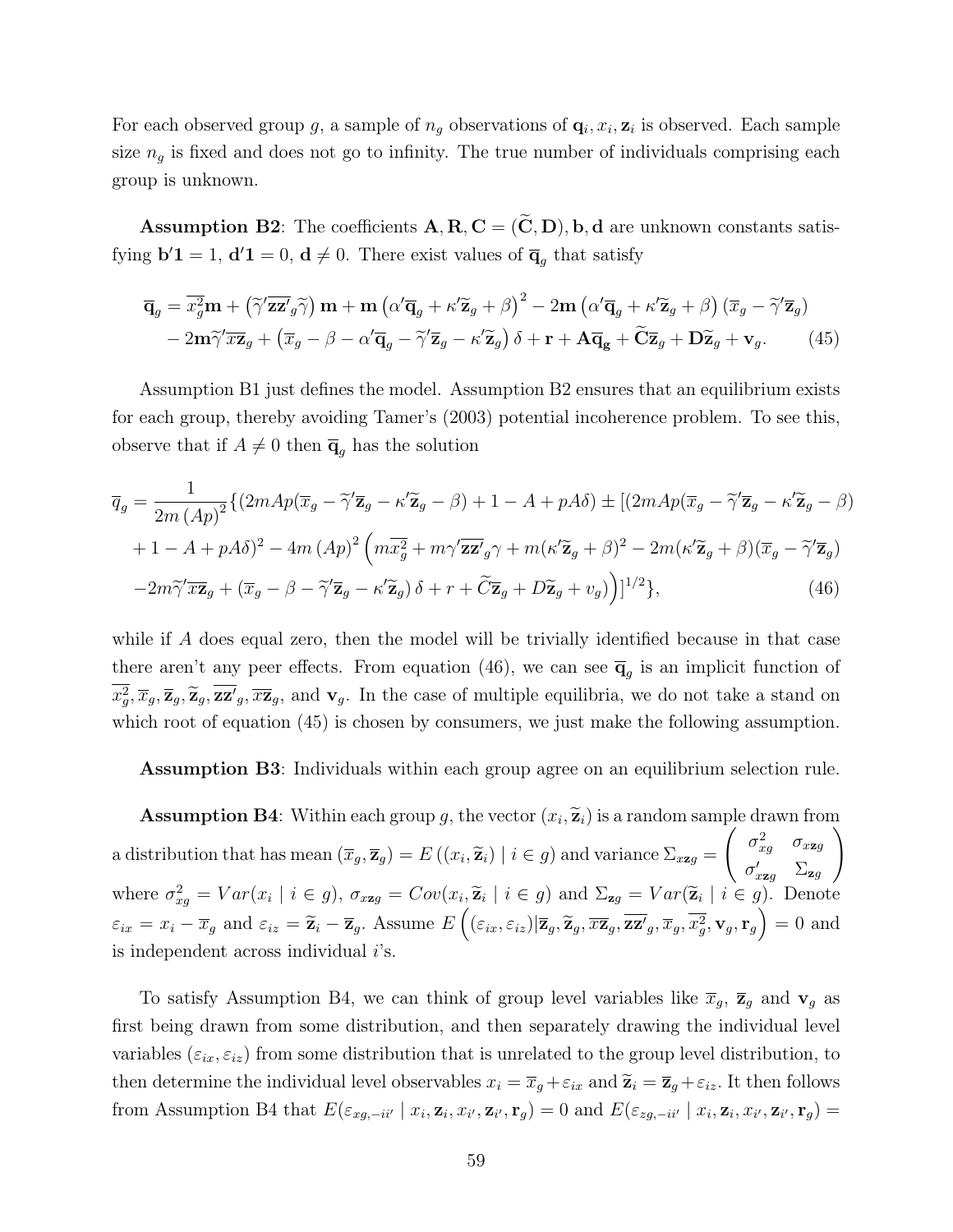For each observed group g, a sample of  $n_g$  observations of  $\mathbf{q}_i, x_i, \mathbf{z}_i$  is observed. Each sample size  $n<sub>g</sub>$  is fixed and does not go to infinity. The true number of individuals comprising each group is unknown.

**Assumption B2:** The coefficients  $A, R, C = (\widetilde{C}, D), b, d$  are unknown constants satisfying  $\mathbf{b}'\mathbf{1} = 1$ ,  $\mathbf{d}'\mathbf{1} = 0$ ,  $\mathbf{d} \neq 0$ . There exist values of  $\overline{\mathbf{q}}_g$  that satisfy

$$
\overline{\mathbf{q}}_g = \overline{x_g^2} \mathbf{m} + \left( \widetilde{\gamma}' \overline{\mathbf{z}} \mathbf{z}'_g \widetilde{\gamma} \right) \mathbf{m} + \mathbf{m} \left( \alpha' \overline{\mathbf{q}}_g + \kappa' \widetilde{\mathbf{z}}_g + \beta \right)^2 - 2 \mathbf{m} \left( \alpha' \overline{\mathbf{q}}_g + \kappa' \widetilde{\mathbf{z}}_g + \beta \right) \left( \overline{x}_g - \widetilde{\gamma}' \overline{\mathbf{z}}_g \right) - 2 \mathbf{m} \widetilde{\gamma}' \overline{x} \mathbf{z}_g + \left( \overline{x}_g - \beta - \alpha' \overline{\mathbf{q}}_g - \widetilde{\gamma}' \overline{\mathbf{z}}_g - \kappa' \widetilde{\mathbf{z}}_g \right) \delta + \mathbf{r} + \mathbf{A} \overline{\mathbf{q}}_g + \widetilde{\mathbf{C}} \overline{\mathbf{z}}_g + \mathbf{D} \widetilde{\mathbf{z}}_g + \mathbf{v}_g. \tag{45}
$$

Assumption B1 just defines the model. Assumption B2 ensures that an equilibrium exists for each group, thereby avoiding Tamer's (2003) potential incoherence problem. To see this, observe that if  $A \neq 0$  then  $\overline{q}_q$  has the solution

$$
\overline{q}_g = \frac{1}{2m \left(Ap\right)^2} \left\{ \left(2mAp(\overline{x}_g - \tilde{\gamma}' \overline{\mathbf{z}}_g - \kappa' \widetilde{\mathbf{z}}_g - \beta) + 1 - A + pA\delta \right) \pm \left[ \left(2mAp(\overline{x}_g - \tilde{\gamma}' \overline{\mathbf{z}}_g - \kappa' \widetilde{\mathbf{z}}_g - \beta) + 1 - A + pA\delta \right) \right\} + \left[2mAp(\overline{x}_g - \tilde{\gamma}' \overline{\mathbf{z}}_g - \beta) + 1 - A + pA\delta \right]^2 - 4m \left( Ap\right)^2 \left( m\overline{x}_g^2 + m\gamma' \overline{\mathbf{z}}_g^2 \gamma + m(\kappa' \widetilde{\mathbf{z}}_g + \beta)^2 - 2m(\kappa' \widetilde{\mathbf{z}}_g + \beta)(\overline{x}_g - \tilde{\gamma}' \overline{\mathbf{z}}_g) - 2m\tilde{\gamma}' \overline{x} \overline{\mathbf{z}}_g + (\overline{x}_g - \beta - \tilde{\gamma}' \overline{\mathbf{z}}_g - \kappa' \widetilde{\mathbf{z}}_g) \delta + r + \tilde{C} \overline{\mathbf{z}}_g + D\tilde{\mathbf{z}}_g + v_g \right) \right\}^{1/2}, \tag{46}
$$

while if A does equal zero, then the model will be trivially identified because in that case there aren't any peer effects. From equation (46), we can see  $\overline{\mathbf{q}}_g$  is an implicit function of  $\overline{x}_g^2, \overline{x}_g, \overline{z}_g, \overline{z}_g, \overline{z}_g, \overline{z}_g$ , and  $\mathbf{v}_g$ . In the case of multiple equilibria, we do not take a stand on which root of equation (45) is chosen by consumers, we just make the following assumption.

Assumption B3: Individuals within each group agree on an equilibrium selection rule.

**Assumption B4**: Within each group g, the vector  $(x_i, \tilde{\mathbf{z}}_i)$  is a random sample drawn from  $(\widetilde{\mathbf{z}}_i)$  is a random sample drawn from a distribution that has mean  $(\overline{x}_g, \overline{z}_g) = E((x_i, \widetilde{z}_i) | i \in g)$  and variance  $\Sigma_{x \mathbf{z} g} =$  $\int \sigma_{xg}^2 \sigma_{xzg}$  $\sigma_{x\mathbf{z}g}'$   $\Sigma_{\mathbf{z}g}$  $\setminus$ where  $\sigma_{xg}^2 = Var(x_i \mid i \in g)$ ,  $\sigma_{xzg} = Cov(x_i, \tilde{z}_i \mid i \in g)$  and  $\Sigma_{zg} = Var(\tilde{z}_i \mid i \in g)$ . Denote  $\varepsilon_{ix} = x_i - \overline{x}_g$  and  $\varepsilon_{iz} = \widetilde{\mathbf{z}}_i - \overline{\mathbf{z}}_g$ . Assume  $E\left( (\varepsilon_{ix}, \varepsilon_{iz}) | \overline{\mathbf{z}}_g, \widetilde{\mathbf{z}}_g, \overline{x\mathbf{z}}_g, \overline{x\mathbf{z}}_g, \overline{x}_g, \overline{x}_g^2, \mathbf{v}_g, \mathbf{r}_g \right) = 0$  and is independent across individual *i*'s.

To satisfy Assumption B4, we can think of group level variables like  $\bar{x}_g$ ,  $\bar{z}_g$  and  $v_g$  as first being drawn from some distribution, and then separately drawing the individual level variables  $(\varepsilon_{ix}, \varepsilon_{iz})$  from some distribution that is unrelated to the group level distribution, to then determine the individual level observables  $x_i = \overline{x}_g + \varepsilon_{ix}$  and  $\widetilde{\mathbf{z}}_i = \overline{\mathbf{z}}_g + \varepsilon_{iz}$ . It then follows from Assumption B4 that  $E(\varepsilon_{xg,-ii'} | x_i, \mathbf{z}_i, x_{i'}, \mathbf{z}_{i'}, \mathbf{r}_g) = 0$  and  $E(\varepsilon_{zg,-ii'} | x_i, \mathbf{z}_i, x_{i'}, \mathbf{z}_{i'}, \mathbf{r}_g) =$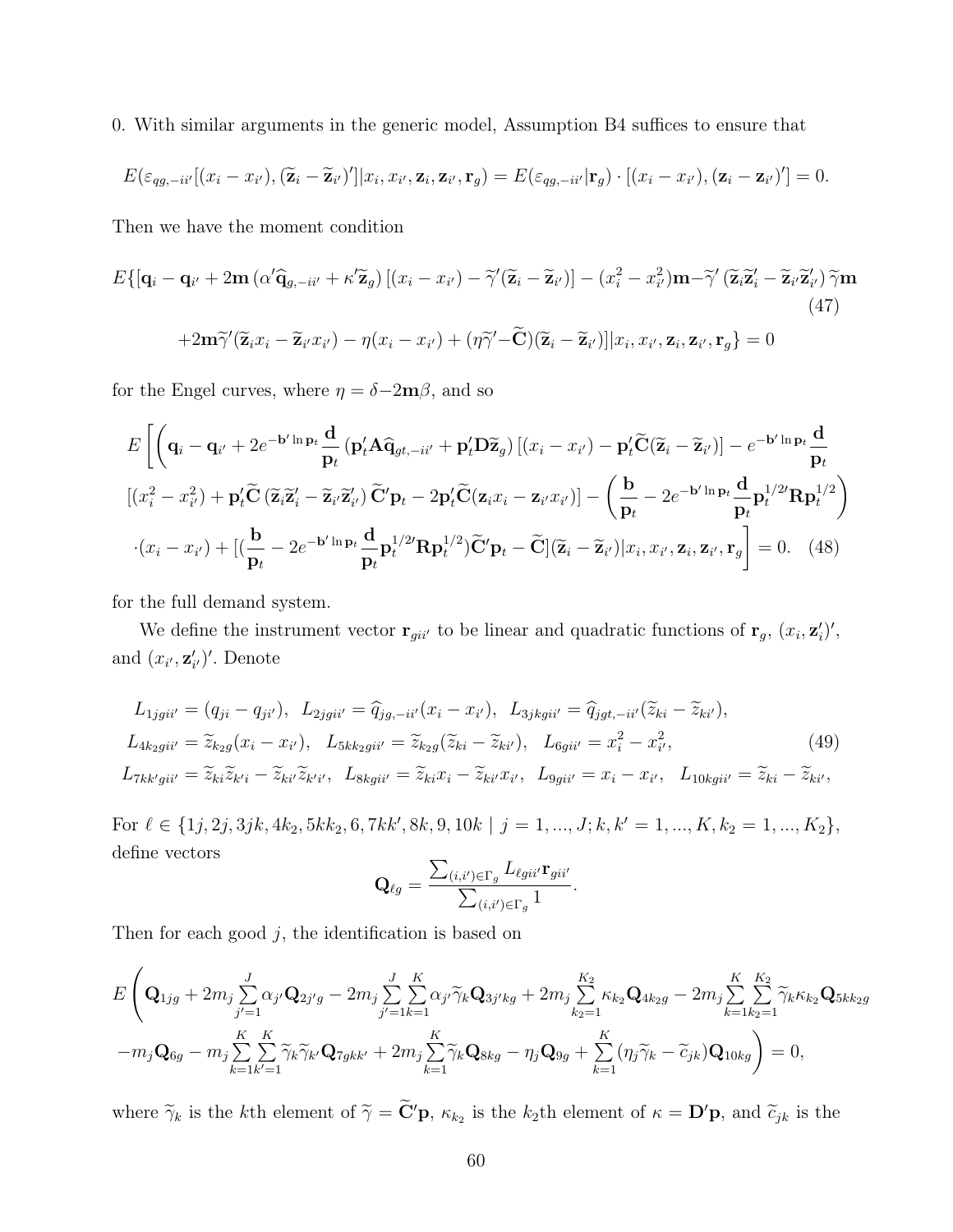0. With similar arguments in the generic model, Assumption B4 suffices to ensure that

$$
E(\varepsilon_{qg,-ii'}[(x_i-x_{i'}),(\widetilde{\mathbf{z}}_i-\widetilde{\mathbf{z}}_{i'})']|x_i,x_{i'},\mathbf{z}_i,\mathbf{z}_{i'},\mathbf{r}_g) = E(\varepsilon_{qg,-ii'}|\mathbf{r}_g)\cdot[(x_i-x_{i'}),(\mathbf{z}_i-\mathbf{z}_{i'})'] = 0.
$$

Then we have the moment condition

$$
E\{[\mathbf{q}_i - \mathbf{q}_{i'} + 2\mathbf{m} \left( \alpha' \hat{\mathbf{q}}_{g, -i i'} + \kappa' \tilde{\mathbf{z}}_g \right) \left[ (x_i - x_{i'}) - \tilde{\gamma}'(\tilde{\mathbf{z}}_i - \tilde{\mathbf{z}}_{i'}) \right] - (x_i^2 - x_{i'}^2) \mathbf{m} - \tilde{\gamma}'(\tilde{\mathbf{z}}_i \tilde{\mathbf{z}}_i' - \tilde{\mathbf{z}}_{i'} \tilde{\mathbf{z}}_{i'}) \tilde{\gamma} \mathbf{m}
$$
\n
$$
+ 2\mathbf{m}\tilde{\gamma}'(\tilde{\mathbf{z}}_i x_i - \tilde{\mathbf{z}}_{i'} x_{i'}) - \eta(x_i - x_{i'}) + (\eta \tilde{\gamma}' - \tilde{\mathbf{C}})(\tilde{\mathbf{z}}_i - \tilde{\mathbf{z}}_{i'}) \left] |x_i, x_{i'}, \mathbf{z}_i, \mathbf{z}_{i'}, \mathbf{r}_g \right\} = 0
$$
\n(47)

for the Engel curves, where  $\eta = \delta - 2\mathbf{m}\beta$ , and so

$$
E\left[\left(\mathbf{q}_{i}-\mathbf{q}_{i'}+2e^{-\mathbf{b}'\ln\mathbf{p}_{t}}\frac{\mathbf{d}}{\mathbf{p}_{t}}\left(\mathbf{p}_{i}'\mathbf{A}\widehat{\mathbf{q}}_{gt,-ii'}+\mathbf{p}_{i}'\mathbf{D}\widetilde{\mathbf{z}}_{g}\right)\left[(x_{i}-x_{i'})-\mathbf{p}_{i}'\widetilde{\mathbf{C}}(\widetilde{\mathbf{z}}_{i}-\widetilde{\mathbf{z}}_{i'})\right]-e^{-\mathbf{b}'\ln\mathbf{p}_{t}}\frac{\mathbf{d}}{\mathbf{p}_{t}}\right]
$$
\n
$$
\left[(x_{i}^{2}-x_{i'}^{2})+\mathbf{p}_{i}'\widetilde{\mathbf{C}}\left(\widetilde{\mathbf{z}}_{i}\widetilde{\mathbf{z}}_{i}'-\widetilde{\mathbf{z}}_{i'}\widetilde{\mathbf{z}}_{i'}'\right)\widetilde{\mathbf{C}}'\mathbf{p}_{t}-2\mathbf{p}_{i}'\widetilde{\mathbf{C}}(\mathbf{z}_{i}x_{i}-\mathbf{z}_{i'}x_{i'})\right]-\left(\frac{\mathbf{b}}{\mathbf{p}_{t}}-2e^{-\mathbf{b}'\ln\mathbf{p}_{t}}\frac{\mathbf{d}}{\mathbf{p}_{t}}\mathbf{p}_{t}^{1/2}\mathbf{R}\mathbf{p}_{t}^{1/2}\right)
$$
\n
$$
\cdot(x_{i}-x_{i'})+\left[(\frac{\mathbf{b}}{\mathbf{p}_{t}}-2e^{-\mathbf{b}'\ln\mathbf{p}_{t}}\frac{\mathbf{d}}{\mathbf{p}_{t}}\mathbf{p}_{t}^{1/2}\mathbf{R}\mathbf{p}_{t}^{1/2}\right)\widetilde{\mathbf{C}}'\mathbf{p}_{t}-\widetilde{\mathbf{C}}\right](\widetilde{\mathbf{z}}_{i}-\widetilde{\mathbf{z}}_{i'})\Big|\mathbf{x}_{i},\mathbf{x}_{i'},\mathbf{z}_{i},\mathbf{z}_{i'},\mathbf{r}_{g}\right]=0.\quad(48)
$$

for the full demand system.

We define the instrument vector  $\mathbf{r}_{gi i'}$  to be linear and quadratic functions of  $\mathbf{r}_g$ ,  $(x_i, \mathbf{z}'_i)'$ , and  $(x_{i'}, \mathbf{z}'_{i'})'$ . Denote

$$
L_{1jgii'} = (q_{ji} - q_{ji'}), \ L_{2jgii'} = \hat{q}_{jg, -ii'}(x_i - x_{i'}), \ L_{3jkgii'} = \hat{q}_{jgt, -ii'}(\tilde{z}_{ki} - \tilde{z}_{ki'}),
$$
  
\n
$$
L_{4k_2gii'} = \tilde{z}_{k_2g}(x_i - x_{i'}), \ L_{5kk_2gii'} = \tilde{z}_{k_2g}(\tilde{z}_{ki} - \tilde{z}_{ki'}), \ L_{6gii'} = x_i^2 - x_{i'}^2,
$$
  
\n
$$
L_{7kk'gii'} = \tilde{z}_{ki}\tilde{z}_{k'i} - \tilde{z}_{ki'}\tilde{z}_{k'i'}, \ L_{8kgii'} = \tilde{z}_{ki}x_i - \tilde{z}_{ki'}x_{i'}, \ L_{9gii'} = x_i - x_{i'}, \ L_{10kgii'} = \tilde{z}_{ki} - \tilde{z}_{ki'},
$$
\n(49)

For  $\ell \in \{1j, 2j, 3jk, 4k_2, 5kk_2, 6, 7kk', 8k, 9, 10k \mid j = 1, ..., J; k, k' = 1, ..., K, k_2 = 1, ..., K_2\},$ define vectors

$$
\mathbf{Q}_{\ell g} = \frac{\sum_{(i,i') \in \Gamma_g} L_{\ell g i i'} \mathbf{r}_{g i i'}}{\sum_{(i,i') \in \Gamma_g} 1}.
$$

Then for each good  $j$ , the identification is based on

$$
E\left(\mathbf{Q}_{1jg} + 2m_j \sum_{j'=1}^{J} \alpha_{j'} \mathbf{Q}_{2j'g} - 2m_j \sum_{j'=1}^{J} \sum_{k=1}^{K} \alpha_{j'} \widetilde{\gamma}_k \mathbf{Q}_{3j'kg} + 2m_j \sum_{k_2=1}^{K_2} \kappa_{k_2} \mathbf{Q}_{4k_2g} - 2m_j \sum_{k=1}^{K} \sum_{k_2=1}^{K_2} \widetilde{\gamma}_k \kappa_{k_2} \mathbf{Q}_{5kk_2g} - m_j \sum_{k=1}^{K} \sum_{k'=1}^{K} \widetilde{\gamma}_k \widetilde{\gamma}_k \widetilde{\gamma}_k \mathbf{Q}_{7gkk'} + 2m_j \sum_{k=1}^{K} \widetilde{\gamma}_k \mathbf{Q}_{8kg} - \eta_j \mathbf{Q}_{9g} + \sum_{k=1}^{K} (\eta_j \widetilde{\gamma}_k - \widetilde{c}_{jk}) \mathbf{Q}_{10kg} \right) = 0,
$$

where  $\widetilde{\gamma}_k$  is the kth element of  $\widetilde{\gamma} = \widetilde{\mathbf{C}}' \mathbf{p}$ ,  $\kappa_{k_2}$  is the k<sub>2</sub>th element of  $\kappa = \mathbf{D}' \mathbf{p}$ , and  $\widetilde{c}_{jk}$  is the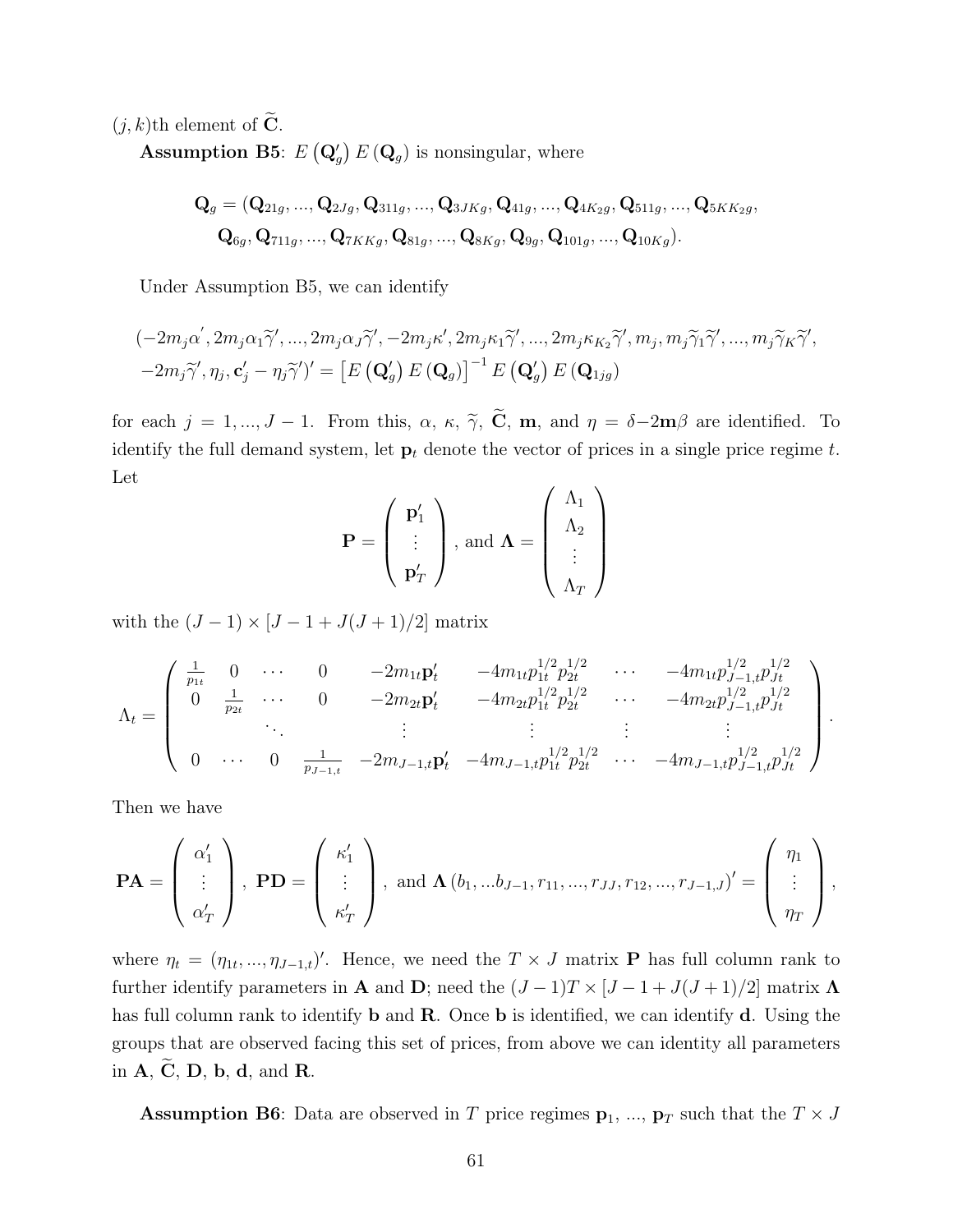$(j, k)$ th element of  $\widetilde{\mathbf{C}}$ .

**Assumption B5**:  $E(Q_g) E(Q_g)$  is nonsingular, where

$$
\mathbf{Q}_{g} = (\mathbf{Q}_{21g}, ..., \mathbf{Q}_{2Jg}, \mathbf{Q}_{311g}, ..., \mathbf{Q}_{3JKg}, \mathbf{Q}_{41g}, ..., \mathbf{Q}_{4K_2g}, \mathbf{Q}_{511g}, ..., \mathbf{Q}_{5KK_2g},
$$
  

$$
\mathbf{Q}_{6g}, \mathbf{Q}_{711g}, ..., \mathbf{Q}_{7KKg}, \mathbf{Q}_{81g}, ..., \mathbf{Q}_{8Kg}, \mathbf{Q}_{9g}, \mathbf{Q}_{101g}, ..., \mathbf{Q}_{10Kg}).
$$

Under Assumption B5, we can identify

$$
\begin{aligned} &(-2m_j\alpha', 2m_j\alpha_1\widetilde{\gamma}', ..., 2m_j\alpha_J\widetilde{\gamma}', -2m_j\kappa', 2m_j\kappa_1\widetilde{\gamma}', ..., 2m_j\kappa_{K_2}\widetilde{\gamma}', m_j, m_j\widetilde{\gamma}_1\widetilde{\gamma}', ..., m_j\widetilde{\gamma}_K\widetilde{\gamma}', \\ &-2m_j\widetilde{\gamma}', \eta_j, \mathbf{c}'_j - \eta_j\widetilde{\gamma}'\mathbf{)}' = \left[E\left(\mathbf{Q}'_g\right)E\left(\mathbf{Q}_g\right)\right]^{-1}E\left(\mathbf{Q}'_g\right)E\left(\mathbf{Q}_{1jg}\right) \end{aligned}
$$

for each  $j = 1, ..., J - 1$ . From this,  $\alpha$ ,  $\kappa$ ,  $\tilde{\gamma}$ ,  $\tilde{C}$ , m, and  $\eta = \delta - 2m\beta$  are identified. To identify the full demand system, let  $\mathbf{p}_t$  denote the vector of prices in a single price regime t. Let

$$
\mathbf{P} = \left(\begin{array}{c}\mathbf{p}'_1\\\vdots\\\mathbf{p}'_T\end{array}\right), \text{ and } \Lambda = \left(\begin{array}{c}\Lambda_1\\\Lambda_2\\\vdots\\\Lambda_T\end{array}\right)
$$

with the  $(J-1) \times [J-1+J(J+1)/2]$  matrix

$$
\Lambda_t = \begin{pmatrix}\n\frac{1}{p_{1t}} & 0 & \cdots & 0 & -2m_{1t}p_t' & -4m_{1t}p_{1t}^{1/2}p_{2t}^{1/2} & \cdots & -4m_{1t}p_{J-1,t}^{1/2}p_{Jt}^{1/2} \\
0 & \frac{1}{p_{2t}} & \cdots & 0 & -2m_{2t}p_t' & -4m_{2t}p_{1t}^{1/2}p_{2t}^{1/2} & \cdots & -4m_{2t}p_{J-1,t}^{1/2}p_{Jt}^{1/2} \\
\vdots & \vdots & \vdots & \vdots & \vdots \\
0 & \cdots & 0 & \frac{1}{p_{J-1,t}} & -2m_{J-1,t}p_t' & -4m_{J-1,t}p_{1t}^{1/2}p_{2t}^{1/2} & \cdots & -4m_{J-1,t}p_{J-1,t}^{1/2}p_{Jt}^{1/2}\n\end{pmatrix}.
$$

Then we have

$$
\mathbf{PA} = \begin{pmatrix} \alpha_1' \\ \vdots \\ \alpha_T' \end{pmatrix}, \ \mathbf{PD} = \begin{pmatrix} \kappa_1' \\ \vdots \\ \kappa_T' \end{pmatrix}, \ \text{and} \ \mathbf{\Lambda} \left( b_1, \ldots b_{J-1}, r_{11}, \ldots, r_{JJ}, r_{12}, \ldots, r_{J-1,J} \right)' = \begin{pmatrix} \eta_1 \\ \vdots \\ \eta_T \end{pmatrix},
$$

where  $\eta_t = (\eta_{1t}, ..., \eta_{J-1,t})'$ . Hence, we need the  $T \times J$  matrix **P** has full column rank to further identify parameters in **A** and **D**; need the  $(J-1)T \times [J-1+J(J+1)/2]$  matrix **Λ** has full column rank to identify **b** and **R**. Once **b** is identified, we can identify **d**. Using the groups that are observed facing this set of prices, from above we can identity all parameters in  $A, C, D, b, d, and R$ .

**Assumption B6**: Data are observed in T price regimes  $p_1, ..., p_T$  such that the  $T \times J$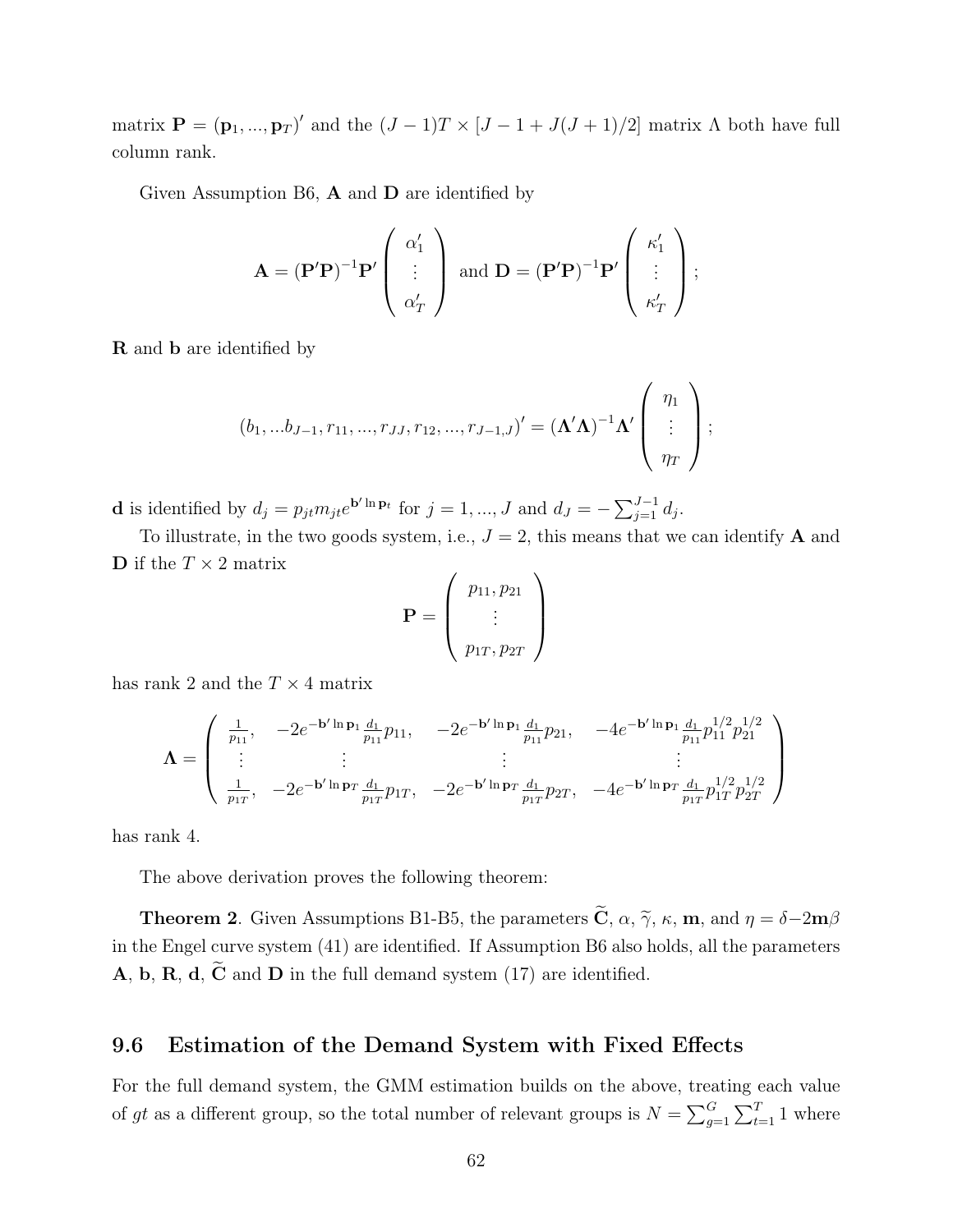matrix  $\mathbf{P} = (\mathbf{p}_1, ..., \mathbf{p}_T)'$  and the  $(J-1)T \times [J-1+J(J+1)/2]$  matrix  $\Lambda$  both have full column rank.

Given Assumption B6,  $\bf{A}$  and  $\bf{D}$  are identified by

$$
\mathbf{A} = (\mathbf{P}'\mathbf{P})^{-1}\mathbf{P}' \begin{pmatrix} \alpha'_1 \\ \vdots \\ \alpha'_T \end{pmatrix} \text{ and } \mathbf{D} = (\mathbf{P}'\mathbf{P})^{-1}\mathbf{P}' \begin{pmatrix} \kappa'_1 \\ \vdots \\ \kappa'_T \end{pmatrix};
$$

R and b are identified by

$$
(b_1,...b_{J-1},r_{11},...,r_{JJ},r_{12},...,r_{J-1,J})'=(\Lambda'\Lambda)^{-1}\Lambda'\left(\begin{array}{c} \eta_1\\ \vdots\\ \eta_T \end{array}\right);
$$

**d** is identified by  $d_j = p_{jt} m_{jt} e^{\mathbf{b}' \ln \mathbf{p}_t}$  for  $j = 1, ..., J$  and  $d_J = -\sum_{j=1}^{J-1} d_j$ .

To illustrate, in the two goods system, i.e.,  $J = 2$ , this means that we can identify **A** and **D** if the  $T \times 2$  matrix

$$
\mathbf{P} = \left(\begin{array}{c} p_{11}, p_{21} \\ \vdots \\ p_{1T}, p_{2T} \end{array}\right)
$$

has rank 2 and the  $T \times 4$  matrix

$$
\Lambda = \begin{pmatrix} \frac{1}{p_{11}}, & -2e^{-\mathbf{b}'\ln\mathbf{p}_1}\frac{d_1}{p_{11}}p_{11}, & -2e^{-\mathbf{b}'\ln\mathbf{p}_1}\frac{d_1}{p_{11}}p_{21}, & -4e^{-\mathbf{b}'\ln\mathbf{p}_1}\frac{d_1}{p_{11}}p_{11}^{1/2}p_{21}^{1/2} \\ \vdots & \vdots & \vdots & \vdots \\ \frac{1}{p_{1T}}, & -2e^{-\mathbf{b}'\ln\mathbf{p}_T}\frac{d_1}{p_{1T}}p_{1T}, & -2e^{-\mathbf{b}'\ln\mathbf{p}_T}\frac{d_1}{p_{1T}}p_{2T}, & -4e^{-\mathbf{b}'\ln\mathbf{p}_T}\frac{d_1}{p_{1T}}p_{1T}^{1/2}p_{2T}^{1/2} \end{pmatrix}
$$

has rank 4.

The above derivation proves the following theorem:

**Theorem 2.** Given Assumptions B1-B5, the parameters  $\tilde{\mathbf{C}}$ ,  $\alpha$ ,  $\tilde{\gamma}$ ,  $\kappa$ , **m**, and  $\eta = \delta - 2\mathbf{m}\beta$ in the Engel curve system (41) are identified. If Assumption B6 also holds, all the parameters A, b, R, d,  $\widetilde{C}$  and D in the full demand system (17) are identified.

### 9.6 Estimation of the Demand System with Fixed Effects

For the full demand system, the GMM estimation builds on the above, treating each value of gt as a different group, so the total number of relevant groups is  $N = \sum_{g=1}^{G} \sum_{t=1}^{T} 1$  where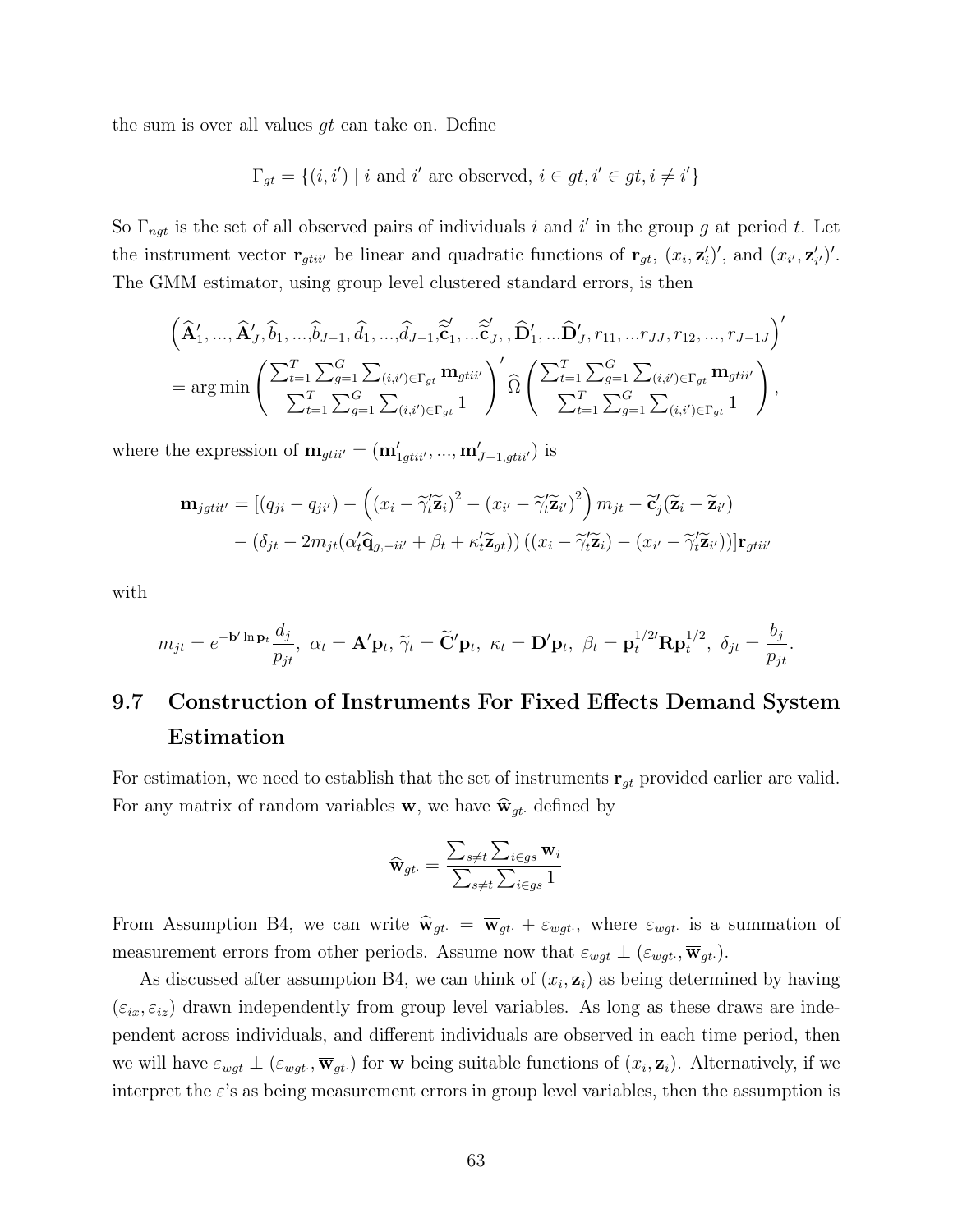the sum is over all values  $gt$  can take on. Define

$$
\Gamma_{gt} = \{(i, i') \mid i \text{ and } i' \text{ are observed, } i \in gt, i' \in gt, i \neq i'\}
$$

So  $\Gamma_{ngt}$  is the set of all observed pairs of individuals i and i' in the group g at period t. Let the instrument vector  $\mathbf{r}_{gtii'}$  be linear and quadratic functions of  $\mathbf{r}_{gt}$ ,  $(x_i, \mathbf{z}'_i)'$ , and  $(x_{i'}, \mathbf{z}'_{i'})'$ . The GMM estimator, using group level clustered standard errors, is then

$$
\left(\widehat{\mathbf{A}}'_1, \ldots, \widehat{\mathbf{A}}'_J, \widehat{b}_1, \ldots, \widehat{b}_{J-1}, \widehat{d}_1, \ldots, \widehat{d}_{J-1}, \widehat{\widetilde{\mathbf{c}}}'_1, \ldots, \widehat{\widetilde{\mathbf{c}}}'_J, \widehat{\mathbf{D}}'_1, \ldots, \widehat{\mathbf{D}}'_J, r_{11}, \ldots r_{JJ}, r_{12}, \ldots, r_{J-1} \right)'
$$
\n
$$
= \arg \min \left( \frac{\sum_{t=1}^T \sum_{g=1}^G \sum_{(i,i') \in \Gamma_{gt}} \mathbf{m}_{gtii'}}{\sum_{t=1}^T \sum_{g=1}^G \sum_{(i,i') \in \Gamma_{gt}} \mathbf{m}_{gtii'}} \right) \widehat{\Omega} \left( \frac{\sum_{t=1}^T \sum_{g=1}^G \sum_{(i,i') \in \Gamma_{gt}} \mathbf{m}_{gtii'}}{\sum_{t=1}^T \sum_{g=1}^G \sum_{(i,i') \in \Gamma_{gt}} \mathbf{m}_{gtii'}} \right),
$$

where the expression of  $\mathbf{m}_{gtii'} = (\mathbf{m}'_{1gtii'}, ..., \mathbf{m}'_{J-1,gtii'})$  is

$$
\mathbf{m}_{jgtit'} = [(q_{ji} - q_{ji'}) - ((x_i - \tilde{\gamma}_t'\tilde{\mathbf{z}}_i)^2 - (x_{i'} - \tilde{\gamma}_t'\tilde{\mathbf{z}}_{i'})^2) m_{jt} - \tilde{\mathbf{c}}'_j(\tilde{\mathbf{z}}_i - \tilde{\mathbf{z}}_{i'})
$$

$$
- (\delta_{jt} - 2m_{jt}(\alpha_t'\hat{\mathbf{q}}_{g, -it'} + \beta_t + \kappa_t'\tilde{\mathbf{z}}_{gt})) ((x_i - \tilde{\gamma}_t'\tilde{\mathbf{z}}_i) - (x_{i'} - \tilde{\gamma}_t'\tilde{\mathbf{z}}_{i'}))] \mathbf{r}_{gtit'}
$$

with

$$
m_{jt}=e^{-\mathbf{b}'\ln\mathbf{p}_t}\frac{d_j}{p_{jt}},\,\,\alpha_t=\mathbf{A}'\mathbf{p}_t,\,\widetilde{\gamma}_t=\widetilde{\mathbf{C}}'\mathbf{p}_t,\,\,\kappa_t=\mathbf{D}'\mathbf{p}_t,\,\,\beta_t=\mathbf{p}_t^{1/2'}\mathbf{R}\mathbf{p}_t^{1/2},\,\,\delta_{jt}=\frac{b_j}{p_{jt}}.
$$

# 9.7 Construction of Instruments For Fixed Effects Demand System Estimation

For estimation, we need to establish that the set of instruments  $\mathbf{r}_{gt}$  provided earlier are valid. For any matrix of random variables **w**, we have  $\hat{\mathbf{w}}_{gt}$  defined by

$$
\widehat{\mathbf{w}}_{gt\cdot} = \frac{\sum_{s \neq t} \sum_{i \in gs} \mathbf{w}_i}{\sum_{s \neq t} \sum_{i \in gs} 1}
$$

From Assumption B4, we can write  $\hat{w}_{gt} = \overline{w}_{gt} + \varepsilon_{wgt}$ , where  $\varepsilon_{wgt}$  is a summation of measurement errors from other periods. Assume now that  $\varepsilon_{wgt} \perp (\varepsilon_{wgt}, \overline{\mathbf{w}}_{gt})$ .

As discussed after assumption B4, we can think of  $(x_i, z_i)$  as being determined by having  $(\varepsilon_{ix}, \varepsilon_{iz})$  drawn independently from group level variables. As long as these draws are independent across individuals, and different individuals are observed in each time period, then we will have  $\varepsilon_{wgt} \perp (\varepsilon_{wgt}$ ,  $\overline{\mathbf{w}}_{gt})$  for w being suitable functions of  $(x_i, \mathbf{z}_i)$ . Alternatively, if we interpret the  $\varepsilon$ 's as being measurement errors in group level variables, then the assumption is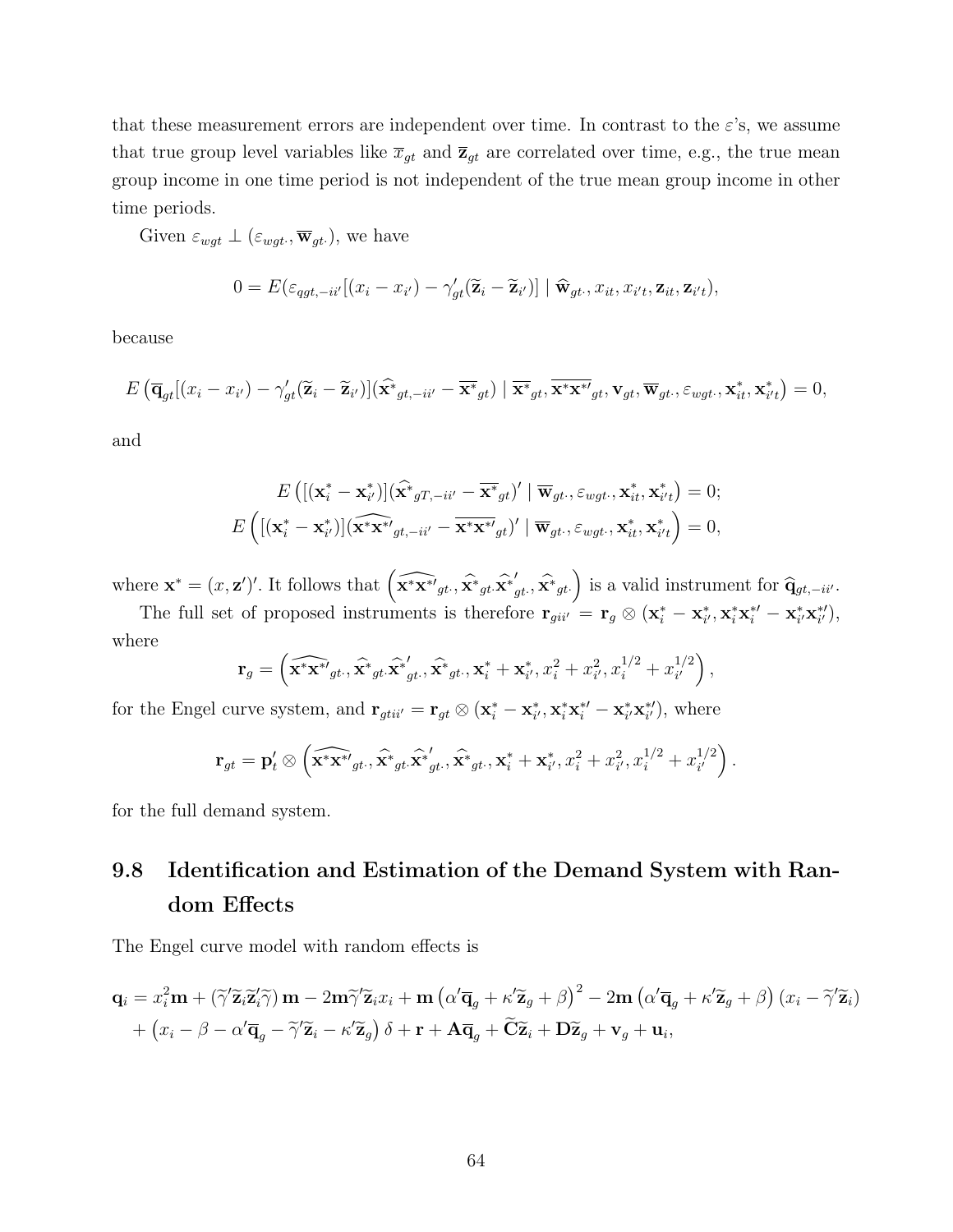that these measurement errors are independent over time. In contrast to the  $\varepsilon$ 's, we assume that true group level variables like  $\bar{x}_{gt}$  and  $\bar{z}_{gt}$  are correlated over time, e.g., the true mean group income in one time period is not independent of the true mean group income in other time periods.

Given  $\varepsilon_{wgt} \perp (\varepsilon_{wgt} \cdot \overline{\mathbf{w}}_{gt})$ , we have

$$
0 = E(\varepsilon_{qgt, -ii'}[(x_i - x_{i'}) - \gamma'_{gt}(\widetilde{\mathbf{z}}_i - \widetilde{\mathbf{z}}_{i'})] | \widehat{\mathbf{w}}_{gt}, x_{it}, x_{i't}, \mathbf{z}_{it}, \mathbf{z}_{i't}),
$$

because

$$
E\left(\overline{\mathbf{q}}_{gt}[(x_i - x_{i'}) - \gamma'_{gt}(\widetilde{\mathbf{z}}_i - \widetilde{\mathbf{z}}_{i'})](\widehat{\mathbf{x}}_{gt,-ii'} - \overline{\mathbf{x}}_{gt}^*) | \overline{\mathbf{x}}_{gt}^*, \overline{\mathbf{x}}_{gt}^*, \overline{\mathbf{x}}_{gt}^*, \mathbf{v}_{gt}, \varepsilon_{wgt\cdot}, \mathbf{x}_{it}^*, \mathbf{x}_{i't}^*\right) = 0,
$$

and

$$
E\left(\left[\left(\mathbf{x}_{i}^{*}-\mathbf{x}_{i'}^{*}\right)\right]\left(\widehat{\mathbf{x}}_{gT,-ii'}-\overline{\mathbf{x}}_{gt}^{*}\right)'\mid\overline{\mathbf{w}}_{gt},\varepsilon_{wgt.},\mathbf{x}_{it}^{*},\mathbf{x}_{it'}^{*}\right)=0;\\E\left(\left[\left(\mathbf{x}_{i}^{*}-\mathbf{x}_{i'}^{*}\right)\right]\left(\widehat{\mathbf{x}}_{t}^{*}\mathbf{x}_{gt,-ii'}-\overline{\mathbf{x}}_{t}^{*}\mathbf{x}_{gt}^{*}\right)'\mid\overline{\mathbf{w}}_{gt.},\varepsilon_{wgt.},\mathbf{x}_{it}^{*},\mathbf{x}_{it'}^{*}\right)=0,\right.
$$

where  $\mathbf{x}^* = (x, \mathbf{z}')'$ . It follows that  $\left(\widehat{\mathbf{x}^* \mathbf{x}^*}_{gt}, \widehat{\mathbf{x}^*}_{gt}, \widehat{\mathbf{x}^*}_{gt} \right)$  $\left(g_t, \widehat{\mathbf{x}}^*_{gt}\right)$  is a valid instrument for  $\widehat{\mathbf{q}}_{gt,-ii'}$ .

The full set of proposed instruments is therefore  $\mathbf{r}_{gi i'} = \mathbf{r}_g \otimes (\mathbf{x}_i^* - \mathbf{x}_{i'}^*, \mathbf{x}_i^* \mathbf{x}_i^{*'} - \mathbf{x}_{i'}^* \mathbf{x}_{i'}^{*'}),$ where

$$
\mathbf{r}_g = \left( \widehat{\mathbf{x}^* \mathbf{x}^*}_{gt\cdot}, \widehat{\mathbf{x}^*}_{gt\cdot}, \widehat{\mathbf{x}^*}_{gt\cdot}, \widehat{\mathbf{x}^*}_{gt\cdot}, \mathbf{x}_i^* + \mathbf{x}_{i'}^*, x_i^2 + x_{i'}^2, x_i^{1/2} + x_{i'}^{1/2} \right),
$$

for the Engel curve system, and  $\mathbf{r}_{gtii'} = \mathbf{r}_{gt} \otimes (\mathbf{x}_i^* - \mathbf{x}_{i'}^*, \mathbf{x}_i^* \mathbf{x}_i^{*\prime} - \mathbf{x}_{i'}^* \mathbf{x}_{i'}^{*\prime})$ , where

$$
\mathbf{r}_{gt} = \mathbf{p}'_t \otimes \left( \widehat{\mathbf{x}^* \mathbf{x}^*'}_{gt\cdot}, \widehat{\mathbf{x}^*}_{gt\cdot}, \widehat{\mathbf{x}^*}_{gt\cdot}, \widehat{\mathbf{x}^*}_{gt\cdot}, \mathbf{x}_i^* + \mathbf{x}_{i'}^*, x_i^2 + x_{i'}^2, x_i^{1/2} + x_{i'}^{1/2} \right).
$$

for the full demand system.

# 9.8 Identification and Estimation of the Demand System with Random Effects

The Engel curve model with random effects is

$$
\mathbf{q}_{i} = x_{i}^{2} \mathbf{m} + (\tilde{\gamma} \tilde{\mathbf{z}}_{i} \tilde{\mathbf{z}}_{i}^{\prime} \tilde{\gamma}) \mathbf{m} - 2 \mathbf{m} \tilde{\gamma} \tilde{\mathbf{z}}_{i} x_{i} + \mathbf{m} (\alpha' \overline{\mathbf{q}}_{g} + \kappa' \tilde{\mathbf{z}}_{g} + \beta)^{2} - 2 \mathbf{m} (\alpha' \overline{\mathbf{q}}_{g} + \kappa' \tilde{\mathbf{z}}_{g} + \beta) (x_{i} - \tilde{\gamma}' \tilde{\mathbf{z}}_{i}) + (x_{i} - \beta - \alpha' \overline{\mathbf{q}}_{g} - \tilde{\gamma}' \tilde{\mathbf{z}}_{i} - \kappa' \tilde{\mathbf{z}}_{g}) \delta + \mathbf{r} + \mathbf{A} \overline{\mathbf{q}}_{g} + \widetilde{\mathbf{C}} \tilde{\mathbf{z}}_{i} + \mathbf{D} \tilde{\mathbf{z}}_{g} + \mathbf{v}_{g} + \mathbf{u}_{i},
$$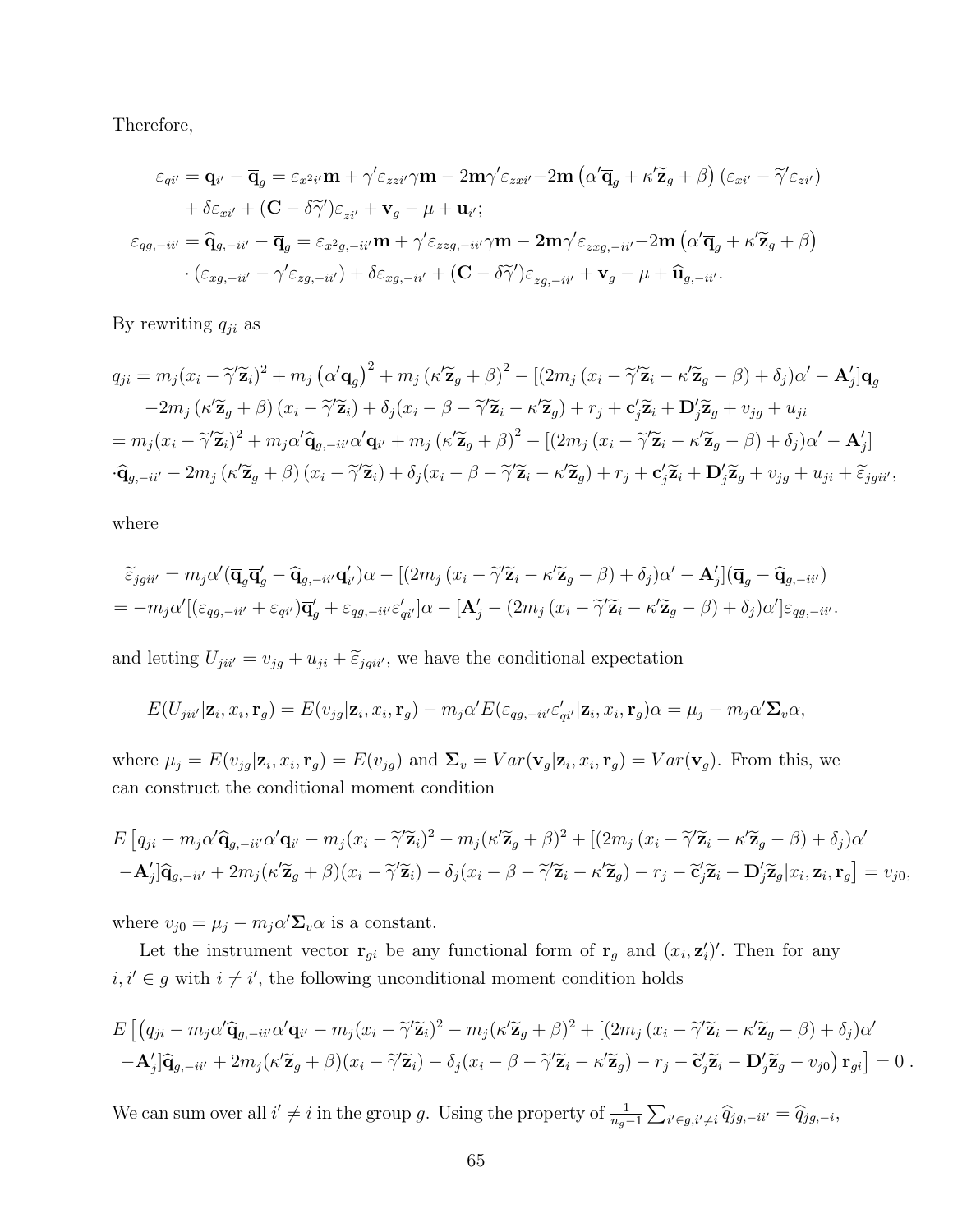Therefore,

$$
\varepsilon_{qi'} = \mathbf{q}_{i'} - \overline{\mathbf{q}}_g = \varepsilon_{x^2i'} \mathbf{m} + \gamma' \varepsilon_{zzi'} \gamma \mathbf{m} - 2\mathbf{m}\gamma' \varepsilon_{zxi'} - 2\mathbf{m} \left( \alpha' \overline{\mathbf{q}}_g + \kappa' \widetilde{\mathbf{z}}_g + \beta \right) \left( \varepsilon_{xi'} - \widetilde{\gamma}' \varepsilon_{zi'} \right) + \delta \varepsilon_{xi'} + (\mathbf{C} - \delta \widetilde{\gamma}') \varepsilon_{zi'} + \mathbf{v}_g - \mu + \mathbf{u}_{i'}; \n\varepsilon_{qg,-ii'} = \widehat{\mathbf{q}}_{g,-ii'} - \overline{\mathbf{q}}_g = \varepsilon_{x^2g,-ii'} \mathbf{m} + \gamma' \varepsilon_{zzg,-ii'} \gamma \mathbf{m} - 2\mathbf{m}\gamma' \varepsilon_{zxg,-ii'} - 2\mathbf{m} \left( \alpha' \overline{\mathbf{q}}_g + \kappa' \widetilde{\mathbf{z}}_g + \beta \right) \cdot \left( \varepsilon_{xg,-ii'} - \gamma' \varepsilon_{zg,-ii'} \right) + \delta \varepsilon_{xg,-ii'} + (\mathbf{C} - \delta \widetilde{\gamma}') \varepsilon_{zg,-ii'} + \mathbf{v}_g - \mu + \widehat{\mathbf{u}}_{g,-ii'}.
$$

By rewriting  $q_{ji}$  as

$$
q_{ji} = m_j(x_i - \tilde{\gamma}' \tilde{\mathbf{z}}_i)^2 + m_j (\alpha' \overline{\mathbf{q}}_g)^2 + m_j (\kappa' \tilde{\mathbf{z}}_g + \beta)^2 - [(2m_j(x_i - \tilde{\gamma}' \tilde{\mathbf{z}}_i - \kappa' \tilde{\mathbf{z}}_g - \beta) + \delta_j) \alpha' - \mathbf{A}'_j] \overline{\mathbf{q}}_g
$$
  
\n
$$
-2m_j (\kappa' \tilde{\mathbf{z}}_g + \beta) (x_i - \tilde{\gamma}' \tilde{\mathbf{z}}_i) + \delta_j (x_i - \beta - \tilde{\gamma}' \tilde{\mathbf{z}}_i - \kappa' \tilde{\mathbf{z}}_g) + r_j + \mathbf{c}'_j \tilde{\mathbf{z}}_i + \mathbf{D}'_j \tilde{\mathbf{z}}_g + v_{jg} + u_{ji}
$$
  
\n
$$
= m_j(x_i - \tilde{\gamma}' \tilde{\mathbf{z}}_i)^2 + m_j \alpha' \hat{\mathbf{q}}_{g, -ii'} \alpha' \mathbf{q}_{i'} + m_j (\kappa' \tilde{\mathbf{z}}_g + \beta)^2 - [(2m_j(x_i - \tilde{\gamma}' \tilde{\mathbf{z}}_i - \kappa' \tilde{\mathbf{z}}_g - \beta) + \delta_j) \alpha' - \mathbf{A}'_j]
$$
  
\n
$$
\cdot \hat{\mathbf{q}}_{g, -ii'} - 2m_j (\kappa' \tilde{\mathbf{z}}_g + \beta) (x_i - \tilde{\gamma}' \tilde{\mathbf{z}}_i) + \delta_j (x_i - \beta - \tilde{\gamma}' \tilde{\mathbf{z}}_i - \kappa' \tilde{\mathbf{z}}_g) + r_j + \mathbf{c}'_j \tilde{\mathbf{z}}_i + \mathbf{D}'_j \tilde{\mathbf{z}}_g + v_{jg} + u_{ji} + \tilde{\varepsilon}_{jgi'}.
$$

where

$$
\tilde{\varepsilon}_{jgii'} = m_j \alpha' (\overline{\mathbf{q}}_g \overline{\mathbf{q}}_g' - \widehat{\mathbf{q}}_{g,-ii'} \mathbf{q}_{i'}) \alpha - [(2m_j (x_i - \widetilde{\gamma}' \widetilde{\mathbf{z}}_i - \kappa' \widetilde{\mathbf{z}}_g - \beta) + \delta_j) \alpha' - \mathbf{A}'_j] (\overline{\mathbf{q}}_g - \widehat{\mathbf{q}}_{g,-ii'})
$$
  
=  $-m_j \alpha' [(\varepsilon_{qg,-ii'} + \varepsilon_{qi'}) \overline{\mathbf{q}}_g' + \varepsilon_{qg,-ii'} \varepsilon'_{qi'}] \alpha - [\mathbf{A}'_j - (2m_j (x_i - \widetilde{\gamma}' \widetilde{\mathbf{z}}_i - \kappa' \widetilde{\mathbf{z}}_g - \beta) + \delta_j) \alpha'] \varepsilon_{qg,-ii'}.$ 

and letting  $U_{jii'} = v_{jg} + u_{ji} + \tilde{\varepsilon}_{jgii'}$ , we have the conditional expectation

$$
E(U_{jii'}|\mathbf{z}_i,x_i,\mathbf{r}_g) = E(v_{jg}|\mathbf{z}_i,x_i,\mathbf{r}_g) - m_j\alpha'E(\varepsilon_{qg,-ii'}\varepsilon'_{qi'}|\mathbf{z}_i,x_i,\mathbf{r}_g)\alpha = \mu_j - m_j\alpha'\Sigma_v\alpha,
$$

where  $\mu_j = E(v_{jg}|\mathbf{z}_i, x_i, \mathbf{r}_g) = E(v_{jg})$  and  $\mathbf{\Sigma}_v = Var(\mathbf{v}_g|\mathbf{z}_i, x_i, \mathbf{r}_g) = Var(\mathbf{v}_g)$ . From this, we can construct the conditional moment condition

$$
E\left[q_{ji}-m_j\alpha'\hat{\mathbf{q}}_{g,-ii'}\alpha'\mathbf{q}_{i'}-m_j(x_i-\tilde{\gamma}'\tilde{\mathbf{z}}_i)^2-m_j(\kappa'\tilde{\mathbf{z}}_g+\beta)^2+\left[(2m_j(x_i-\tilde{\gamma}'\tilde{\mathbf{z}}_i-\kappa'\tilde{\mathbf{z}}_g-\beta)+\delta_j)\alpha'\right.\right.\\ \left.-\mathbf{A}'_j\right]\hat{\mathbf{q}}_{g,-ii'}+2m_j(\kappa'\tilde{\mathbf{z}}_g+\beta)(x_i-\tilde{\gamma}'\tilde{\mathbf{z}}_i)-\delta_j(x_i-\beta-\tilde{\gamma}'\tilde{\mathbf{z}}_i-\kappa'\tilde{\mathbf{z}}_g)-r_j-\tilde{\mathbf{c}}'_j\tilde{\mathbf{z}}_i-\mathbf{D}'_j\tilde{\mathbf{z}}_g|x_i,\mathbf{z}_i,\mathbf{r}_g\right]=v_{j0},
$$

where  $v_{j0} = \mu_j - m_j \alpha' \Sigma_v \alpha$  is a constant.

Let the instrument vector  $\mathbf{r}_{gi}$  be any functional form of  $\mathbf{r}_g$  and  $(x_i, \mathbf{z}'_i)'$ . Then for any  $i, i' \in g$  with  $i \neq i'$ , the following unconditional moment condition holds

$$
E\left[ (q_{ji} - m_j \alpha' \hat{\mathbf{q}}_{g, -ii'} \alpha' \mathbf{q}_{i'} - m_j (x_i - \tilde{\gamma}' \tilde{\mathbf{z}}_i)^2 - m_j (\kappa' \tilde{\mathbf{z}}_g + \beta)^2 + \left[ (2m_j (x_i - \tilde{\gamma}' \tilde{\mathbf{z}}_i - \kappa' \tilde{\mathbf{z}}_g - \beta) + \delta_j) \alpha' - \mathbf{A}'_j \right] \hat{\mathbf{q}}_{g, -ii'} + 2m_j (\kappa' \tilde{\mathbf{z}}_g + \beta)(x_i - \tilde{\gamma}' \tilde{\mathbf{z}}_i) - \delta_j (x_i - \beta - \tilde{\gamma}' \tilde{\mathbf{z}}_i - \kappa' \tilde{\mathbf{z}}_g) - r_j - \tilde{\mathbf{c}}'_j \tilde{\mathbf{z}}_i - \mathbf{D}'_j \tilde{\mathbf{z}}_g - v_{j0}) \mathbf{r}_{gi} \right] = 0.
$$

We can sum over all  $i' \neq i$  in the group g. Using the property of  $\frac{1}{n_g-1} \sum_{i' \in g, i' \neq i} \hat{q}_{jg,-ii'} = \hat{q}_{jg,-i}$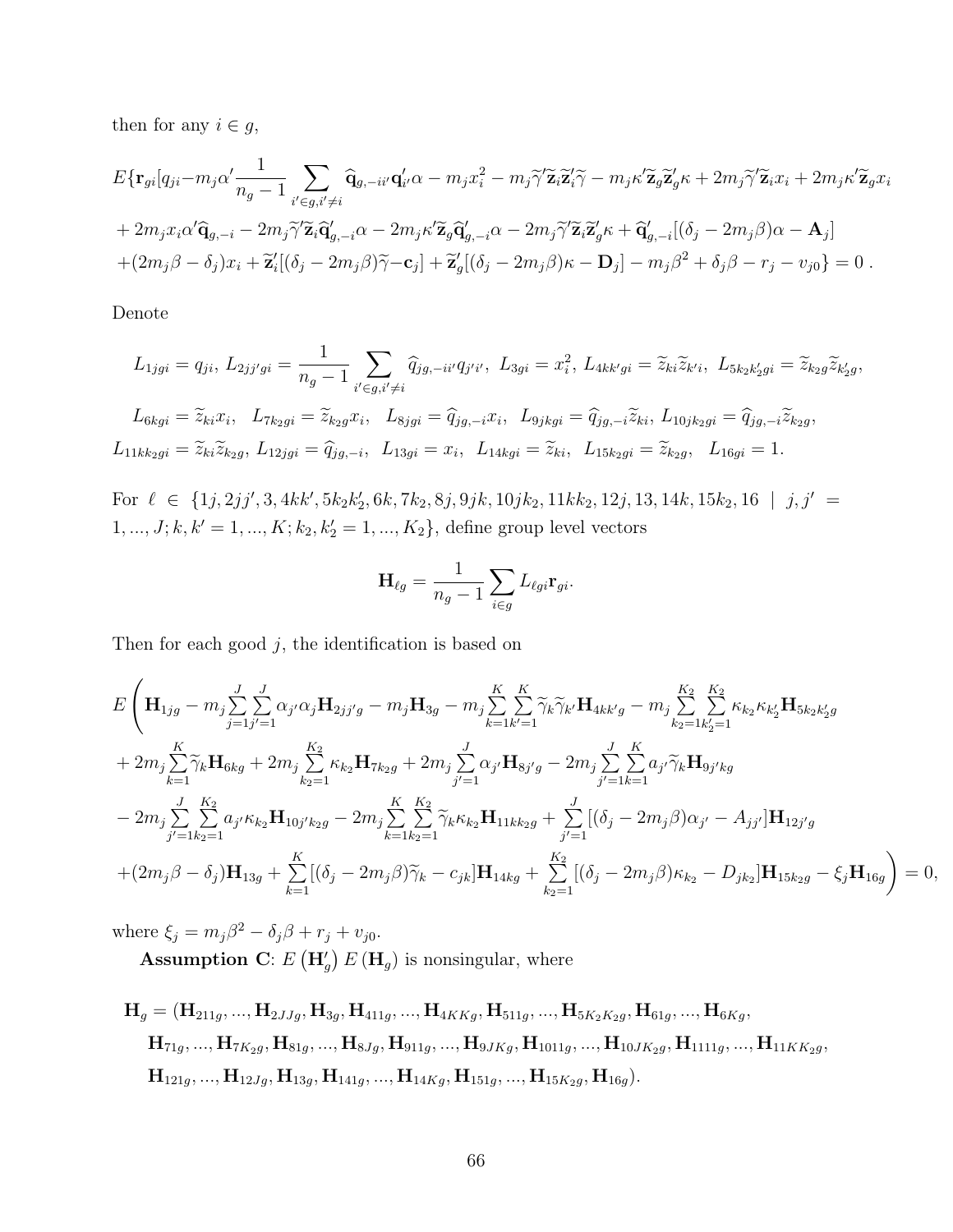then for any  $i \in g$ ,

$$
E\{\mathbf{r}_{gi}[q_{ji}-m_j\alpha'\frac{1}{n_g-1}\sum_{i'\in g,i'\neq i}\hat{\mathbf{q}}_{g,-ii'}\mathbf{q}'_{i'}\alpha-m_jx_i^2-m_j\widetilde{\gamma'}\widetilde{\mathbf{z}}_i\widetilde{\mathbf{z}}'_i\widetilde{\gamma}-m_j\kappa'\widetilde{\mathbf{z}}_g\widetilde{\mathbf{z}}'_g\kappa+2m_j\widetilde{\gamma'}\widetilde{\mathbf{z}}_ix_i+2m_j\kappa'\widetilde{\mathbf{z}}_gx_i
$$
  
+2m\_jx\_i\alpha'\widehat{\mathbf{q}}\_{g,-i}-2m\_j\widetilde{\gamma'}\widetilde{\mathbf{z}}\_i\widetilde{\mathbf{q}}'\_{g,-i}\alpha-2m\_j\kappa'\widetilde{\mathbf{z}}\_g\widehat{\mathbf{q}}'\_{g,-i}\alpha-2m\_j\widetilde{\gamma'}\widetilde{\mathbf{z}}\_i\widetilde{\mathbf{z}}'\_g\kappa+\widehat{\mathbf{q}}'\_{g,-i}[(\delta\_j-2m\_j\beta)\alpha-\mathbf{A}\_j]  
+(2m\_j\beta-\delta\_j)x\_i+\widetilde{\mathbf{z}}'\_i[(\delta\_j-2m\_j\beta)\widetilde{\gamma}-\mathbf{c}\_j]+\widetilde{\mathbf{z}}'\_g[(\delta\_j-2m\_j\beta)\kappa-\mathbf{D}\_j]-m\_j\beta^2+\delta\_j\beta-r\_j-v\_{j0}\}=0.

Denote

$$
L_{1jgi} = q_{ji}, L_{2jj'gi} = \frac{1}{n_g - 1} \sum_{i' \in g, i' \neq i} \hat{q}_{jg, -ii'} q_{j'i'}, \ L_{3gi} = x_i^2, L_{4kk'gi} = \tilde{z}_{ki}\tilde{z}_{k'i}, \ L_{5k_2k'_2gi} = \tilde{z}_{k_2g}\tilde{z}_{k'_2g},
$$
  
\n
$$
L_{6kgi} = \tilde{z}_{ki}x_i, \ L_{7k_2gi} = \tilde{z}_{k_2g}x_i, \ L_{8jgi} = \hat{q}_{jg, -i}x_i, \ L_{9jkgi} = \hat{q}_{jg, -i}\tilde{z}_{ki}, L_{10jk_2gi} = \hat{q}_{jg, -i}\tilde{z}_{k_2g},
$$
  
\n
$$
L_{11kk_2gi} = \tilde{z}_{ki}\tilde{z}_{k_2g}, L_{12jgi} = \hat{q}_{jg, -i}, \ L_{13gi} = x_i, \ L_{14kgi} = \tilde{z}_{ki}, \ L_{15k_2gi} = \tilde{z}_{k_2g}, \ L_{16gi} = 1.
$$

For  $\ell \in \{1j, 2jj', 3, 4kk', 5k_2k'_2, 6k, 7k_2, 8j, 9jk, 10jk_2, 11kk_2, 12j, 13, 14k, 15k_2, 16 \mid j, j' =$  $1, ..., J; k, k' = 1, ..., K; k_2, k_2' = 1, ..., K_2$ , define group level vectors

$$
\mathbf{H}_{\ell g} = \frac{1}{n_g - 1} \sum_{i \in g} L_{\ell gi} \mathbf{r}_{gi}.
$$

Then for each good  $j$ , the identification is based on

$$
E\left(\mathbf{H}_{1jg} - m_{j} \sum_{j=1j'=1}^{J} \sum_{j'=1}^{J} \alpha_{j'} \alpha_{j} \mathbf{H}_{2jj'g} - m_{j} \mathbf{H}_{3g} - m_{j} \sum_{k=1k'=1}^{K} \sum_{j=k'=1}^{K} \widetilde{\gamma}_{k} \widetilde{\gamma}_{k'} \mathbf{H}_{4kk'g} - m_{j} \sum_{k_{2}=1}^{K_{2}} \sum_{k'_{2}=1}^{K_{2}} \kappa_{k_{2}} \kappa_{k'_{2}} \mathbf{H}_{5k_{2}k'_{2}g} + 2m_{j} \sum_{k=1}^{K} \widetilde{\gamma}_{k} \mathbf{H}_{6kg} + 2m_{j} \sum_{k_{2}=1}^{K_{2}} \kappa_{k_{2}} \mathbf{H}_{7k_{2}g} + 2m_{j} \sum_{j'=1}^{J} \alpha_{j'} \mathbf{H}_{8j'g} - 2m_{j} \sum_{j'=1}^{J} \sum_{k=1}^{K} a_{j'} \widetilde{\gamma}_{k} \mathbf{H}_{9j'kg} - 2m_{j} \sum_{j'=1}^{J} \sum_{k_{2}=1}^{K_{2}} a_{j'} \kappa_{k_{2}} \mathbf{H}_{10j'k_{2}g} - 2m_{j} \sum_{k=1k_{2}=1}^{K} \widetilde{\gamma}_{k} \kappa_{k_{2}} \mathbf{H}_{11kk_{2}g} + \sum_{j'=1}^{J} [(\delta_{j} - 2m_{j}\beta)\alpha_{j'} - A_{jj'}] \mathbf{H}_{12j'g} + (2m_{j}\beta - \delta_{j}) \mathbf{H}_{13g} + \sum_{k=1}^{K} [(\delta_{j} - 2m_{j}\beta)\widetilde{\gamma}_{k} - c_{jk}] \mathbf{H}_{14kg} + \sum_{k_{2}=1}^{K_{2}} [(\delta_{j} - 2m_{j}\beta)\kappa_{k_{2}} - D_{jk_{2}}] \mathbf{H}_{15kg} - \xi_{j} \mathbf{H}_{16g} \right) = 0,
$$

where  $\xi_j = m_j \beta^2 - \delta_j \beta + r_j + v_{j0}$ .

**Assumption C**:  $E(\mathbf{H}'_g) E(\mathbf{H}_g)$  is nonsingular, where

$$
\begin{aligned} \mathbf{H}_g & = (\mathbf{H}_{211g}, ..., \mathbf{H}_{2JJg}, \mathbf{H}_{3g}, \mathbf{H}_{411g}, ..., \mathbf{H}_{4KKg}, \mathbf{H}_{511g}, ..., \mathbf{H}_{5K_2K_2g}, \mathbf{H}_{61g}, ..., \mathbf{H}_{6Kg}, \\ \mathbf{H}_{71g}, ..., \mathbf{H}_{7K_2g}, \mathbf{H}_{81g}, ..., \mathbf{H}_{8Jg}, \mathbf{H}_{911g}, ..., \mathbf{H}_{9JKg}, \mathbf{H}_{1011g}, ..., \mathbf{H}_{10JK_2g}, \mathbf{H}_{1111g}, ..., \mathbf{H}_{11KK_2g}, \\ \mathbf{H}_{121g}, ..., \mathbf{H}_{12Jg}, \mathbf{H}_{13g}, \mathbf{H}_{141g}, ..., \mathbf{H}_{14Kg}, \mathbf{H}_{151g}, ..., \mathbf{H}_{15K_2g}, \mathbf{H}_{16g}). \end{aligned}
$$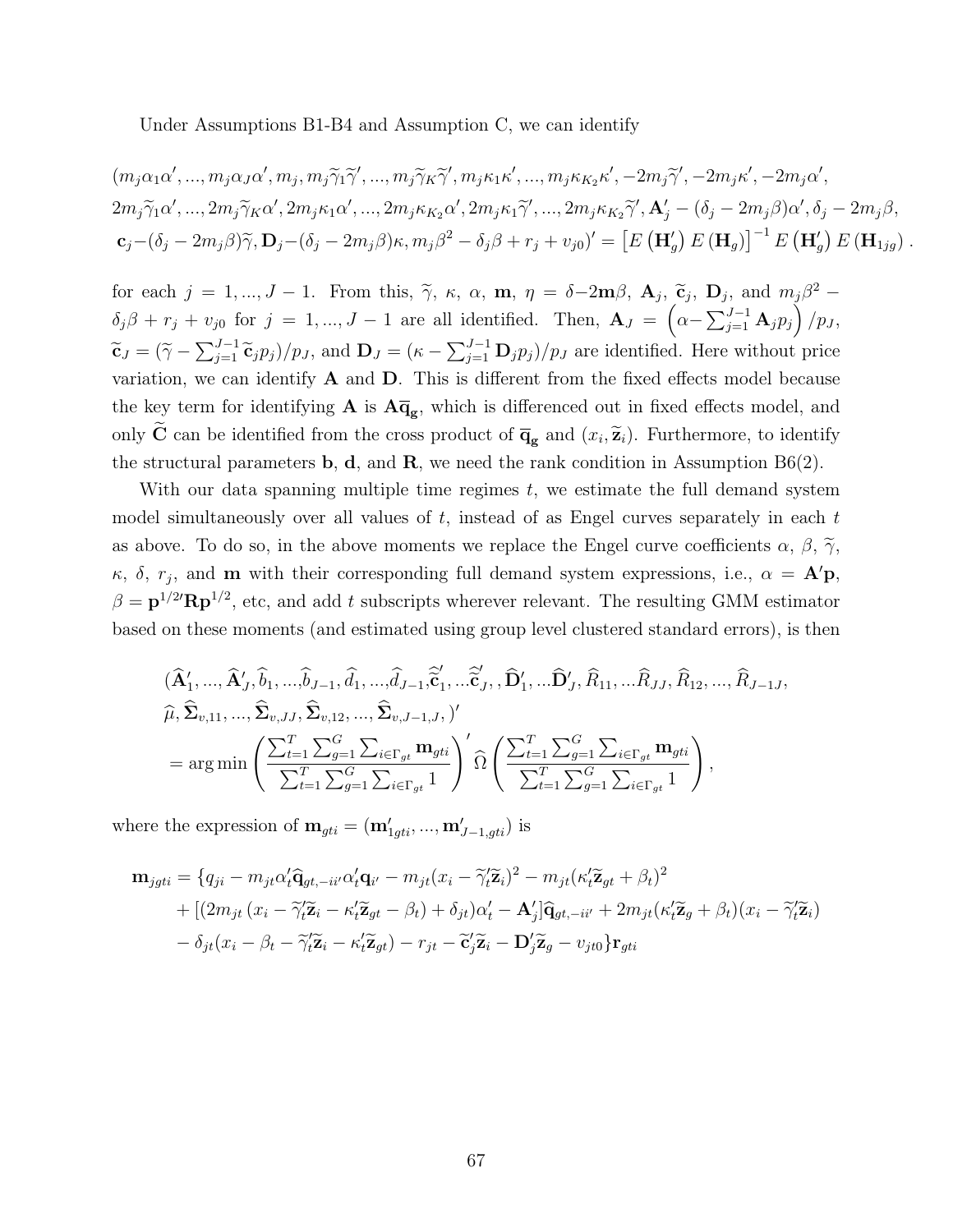Under Assumptions B1-B4 and Assumption C, we can identify

$$
(m_j \alpha_1 \alpha', ..., m_j \alpha_J \alpha', m_j, m_j \widetilde{\gamma}_1 \widetilde{\gamma}', ..., m_j \widetilde{\gamma}_K \widetilde{\gamma}', m_j \kappa_1 \kappa', ..., m_j \kappa_{K_2} \kappa', -2m_j \widetilde{\gamma}', -2m_j \kappa', -2m_j \alpha',
$$
  
\n
$$
2m_j \widetilde{\gamma}_1 \alpha', ..., 2m_j \widetilde{\gamma}_K \alpha', 2m_j \kappa_1 \alpha', ..., 2m_j \kappa_{K_2} \alpha', 2m_j \kappa_1 \widetilde{\gamma}', ..., 2m_j \kappa_{K_2} \widetilde{\gamma}', \mathbf{A}'_j - (\delta_j - 2m_j \beta) \alpha', \delta_j - 2m_j \beta,
$$
  
\n
$$
\mathbf{c}_j - (\delta_j - 2m_j \beta) \widetilde{\gamma}, \mathbf{D}_j - (\delta_j - 2m_j \beta) \kappa, m_j \beta^2 - \delta_j \beta + r_j + v_{j0})' = \left[E(\mathbf{H}'_g) E(\mathbf{H}_g)\right]^{-1} E(\mathbf{H}'_g) E(\mathbf{H}_{1jg}).
$$

for each  $j = 1, ..., J - 1$ . From this,  $\tilde{\gamma}$ ,  $\kappa$ ,  $\alpha$ ,  $\mathbf{m}$ ,  $\eta = \delta - 2\mathbf{m}\beta$ ,  $\mathbf{A}_j$ ,  $\tilde{\mathbf{c}}_j$ ,  $\mathbf{D}_j$ , and  $m_j\beta^2$  –  $\delta_j \beta + r_j + v_{j0}$  for  $j = 1, ..., J - 1$  are all identified. Then,  $\mathbf{A}_J = \left( \alpha - \sum_{j=1}^{J-1} \mathbf{A}_j p_j \right) / p_J$ ,  $\widetilde{\mathbf{c}}_J = (\widetilde{\gamma} - \sum_{j=1}^{J-1} \widetilde{\mathbf{c}}_j p_j)/p_J$ , and  $\mathbf{D}_J = (\kappa - \sum_{j=1}^{J-1} \mathbf{D}_j p_j)/p_J$  are identified. Here without price variation, we can identify  $A$  and  $D$ . This is different from the fixed effects model because the key term for identifying  $A$  is  $A\overline{q}_g$ , which is differenced out in fixed effects model, and only **C** can be identified from the cross product of  $\overline{\mathbf{q}}_{g}$  and  $(x_i, \tilde{\mathbf{z}}_i)$ . Furthermore, to identify the structural parameters b, d, and R, we need the rank condition in Assumption  $B6(2)$ .

With our data spanning multiple time regimes  $t$ , we estimate the full demand system model simultaneously over all values of  $t$ , instead of as Engel curves separately in each  $t$ as above. To do so, in the above moments we replace the Engel curve coefficients  $\alpha$ ,  $\beta$ ,  $\widetilde{\gamma}$ ,  $\kappa$ ,  $\delta$ ,  $r_j$ , and **m** with their corresponding full demand system expressions, i.e.,  $\alpha = \mathbf{A}'\mathbf{p}$ ,  $\beta = \mathbf{p}^{1/2} \mathbf{R} \mathbf{p}^{1/2}$ , etc, and add t subscripts wherever relevant. The resulting GMM estimator based on these moments (and estimated using group level clustered standard errors), is then

$$
\begin{split}\n &(\widehat{\mathbf{A}}'_1, \ldots, \widehat{\mathbf{A}}'_J, \widehat{b}_1, \ldots, \widehat{b}_{J-1}, \widehat{d}_1, \ldots, \widehat{d}_{J-1}, \widehat{\widetilde{\mathbf{C}}}'_1, \ldots, \widehat{\widetilde{\mathbf{C}}}'_J, \widehat{\mathbf{D}}'_1, \ldots, \widehat{\mathbf{D}}'_J, \widehat{R}_{11}, \ldots, \widehat{R}_{JJ}, \widehat{R}_{12}, \ldots, \widehat{R}_{J-1J}, \\
 &\widehat{\mu}, \widehat{\Sigma}_{v,11}, \ldots, \widehat{\Sigma}_{v,JJ}, \widehat{\Sigma}_{v,12}, \ldots, \widehat{\Sigma}_{v,J-1,J}, \mathcal{V}' \\
 &= \arg \min \left( \frac{\sum_{t=1}^T \sum_{g=1}^G \sum_{i \in \Gamma_{gt}} \mathbf{m}_{gti}}{\sum_{t=1}^T \sum_{g=1}^G \sum_{i \in \Gamma_{gt}} 1} \right)' \widehat{\Omega} \left( \frac{\sum_{t=1}^T \sum_{g=1}^G \sum_{i \in \Gamma_{gt}} \mathbf{m}_{gti}}{\sum_{t=1}^T \sum_{g=1}^G \sum_{i \in \Gamma_{gt}} 1} \right),\n \end{split}
$$

where the expression of  $\mathbf{m}_{gti} = (\mathbf{m}'_{1gti}, ..., \mathbf{m}'_{J-1,gti})$  is

$$
\mathbf{m}_{jgti} = \{q_{ji} - m_{jt}\alpha'_t\hat{\mathbf{q}}_{gt, -ii'}\alpha'_t\mathbf{q}_{i'} - m_{jt}(x_i - \tilde{\gamma}'_t\tilde{\mathbf{z}}_i)^2 - m_{jt}(\kappa'_t\tilde{\mathbf{z}}_{gt} + \beta_t)^2 \n+ [(2m_{jt}(x_i - \tilde{\gamma}'_t\tilde{\mathbf{z}}_i - \kappa'_t\tilde{\mathbf{z}}_{gt} - \beta_t) + \delta_{jt})\alpha'_t - \mathbf{A}'_j]\hat{\mathbf{q}}_{gt, -ii'} + 2m_{jt}(\kappa'_t\tilde{\mathbf{z}}_g + \beta_t)(x_i - \tilde{\gamma}'_t\tilde{\mathbf{z}}_i) \n- \delta_{jt}(x_i - \beta_t - \tilde{\gamma}'_t\tilde{\mathbf{z}}_i - \kappa'_t\tilde{\mathbf{z}}_{gt}) - r_{jt} - \tilde{\mathbf{c}}'_j\tilde{\mathbf{z}}_i - \mathbf{D}'_j\tilde{\mathbf{z}}_g - v_{jt0}\} \mathbf{r}_{gti}
$$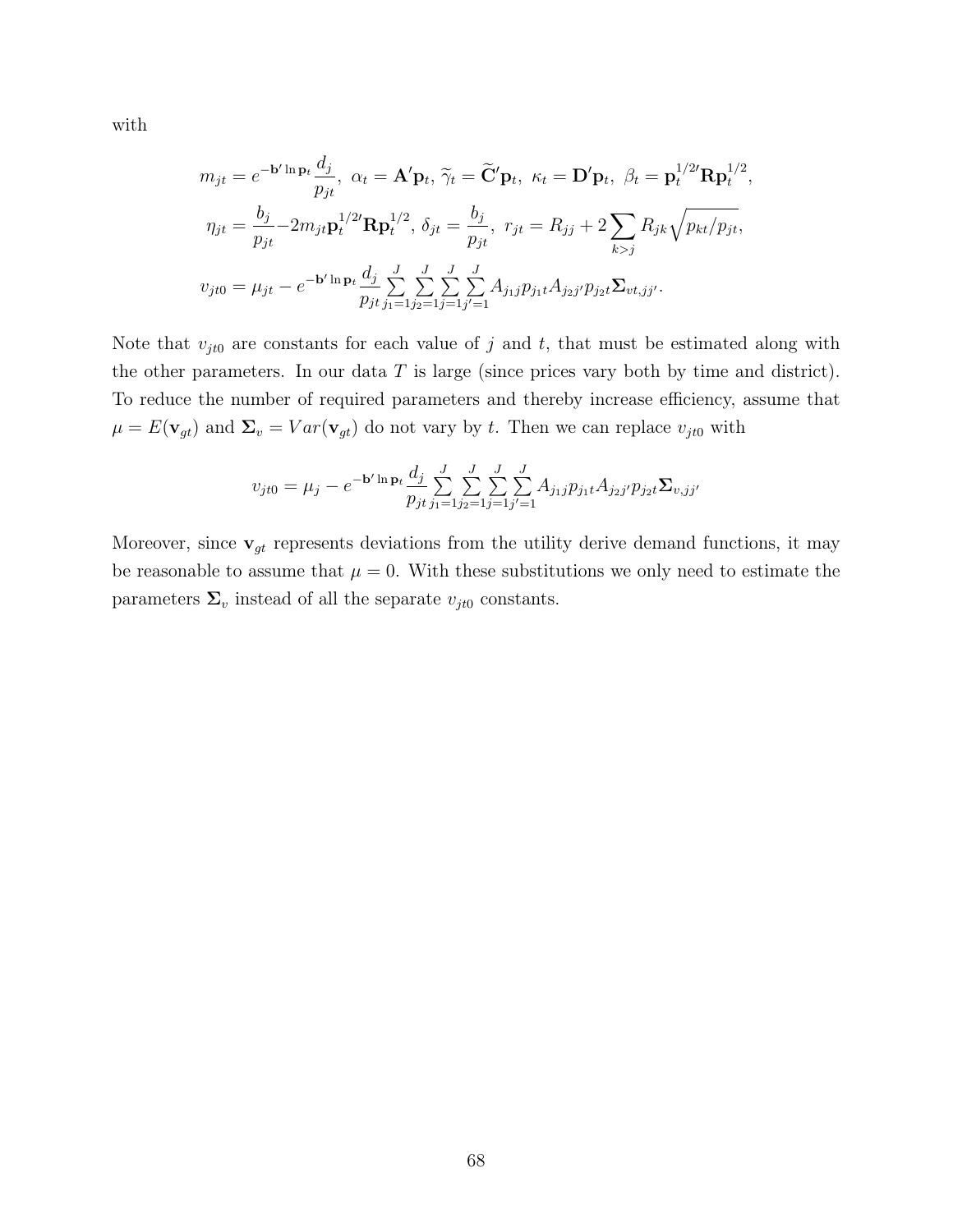with

$$
m_{jt} = e^{-\mathbf{b}' \ln \mathbf{p}_t} \frac{d_j}{p_{jt}}, \ \alpha_t = \mathbf{A}' \mathbf{p}_t, \ \tilde{\gamma}_t = \tilde{\mathbf{C}}' \mathbf{p}_t, \ \kappa_t = \mathbf{D}' \mathbf{p}_t, \ \beta_t = \mathbf{p}_t^{1/2'} \mathbf{R} \mathbf{p}_t^{1/2},
$$

$$
\eta_{jt} = \frac{b_j}{p_{jt}} - 2m_{jt} \mathbf{p}_t^{1/2'} \mathbf{R} \mathbf{p}_t^{1/2}, \ \delta_{jt} = \frac{b_j}{p_{jt}}, \ r_{jt} = R_{jj} + 2 \sum_{k > j} R_{jk} \sqrt{p_{kt}/p_{jt}},
$$

$$
v_{jt0} = \mu_{jt} - e^{-\mathbf{b}' \ln \mathbf{p}_t} \frac{d_j}{p_{jt}} \sum_{j=1}^J \sum_{j=1}^J \sum_{j=1}^J A_{j_1j} p_{j_1t} A_{j_2j'} p_{j_2t} \Sigma_{vt,jj'}.
$$

Note that  $v_{jt0}$  are constants for each value of j and t, that must be estimated along with the other parameters. In our data  $T$  is large (since prices vary both by time and district). To reduce the number of required parameters and thereby increase efficiency, assume that  $\mu = E(\mathbf{v}_{gt})$  and  $\Sigma_v = Var(\mathbf{v}_{gt})$  do not vary by t. Then we can replace  $v_{jt0}$  with

$$
v_{jt0} = \mu_j - e^{-\mathbf{b}'\ln\mathbf{p}_t} \frac{d_j}{p_{jt}} \sum_{j_1=1}^J \sum_{j_2=1}^J \sum_{j'=1}^J A_{j_1j} p_{j_1t} A_{j_2j'} p_{j_2t} \Sigma_{v,jj'}
$$

Moreover, since  $\mathbf{v}_{gt}$  represents deviations from the utility derive demand functions, it may be reasonable to assume that  $\mu = 0$ . With these substitutions we only need to estimate the parameters  $\Sigma_v$  instead of all the separate  $v_{jt0}$  constants.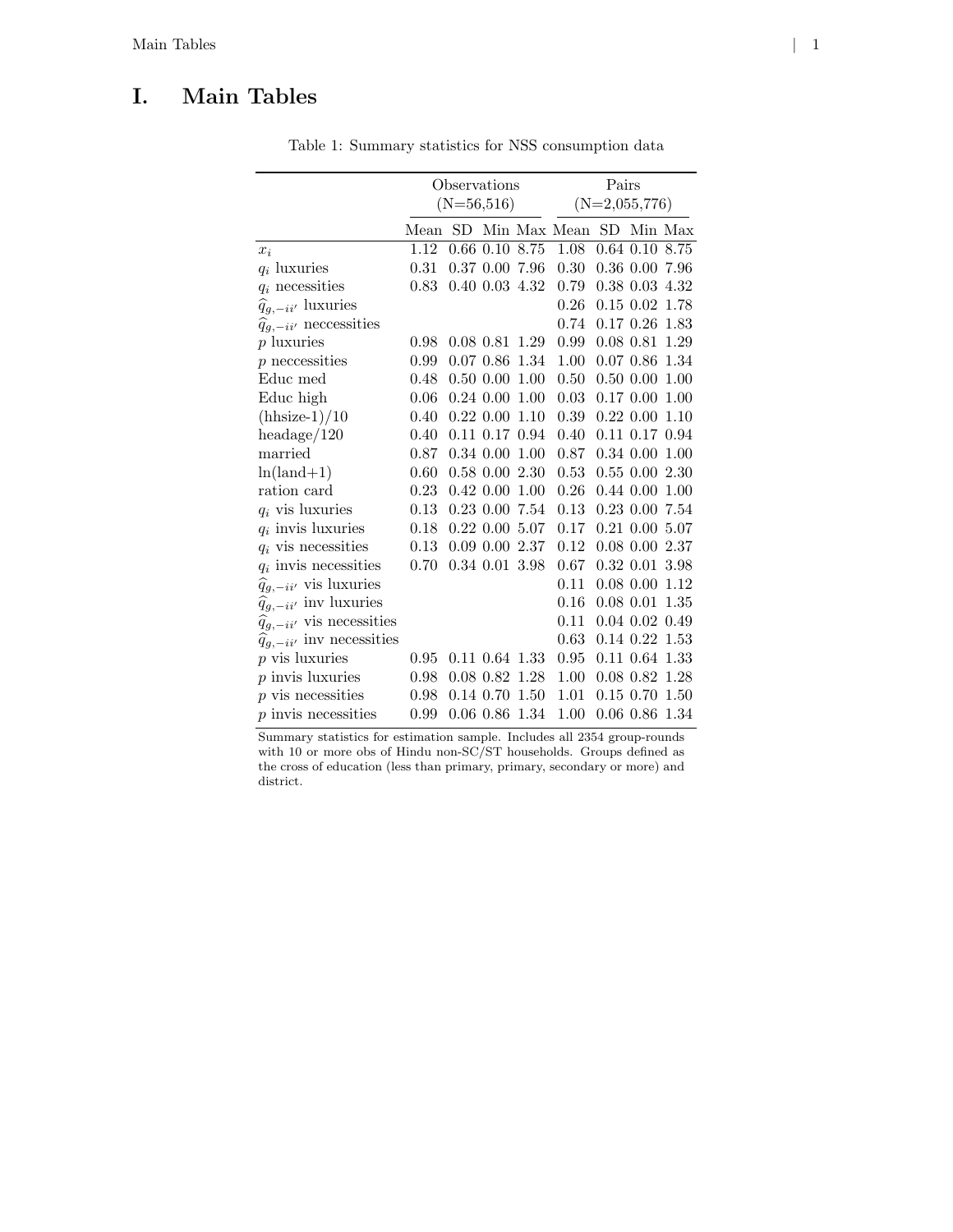# I. Main Tables

|                                        | Observations |              |                      |      | Pairs           |  |                      |      |
|----------------------------------------|--------------|--------------|----------------------|------|-----------------|--|----------------------|------|
|                                        | $(N=56,516)$ |              |                      |      | $(N=2,055,776)$ |  |                      |      |
|                                        | Mean         |              |                      |      | SD Min Max Mean |  | SD Min Max           |      |
| $x_i$                                  | 1.12         |              | $0.66$ $0.10$        | 8.75 | 1.08            |  | $0.64$ $0.10$ $8.75$ |      |
| $q_i$ luxuries                         | 0.31         |              | 0.37 0.00 7.96       |      | 0.30            |  | 0.36 0.00 7.96       |      |
| $q_i$ necessities                      | 0.83         |              | $0.40$ $0.03$ $4.32$ |      | 0.79            |  | $0.38$ $0.03$ $4.32$ |      |
| $\widehat{q}_{g,-ii'}$ luxuries        |              |              |                      |      | 0.26            |  | $0.15$ $0.02$ 1.78   |      |
| $\hat{q}_{g,-ii'}$ necressities        |              |              |                      |      | 0.74            |  | $0.17\;0.26$         | 1.83 |
| $p$ luxuries                           | 0.98         |              | $0.08$ $0.81$ $1.29$ |      | 0.99            |  | $0.08$ 0.81          | 1.29 |
| $p$ necressities                       | 0.99         |              | 0.070.86             | 1.34 | 1.00            |  | 0.07 0.86            | 1.34 |
| Educ med                               | 0.48         |              | $0.50\ 0.00$         | 1.00 | 0.50            |  | $0.50\ 0.00$         | 1.00 |
| Educ high                              | 0.06         |              | $0.24\;0.00$         | 1.00 | 0.03            |  | $0.17\ 0.00$         | 1.00 |
| $(hhsize-1)/10$                        | 0.40         | $0.22\ 0.00$ |                      | 1.10 | 0.39            |  | $0.22\ 0.00$         | 1.10 |
| headage/120                            | 0.40         |              | $0.11$ $0.17$ $0.94$ |      | 0.40            |  | $0.11$ $0.17$ $0.94$ |      |
| married                                | 0.87         |              | $0.34$ $0.00$        | 1.00 | 0.87            |  | $0.34$ $0.00$ $1.00$ |      |
| $ln(land+1)$                           | 0.60         |              | $0.58\ 0.00$         | 2.30 | 0.53            |  | $0.55\ 0.00\ 2.30$   |      |
| ration card                            | 0.23         |              | $0.42\ 0.00$         | 1.00 | 0.26            |  | $0.44\ 0.00\ 1.00$   |      |
| $q_i$ vis luxuries                     | 0.13         |              | $0.23$ $0.00$        | 7.54 | 0.13            |  | $0.23$ $0.00$        | 7.54 |
| $q_i$ invis luxuries                   | 0.18         |              | $0.22\ 0.00$         | 5.07 | 0.17            |  | $0.21$ $0.00$ $5.07$ |      |
| $q_i$ vis necessities                  | 0.13         |              | $0.09$ $0.00$        | 2.37 | 0.12            |  | $0.08$ $0.00$ $2.37$ |      |
| $q_i$ invis necessities                | 0.70         |              | $0.34$ $0.01$ $3.98$ |      | 0.67            |  | $0.32$ $0.01$ $3.98$ |      |
| $\widehat{q}_{g,-ii'}$ vis luxuries    |              |              |                      |      | 0.11            |  | $0.08$ 0.00          | 1.12 |
| $\hat{q}_{g,-ii'}$ inv luxuries        |              |              |                      |      | 0.16            |  | $0.08$ $0.01$        | 1.35 |
| $\widehat{q}_{g,-ii'}$ vis necessities |              |              |                      |      | 0.11            |  | $0.04$ $0.02$ $0.49$ |      |
| $\hat{q}_{q,-ii'}$ inv necessities     |              |              |                      |      | 0.63            |  | $0.14$ $0.22$ $1.53$ |      |
| $p$ vis luxuries                       | 0.95         |              | $0.11$ $0.64$ $1.33$ |      | 0.95            |  | $0.11$ $0.64$ $1.33$ |      |
| $p$ invis luxuries                     | 0.98         |              | $0.08$ 0.82          | 1.28 | 1.00            |  | $0.08$ $0.82$ $1.28$ |      |
| $p$ vis necessities                    | 0.98         |              | 0.14 0.70            | 1.50 | 1.01            |  | $0.15$ 0.70          | 1.50 |
| $p$ invis necessities                  | 0.99         |              | $0.06$ $0.86$ $1.34$ |      | 1.00            |  | $0.06$ $0.86$ $1.34$ |      |

Table 1: Summary statistics for NSS consumption data

Summary statistics for estimation sample. Includes all 2354 group-rounds with 10 or more obs of Hindu non-SC/ST households. Groups defined as the cross of education (less than primary, primary, secondary or more) and district.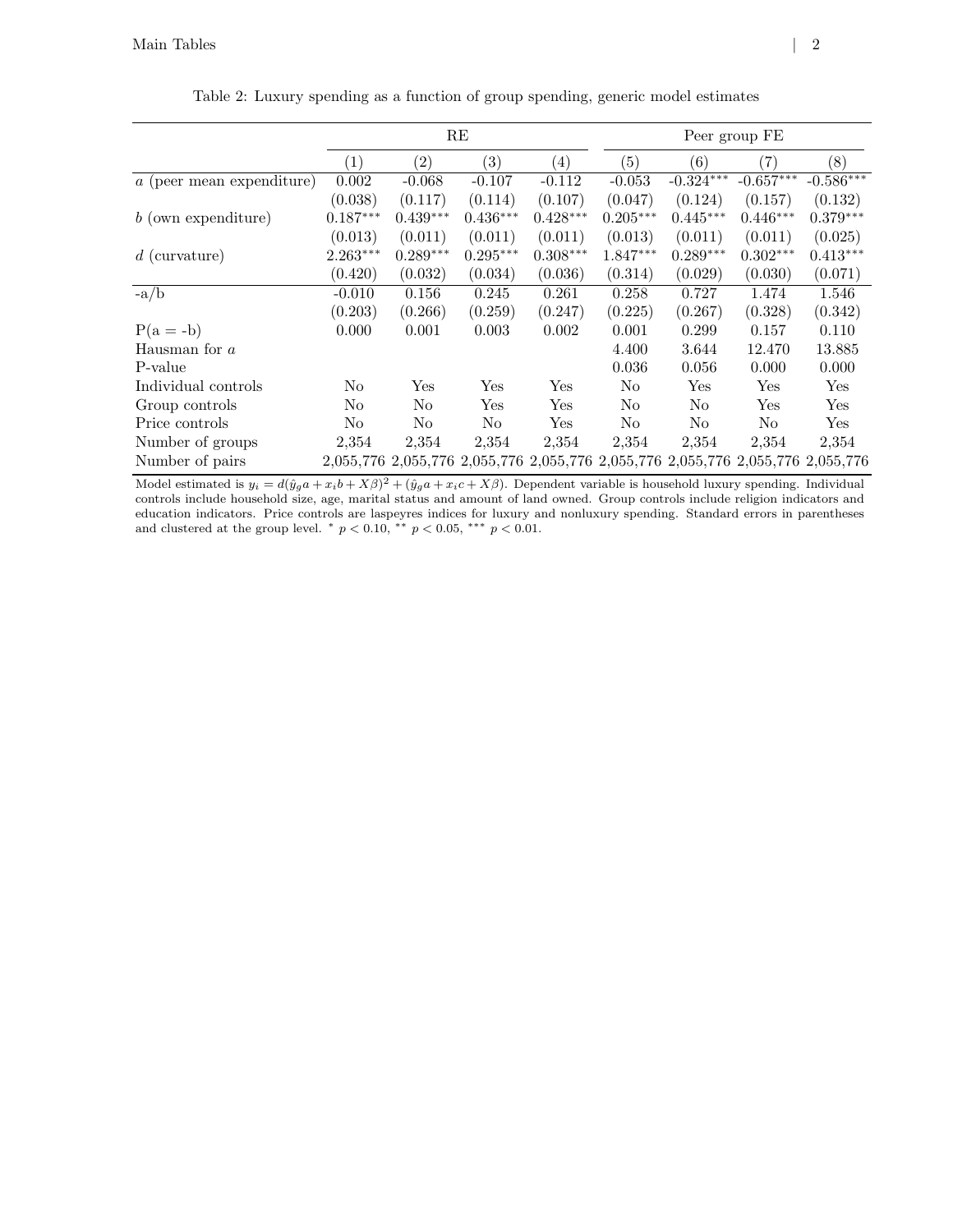|                             | RE               |                   |                                                                                 |                  | Peer group FE     |                |                      |             |  |
|-----------------------------|------------------|-------------------|---------------------------------------------------------------------------------|------------------|-------------------|----------------|----------------------|-------------|--|
|                             | $\left(1\right)$ | $\left( 2\right)$ | $\left( 3\right)$                                                               | $\left(4\right)$ | $\left( 5\right)$ | (6)            | $\left( 7\right)$    | (8)         |  |
| $a$ (peer mean expenditure) | 0.002            | $-0.068$          | $-0.107$                                                                        | $-0.112$         | $-0.053$          | $-0.324***$    | $-0.657***$          | $-0.586***$ |  |
|                             | (0.038)          | (0.117)           | (0.114)                                                                         | (0.107)          | (0.047)           | (0.124)        | (0.157)              | (0.132)     |  |
| $b$ (own expenditure)       | $0.187***$       | $0.439***$        | $0.436***$                                                                      | $0.428***$       | $0.205***$        | $0.445***$     | $0.446***$           | $0.379***$  |  |
|                             | (0.013)          | (0.011)           | (0.011)                                                                         | (0.011)          | (0.013)           | (0.011)        | (0.011)              | (0.025)     |  |
| $d$ (curvature)             | $2.263***$       | $0.289***$        | $0.295***$                                                                      | $0.308***$       | 1.847***          | $0.289***$     | $0.302***$           | $0.413***$  |  |
|                             | (0.420)          | (0.032)           | (0.034)                                                                         | (0.036)          | (0.314)           | (0.029)        | (0.030)              | (0.071)     |  |
| $-a/b$                      | $-0.010$         | 0.156             | 0.245                                                                           | 0.261            | 0.258             | 0.727          | 1.474                | 1.546       |  |
|                             | (0.203)          | (0.266)           | (0.259)                                                                         | (0.247)          | (0.225)           | (0.267)        | (0.328)              | (0.342)     |  |
| $P(a = -b)$                 | 0.000            | 0.001             | 0.003                                                                           | 0.002            | 0.001             | 0.299          | 0.157                | 0.110       |  |
| Hausman for $a$             |                  |                   |                                                                                 |                  | 4.400             | 3.644          | 12.470               | 13.885      |  |
| P-value                     |                  |                   |                                                                                 |                  | 0.036             | 0.056          | 0.000                | 0.000       |  |
| Individual controls         | No               | Yes               | Yes                                                                             | Yes              | No                | Yes            | $\operatorname{Yes}$ | Yes         |  |
| Group controls              | No               | No                | Yes                                                                             | Yes              | No                | No             | Yes                  | Yes         |  |
| Price controls              | No               | No                | N <sub>o</sub>                                                                  | Yes              | No                | N <sub>o</sub> | No                   | Yes         |  |
| Number of groups            | 2,354            | 2,354             | 2,354                                                                           | 2,354            | 2,354             | 2,354          | 2,354                | 2,354       |  |
| Number of pairs             |                  |                   | 2,055,776 2,055,776 2,055,776 2,055,776 2,055,776 2,055,776 2,055,776 2,055,776 |                  |                   |                |                      |             |  |

Table 2: Luxury spending as a function of group spending, generic model estimates

Model estimated is  $y_i = d(\hat{y}_g a + x_i b + X\beta)^2 + (\hat{y}_g a + x_i c + X\beta)$ . Dependent variable is household luxury spending. Individual controls include household size, age, marital status and amount of land owned. Group controls include religion indicators and education indicators. Price controls are laspeyres indices for luxury and nonluxury spending. Standard errors in parentheses and clustered at the group level. \*  $p < 0.10$ , \*\*  $p < 0.05$ , \*\*\*  $p < 0.01$ .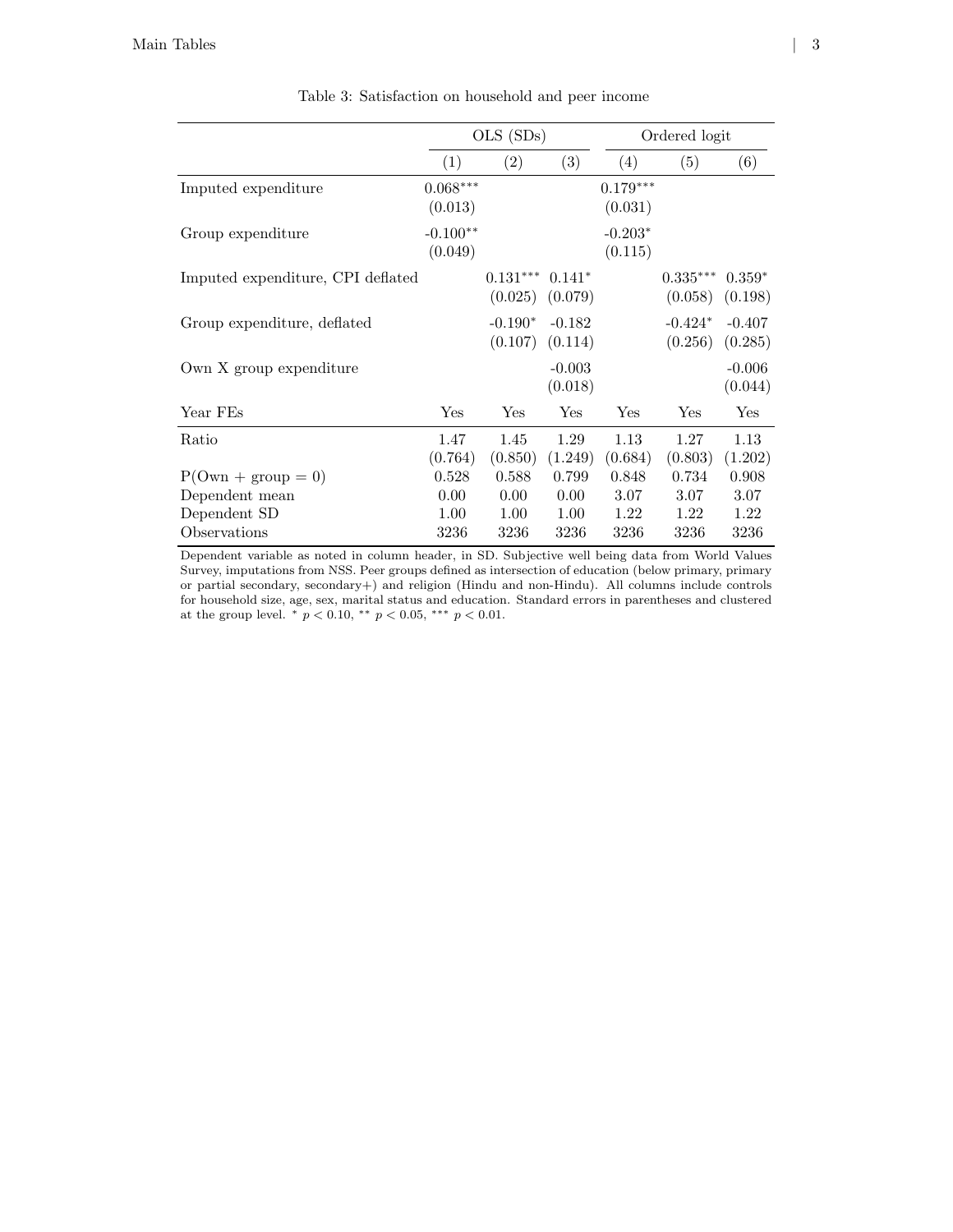|                                   |                       | $OLS$ $(SDs)$         |                     | Ordered logit         |                       |                     |  |
|-----------------------------------|-----------------------|-----------------------|---------------------|-----------------------|-----------------------|---------------------|--|
|                                   | (1)                   | (2)                   | (3)                 | (4)                   | (5)                   | (6)                 |  |
| Imputed expenditure               | $0.068***$<br>(0.013) |                       |                     | $0.179***$<br>(0.031) |                       |                     |  |
| Group expenditure                 | $-0.100**$<br>(0.049) |                       |                     | $-0.203*$<br>(0.115)  |                       |                     |  |
| Imputed expenditure, CPI deflated |                       | $0.131***$<br>(0.025) | $0.141*$<br>(0.079) |                       | $0.335***$<br>(0.058) | $0.359*$<br>(0.198) |  |
| Group expenditure, deflated       |                       | $-0.190*$<br>(0.107)  | $-0.182$<br>(0.114) |                       | $-0.424*$<br>(0.256)  | $-0.407$<br>(0.285) |  |
| Own X group expenditure           |                       |                       | $-0.003$<br>(0.018) |                       |                       | $-0.006$<br>(0.044) |  |
| Year FEs                          | Yes                   | $\operatorname{Yes}$  | Yes                 | Yes                   | Yes                   | Yes                 |  |
| Ratio                             | 1.47<br>(0.764)       | 1.45<br>(0.850)       | 1.29<br>(1.249)     | 1.13<br>(0.684)       | 1.27<br>(0.803)       | 1.13<br>(1.202)     |  |
| $P( Own + group = 0)$             | 0.528                 | 0.588                 | 0.799               | 0.848                 | 0.734                 | 0.908               |  |
| Dependent mean                    | 0.00                  | 0.00                  | 0.00                | 3.07                  | 3.07                  | 3.07                |  |
| Dependent SD                      | 1.00                  | 1.00                  | 1.00                | 1.22                  | 1.22                  | 1.22                |  |
| Observations                      | 3236                  | 3236                  | 3236                | 3236                  | 3236                  | 3236                |  |

Table 3: Satisfaction on household and peer income

Dependent variable as noted in column header, in SD. Subjective well being data from World Values Survey, imputations from NSS. Peer groups defined as intersection of education (below primary, primary or partial secondary, secondary+) and religion (Hindu and non-Hindu). All columns include controls for household size, age, sex, marital status and education. Standard errors in parentheses and clustered at the group level.  $p < 0.10$ ,  $p < 0.05$ ,  $p > 0.01$ .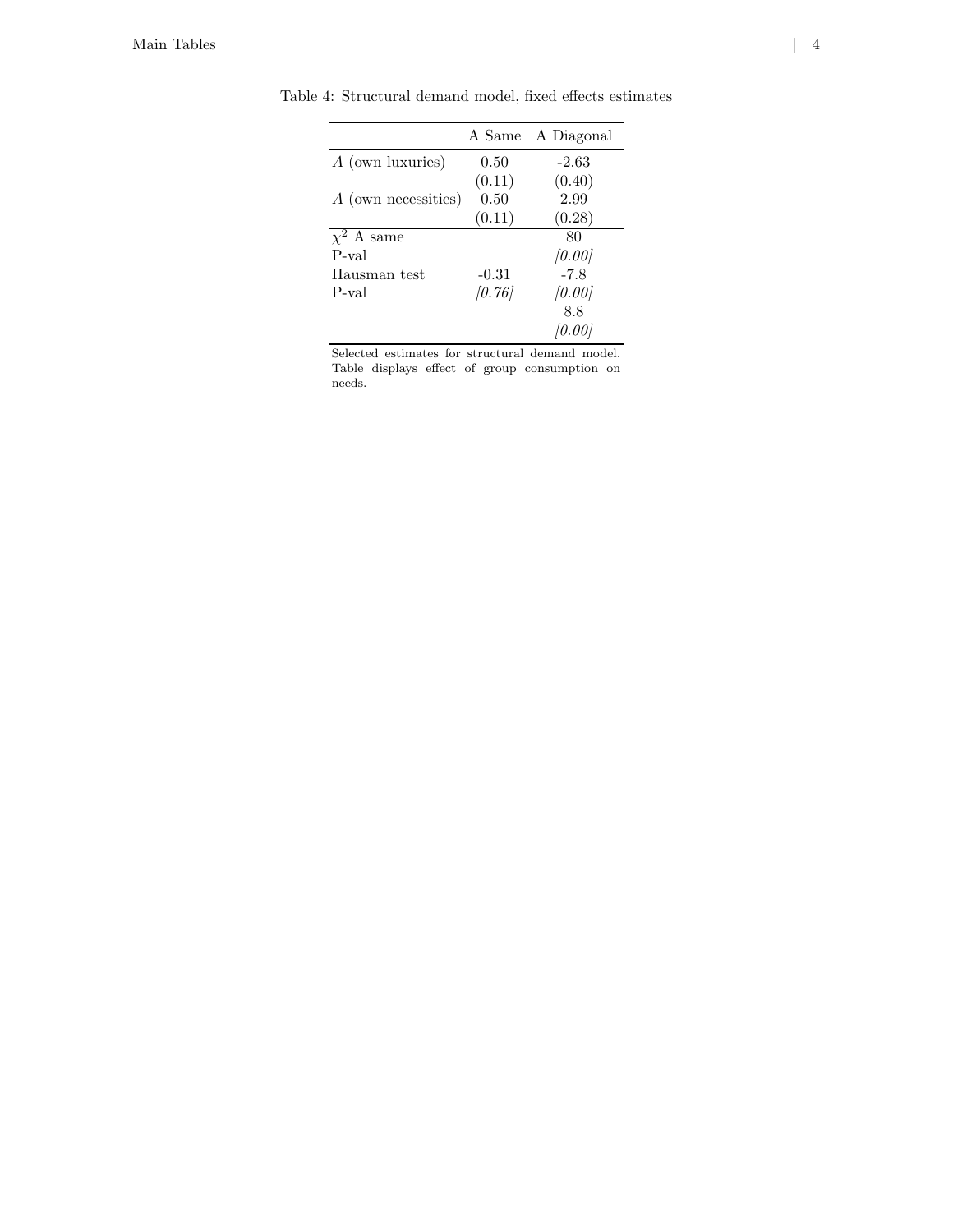|                     | A Same  | A Diagonal |
|---------------------|---------|------------|
| A (own luxuries)    | 0.50    | $-2.63$    |
|                     | (0.11)  | (0.40)     |
| A (own necessities) | 0.50    | 2.99       |
|                     | (0.11)  | (0.28)     |
| $\chi^2$ A same     |         | 80         |
| P-val               |         | [0.00]     |
| Hausman test        | $-0.31$ | $-7.8$     |
| P-val               | [0.76]  | [0.00]     |
|                     |         | 8.8        |
|                     |         | 10.001     |

Table 4: Structural demand model, fixed effects estimates

Selected estimates for structural demand model. Table displays effect of group consumption on needs.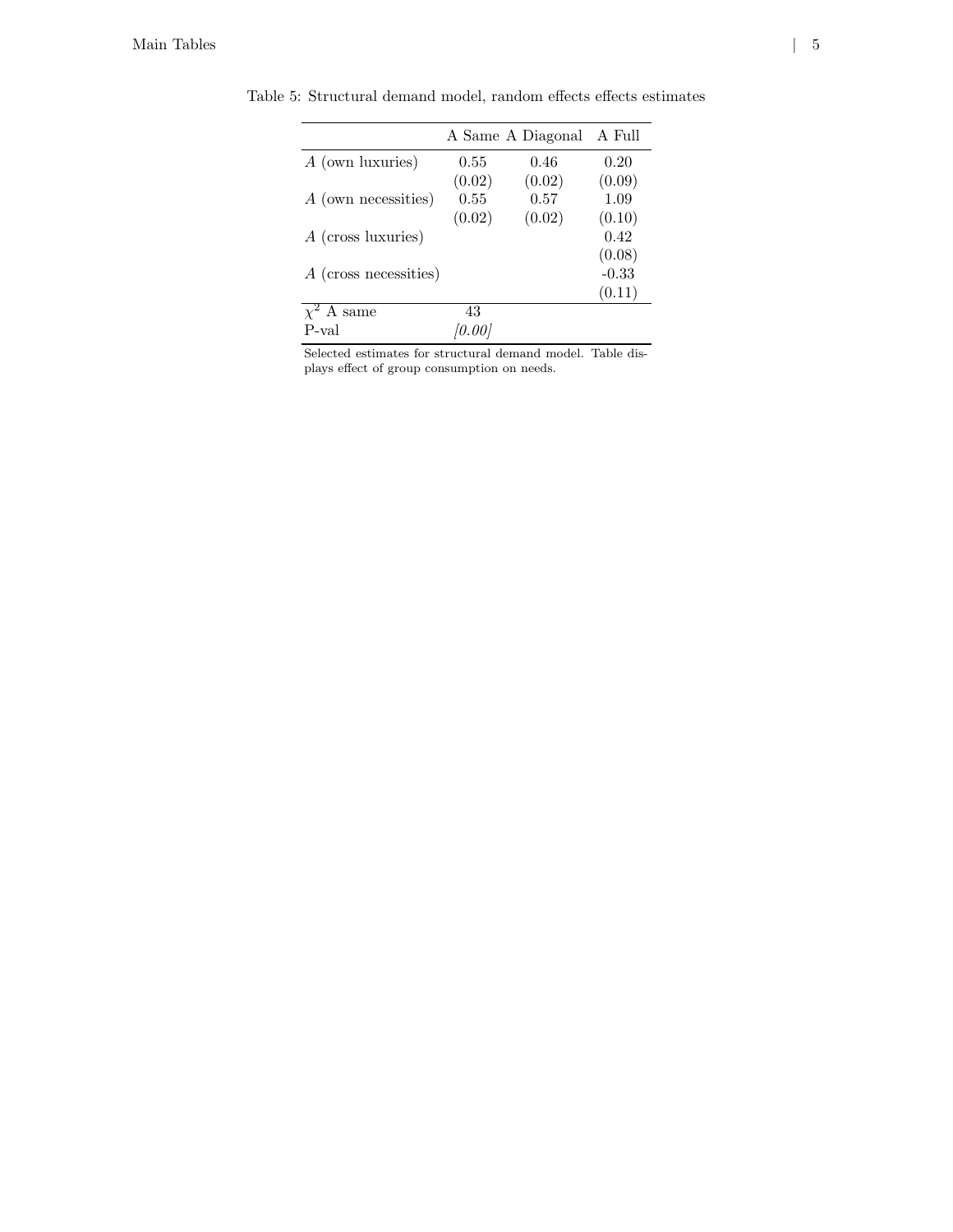|                       |        | A Same A Diagonal | A Full  |
|-----------------------|--------|-------------------|---------|
| A (own luxuries)      | 0.55   | 0.46              | 0.20    |
|                       | (0.02) | (0.02)            | (0.09)  |
| A (own necessities)   | 0.55   | 0.57              | 1.09    |
|                       | (0.02) | (0.02)            | (0.10)  |
| $A$ (cross luxuries)  |        |                   | 0.42    |
|                       |        |                   | (0.08)  |
| A (cross necessities) |        |                   | $-0.33$ |
|                       |        |                   | (0.11)  |
| $\chi^2$ A same       | 43     |                   |         |
| P-val                 | '0.001 |                   |         |

Table 5: Structural demand model, random effects effects estimates

Selected estimates for structural demand model. Table displays effect of group consumption on needs.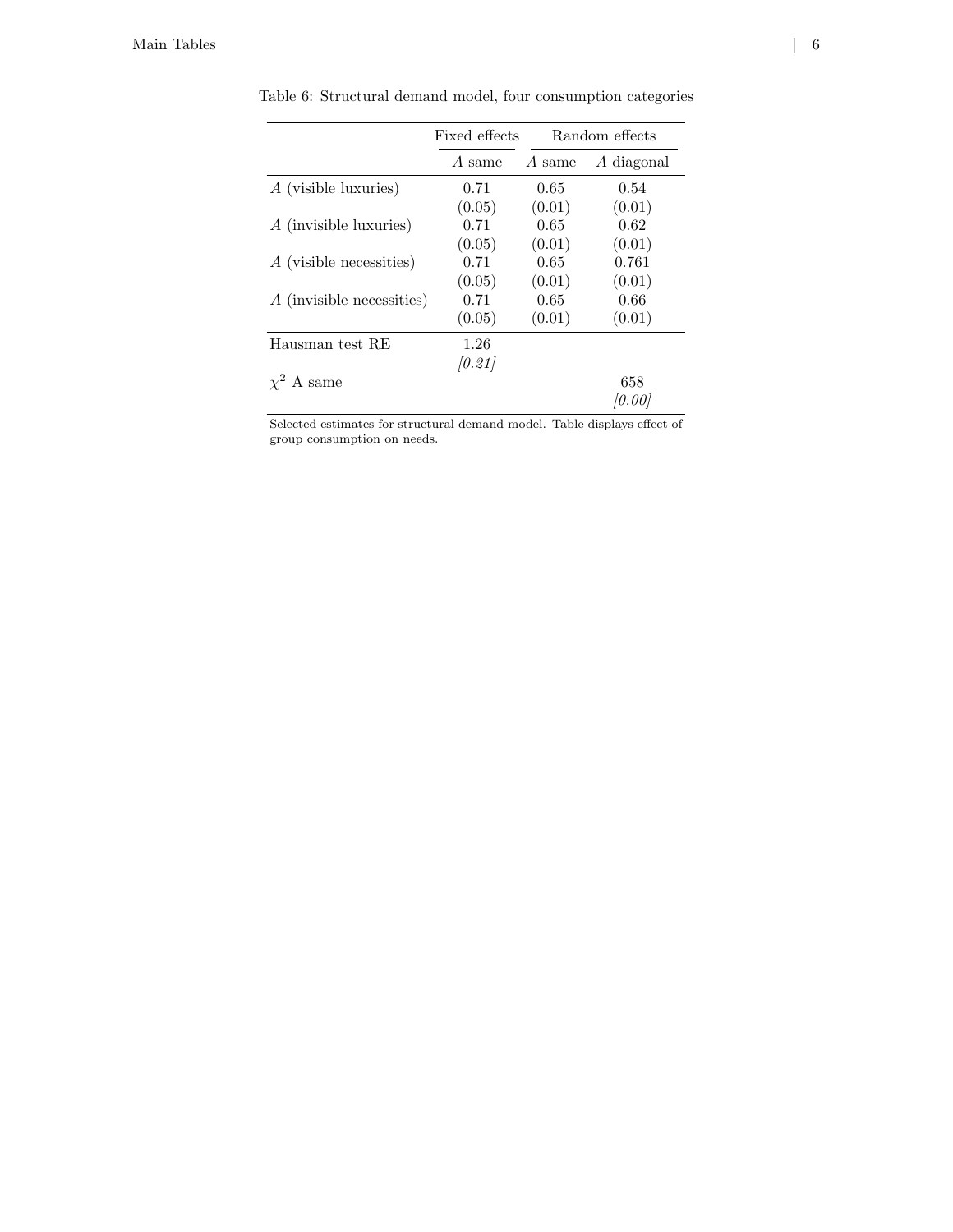|                           | Fixed effects | Random effects |            |
|---------------------------|---------------|----------------|------------|
|                           | A same        | A same         | A diagonal |
| A (visible luxuries)      | 0.71          | 0.65           | 0.54       |
|                           | (0.05)        | (0.01)         | (0.01)     |
| A (invisible luxuries)    | 0.71          | 0.65           | 0.62       |
|                           | (0.05)        | (0.01)         | (0.01)     |
| A (visible necessities)   | 0.71          | 0.65           | 0.761      |
|                           | (0.05)        | (0.01)         | (0.01)     |
| A (invisible necessities) | 0.71          | 0.65           | 0.66       |
|                           | (0.05)        | (0.01)         | (0.01)     |
| Hausman test RE           | 1.26          |                |            |
|                           | (0.21)        |                |            |
| $\chi^2$ A same           |               |                | 658        |
|                           |               |                | 10.001     |

Table 6: Structural demand model, four consumption categories

Selected estimates for structural demand model. Table displays effect of group consumption on needs.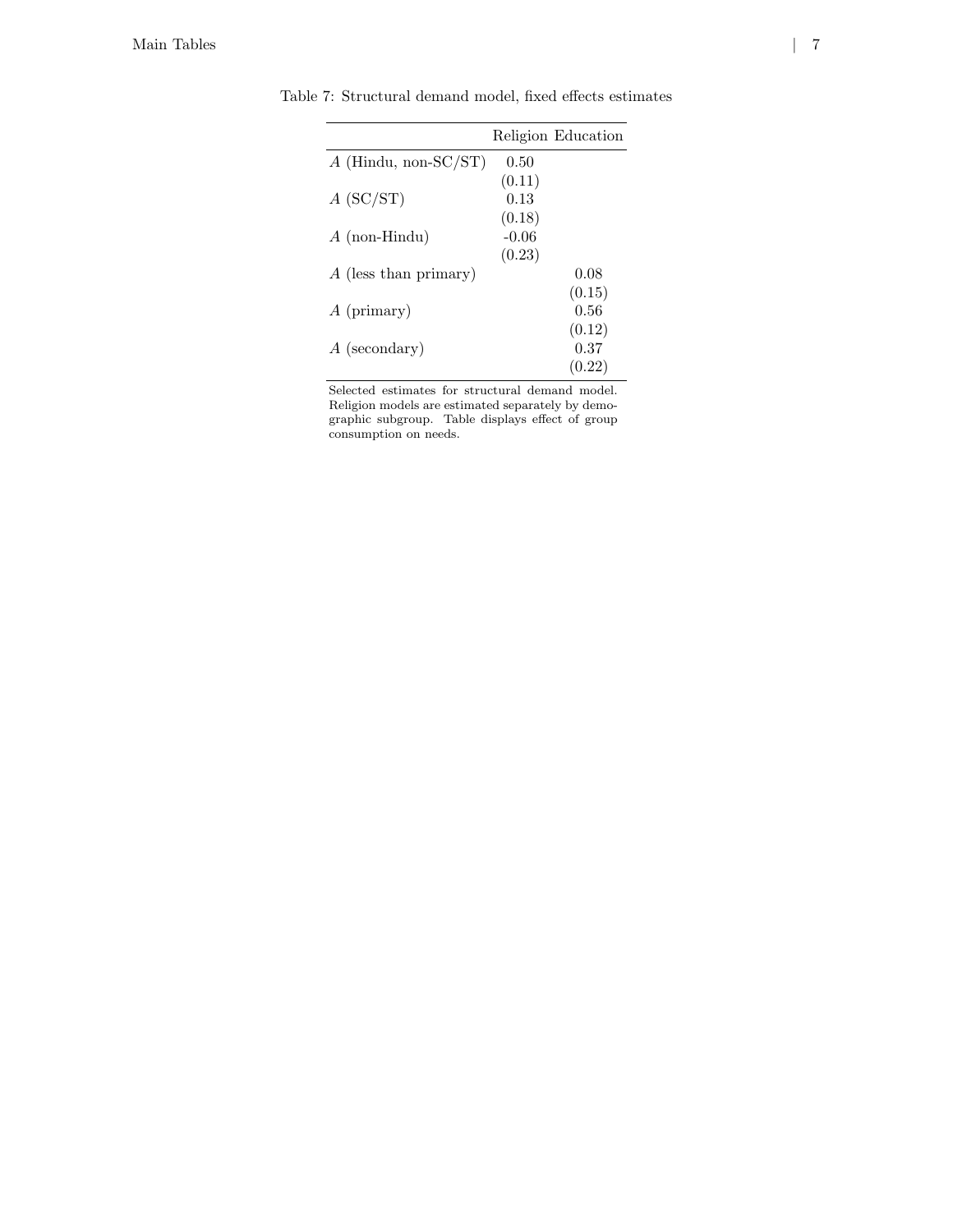|                         |         | Religion Education |
|-------------------------|---------|--------------------|
| $A$ (Hindu, non-SC/ST)  | 0.50    |                    |
|                         | (0.11)  |                    |
| A (SC/ST)               | 0.13    |                    |
|                         | (0.18)  |                    |
| $A$ (non-Hindu)         | $-0.06$ |                    |
|                         | (0.23)  |                    |
| $A$ (less than primary) |         | 0.08               |
|                         |         | (0.15)             |
| $A$ (primary)           |         | 0.56               |
|                         |         | (0.12)             |
| $A$ (secondary)         |         | 0.37               |
|                         |         | (0.22)             |

Table 7: Structural demand model, fixed effects estimates

Selected estimates for structural demand model. Religion models are estimated separately by demographic subgroup. Table displays effect of group consumption on needs.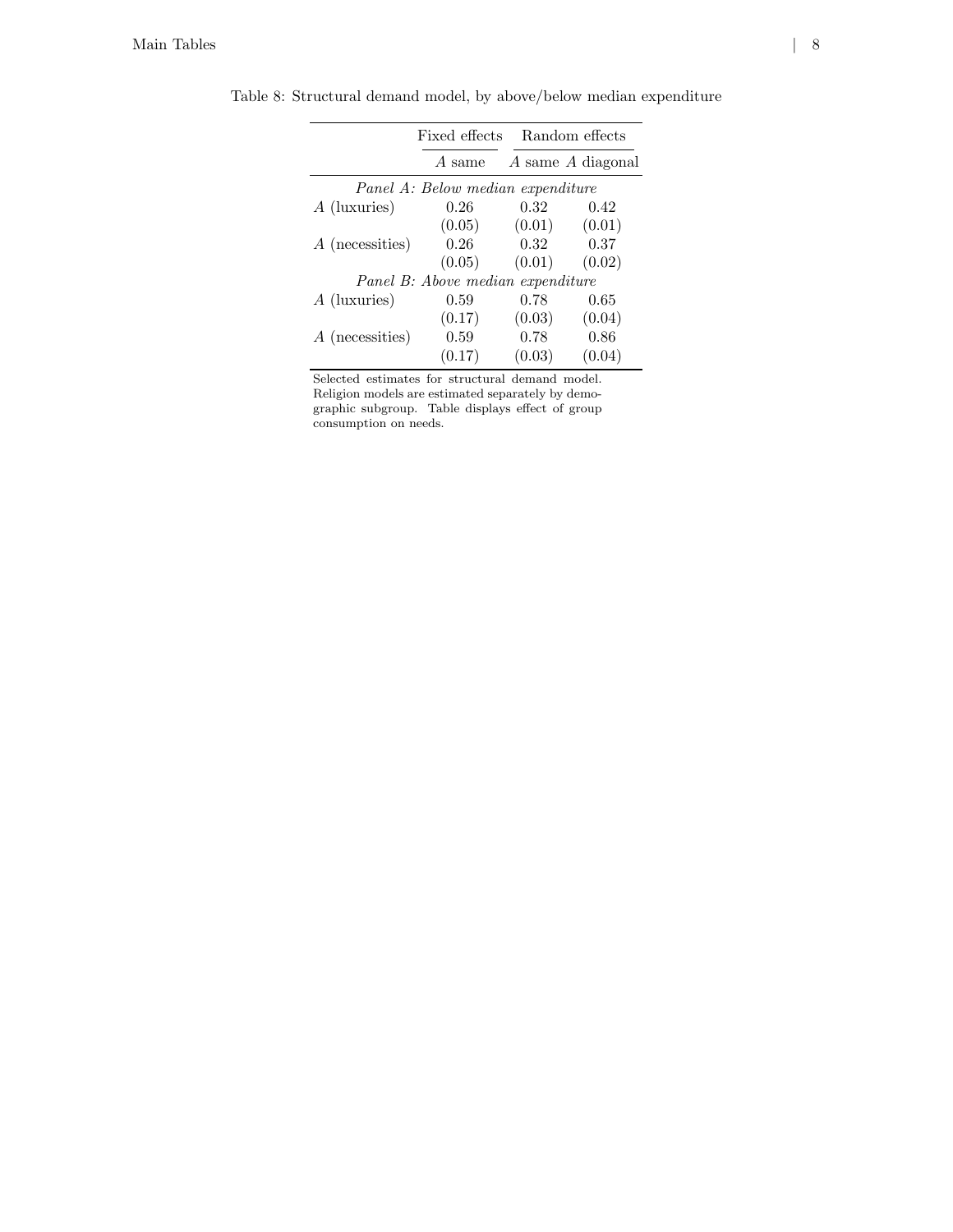|                 | Fixed effects                     |        | Random effects    |
|-----------------|-----------------------------------|--------|-------------------|
|                 |                                   |        |                   |
|                 | A same                            |        | A same A diagonal |
|                 | Panel A: Below median expenditure |        |                   |
| A (luxuries)    | 0.26                              | 0.32   | 0.42              |
|                 | (0.05)                            | (0.01) | (0.01)            |
| A (necessities) | 0.26                              | 0.32   | 0.37              |
|                 | (0.05)                            | (0.01) | (0.02)            |
|                 | Panel B: Above median expenditure |        |                   |
| A (luxuries)    | 0.59                              | 0.78   | 0.65              |
|                 | (0.17)                            | (0.03) | (0.04)            |
| A (necessities) | 0.59                              | 0.78   | 0.86              |
|                 | (0.17)                            | (0.03) | (0.04)            |

Table 8: Structural demand model, by above/below median expenditure

Selected estimates for structural demand model. Religion models are estimated separately by demographic subgroup. Table displays effect of group consumption on needs.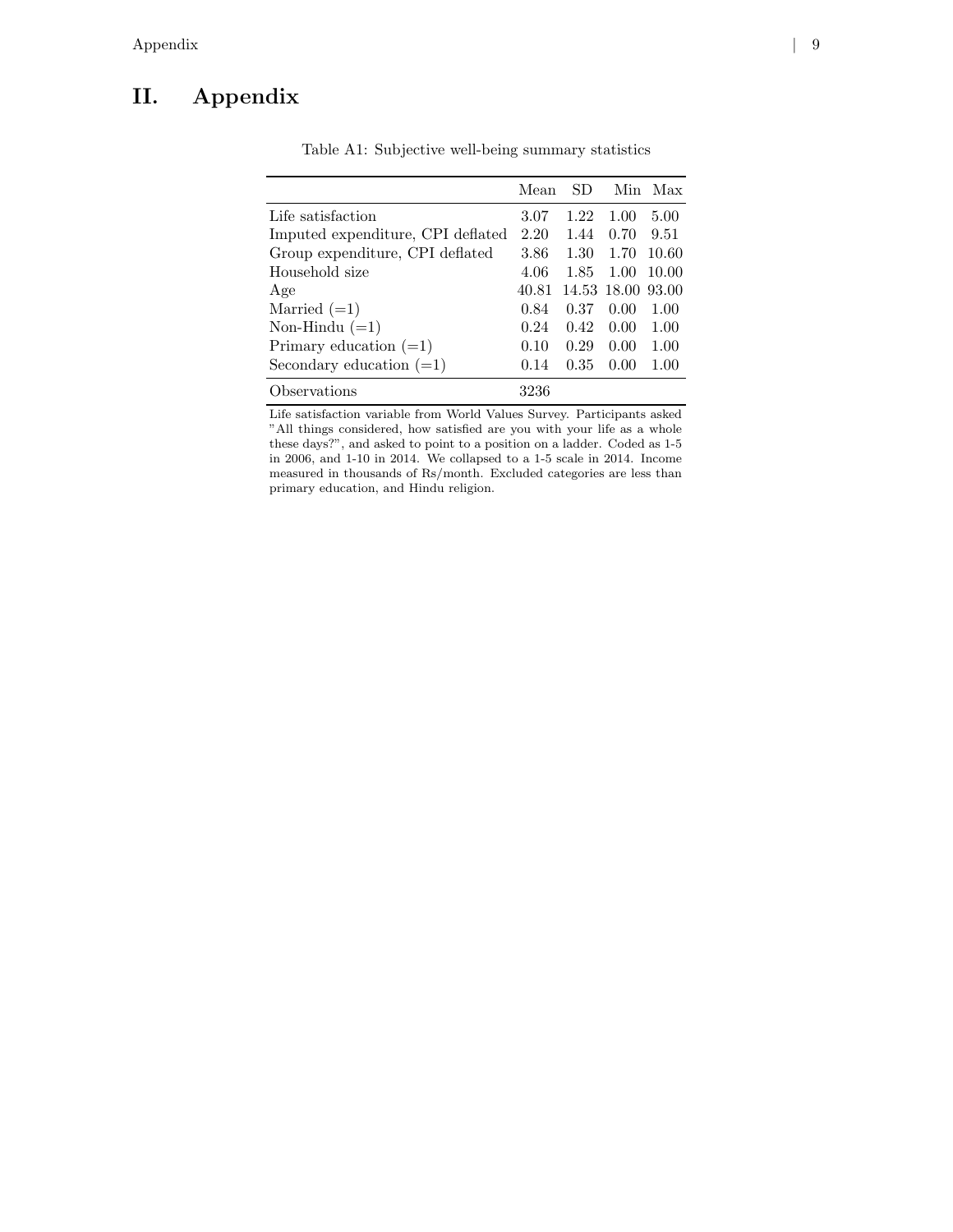## II. Appendix

|                                   | Mean  | SD.  | Min.              | Max   |
|-----------------------------------|-------|------|-------------------|-------|
| Life satisfaction                 | 3.07  | 1.22 | 1.00              | 5.00  |
| Imputed expenditure, CPI deflated | 2.20  | 1.44 | 0.70              | 9.51  |
| Group expenditure, CPI deflated   | 3.86  | 1.30 | 1.70              | 10.60 |
| Household size                    | 4.06  | 1.85 | 1.00              | 10.00 |
| Age                               | 40.81 |      | 14.53 18.00 93.00 |       |
| Married $(=1)$                    | 0.84  | 0.37 | 0.00              | 1.00  |
| Non-Hindu $(=1)$                  | 0.24  | 0.42 | 0.00              | 1.00  |
| Primary education $(=1)$          | 0.10  | 0.29 | 0.00              | 1.00  |
| Secondary education $(=1)$        | 0.14  | 0.35 | 0.00              | 1.00  |
| bservations                       | 3236  |      |                   |       |

Table A1: Subjective well-being summary statistics

Life satisfaction variable from World Values Survey. Participants asked "All things considered, how satisfied are you with your life as a whole these days?", and asked to point to a position on a ladder. Coded as 1-5 in 2006, and 1-10 in 2014. We collapsed to a 1-5 scale in 2014. Income measured in thousands of Rs/month. Excluded categories are less than primary education, and Hindu religion.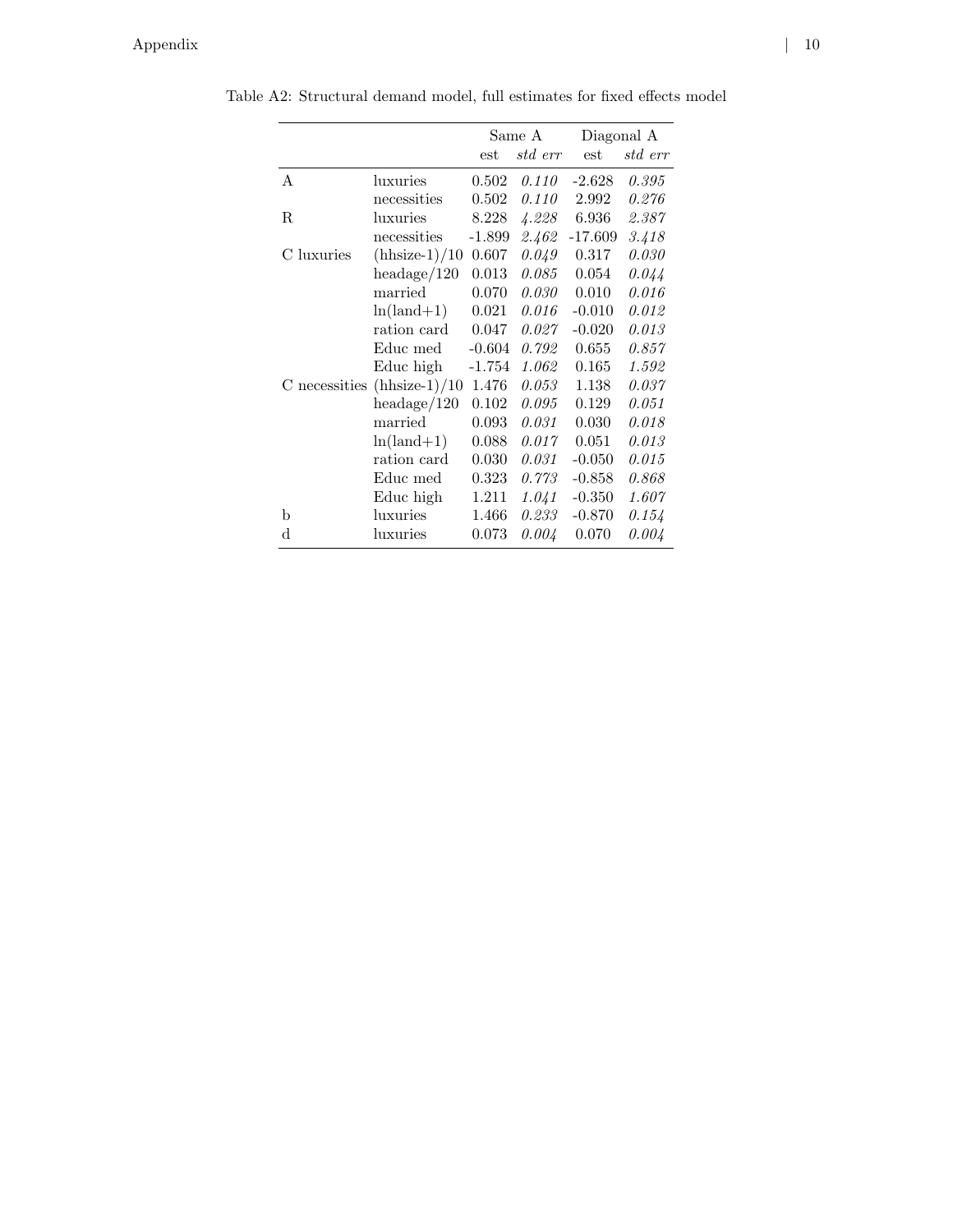|            |                               | Same A    |         | Diagonal A |         |
|------------|-------------------------------|-----------|---------|------------|---------|
|            |                               | est       | std err | est        | std err |
| Α          | luxuries                      | 0.502     | 0.110   | $-2.628$   | 0.395   |
|            | necessities                   | 0.502     | 0.110   | 2.992      | 0.276   |
| R          | luxuries                      | 8.228     | 4.228   | 6.936      | 2.387   |
|            | necessities                   | $-1.899$  | 2.462   | $-17.609$  | 3.418   |
| C luxuries | $(hhsize-1)/10$               | $0.607\,$ | 0.049   | 0.317      | 0.030   |
|            | headage/120                   | 0.013     | 0.085   | 0.054      | 0.044   |
|            | married                       | 0.070     | 0.030   | 0.010      | 0.016   |
|            | $ln(land+1)$                  | 0.021     | 0.016   | $-0.010$   | 0.012   |
|            | ration card                   | 0.047     | 0.027   | $-0.020$   | 0.013   |
|            | Educ med                      | $-0.604$  | 0.792   | 0.655      | 0.857   |
|            | Educ high                     | $-1.754$  | 1.062   | 0.165      | 1.592   |
|            | C necessities $(hhsize-1)/10$ | 1.476     | 0.053   | 1.138      | 0.037   |
|            | headage/120                   | 0.102     | 0.095   | 0.129      | 0.051   |
|            | married                       | 0.093     | 0.031   | 0.030      | 0.018   |
|            | $ln(land+1)$                  | 0.088     | 0.017   | 0.051      | 0.013   |
|            | ration card                   | 0.030     | 0.031   | $-0.050$   | 0.015   |
|            | Educ med                      | 0.323     | 0.773   | $-0.858$   | 0.868   |
|            | Educ high                     | 1.211     | 1.041   | $-0.350$   | 1.607   |
| b          | luxuries                      | 1.466     | 0.233   | $-0.870$   | 0.154   |
| d          | luxuries                      | 0.073     | 0.004   | 0.070      | 0.004   |
|            |                               |           |         |            |         |

Table A2: Structural demand model, full estimates for fixed effects model